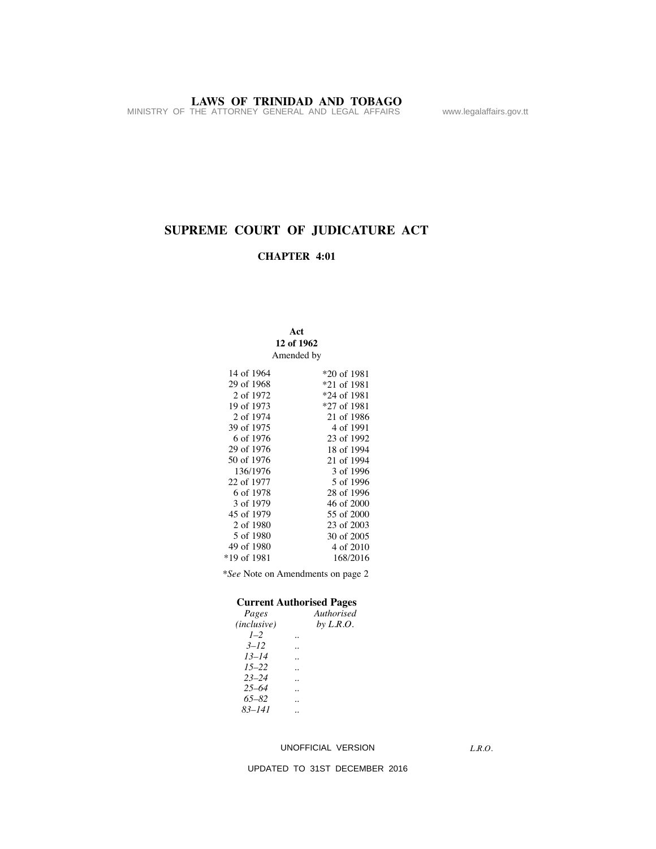# **LAWS OF TRINIDAD AND TOBAGO**<br>MINISTRY OF THE ATTORNEY GENERAL AND LEGAL AFFAIRS www.legalaffairs.gov.tt

# **SUPREME COURT OF JUDICATURE ACT**

# **CHAPTER 4:01**

|             | Act<br>12 of 1962<br>Amended by |
|-------------|---------------------------------|
| 14 of 1964  | *20 of 1981                     |
| 29 of 1968  | $*21$ of 1981                   |
| 2 of 1972   | $*24$ of 1981                   |
| 19 of 1973  | $*27$ of 1981                   |
| 2 of 1974   | 21 of 1986                      |
| 39 of 1975  | 4 of 1991                       |
| 6 of 1976   | 23 of 1992                      |
| 29 of 1976  | 18 of 1994                      |
| 50 of 1976  | 21 of 1994                      |
| 136/1976    | 3 of 1996                       |
| 22 of 1977  | 5 of 1996                       |
| 6 of 1978   | 28 of 1996                      |
| 3 of 1979   | 46 of 2000                      |
| 45 of 1979  | 55 of 2000                      |
| 2 of 1980   | 23 of 2003                      |
| 5 of 1980   | 30 of 2005                      |
| 49 of 1980  | 4 of 2010                       |
| *19 of 1981 | 168/2016                        |

*\*See* Note on Amendments on page 2

# **Current Authorised Pages**

| Pages                | Authorised  |
|----------------------|-------------|
| ( <i>inclusive</i> ) | by $L.R.O.$ |
| $1-2$                |             |
| $3 - 12$             |             |
| $13 - 14$            |             |
| $15 - 22$            |             |
| $23 - 24$            |             |
| $25 - 64$            |             |
| $65 - 82$            |             |
| $83 - 141$           |             |
|                      |             |

UNOFFICIAL VERSION

*L.R.O.*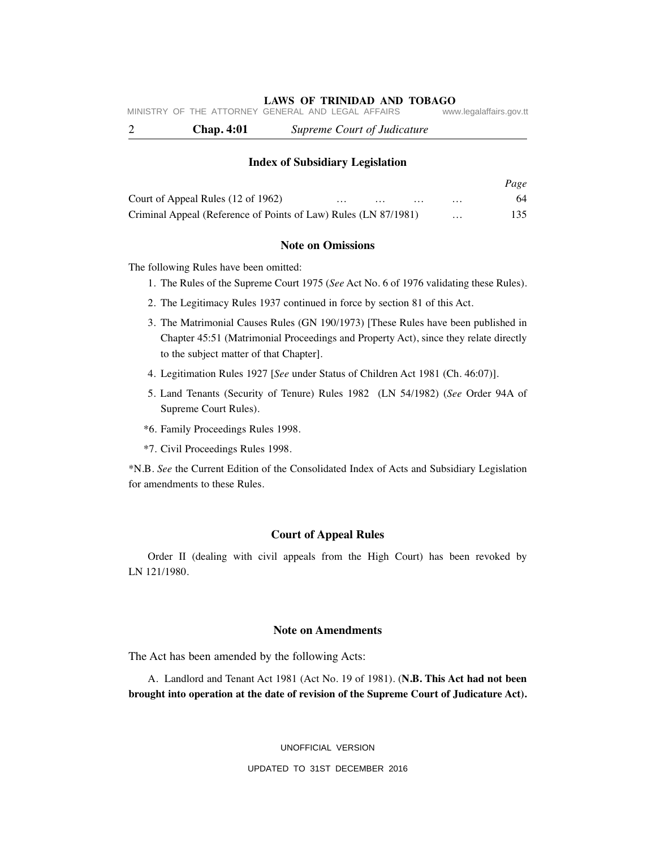|  | MINISTRY OF THE ATTORNEY GENERAL AND LEGAL AFFAIRS |  | www.legalaffairs.gov.tt |
|--|----------------------------------------------------|--|-------------------------|
|  |                                                    |  |                         |

2 **Chap. 4:01** *Supreme Court of Judicature*

# **Index of Subsidiary Legislation**

|                                                                 |          |          |          |          | Page |
|-----------------------------------------------------------------|----------|----------|----------|----------|------|
| Court of Appeal Rules (12 of 1962)                              | $\cdots$ | $\cdots$ | $\cdots$ | $\cdots$ | 64   |
| Criminal Appeal (Reference of Points of Law) Rules (LN 87/1981) |          |          |          | $\cdots$ | 135  |

## **Note on Omissions**

The following Rules have been omitted:

- 1. The Rules of the Supreme Court 1975 (*See* Act No. 6 of 1976 validating these Rules).
- 2. The Legitimacy Rules 1937 continued in force by section 81 of this Act.
- 3. The Matrimonial Causes Rules (GN 190/1973) [These Rules have been published in Chapter 45:51 (Matrimonial Proceedings and Property Act), since they relate directly to the subject matter of that Chapter].
- 4. Legitimation Rules 1927 [*See* under Status of Children Act 1981 (Ch. 46:07)].
- 5. Land Tenants (Security of Tenure) Rules 1982 (LN 54/1982) (*See* Order 94A of Supreme Court Rules).
- \*6. Family Proceedings Rules 1998.
- \*7. Civil Proceedings Rules 1998.

\*N.B. *See* the Current Edition of the Consolidated Index of Acts and Subsidiary Legislation for amendments to these Rules.

#### **Court of Appeal Rules**

Order II (dealing with civil appeals from the High Court) has been revoked by LN 121/1980.

# **Note on Amendments**

The Act has been amended by the following Acts:

A. Landlord and Tenant Act 1981 (Act No. 19 of 1981). (**N.B. This Act had not been brought into operation at the date of revision of the Supreme Court of Judicature Act).**

UNOFFICIAL VERSION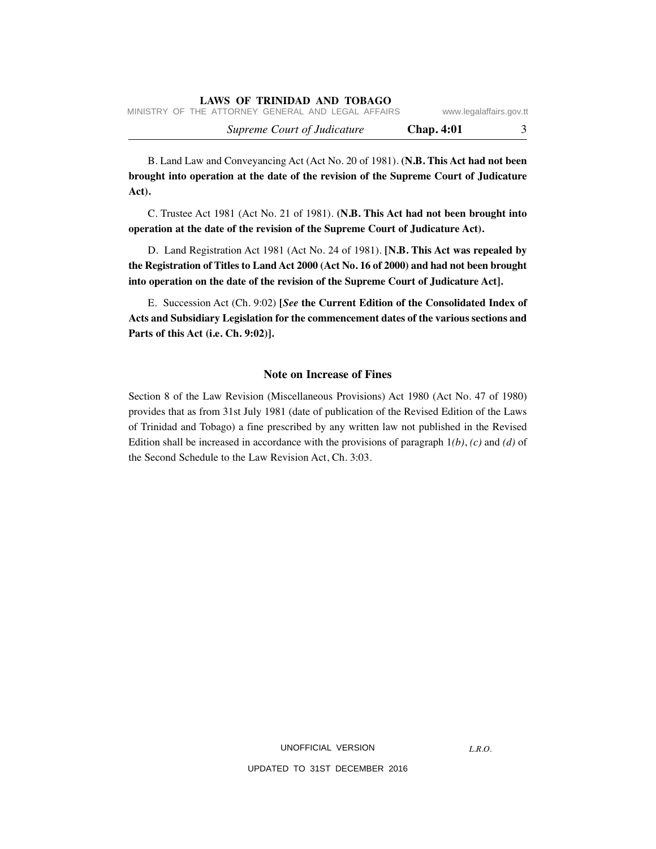| <b>LAWS OF TRINIDAD AND TOBAGO</b>                 |                   |                         |
|----------------------------------------------------|-------------------|-------------------------|
| MINISTRY OF THE ATTORNEY GENERAL AND LEGAL AFFAIRS |                   | www.legalaffairs.gov.tt |
| Supreme Court of Judicature                        | <b>Chap.</b> 4:01 |                         |

B. Land Law and Conveyancing Act (Act No. 20 of 1981). **(N.B. This Act had not been brought into operation at the date of the revision of the Supreme Court of Judicature Act).**

C. Trustee Act 1981 (Act No. 21 of 1981). **(N.B. This Act had not been brought into operation at the date of the revision of the Supreme Court of Judicature Act).**

D. Land Registration Act 1981 (Act No. 24 of 1981). **[N.B. This Act was repealed by the Registration of Titles to Land Act 2000 (Act No. 16 of 2000) and had not been brought into operation on the date of the revision of the Supreme Court of Judicature Act].**

E. Succession Act (Ch. 9:02) **[***See* **the Current Edition of the Consolidated Index of Acts and Subsidiary Legislation for the commencement dates of the various sections and Parts of this Act (i.e. Ch. 9:02)].**

# **Note on Increase of Fines**

Section 8 of the Law Revision (Miscellaneous Provisions) Act 1980 (Act No. 47 of 1980) provides that as from 31st July 1981 (date of publication of the Revised Edition of the Laws of Trinidad and Tobago) a fine prescribed by any written law not published in the Revised Edition shall be increased in accordance with the provisions of paragraph 1*(b)*, *(c)* and *(d)* of the Second Schedule to the Law Revision Act, Ch. 3:03.

*L.R.O.*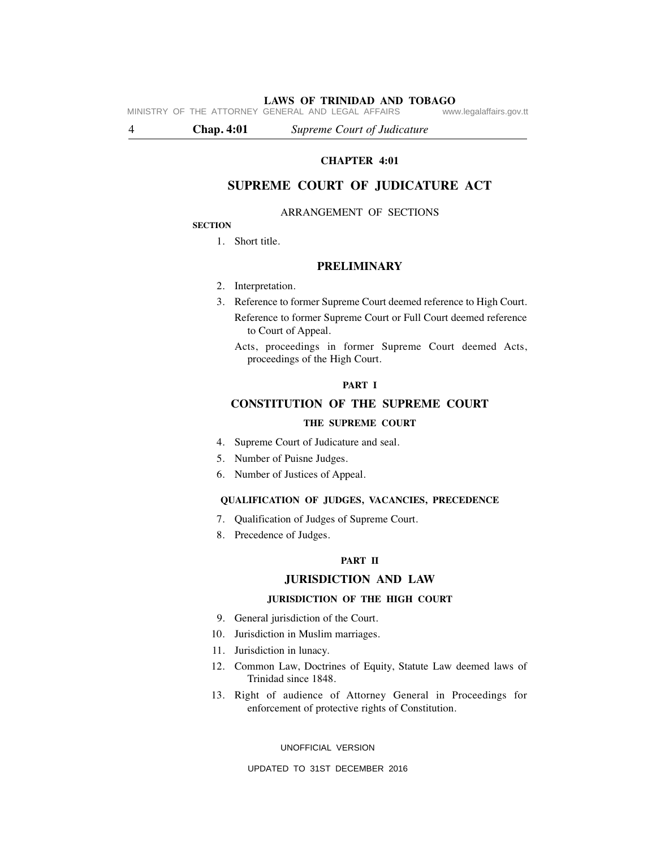**LAWS OF TRINIDAD AND TOBAGO**<br>GENERAL AND LEGAL AFFAIRS www.legalaffairs.gov.tt MINISTRY OF THE ATTORNEY GENERAL AND LEGAL AFFAIRS

4 **Chap. 4:01** *Supreme Court of Judicature*

### **CHAPTER 4:01**

# **SUPREME COURT OF JUDICATURE ACT**

## ARRANGEMENT OF SECTIONS

#### **SECTION**

1. Short title.

# **PRELIMINARY**

- 2. Interpretation.
- 3. Reference to former Supreme Court deemed reference to High Court.
	- Reference to former Supreme Court or Full Court deemed reference to Court of Appeal.
	- Acts, proceedings in former Supreme Court deemed Acts, proceedings of the High Court.

#### **PART I**

# **CONSTITUTION OF THE SUPREME COURT**

# **THE SUPREME COURT**

- 4. Supreme Court of Judicature and seal.
- 5. Number of Puisne Judges.
- 6. Number of Justices of Appeal.

# **QUALIFICATION OF JUDGES, VACANCIES, PRECEDENCE**

- 7. Qualification of Judges of Supreme Court.
- 8. Precedence of Judges.

# **PART II**

# **JURISDICTION AND LAW**

#### **JURISDICTION OF THE HIGH COURT**

- 9. General jurisdiction of the Court.
- 10. Jurisdiction in Muslim marriages.
- 11. Jurisdiction in lunacy.
- 12. Common Law, Doctrines of Equity, Statute Law deemed laws of Trinidad since 1848.
- 13. Right of audience of Attorney General in Proceedings for enforcement of protective rights of Constitution.

UNOFFICIAL VERSION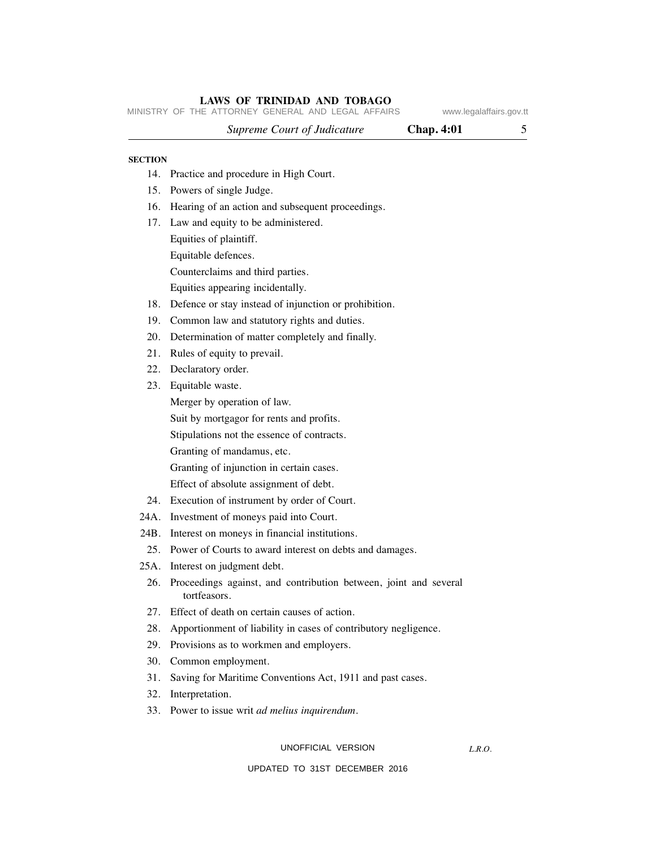*Supreme Court of Judicature* **Chap. 4:01** 5 MINISTRY OF THE ATTORNEY GENERAL AND LEGAL AFFAIRS www.legalaffairs.gov.tt

# **SECTION**

- 14. Practice and procedure in High Court.
- 15. Powers of single Judge.
- 16. Hearing of an action and subsequent proceedings.
- 17. Law and equity to be administered.

Equities of plaintiff.

Equitable defences.

Counterclaims and third parties.

Equities appearing incidentally.

- 18. Defence or stay instead of injunction or prohibition.
- 19. Common law and statutory rights and duties.
- 20. Determination of matter completely and finally.
- 21. Rules of equity to prevail.
- 22. Declaratory order.
- 23. Equitable waste.
	- Merger by operation of law.

Suit by mortgagor for rents and profits.

Stipulations not the essence of contracts.

Granting of mandamus, etc.

Granting of injunction in certain cases.

Effect of absolute assignment of debt.

- 24. Execution of instrument by order of Court.
- 24A. Investment of moneys paid into Court.
- 24B. Interest on moneys in financial institutions.
- 25. Power of Courts to award interest on debts and damages.
- 25A. Interest on judgment debt.
- 26. Proceedings against, and contribution between, joint and several tortfeasors.
- 27. Effect of death on certain causes of action.
- 28. Apportionment of liability in cases of contributory negligence.
- 29. Provisions as to workmen and employers.
- 30. Common employment.
- 31. Saving for Maritime Conventions Act, 1911 and past cases.
- 32. Interpretation.
- 33. Power to issue writ *ad melius inquirendum.*

#### UNOFFICIAL VERSION

*L.R.O.*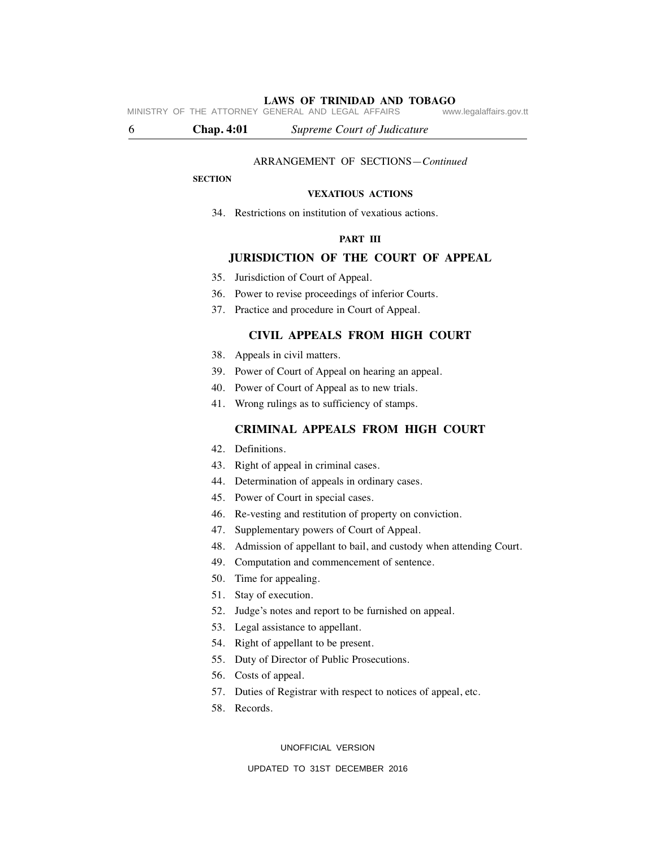MINISTRY OF THE ATTORNEY GENERAL AND LEGAL AFFAIRS

6 **Chap. 4:01** *Supreme Court of Judicature*

#### ARRANGEMENT OF SECTIONS—*Continued*

#### **SECTION**

#### **VEXATIOUS ACTIONS**

34. Restrictions on institution of vexatious actions.

# **PART III**

## **JURISDICTION OF THE COURT OF APPEAL**

- 35. Jurisdiction of Court of Appeal.
- 36. Power to revise proceedings of inferior Courts.
- 37. Practice and procedure in Court of Appeal.

# **CIVIL APPEALS FROM HIGH COURT**

- 38. Appeals in civil matters.
- 39. Power of Court of Appeal on hearing an appeal.
- 40. Power of Court of Appeal as to new trials.
- 41. Wrong rulings as to sufficiency of stamps.

# **CRIMINAL APPEALS FROM HIGH COURT**

- 42. Definitions.
- 43. Right of appeal in criminal cases.
- 44. Determination of appeals in ordinary cases.
- 45. Power of Court in special cases.
- 46. Re-vesting and restitution of property on conviction.
- 47. Supplementary powers of Court of Appeal.
- 48. Admission of appellant to bail, and custody when attending Court.
- 49. Computation and commencement of sentence.
- 50. Time for appealing.
- 51. Stay of execution.
- 52. Judge's notes and report to be furnished on appeal.
- 53. Legal assistance to appellant.
- 54. Right of appellant to be present.
- 55. Duty of Director of Public Prosecutions.
- 56. Costs of appeal.
- 57. Duties of Registrar with respect to notices of appeal, etc.
- 58. Records.

UNOFFICIAL VERSION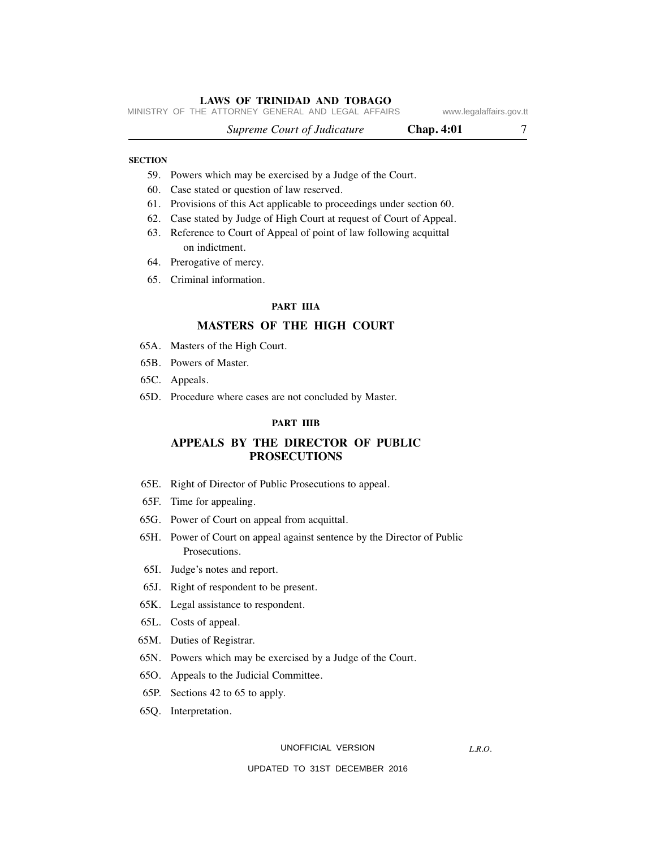MINISTRY OF THE ATTORNEY GENERAL AND LEGAL AFFAIRS www.legalaffairs.gov.tt

 *Supreme Court of Judicature* **Chap. 4:01** 7

#### **SECTION**

- 59. Powers which may be exercised by a Judge of the Court.
- 60. Case stated or question of law reserved.
- 61. Provisions of this Act applicable to proceedings under section 60.
- 62. Case stated by Judge of High Court at request of Court of Appeal.
- 63. Reference to Court of Appeal of point of law following acquittal on indictment.
- 64. Prerogative of mercy.
- 65. Criminal information.

# **PART IIIA**

# **MASTERS OF THE HIGH COURT**

- 65A. Masters of the High Court.
- 65B. Powers of Master.
- 65C. Appeals.
- 65D. Procedure where cases are not concluded by Master.

#### **PART IIIB**

# **APPEALS BY THE DIRECTOR OF PUBLIC PROSECUTIONS**

- 65E. Right of Director of Public Prosecutions to appeal.
- 65F. Time for appealing.
- 65G. Power of Court on appeal from acquittal.
- 65H. Power of Court on appeal against sentence by the Director of Public Prosecutions.
- 65I. Judge's notes and report.
- 65J. Right of respondent to be present.
- 65K. Legal assistance to respondent.
- 65L. Costs of appeal.
- 65M. Duties of Registrar.
- 65N. Powers which may be exercised by a Judge of the Court.
- 65O. Appeals to the Judicial Committee.
- 65P. Sections 42 to 65 to apply.
- 65Q. Interpretation.

#### UNOFFICIAL VERSION

*L.R.O.*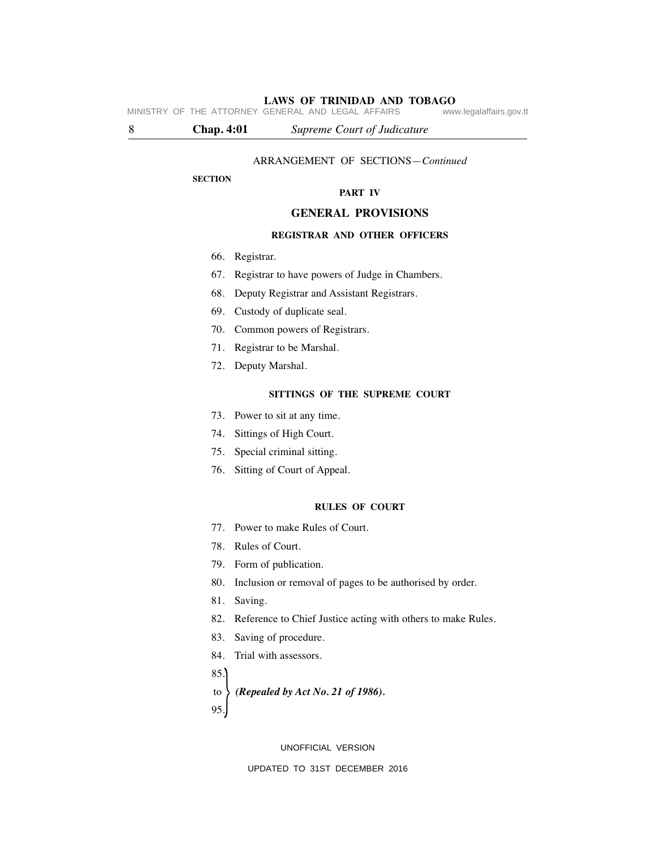**LAWS OF TRINIDAD AND TOBAGO**<br>GENERAL AND LEGAL AFFAIRS www.legalaffairs.gov.tt MINISTRY OF THE ATTORNEY GENERAL AND LEGAL AFFAIRS

8 **Chap. 4:01** *Supreme Court of Judicature*

#### ARRANGEMENT OF SECTIONS—*Continued*

#### **SECTION**

**PART IV**

# **GENERAL PROVISIONS**

### **REGISTRAR AND OTHER OFFICERS**

- 66. Registrar.
- 67. Registrar to have powers of Judge in Chambers.
- 68. Deputy Registrar and Assistant Registrars.
- 69. Custody of duplicate seal.
- 70. Common powers of Registrars.
- 71. Registrar to be Marshal.
- 72. Deputy Marshal.

#### **SITTINGS OF THE SUPREME COURT**

- 73. Power to sit at any time.
- 74. Sittings of High Court.
- 75. Special criminal sitting.
- 76. Sitting of Court of Appeal.

#### **RULES OF COURT**

- 77. Power to make Rules of Court.
- 78. Rules of Court.
- 79. Form of publication.
- 80. Inclusion or removal of pages to be authorised by order.
- 81. Saving.
- 82. Reference to Chief Justice acting with others to make Rules.
- 83. Saving of procedure.
- 84. Trial with assessors.
- 85.
- to *(Repealed by Act No. 21 of 1986).* }
- 95.

UNOFFICIAL VERSION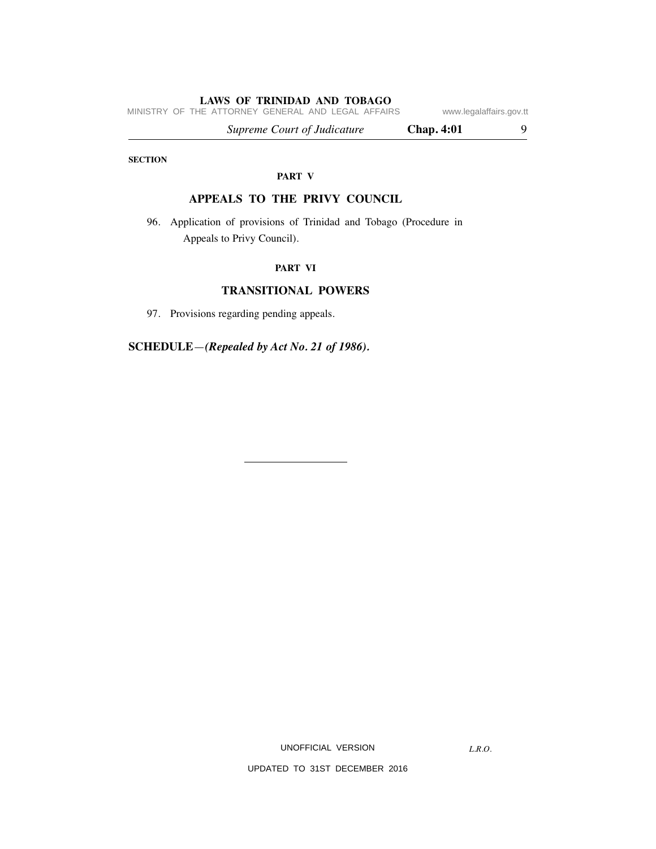MINISTRY OF THE ATTORNEY GENERAL AND LEGAL AFFAIRS www.legalaffairs.gov.tt

 *Supreme Court of Judicature* **Chap. 4:01** 9

# **SECTION**

# **PART V**

# **APPEALS TO THE PRIVY COUNCIL**

 96. Application of provisions of Trinidad and Tobago (Procedure in Appeals to Privy Council).

# **PART VI**

# **TRANSITIONAL POWERS**

97. Provisions regarding pending appeals.

**SCHEDULE**—*(Repealed by Act No. 21 of 1986).*

UNOFFICIAL VERSION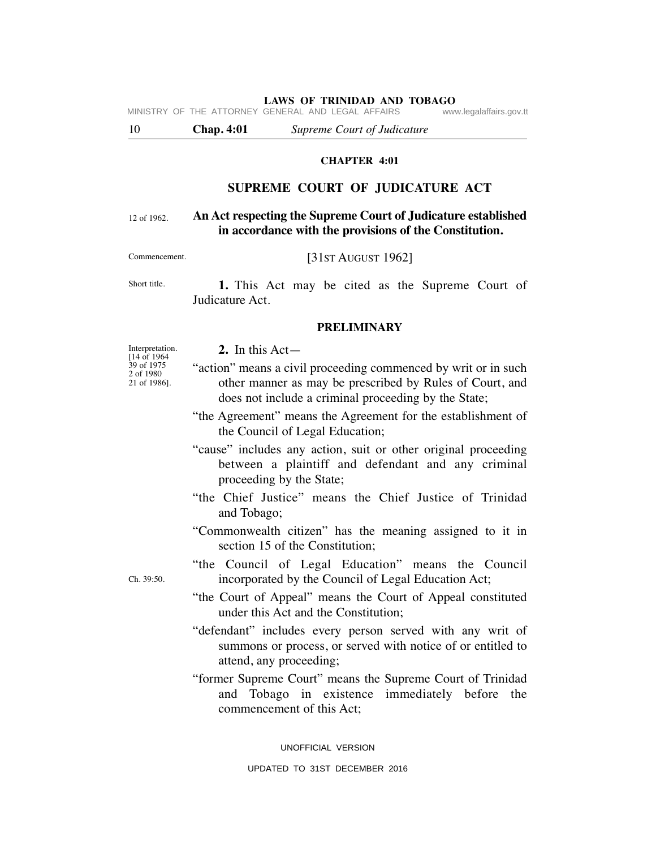MINISTRY OF THE ATTORNEY GENERAL AND LEGAL AFFAIRS

10 **Chap. 4:01** *Supreme Court of Judicature*

# **CHAPTER 4:01**

# **SUPREME COURT OF JUDICATURE ACT**

#### 12 of 1962. **An Act respecting the Supreme Court of Judicature established in accordance with the provisions of the Constitution.**

Commencement.

[31ST AUGUST 1962]

Short title.

 **1.** This Act may be cited as the Supreme Court of Judicature Act.

#### **PRELIMINARY**

 **2.** In this Act—

- "action" means a civil proceeding commenced by writ or in such other manner as may be prescribed by Rules of Court, and does not include a criminal proceeding by the State;
	- "the Agreement" means the Agreement for the establishment of the Council of Legal Education;
	- "cause" includes any action, suit or other original proceeding between a plaintiff and defendant and any criminal proceeding by the State;
	- "the Chief Justice" means the Chief Justice of Trinidad and Tobago;

"Commonwealth citizen" has the meaning assigned to it in section 15 of the Constitution;

- "the Council of Legal Education" means the Council incorporated by the Council of Legal Education Act;
- "the Court of Appeal" means the Court of Appeal constituted under this Act and the Constitution;
- "defendant" includes every person served with any writ of summons or process, or served with notice of or entitled to attend, any proceeding;

"former Supreme Court" means the Supreme Court of Trinidad and Tobago in existence immediately before the commencement of this Act;

UNOFFICIAL VERSION

UPDATED TO 31ST DECEMBER 2016

Ch. 39:50.

Interpretation. [14 of 1964 39 of 1975 2 of 1980

21 of 1986].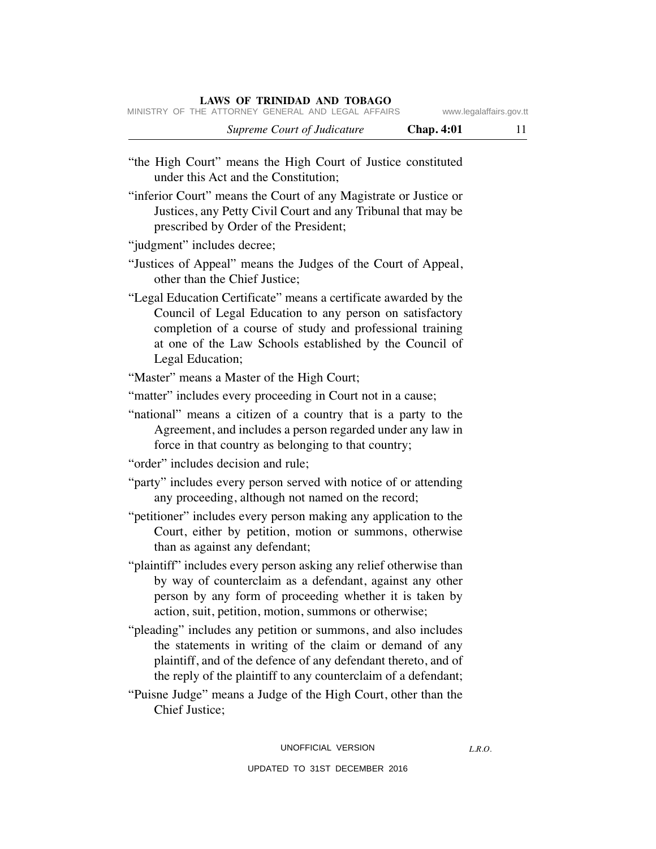|  | MINISTRY OF THE ATTORNEY GENERAL AND LEGAL AFFAIRS |  |  | www.legalaffairs.gov.tt |  |
|--|----------------------------------------------------|--|--|-------------------------|--|
|  |                                                    |  |  |                         |  |

| Supreme Court of Judicature |                                                                                                           |  |  | <b>Chap.</b> 4:01 |  |  |  |  |
|-----------------------------|-----------------------------------------------------------------------------------------------------------|--|--|-------------------|--|--|--|--|
|                             |                                                                                                           |  |  |                   |  |  |  |  |
|                             | $(641 - H1 \cdot 1 - H1 \cdot 1)$ $(1, 0, 0, 0, 1)$ $(1, 1, 0, 1)$ $(1, 0, 0, 1)$ $(1, 0, 1)$ $(1, 0, 1)$ |  |  |                   |  |  |  |  |

- "the High Court" means the High Court of Justice constituted under this Act and the Constitution;
- "inferior Court" means the Court of any Magistrate or Justice or Justices, any Petty Civil Court and any Tribunal that may be prescribed by Order of the President;

"judgment" includes decree;

- "Justices of Appeal" means the Judges of the Court of Appeal, other than the Chief Justice;
- "Legal Education Certificate" means a certificate awarded by the Council of Legal Education to any person on satisfactory completion of a course of study and professional training at one of the Law Schools established by the Council of Legal Education;

"Master" means a Master of the High Court;

"matter" includes every proceeding in Court not in a cause;

- "national" means a citizen of a country that is a party to the Agreement, and includes a person regarded under any law in force in that country as belonging to that country;
- "order" includes decision and rule;
- "party" includes every person served with notice of or attending any proceeding, although not named on the record;
- "petitioner" includes every person making any application to the Court, either by petition, motion or summons, otherwise than as against any defendant;
- "plaintiff" includes every person asking any relief otherwise than by way of counterclaim as a defendant, against any other person by any form of proceeding whether it is taken by action, suit, petition, motion, summons or otherwise;
- "pleading" includes any petition or summons, and also includes the statements in writing of the claim or demand of any plaintiff, and of the defence of any defendant thereto, and of the reply of the plaintiff to any counterclaim of a defendant;
- "Puisne Judge" means a Judge of the High Court, other than the Chief Justice;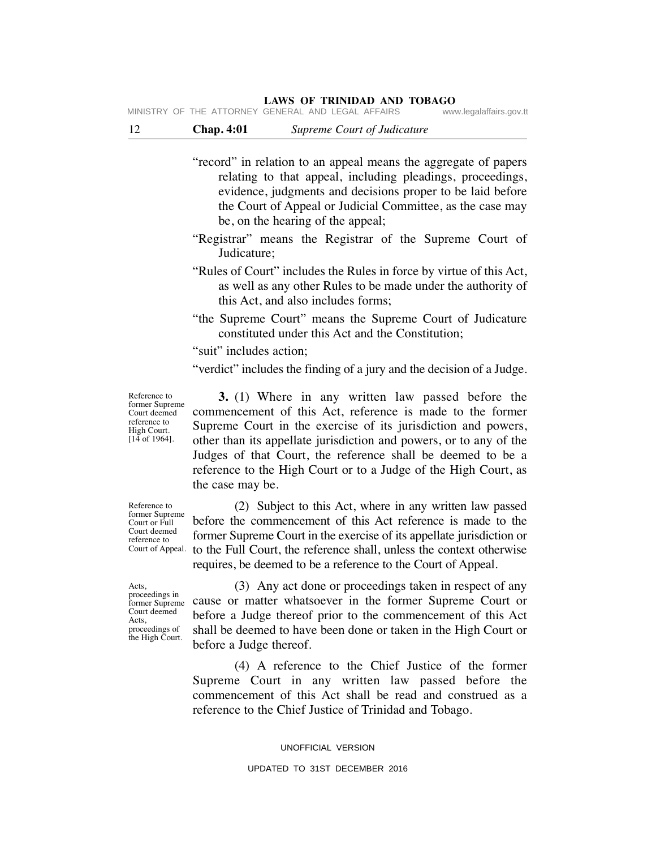MINISTRY OF THE ATTORNEY GENERAL AND LEGAL AFFAIRS

12 **Chap. 4:01** *Supreme Court of Judicature*

"record" in relation to an appeal means the aggregate of papers relating to that appeal, including pleadings, proceedings, evidence, judgments and decisions proper to be laid before the Court of Appeal or Judicial Committee, as the case may be, on the hearing of the appeal;

- "Registrar" means the Registrar of the Supreme Court of Judicature;
- "Rules of Court" includes the Rules in force by virtue of this Act, as well as any other Rules to be made under the authority of this Act, and also includes forms;
- "the Supreme Court" means the Supreme Court of Judicature constituted under this Act and the Constitution;

"suit" includes action;

"verdict" includes the finding of a jury and the decision of a Judge.

Reference to former Supreme Court deemed reference to High Court. [14 of 1964].

Reference to former Supreme Court or Full Court deemed reference to

 **3.** (1) Where in any written law passed before the commencement of this Act, reference is made to the former Supreme Court in the exercise of its jurisdiction and powers, other than its appellate jurisdiction and powers, or to any of the Judges of that Court, the reference shall be deemed to be a reference to the High Court or to a Judge of the High Court, as the case may be.

Court of Appeal. (2) Subject to this Act, where in any written law passed before the commencement of this Act reference is made to the former Supreme Court in the exercise of its appellate jurisdiction or to the Full Court, the reference shall, unless the context otherwise requires, be deemed to be a reference to the Court of Appeal.

Acts, proceedings in former Supreme Court deemed Acts, proceedings of the High Court.

 (3) Any act done or proceedings taken in respect of any cause or matter whatsoever in the former Supreme Court or before a Judge thereof prior to the commencement of this Act shall be deemed to have been done or taken in the High Court or before a Judge thereof.

 (4) A reference to the Chief Justice of the former Supreme Court in any written law passed before the commencement of this Act shall be read and construed as a reference to the Chief Justice of Trinidad and Tobago.

UNOFFICIAL VERSION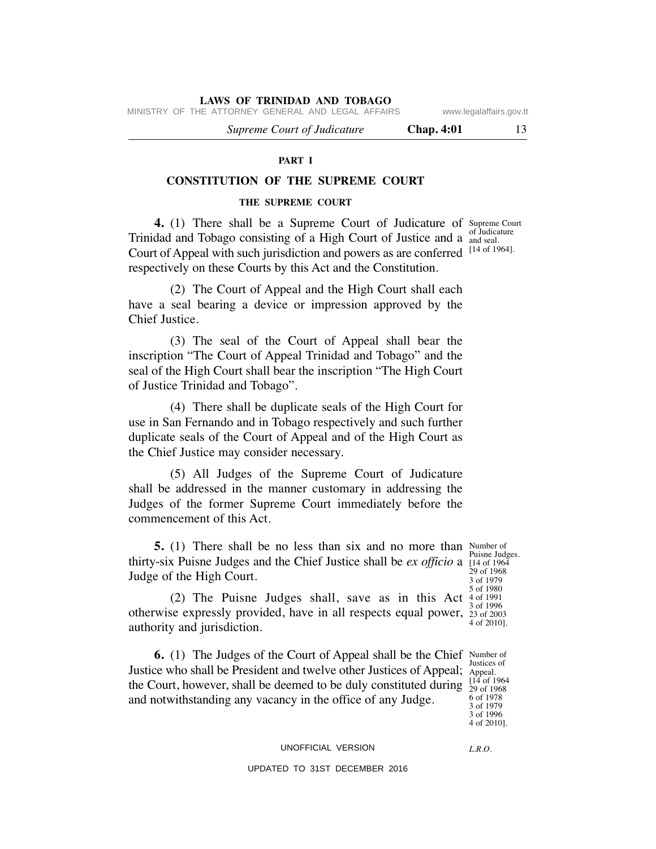MINISTRY OF THE ATTORNEY GENERAL AND LEGAL AFFAIRS www.legalaffairs.gov.tt

 *Supreme Court of Judicature* **Chap. 4:01** 13

#### **PART I**

# **CONSTITUTION OF THE SUPREME COURT**

# **THE SUPREME COURT**

**4.** (1) There shall be a Supreme Court of Judicature of Supreme Court Trinidad and Tobago consisting of a High Court of Justice and a  $\frac{61 \text{ Juulc}}{2}$ Court of Appeal with such jurisdiction and powers as are conferred [14 of 1964]. respectively on these Courts by this Act and the Constitution.

 (2) The Court of Appeal and the High Court shall each have a seal bearing a device or impression approved by the Chief Justice.

 (3) The seal of the Court of Appeal shall bear the inscription "The Court of Appeal Trinidad and Tobago" and the seal of the High Court shall bear the inscription "The High Court of Justice Trinidad and Tobago".

 (4) There shall be duplicate seals of the High Court for use in San Fernando and in Tobago respectively and such further duplicate seals of the Court of Appeal and of the High Court as the Chief Justice may consider necessary.

 (5) All Judges of the Supreme Court of Judicature shall be addressed in the manner customary in addressing the Judges of the former Supreme Court immediately before the commencement of this Act.

**5.** (1) There shall be no less than six and no more than Number of [14 of 1964 thirty-six Puisne Judges and the Chief Justice shall be *ex officio* a Judge of the High Court.

Puisne Judges. 29 of 1968 3 of 1979 5 of 1980

(2) The Puisne Judges shall, save as in this Act  $\frac{4}{3}$  of 1991 3 of 1996 otherwise expressly provided, have in all respects equal power,  $\frac{501750}{23012003}$ 4 of 2010]. authority and jurisdiction.

**6.** (1) The Judges of the Court of Appeal shall be the Chief Number of Justices of Appeal. [14 of 1964 Justice who shall be President and twelve other Justices of Appeal; the Court, however, shall be deemed to be duly constituted during and notwithstanding any vacancy in the office of any Judge.

29 of 1968 6 of 1978 3 of 1979 3 of 1996 4 of 2010].

#### UNOFFICIAL VERSION

 $LRO$ 

# UPDATED TO 31ST DECEMBER 2016

of Judicature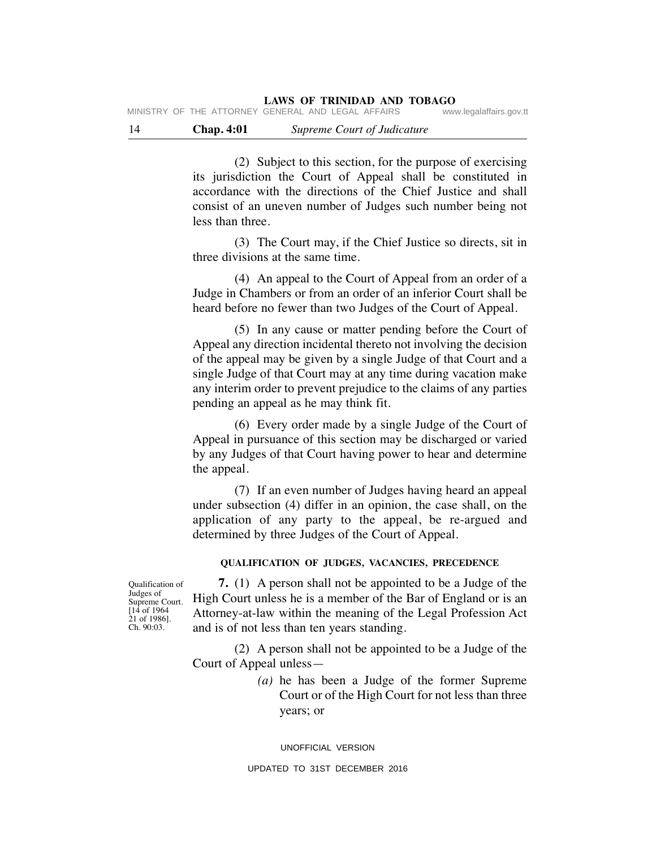14 **Chap. 4:01** *Supreme Court of Judicature*

 (2) Subject to this section, for the purpose of exercising its jurisdiction the Court of Appeal shall be constituted in accordance with the directions of the Chief Justice and shall consist of an uneven number of Judges such number being not less than three.

 (3) The Court may, if the Chief Justice so directs, sit in three divisions at the same time.

 (4) An appeal to the Court of Appeal from an order of a Judge in Chambers or from an order of an inferior Court shall be heard before no fewer than two Judges of the Court of Appeal.

 (5) In any cause or matter pending before the Court of Appeal any direction incidental thereto not involving the decision of the appeal may be given by a single Judge of that Court and a single Judge of that Court may at any time during vacation make any interim order to prevent prejudice to the claims of any parties pending an appeal as he may think fit.

 (6) Every order made by a single Judge of the Court of Appeal in pursuance of this section may be discharged or varied by any Judges of that Court having power to hear and determine the appeal.

 (7) If an even number of Judges having heard an appeal under subsection (4) differ in an opinion, the case shall, on the application of any party to the appeal, be re-argued and determined by three Judges of the Court of Appeal.

# **QUALIFICATION OF JUDGES, VACANCIES, PRECEDENCE**

Qualification of Judges of Supreme Court. [14 of 1964 21 of 1986]. Ch. 90:03.

 **7.** (1) A person shall not be appointed to be a Judge of the High Court unless he is a member of the Bar of England or is an Attorney-at-law within the meaning of the Legal Profession Act and is of not less than ten years standing.

 (2) A person shall not be appointed to be a Judge of the Court of Appeal unless—

> *(a)* he has been a Judge of the former Supreme Court or of the High Court for not less than three years; or

UNOFFICIAL VERSION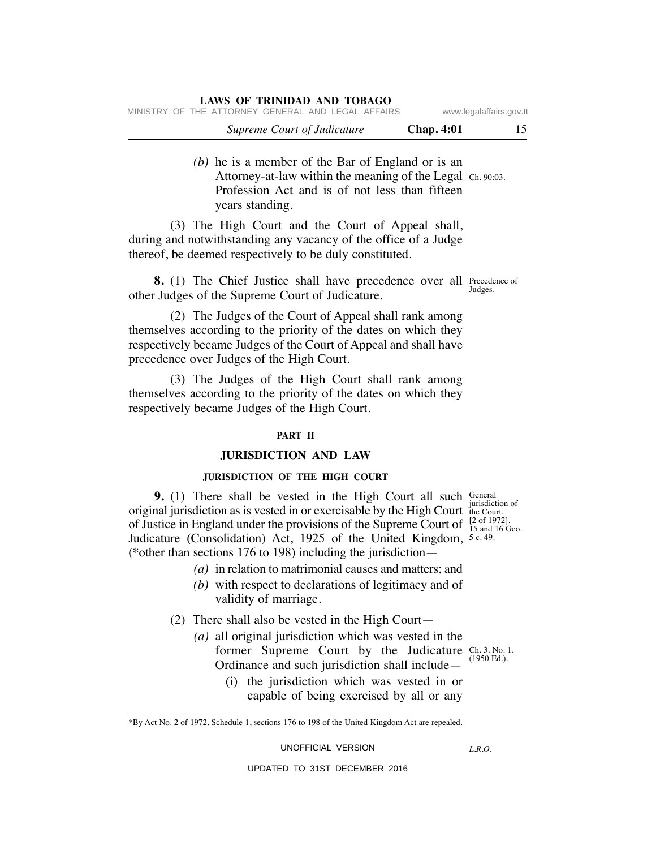| LAWS OF INHTIDAD ARD TODAGO<br>MINISTRY OF THE ATTORNEY GENERAL AND LEGAL AFFAIRS |                   | www.legalaffairs.gov.tt |
|-----------------------------------------------------------------------------------|-------------------|-------------------------|
| Supreme Court of Judicature                                                       | <b>Chap.</b> 4:01 |                         |

Attorney-at-law within the meaning of the Legal Ch. 90:03.  *(b)* he is a member of the Bar of England or is an Profession Act and is of not less than fifteen years standing.

 (3) The High Court and the Court of Appeal shall, during and notwithstanding any vacancy of the office of a Judge thereof, be deemed respectively to be duly constituted.

**LAWS OF TRINIDAD AND TOBAGO**

**8.** (1) The Chief Justice shall have precedence over all Precedence of Judges. other Judges of the Supreme Court of Judicature.

 (2) The Judges of the Court of Appeal shall rank among themselves according to the priority of the dates on which they respectively became Judges of the Court of Appeal and shall have precedence over Judges of the High Court.

 (3) The Judges of the High Court shall rank among themselves according to the priority of the dates on which they respectively became Judges of the High Court.

#### **PART II**

# **JURISDICTION AND LAW**

# **JURISDICTION OF THE HIGH COURT**

**9.** (1) There shall be vested in the High Court all such General original jurisdiction as is vested in or exercisable by the High Court the Court. of Justice in England under the provisions of the Supreme Court of  $^{12}_{15}$  and 16 Geo. Judicature (Consolidation) Act, 1925 of the United Kingdom, 5 c. 49. (\*other than sections 176 to 198) including the jurisdiction—

- *(a)* in relation to matrimonial causes and matters; and
- *(b)* with respect to declarations of legitimacy and of validity of marriage.
- (2) There shall also be vested in the High Court
	- former Supreme Court by the Judicature  $Ch. 3. No. 1.$  *(a)* all original jurisdiction which was vested in the Ordinance and such jurisdiction shall include—
		- (i) the jurisdiction which was vested in or capable of being exercised by all or any

\*By Act No. 2 of 1972, Schedule 1, sections 176 to 198 of the United Kingdom Act are repealed.

UNOFFICIAL VERSION

UPDATED TO 31ST DECEMBER 2016

jurisdiction of [2 of 1972].

(1950 Ed.).

 $LRO$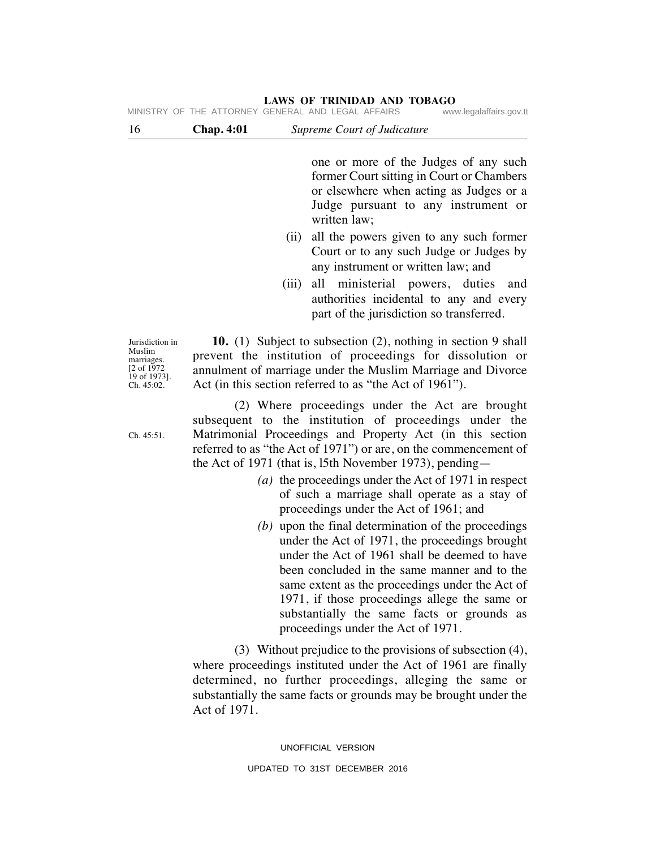| LAWS OF IKINIDAD AND TODAGO                        |                         |
|----------------------------------------------------|-------------------------|
| MINISTRY OF THE ATTORNEY GENERAL AND LEGAL AFFAIRS | www.legalaffairs.gov.tt |

| -16 | <b>Chap.</b> 4:01 | Supreme Court of Judicature |
|-----|-------------------|-----------------------------|
|-----|-------------------|-----------------------------|

one or more of the Judges of any such former Court sitting in Court or Chambers or elsewhere when acting as Judges or a Judge pursuant to any instrument or written law:

- (ii) all the powers given to any such former Court or to any such Judge or Judges by any instrument or written law; and
- (iii) all ministerial powers, duties and authorities incidental to any and every part of the jurisdiction so transferred.

Jurisdiction in

 **10.** (1) Subject to subsection (2), nothing in section 9 shall prevent the institution of proceedings for dissolution or annulment of marriage under the Muslim Marriage and Divorce Act (in this section referred to as "the Act of 1961").

 (2) Where proceedings under the Act are brought subsequent to the institution of proceedings under the Matrimonial Proceedings and Property Act (in this section referred to as "the Act of 1971") or are, on the commencement of the Act of 1971 (that is, l5th November 1973), pending—

- *(a)* the proceedings under the Act of 1971 in respect of such a marriage shall operate as a stay of proceedings under the Act of 1961; and
- *(b)* upon the final determination of the proceedings under the Act of 1971, the proceedings brought under the Act of 1961 shall be deemed to have been concluded in the same manner and to the same extent as the proceedings under the Act of 1971, if those proceedings allege the same or substantially the same facts or grounds as proceedings under the Act of 1971.

 (3) Without prejudice to the provisions of subsection (4), where proceedings instituted under the Act of 1961 are finally determined, no further proceedings, alleging the same or substantially the same facts or grounds may be brought under the Act of 1971.

Muslim marriages. [2 of 1972 19 of 1973]. Ch. 45:02.

Ch. 45:51.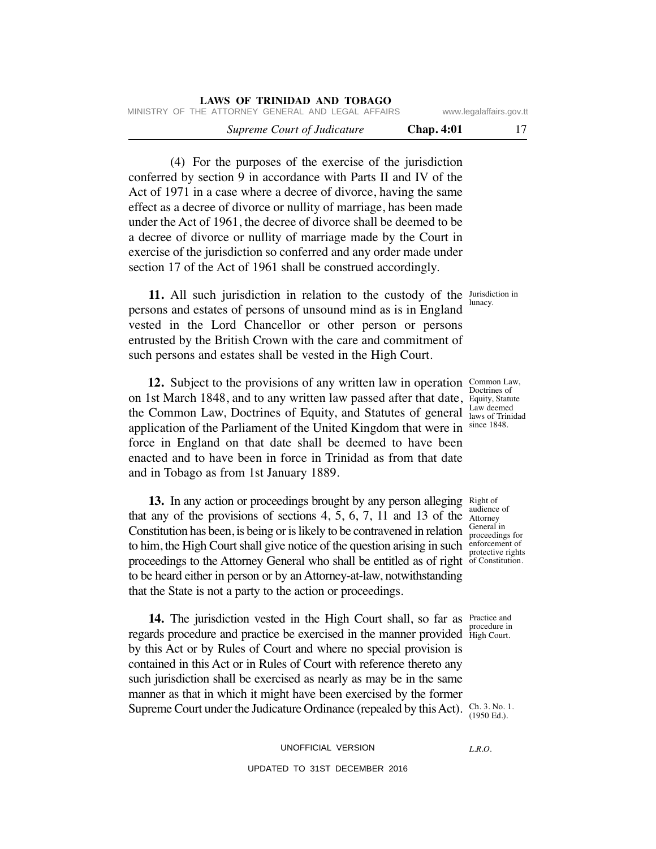| <b>LAWS OF TRINIDAD AND TOBAGO</b>                 |                   |                         |
|----------------------------------------------------|-------------------|-------------------------|
| MINISTRY OF THE ATTORNEY GENERAL AND LEGAL AFFAIRS |                   | www.legalaffairs.gov.tt |
| Supreme Court of Judicature                        | <b>Chap.</b> 4:01 | 17                      |

 (4) For the purposes of the exercise of the jurisdiction conferred by section 9 in accordance with Parts II and IV of the Act of 1971 in a case where a decree of divorce, having the same effect as a decree of divorce or nullity of marriage, has been made under the Act of 1961, the decree of divorce shall be deemed to be a decree of divorce or nullity of marriage made by the Court in exercise of the jurisdiction so conferred and any order made under section 17 of the Act of 1961 shall be construed accordingly.

**11.** All such jurisdiction in relation to the custody of the Jurisdiction persons and estates of persons of unsound mind as is in England vested in the Lord Chancellor or other person or persons entrusted by the British Crown with the care and commitment of such persons and estates shall be vested in the High Court.

**12.** Subject to the provisions of any written law in operation Common Law, on 1st March 1848, and to any written law passed after that date, Equity, Statute the Common Law, Doctrines of Equity, and Statutes of general Law deeliled since 1848. application of the Parliament of the United Kingdom that were in force in England on that date shall be deemed to have been enacted and to have been in force in Trinidad as from that date and in Tobago as from 1st January 1889.

13. In any action or proceedings brought by any person alleging Right of that any of the provisions of sections  $4, 5, 6, 7, 11$  and  $13$  of the Attorney to him, the High Court shall give notice of the question arising in such  $\frac{enforcement of}{protective right}$ proceedings to the Attorney General who shall be entitled as of right of Constitution. Constitution has been, is being or is likely to be contravened in relation to be heard either in person or by an Attorney-at-law, notwithstanding that the State is not a party to the action or proceedings.

14. The jurisdiction vested in the High Court shall, so far as Practice and regards procedure and practice be exercised in the manner provided High Court. Supreme Court under the Judicature Ordinance (repealed by this Act).  $\frac{\text{Ch. 3. No. 1.}}{\text{(1950 Ed.)}}$ by this Act or by Rules of Court and where no special provision is contained in this Act or in Rules of Court with reference thereto any such jurisdiction shall be exercised as nearly as may be in the same manner as that in which it might have been exercised by the former

Doctrines of Law deemed

Jurisdiction in

audience of General in proceedings for protective rights

procedure in

UNOFFICIAL VERSION UPDATED TO 31ST DECEMBER 2016  $LRO$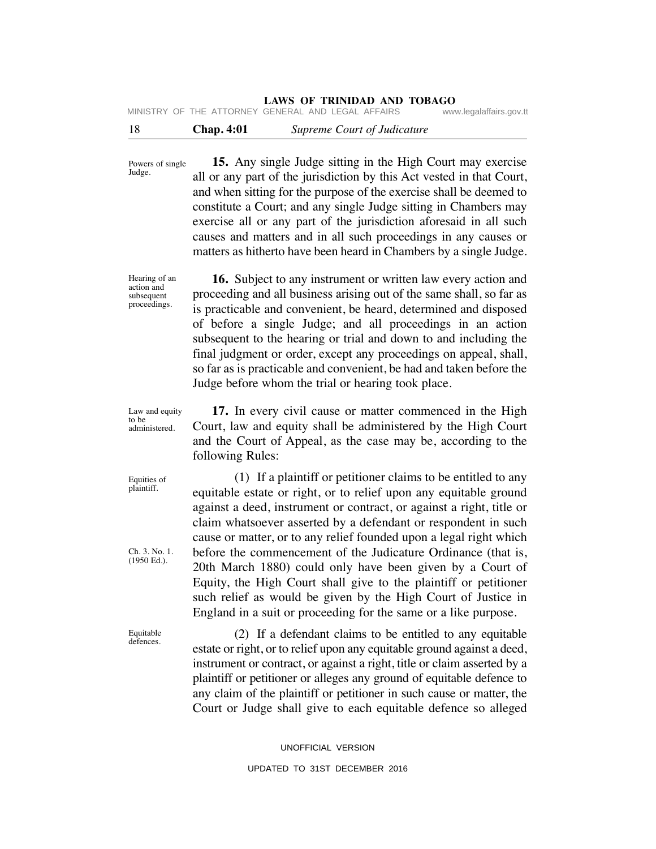MINISTRY OF THE ATTORNEY GENERAL AND LEGAL AFFAIRS

| 18<br><b>Chap.</b> 4:01 | Supreme Court of Judicature |
|-------------------------|-----------------------------|
|-------------------------|-----------------------------|

Powers of single Judge. **15.** Any single Judge sitting in the High Court may exercise all or any part of the jurisdiction by this Act vested in that Court, and when sitting for the purpose of the exercise shall be deemed to constitute a Court; and any single Judge sitting in Chambers may exercise all or any part of the jurisdiction aforesaid in all such causes and matters and in all such proceedings in any causes or matters as hitherto have been heard in Chambers by a single Judge.

Hearing of an **16.** Subject to any instrument or written law every action and proceeding and all business arising out of the same shall, so far as is practicable and convenient, be heard, determined and disposed of before a single Judge; and all proceedings in an action subsequent to the hearing or trial and down to and including the final judgment or order, except any proceedings on appeal, shall, so far as is practicable and convenient, be had and taken before the Judge before whom the trial or hearing took place.

Law and equity to be administered.

Equities of plaintiff.

action and subsequent proceedings.

> **17.** In every civil cause or matter commenced in the High Court, law and equity shall be administered by the High Court and the Court of Appeal, as the case may be, according to the following Rules:

Ch. 3. No. 1. (1950 Ed.). (1) If a plaintiff or petitioner claims to be entitled to any equitable estate or right, or to relief upon any equitable ground against a deed, instrument or contract, or against a right, title or claim whatsoever asserted by a defendant or respondent in such cause or matter, or to any relief founded upon a legal right which before the commencement of the Judicature Ordinance (that is, 20th March 1880) could only have been given by a Court of Equity, the High Court shall give to the plaintiff or petitioner such relief as would be given by the High Court of Justice in England in a suit or proceeding for the same or a like purpose.

Equitable defences.

 (2) If a defendant claims to be entitled to any equitable estate or right, or to relief upon any equitable ground against a deed, instrument or contract, or against a right, title or claim asserted by a plaintiff or petitioner or alleges any ground of equitable defence to any claim of the plaintiff or petitioner in such cause or matter, the Court or Judge shall give to each equitable defence so alleged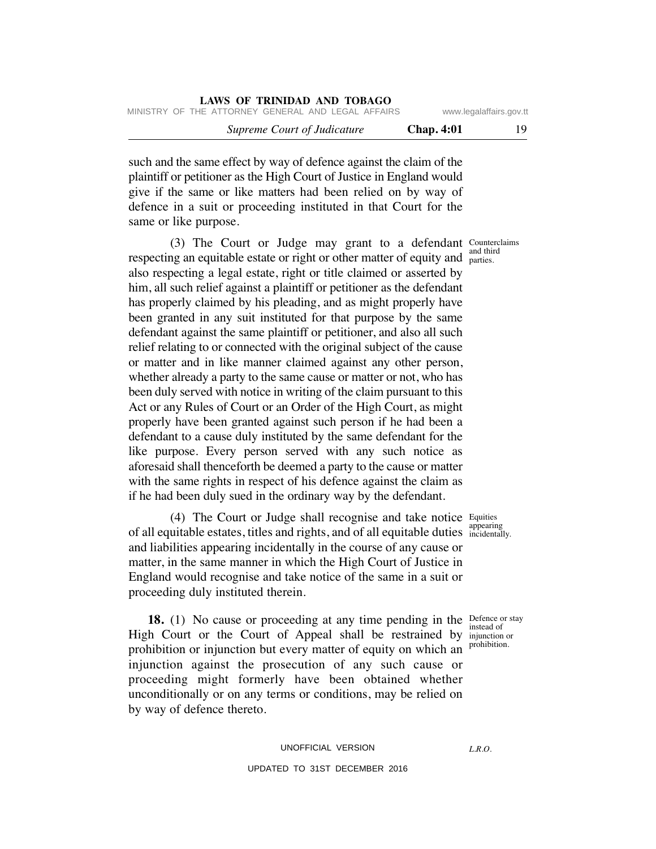| LAWS OF TRINIDAD AND TOBAGO                        |                   |                         |
|----------------------------------------------------|-------------------|-------------------------|
| MINISTRY OF THE ATTORNEY GENERAL AND LEGAL AFFAIRS |                   | www.legalaffairs.gov.tt |
| Supreme Court of Judicature                        | <b>Chap.</b> 4:01 | 19                      |

such and the same effect by way of defence against the claim of the plaintiff or petitioner as the High Court of Justice in England would give if the same or like matters had been relied on by way of defence in a suit or proceeding instituted in that Court for the same or like purpose.

(3) The Court or Judge may grant to a defendant Counterclaims respecting an equitable estate or right or other matter of equity and parties. also respecting a legal estate, right or title claimed or asserted by him, all such relief against a plaintiff or petitioner as the defendant has properly claimed by his pleading, and as might properly have been granted in any suit instituted for that purpose by the same defendant against the same plaintiff or petitioner, and also all such relief relating to or connected with the original subject of the cause or matter and in like manner claimed against any other person, whether already a party to the same cause or matter or not, who has been duly served with notice in writing of the claim pursuant to this Act or any Rules of Court or an Order of the High Court, as might properly have been granted against such person if he had been a defendant to a cause duly instituted by the same defendant for the like purpose. Every person served with any such notice as aforesaid shall thenceforth be deemed a party to the cause or matter with the same rights in respect of his defence against the claim as if he had been duly sued in the ordinary way by the defendant.

(4) The Court or Judge shall recognise and take notice Equities of all equitable estates, titles and rights, and of all equitable duties incidentally. and liabilities appearing incidentally in the course of any cause or matter, in the same manner in which the High Court of Justice in England would recognise and take notice of the same in a suit or proceeding duly instituted therein.

**18.** (1) No cause or proceeding at any time pending in the Defence or stay High Court or the Court of Appeal shall be restrained by injunction or prohibition or injunction but every matter of equity on which an injunction against the prosecution of any such cause or proceeding might formerly have been obtained whether unconditionally or on any terms or conditions, may be relied on by way of defence thereto.

and third

appearing

instead of prohibition.

 $LRO$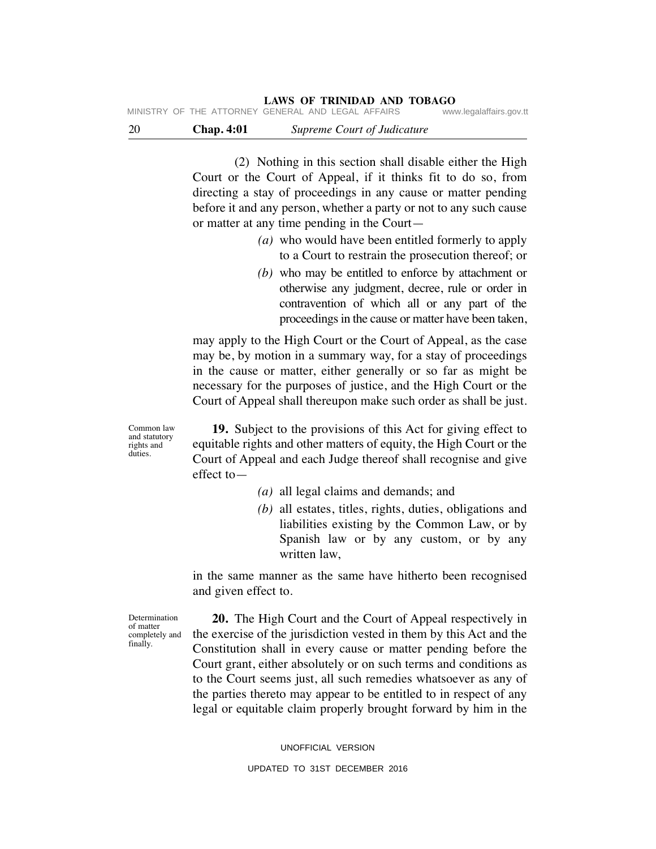(2) Nothing in this section shall disable either the High Court or the Court of Appeal, if it thinks fit to do so, from directing a stay of proceedings in any cause or matter pending before it and any person, whether a party or not to any such cause or matter at any time pending in the Court—

- *(a)* who would have been entitled formerly to apply to a Court to restrain the prosecution thereof; or
- *(b)* who may be entitled to enforce by attachment or otherwise any judgment, decree, rule or order in contravention of which all or any part of the proceedings in the cause or matter have been taken,

may apply to the High Court or the Court of Appeal, as the case may be, by motion in a summary way, for a stay of proceedings in the cause or matter, either generally or so far as might be necessary for the purposes of justice, and the High Court or the Court of Appeal shall thereupon make such order as shall be just.

Common law and statutory rights and duties.

 **19.** Subject to the provisions of this Act for giving effect to equitable rights and other matters of equity, the High Court or the Court of Appeal and each Judge thereof shall recognise and give effect to—

- *(a)* all legal claims and demands; and
- *(b)* all estates, titles, rights, duties, obligations and liabilities existing by the Common Law, or by Spanish law or by any custom, or by any written law,

in the same manner as the same have hitherto been recognised and given effect to.

Determination of matter completely and finally.

 **20.** The High Court and the Court of Appeal respectively in the exercise of the jurisdiction vested in them by this Act and the Constitution shall in every cause or matter pending before the Court grant, either absolutely or on such terms and conditions as to the Court seems just, all such remedies whatsoever as any of the parties thereto may appear to be entitled to in respect of any legal or equitable claim properly brought forward by him in the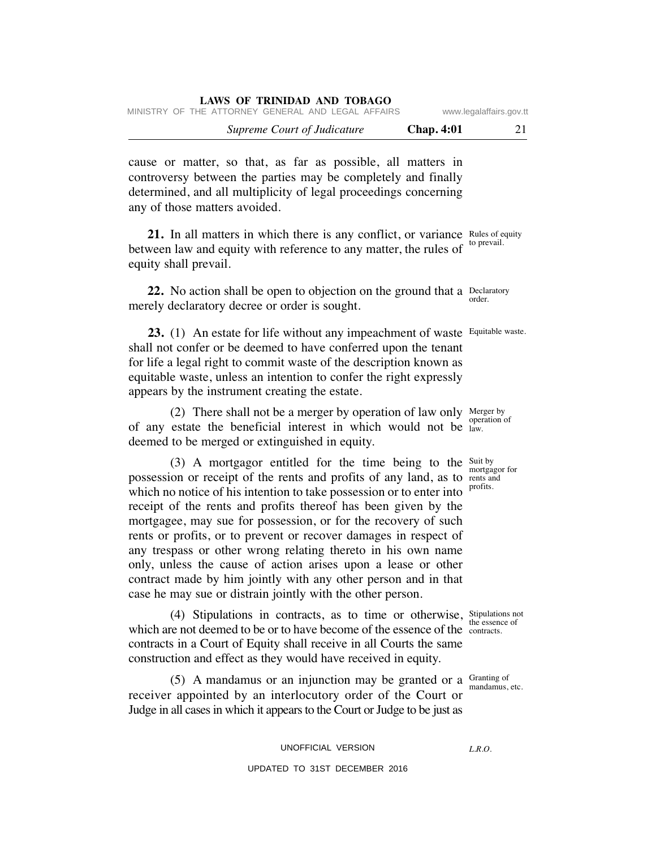| <b>LAWS OF TRINIDAD AND TOBAGO</b> |  |
|------------------------------------|--|
|------------------------------------|--|

|  |                                                    | Supreme Court of Judicature |  | <b>Chap.</b> 4:01 |                         |  |
|--|----------------------------------------------------|-----------------------------|--|-------------------|-------------------------|--|
|  | MINISTRY OF THE ATTORNEY GENERAL AND LEGAL AFFAIRS |                             |  |                   | www.legalaffairs.gov.tt |  |

cause or matter, so that, as far as possible, all matters in controversy between the parties may be completely and finally determined, and all multiplicity of legal proceedings concerning any of those matters avoided.

**21.** In all matters in which there is any conflict, or variance Rules of equity to prevail. between law and equity with reference to any matter, the rules of equity shall prevail.

**22.** No action shall be open to objection on the ground that a Declaratory order. merely declaratory decree or order is sought.

**23.** (1) An estate for life without any impeachment of waste Equitable waste. shall not confer or be deemed to have conferred upon the tenant for life a legal right to commit waste of the description known as equitable waste, unless an intention to confer the right expressly appears by the instrument creating the estate.

(2) There shall not be a merger by operation of law only  $M$  Merger by of any estate the beneficial interest in which would not be  $_{\text{law}}^{\text{per}}$ deemed to be merged or extinguished in equity.

(3) A mortgagor entitled for the time being to the  $Suit by$ possession or receipt of the rents and profits of any land, as to rents and which no notice of his intention to take possession or to enter into receipt of the rents and profits thereof has been given by the mortgagee, may sue for possession, or for the recovery of such rents or profits, or to prevent or recover damages in respect of any trespass or other wrong relating thereto in his own name only, unless the cause of action arises upon a lease or other contract made by him jointly with any other person and in that case he may sue or distrain jointly with the other person.

(4) Stipulations in contracts, as to time or otherwise,  $\frac{Stipulations not}{the regression of}$ which are not deemed to be or to have become of the essence of the  $\frac{dS}{dt}$ contracts in a Court of Equity shall receive in all Courts the same construction and effect as they would have received in equity.

 $(5)$  A mandamus or an injunction may be granted or a  $\frac{Granting}{m}$ mandamus, etc. receiver appointed by an interlocutory order of the Court or Judge in all cases in which it appears to the Court or Judge to be just as

# UNOFFICIAL VERSION

 $LRO$ 

UPDATED TO 31ST DECEMBER 2016

operation of

mortgagor for profits.

the essence of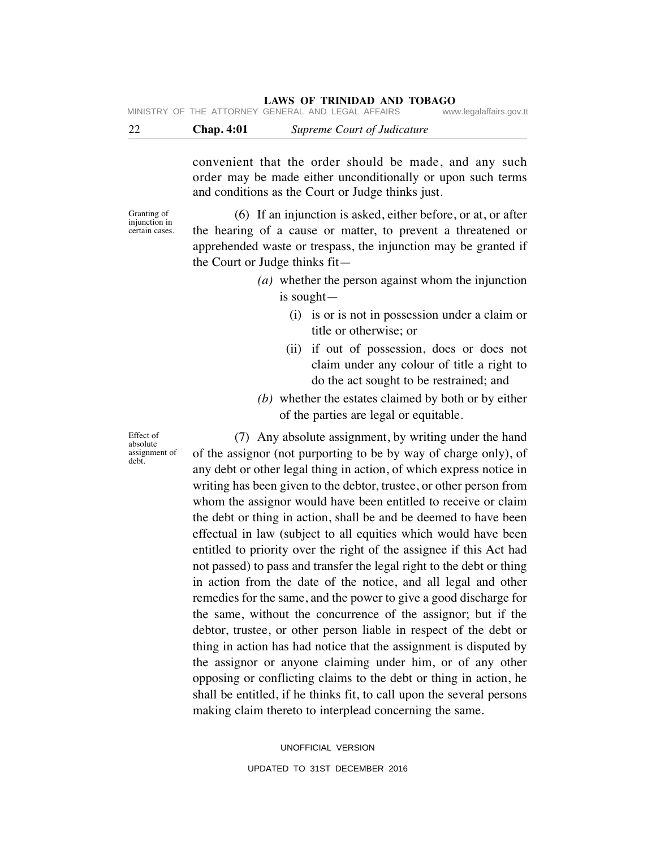MINISTRY OF THE ATTORNEY GENERAL AND LEGAL AFFAIRS

# 22 **Chap. 4:01** *Supreme Court of Judicature*

convenient that the order should be made, and any such order may be made either unconditionally or upon such terms and conditions as the Court or Judge thinks just.

Granting of injunction in certain cases.

 (6) If an injunction is asked, either before, or at, or after the hearing of a cause or matter, to prevent a threatened or apprehended waste or trespass, the injunction may be granted if the Court or Judge thinks fit—

- *(a)* whether the person against whom the injunction is sought—
	- (i) is or is not in possession under a claim or title or otherwise; or
	- (ii) if out of possession, does or does not claim under any colour of title a right to do the act sought to be restrained; and
- *(b)* whether the estates claimed by both or by either of the parties are legal or equitable.

 (7) Any absolute assignment, by writing under the hand of the assignor (not purporting to be by way of charge only), of any debt or other legal thing in action, of which express notice in writing has been given to the debtor, trustee, or other person from whom the assignor would have been entitled to receive or claim the debt or thing in action, shall be and be deemed to have been effectual in law (subject to all equities which would have been entitled to priority over the right of the assignee if this Act had not passed) to pass and transfer the legal right to the debt or thing in action from the date of the notice, and all legal and other remedies for the same, and the power to give a good discharge for the same, without the concurrence of the assignor; but if the debtor, trustee, or other person liable in respect of the debt or thing in action has had notice that the assignment is disputed by the assignor or anyone claiming under him, or of any other opposing or conflicting claims to the debt or thing in action, he shall be entitled, if he thinks fit, to call upon the several persons making claim thereto to interplead concerning the same.

> UNOFFICIAL VERSION UPDATED TO 31ST DECEMBER 2016

Effect of absolute assignment of debt.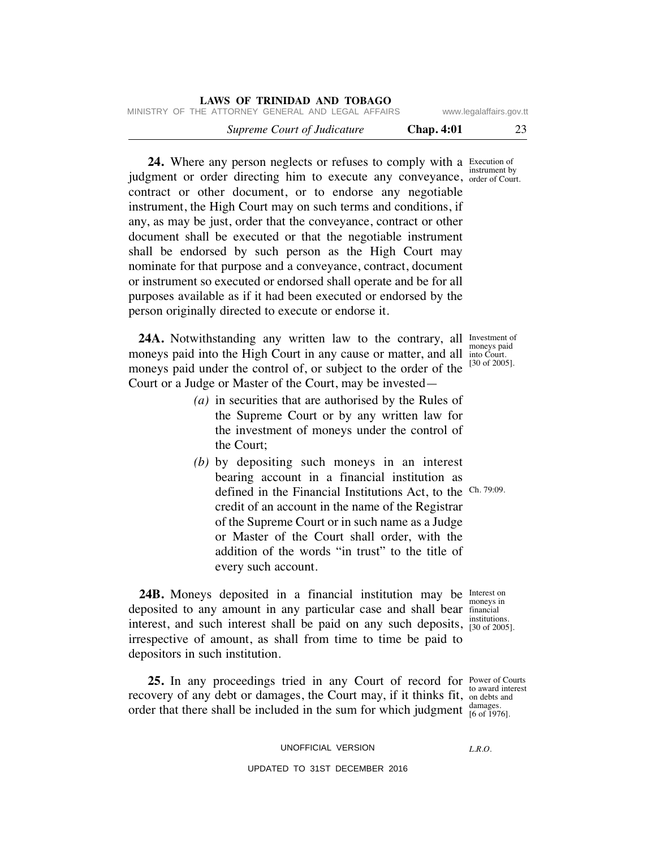| LAWS OF TRINIDAD AND TOBAGO                        |                   |                         |
|----------------------------------------------------|-------------------|-------------------------|
| MINISTRY OF THE ATTORNEY GENERAL AND LEGAL AFFAIRS |                   | www.legalaffairs.gov.tt |
| Supreme Court of Judicature                        | <b>Chap.</b> 4:01 | 23                      |

24. Where any person neglects or refuses to comply with a Execution of instrument by judgment or order directing him to execute any conveyance, order of Court. contract or other document, or to endorse any negotiable instrument, the High Court may on such terms and conditions, if any, as may be just, order that the conveyance, contract or other document shall be executed or that the negotiable instrument shall be endorsed by such person as the High Court may nominate for that purpose and a conveyance, contract, document or instrument so executed or endorsed shall operate and be for all purposes available as if it had been executed or endorsed by the person originally directed to execute or endorse it.

**24A.** Notwithstanding any written law to the contrary, all Investment of moneys paid into the High Court in any cause or matter, and all into Court. moneys paid under the control of, or subject to the order of the Court or a Judge or Master of the Court, may be invested—

- *(a)* in securities that are authorised by the Rules of the Supreme Court or by any written law for the investment of moneys under the control of the Court;
- defined in the Financial Institutions Act, to the  $Ch. 79:09$ . *(b)* by depositing such moneys in an interest bearing account in a financial institution as credit of an account in the name of the Registrar of the Supreme Court or in such name as a Judge or Master of the Court shall order, with the addition of the words "in trust" to the title of every such account.

**24B.** Moneys deposited in a financial institution may be Interest on deposited to any amount in any particular case and shall bear financial interest, and such interest shall be paid on any such deposits,  $\frac{1}{300}$  of 2005]. irrespective of amount, as shall from time to time be paid to depositors in such institution.

25. In any proceedings tried in any Court of record for Power of Courts to award interest recovery of any debt or damages, the Court may, if it thinks fit, on debts and order that there shall be included in the sum for which judgment  $\frac{\text{damages}}{[6 \text{ of } 1976]}$ .

### UNOFFICIAL VERSION

#### $LRO$

#### UPDATED TO 31ST DECEMBER 2016

moneys in institutions.

[30 of 2005].

moneys paid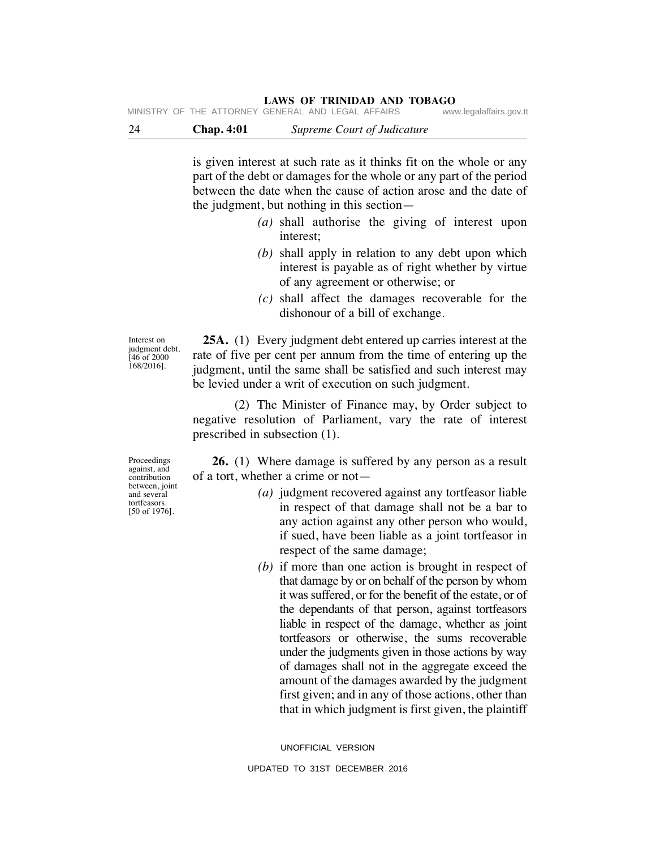|  | <b>Chap.</b> 4:01 | Supreme Court of Judicature |  |
|--|-------------------|-----------------------------|--|
|--|-------------------|-----------------------------|--|

is given interest at such rate as it thinks fit on the whole or any part of the debt or damages for the whole or any part of the period between the date when the cause of action arose and the date of the judgment, but nothing in this section—

- *(a)* shall authorise the giving of interest upon interest;
- *(b)* shall apply in relation to any debt upon which interest is payable as of right whether by virtue of any agreement or otherwise; or
- *(c)* shall affect the damages recoverable for the dishonour of a bill of exchange.

Interest on judgment debt.  $146$  of 2000 168/2016].

 **25A.** (1) Every judgment debt entered up carries interest at the rate of five per cent per annum from the time of entering up the judgment, until the same shall be satisfied and such interest may be levied under a writ of execution on such judgment.

 (2) The Minister of Finance may, by Order subject to negative resolution of Parliament, vary the rate of interest prescribed in subsection (1).

 **26.** (1) Where damage is suffered by any person as a result of a tort, whether a crime or not—

- *(a)* judgment recovered against any tortfeasor liable in respect of that damage shall not be a bar to any action against any other person who would, if sued, have been liable as a joint tortfeasor in respect of the same damage;
- *(b)* if more than one action is brought in respect of that damage by or on behalf of the person by whom it was suffered, or for the benefit of the estate, or of the dependants of that person, against tortfeasors liable in respect of the damage, whether as joint tortfeasors or otherwise, the sums recoverable under the judgments given in those actions by way of damages shall not in the aggregate exceed the amount of the damages awarded by the judgment first given; and in any of those actions, other than that in which judgment is first given, the plaintiff

UNOFFICIAL VERSION UPDATED TO 31ST DECEMBER 2016

Proceedings against, and contribution between, joint and several tortfeasors. [50 of 1976].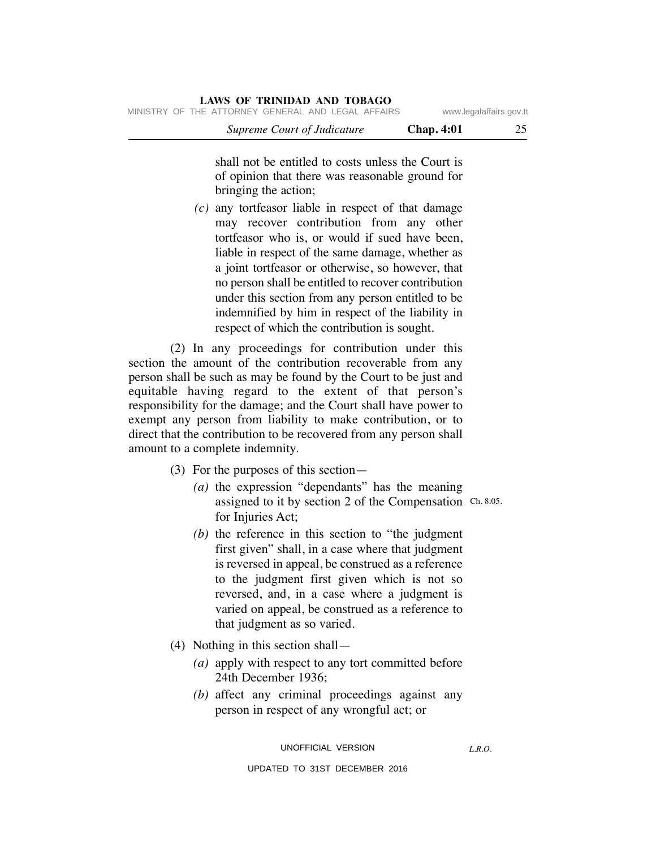|                         |                   |                             |  | LAWS OF TRINIDAD AND TOBAGO                        |  |  |
|-------------------------|-------------------|-----------------------------|--|----------------------------------------------------|--|--|
| www.legalaffairs.gov.tt |                   |                             |  | MINISTRY OF THE ATTORNEY GENERAL AND LEGAL AFFAIRS |  |  |
| 25                      | <b>Chap.</b> 4:01 | Supreme Court of Judicature |  |                                                    |  |  |

shall not be entitled to costs unless the Court is of opinion that there was reasonable ground for bringing the action;

 *(c)* any tortfeasor liable in respect of that damage may recover contribution from any other tortfeasor who is, or would if sued have been, liable in respect of the same damage, whether as a joint tortfeasor or otherwise, so however, that no person shall be entitled to recover contribution under this section from any person entitled to be indemnified by him in respect of the liability in respect of which the contribution is sought.

 (2) In any proceedings for contribution under this section the amount of the contribution recoverable from any person shall be such as may be found by the Court to be just and equitable having regard to the extent of that person's responsibility for the damage; and the Court shall have power to exempt any person from liability to make contribution, or to direct that the contribution to be recovered from any person shall amount to a complete indemnity.

- (3) For the purposes of this section—
	- *(a)* the expression "dependants" has the meaning assigned to it by section 2 of the Compensation Ch. 8:05. for Injuries Act;
	- *(b)* the reference in this section to "the judgment first given" shall, in a case where that judgment is reversed in appeal, be construed as a reference to the judgment first given which is not so reversed, and, in a case where a judgment is varied on appeal, be construed as a reference to that judgment as so varied.
- (4) Nothing in this section shall—
	- *(a)* apply with respect to any tort committed before 24th December 1936;
	- *(b)* affect any criminal proceedings against any person in respect of any wrongful act; or

UNOFFICIAL VERSION

*L.R.O.*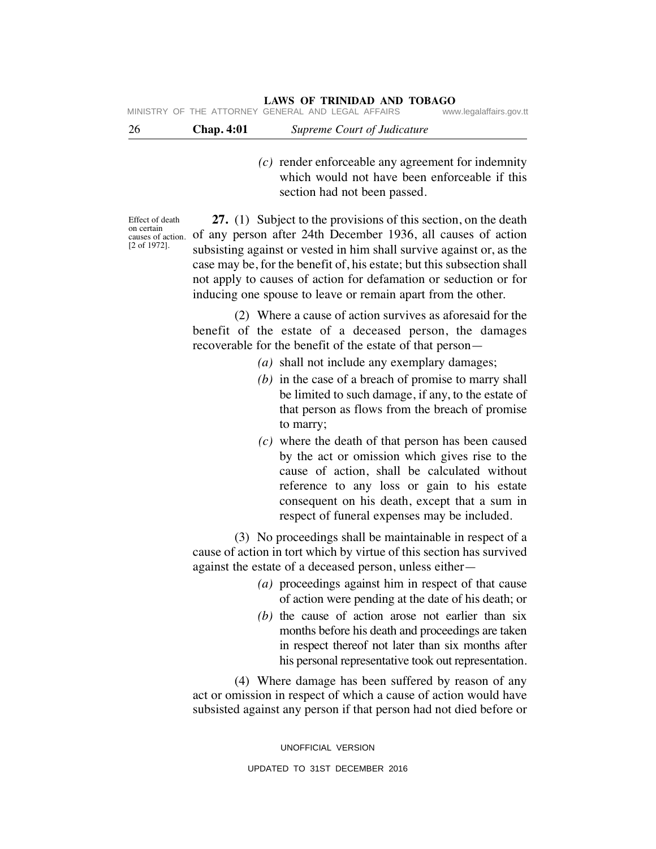MINISTRY OF THE ATTORNEY GENERAL AND LEGAL AFFAIRS

| -26<br><b>Chap.</b> 4:01 | Supreme Court of Judicature |
|--------------------------|-----------------------------|
|--------------------------|-----------------------------|

 *(c)* render enforceable any agreement for indemnity which would not have been enforceable if this section had not been passed.

Effect of death<br>on certain causes of action. [2 of 1972].

 **27.** (1) Subject to the provisions of this section, on the death on certain<br>causes of action. of any person after 24th December 1936, all causes of action subsisting against or vested in him shall survive against or, as the case may be, for the benefit of, his estate; but this subsection shall not apply to causes of action for defamation or seduction or for inducing one spouse to leave or remain apart from the other.

> (2) Where a cause of action survives as aforesaid for the benefit of the estate of a deceased person, the damages recoverable for the benefit of the estate of that person—

- *(a)* shall not include any exemplary damages;
- *(b)* in the case of a breach of promise to marry shall be limited to such damage, if any, to the estate of that person as flows from the breach of promise to marry;
- *(c)* where the death of that person has been caused by the act or omission which gives rise to the cause of action, shall be calculated without reference to any loss or gain to his estate consequent on his death, except that a sum in respect of funeral expenses may be included.

 (3) No proceedings shall be maintainable in respect of a cause of action in tort which by virtue of this section has survived against the estate of a deceased person, unless either—

- *(a)* proceedings against him in respect of that cause of action were pending at the date of his death; or
- *(b)* the cause of action arose not earlier than six months before his death and proceedings are taken in respect thereof not later than six months after his personal representative took out representation.

 (4) Where damage has been suffered by reason of any act or omission in respect of which a cause of action would have subsisted against any person if that person had not died before or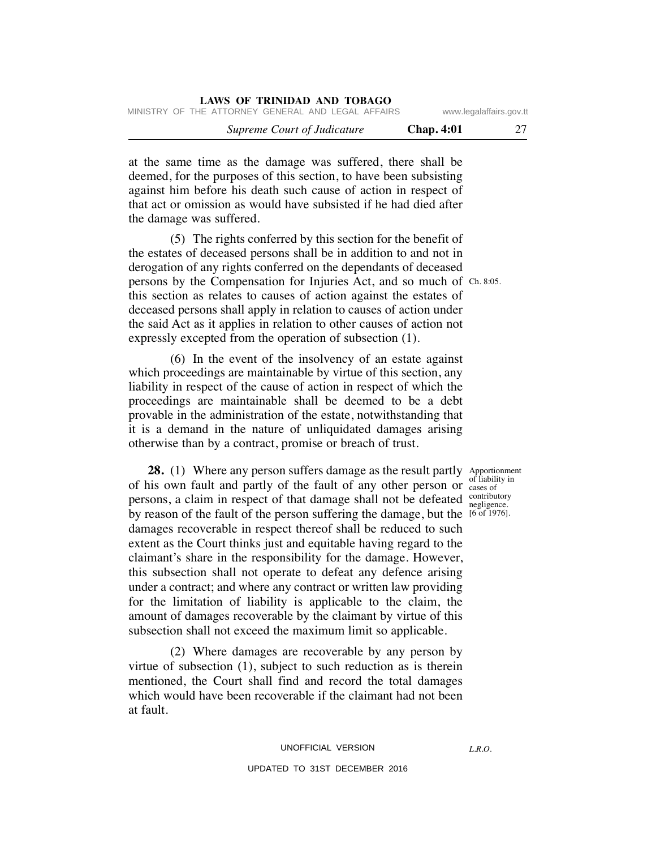|                         |                   |                                                    |                             | LAWS OF IRINIDAD AND TOBAGO |  |
|-------------------------|-------------------|----------------------------------------------------|-----------------------------|-----------------------------|--|
| www.legalaffairs.gov.tt |                   | MINISTRY OF THE ATTORNEY GENERAL AND LEGAL AFFAIRS |                             |                             |  |
| 27                      | <b>Chap.</b> 4:01 |                                                    | Supreme Court of Judicature |                             |  |

at the same time as the damage was suffered, there shall be deemed, for the purposes of this section, to have been subsisting against him before his death such cause of action in respect of that act or omission as would have subsisted if he had died after the damage was suffered.

**LAWS OF TRINIDAD AND TOBAGO**

persons by the Compensation for Injuries Act, and so much of Ch. 8:05. (5) The rights conferred by this section for the benefit of the estates of deceased persons shall be in addition to and not in derogation of any rights conferred on the dependants of deceased this section as relates to causes of action against the estates of deceased persons shall apply in relation to causes of action under the said Act as it applies in relation to other causes of action not expressly excepted from the operation of subsection (1).

 (6) In the event of the insolvency of an estate against which proceedings are maintainable by virtue of this section, any liability in respect of the cause of action in respect of which the proceedings are maintainable shall be deemed to be a debt provable in the administration of the estate, notwithstanding that it is a demand in the nature of unliquidated damages arising otherwise than by a contract, promise or breach of trust.

**28.** (1) Where any person suffers damage as the result partly Apportionment of his components of the feed to feed the form of the process of the distribution of his own fault and partly of the fault of any other person or  $\frac{0.01 \text{ rad}}{3}$ persons, a claim in respect of that damage shall not be defeated by reason of the fault of the person suffering the damage, but the damages recoverable in respect thereof shall be reduced to such extent as the Court thinks just and equitable having regard to the claimant's share in the responsibility for the damage. However, this subsection shall not operate to defeat any defence arising under a contract; and where any contract or written law providing for the limitation of liability is applicable to the claim, the amount of damages recoverable by the claimant by virtue of this subsection shall not exceed the maximum limit so applicable.

 (2) Where damages are recoverable by any person by virtue of subsection (1), subject to such reduction as is therein mentioned, the Court shall find and record the total damages which would have been recoverable if the claimant had not been at fault.

contributory negligence. [6 of 1976].

 $LRO$ 

Apportionment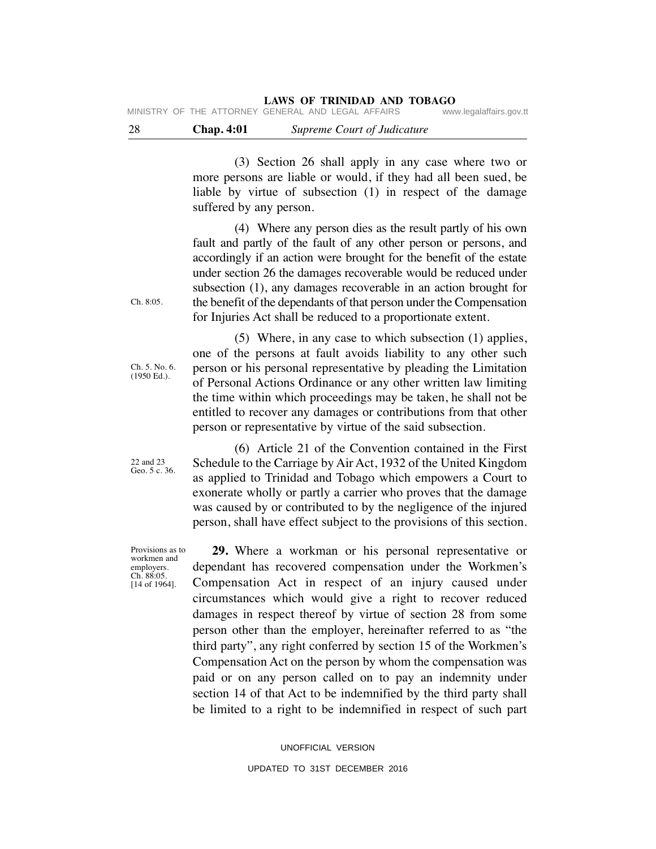| 28 | <b>Chap.</b> 4:01 | Supreme Court of Judicature                        |                         |
|----|-------------------|----------------------------------------------------|-------------------------|
|    |                   | MINISTRY OF THE ATTORNEY GENERAL AND LEGAL AFFAIRS | www.legalaffairs.gov.tt |

 (3) Section 26 shall apply in any case where two or more persons are liable or would, if they had all been sued, be liable by virtue of subsection (1) in respect of the damage suffered by any person.

 (4) Where any person dies as the result partly of his own fault and partly of the fault of any other person or persons, and accordingly if an action were brought for the benefit of the estate under section 26 the damages recoverable would be reduced under subsection (1), any damages recoverable in an action brought for the benefit of the dependants of that person under the Compensation for Injuries Act shall be reduced to a proportionate extent.

 (5) Where, in any case to which subsection (1) applies, one of the persons at fault avoids liability to any other such person or his personal representative by pleading the Limitation of Personal Actions Ordinance or any other written law limiting the time within which proceedings may be taken, he shall not be entitled to recover any damages or contributions from that other person or representative by virtue of the said subsection.

 (6) Article 21 of the Convention contained in the First Schedule to the Carriage by Air Act, 1932 of the United Kingdom as applied to Trinidad and Tobago which empowers a Court to exonerate wholly or partly a carrier who proves that the damage was caused by or contributed to by the negligence of the injured person, shall have effect subject to the provisions of this section.

Provisions as to workmen and employers. Ch. 88:05. [14 of 1964].

 **29.** Where a workman or his personal representative or dependant has recovered compensation under the Workmen's Compensation Act in respect of an injury caused under circumstances which would give a right to recover reduced damages in respect thereof by virtue of section 28 from some person other than the employer, hereinafter referred to as "the third party", any right conferred by section 15 of the Workmen's Compensation Act on the person by whom the compensation was paid or on any person called on to pay an indemnity under section 14 of that Act to be indemnified by the third party shall be limited to a right to be indemnified in respect of such part

UNOFFICIAL VERSION

UPDATED TO 31ST DECEMBER 2016

Ch. 8:05.

Ch. 5. No. 6. (1950 Ed.).

22 and 23 Geo. 5 c. 36.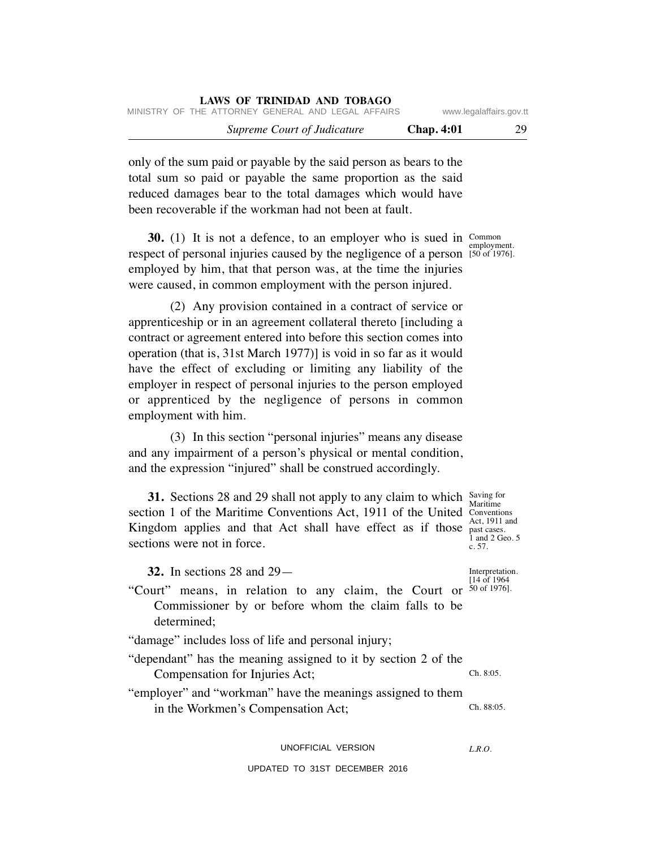| Supreme Court of Judicature                                                       | <b>Chap.</b> 4:01 | 29                      |
|-----------------------------------------------------------------------------------|-------------------|-------------------------|
| LAWS OF INIMIDAD AND TODAGO<br>MINISTRY OF THE ATTORNEY GENERAL AND LEGAL AFFAIRS |                   | www.legalaffairs.gov.tt |

only of the sum paid or payable by the said person as bears to the total sum so paid or payable the same proportion as the said reduced damages bear to the total damages which would have been recoverable if the workman had not been at fault.

**LAWS OF TRINIDAD AND TOBAGO**

**30.** (1) It is not a defence, to an employer who is sued in Common respect of personal injuries caused by the negligence of a person  $\frac{50}{6}$  of 1976]. employed by him, that that person was, at the time the injuries were caused, in common employment with the person injured.

 (2) Any provision contained in a contract of service or apprenticeship or in an agreement collateral thereto [including a contract or agreement entered into before this section comes into operation (that is, 31st March 1977)] is void in so far as it would have the effect of excluding or limiting any liability of the employer in respect of personal injuries to the person employed or apprenticed by the negligence of persons in common employment with him.

 (3) In this section "personal injuries" means any disease and any impairment of a person's physical or mental condition, and the expression "injured" shall be construed accordingly.

**31.** Sections 28 and 29 shall not apply to any claim to which Saving for section 1 of the Maritime Conventions Act, 1911 of the United Conventions Kingdom applies and that Act shall have effect as if those past cases. c. 57. sections were not in force.

 **32.** In sections 28 and 29—

"Court" means, in relation to any claim, the Court or  $50$  of 1976]. Commissioner by or before whom the claim falls to be determined;

"damage" includes loss of life and personal injury;

- Ch. 8:05. "dependant" has the meaning assigned to it by section 2 of the Compensation for Injuries Act;
- Ch. 88:05. "employer" and "workman" have the meanings assigned to them in the Workmen's Compensation Act;

UNOFFICIAL VERSION

UPDATED TO 31ST DECEMBER 2016

Maritime Act, 1911 and 1 and 2 Geo. 5

Interpretation. [14 of 1964

 $LRO$ 

employment.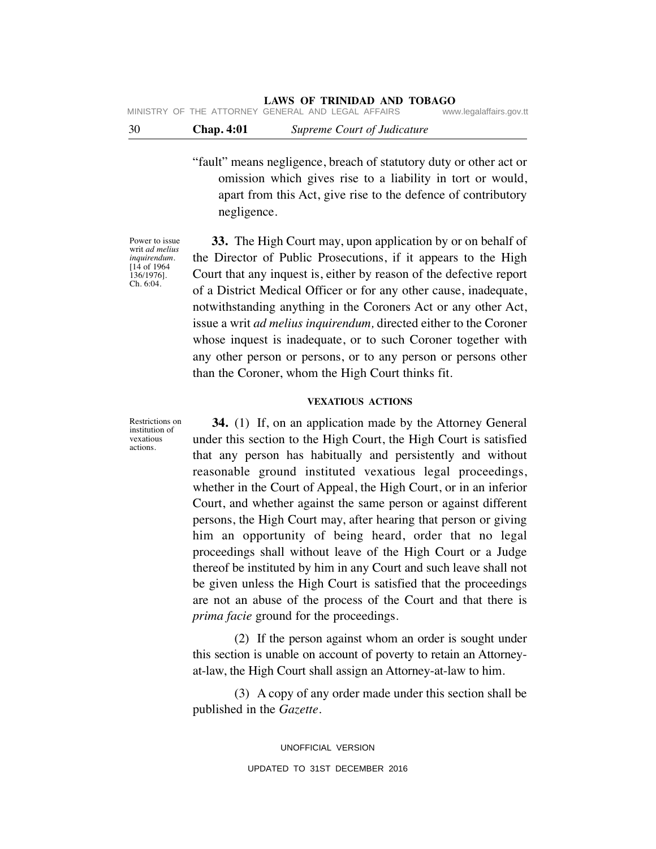"fault" means negligence, breach of statutory duty or other act or omission which gives rise to a liability in tort or would, apart from this Act, give rise to the defence of contributory negligence.

Power to issue writ *ad melius inquirendum.*  $[14$  of 1964 136/1976]. Ch. 6:04.

 **33.** The High Court may, upon application by or on behalf of the Director of Public Prosecutions, if it appears to the High Court that any inquest is, either by reason of the defective report of a District Medical Officer or for any other cause, inadequate, notwithstanding anything in the Coroners Act or any other Act, issue a writ *ad melius inquirendum,* directed either to the Coroner whose inquest is inadequate, or to such Coroner together with any other person or persons, or to any person or persons other than the Coroner, whom the High Court thinks fit.

# **VEXATIOUS ACTIONS**

 **34.** (1) If, on an application made by the Attorney General under this section to the High Court, the High Court is satisfied that any person has habitually and persistently and without reasonable ground instituted vexatious legal proceedings, whether in the Court of Appeal, the High Court, or in an inferior Court, and whether against the same person or against different persons, the High Court may, after hearing that person or giving him an opportunity of being heard, order that no legal proceedings shall without leave of the High Court or a Judge thereof be instituted by him in any Court and such leave shall not be given unless the High Court is satisfied that the proceedings are not an abuse of the process of the Court and that there is *prima facie* ground for the proceedings.

 (2) If the person against whom an order is sought under this section is unable on account of poverty to retain an Attorneyat-law, the High Court shall assign an Attorney-at-law to him.

 (3) A copy of any order made under this section shall be published in the *Gazette.*

> UNOFFICIAL VERSION UPDATED TO 31ST DECEMBER 2016

Restrictions on institution of vexatious actions.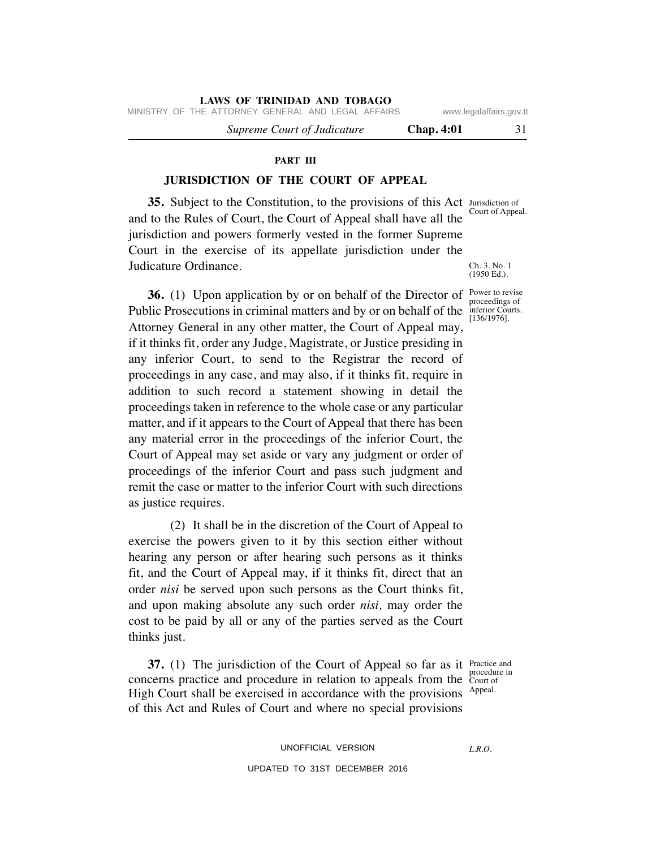MINISTRY OF THE ATTORNEY GENERAL AND LEGAL AFFAIRS www.legalaffairs.gov.tt

 *Supreme Court of Judicature* **Chap. 4:01** 31

#### **PART III**

# **JURISDICTION OF THE COURT OF APPEAL**

**35.** Subject to the Constitution, to the provisions of this Act Jurisdiction of Court of Appeal. Ch. 3. No. 1 (1950 Ed.). and to the Rules of Court, the Court of Appeal shall have all the jurisdiction and powers formerly vested in the former Supreme Court in the exercise of its appellate jurisdiction under the Judicature Ordinance.

**36.** (1) Upon application by or on behalf of the Director of Power to revise Public Prosecutions in criminal matters and by or on behalf of the Attorney General in any other matter, the Court of Appeal may, if it thinks fit, order any Judge, Magistrate, or Justice presiding in any inferior Court, to send to the Registrar the record of proceedings in any case, and may also, if it thinks fit, require in addition to such record a statement showing in detail the proceedings taken in reference to the whole case or any particular matter, and if it appears to the Court of Appeal that there has been any material error in the proceedings of the inferior Court, the Court of Appeal may set aside or vary any judgment or order of proceedings of the inferior Court and pass such judgment and remit the case or matter to the inferior Court with such directions as justice requires.

 (2) It shall be in the discretion of the Court of Appeal to exercise the powers given to it by this section either without hearing any person or after hearing such persons as it thinks fit, and the Court of Appeal may, if it thinks fit, direct that an order *nisi* be served upon such persons as the Court thinks fit, and upon making absolute any such order *nisi,* may order the cost to be paid by all or any of the parties served as the Court thinks just.

**37.** (1) The jurisdiction of the Court of Appeal so far as it Practice and concerns practice and procedure in relation to appeals from the court of High Court shall be exercised in accordance with the provisions of this Act and Rules of Court and where no special provisions

procedure in Appeal.

 $LRO$ 

proceedings of inferior Courts.

[136/1976].

UNOFFICIAL VERSION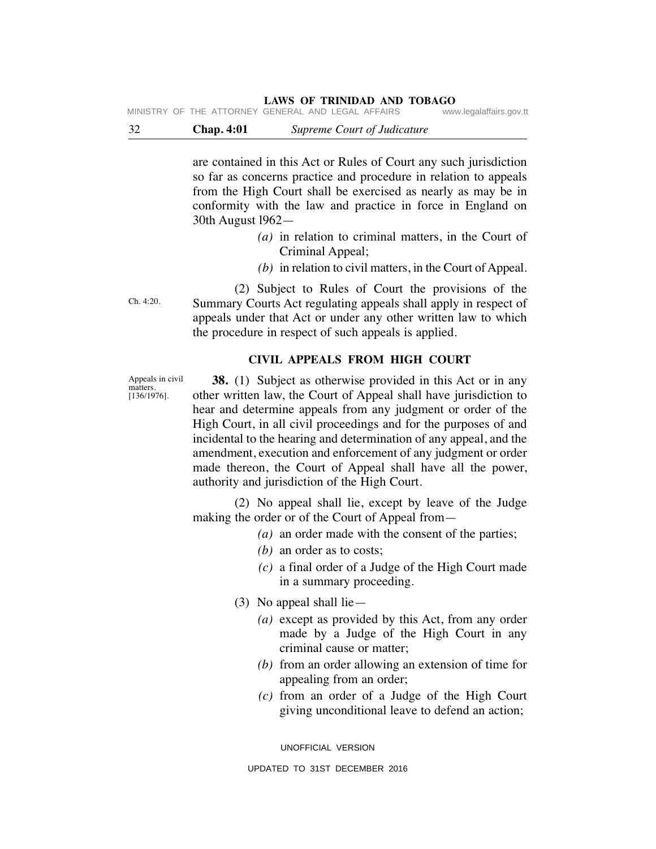MINISTRY OF THE ATTORNEY GENERAL AND LEGAL AFFAIRS

32 **Chap. 4:01** *Supreme Court of Judicature*

are contained in this Act or Rules of Court any such jurisdiction so far as concerns practice and procedure in relation to appeals from the High Court shall be exercised as nearly as may be in conformity with the law and practice in force in England on 30th August l962—

- *(a)* in relation to criminal matters, in the Court of Criminal Appeal;
- *(b)* in relation to civil matters, in the Court of Appeal.

 (2) Subject to Rules of Court the provisions of the Summary Courts Act regulating appeals shall apply in respect of appeals under that Act or under any other written law to which the procedure in respect of such appeals is applied.

# **CIVIL APPEALS FROM HIGH COURT**

 **38.** (1) Subject as otherwise provided in this Act or in any other written law, the Court of Appeal shall have jurisdiction to hear and determine appeals from any judgment or order of the High Court, in all civil proceedings and for the purposes of and incidental to the hearing and determination of any appeal, and the amendment, execution and enforcement of any judgment or order made thereon, the Court of Appeal shall have all the power, authority and jurisdiction of the High Court.

 (2) No appeal shall lie, except by leave of the Judge making the order or of the Court of Appeal from—

- *(a)* an order made with the consent of the parties;
- *(b)* an order as to costs;
- *(c)* a final order of a Judge of the High Court made in a summary proceeding.
- (3) No appeal shall lie—
	- *(a)* except as provided by this Act, from any order made by a Judge of the High Court in any criminal cause or matter;
	- *(b)* from an order allowing an extension of time for appealing from an order;
	- *(c)* from an order of a Judge of the High Court giving unconditional leave to defend an action;

UNOFFICIAL VERSION

Ch. 4:20.

Appeals in civil matters. [136/1976].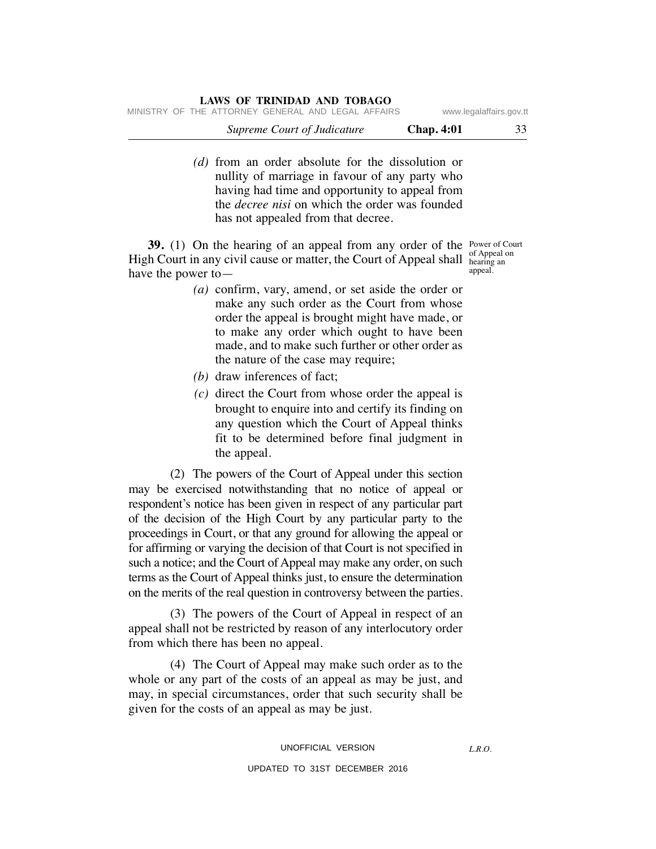*(d)* from an order absolute for the dissolution or nullity of marriage in favour of any party who having had time and opportunity to appeal from the *decree nisi* on which the order was founded has not appealed from that decree.

**39.** (1) On the hearing of an appeal from any order of the Power of Court High Court in any civil cause or matter, the Court of Appeal shall  $\frac{0.78 \text{ ppc}}{\text{hearing an}}$ have the power to—

- *(a)* confirm, vary, amend, or set aside the order or make any such order as the Court from whose order the appeal is brought might have made, or to make any order which ought to have been made, and to make such further or other order as the nature of the case may require;
- *(b)* draw inferences of fact;
- *(c)* direct the Court from whose order the appeal is brought to enquire into and certify its finding on any question which the Court of Appeal thinks fit to be determined before final judgment in the appeal.

 (2) The powers of the Court of Appeal under this section may be exercised notwithstanding that no notice of appeal or respondent's notice has been given in respect of any particular part of the decision of the High Court by any particular party to the proceedings in Court, or that any ground for allowing the appeal or for affirming or varying the decision of that Court is not specified in such a notice; and the Court of Appeal may make any order, on such terms as the Court of Appeal thinks just, to ensure the determination on the merits of the real question in controversy between the parties.

 (3) The powers of the Court of Appeal in respect of an appeal shall not be restricted by reason of any interlocutory order from which there has been no appeal.

 (4) The Court of Appeal may make such order as to the whole or any part of the costs of an appeal as may be just, and may, in special circumstances, order that such security shall be given for the costs of an appeal as may be just.

 $LRO$ 

of Appeal on appeal.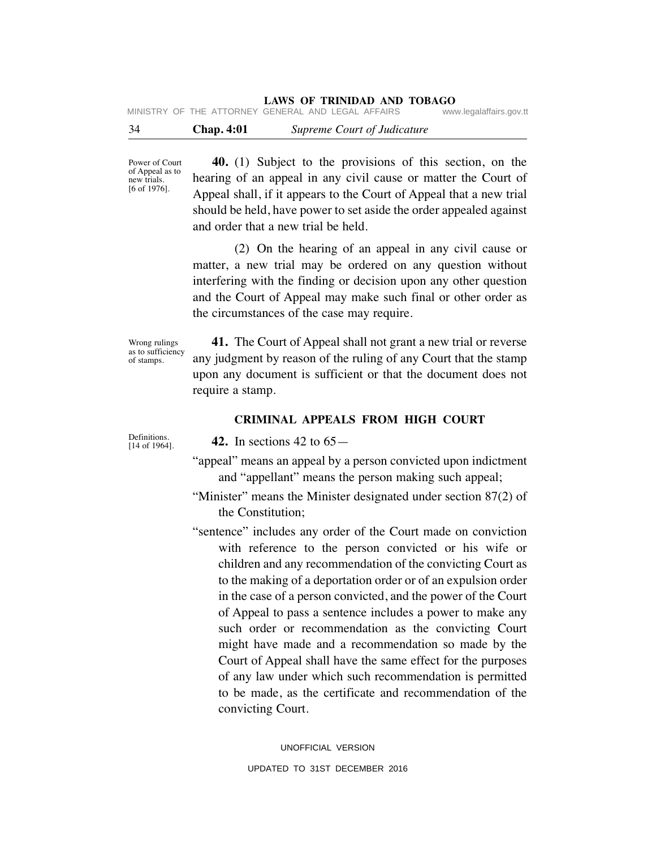| 34 | <b>Chap.</b> 4:01 | Supreme Court of Judicature                        |                         |
|----|-------------------|----------------------------------------------------|-------------------------|
|    |                   | MINISTRY OF THE ATTORNEY GENERAL AND LEGAL AFFAIRS | www.legalaffairs.gov.tt |

Power of Court of Appeal as to new trials. [6 of 1976].

 **40.** (1) Subject to the provisions of this section, on the hearing of an appeal in any civil cause or matter the Court of Appeal shall, if it appears to the Court of Appeal that a new trial should be held, have power to set aside the order appealed against and order that a new trial be held.

 (2) On the hearing of an appeal in any civil cause or matter, a new trial may be ordered on any question without interfering with the finding or decision upon any other question and the Court of Appeal may make such final or other order as the circumstances of the case may require.

Wrong rulings as to sufficiency of stamps.

 **41.** The Court of Appeal shall not grant a new trial or reverse any judgment by reason of the ruling of any Court that the stamp upon any document is sufficient or that the document does not require a stamp.

# **CRIMINAL APPEALS FROM HIGH COURT**

**Definitions** [14 of 1964].

 **42.** In sections 42 to 65—

- "appeal" means an appeal by a person convicted upon indictment and "appellant" means the person making such appeal;
- "Minister" means the Minister designated under section 87(2) of the Constitution;
- "sentence" includes any order of the Court made on conviction with reference to the person convicted or his wife or children and any recommendation of the convicting Court as to the making of a deportation order or of an expulsion order in the case of a person convicted, and the power of the Court of Appeal to pass a sentence includes a power to make any such order or recommendation as the convicting Court might have made and a recommendation so made by the Court of Appeal shall have the same effect for the purposes of any law under which such recommendation is permitted to be made, as the certificate and recommendation of the convicting Court.

UNOFFICIAL VERSION UPDATED TO 31ST DECEMBER 2016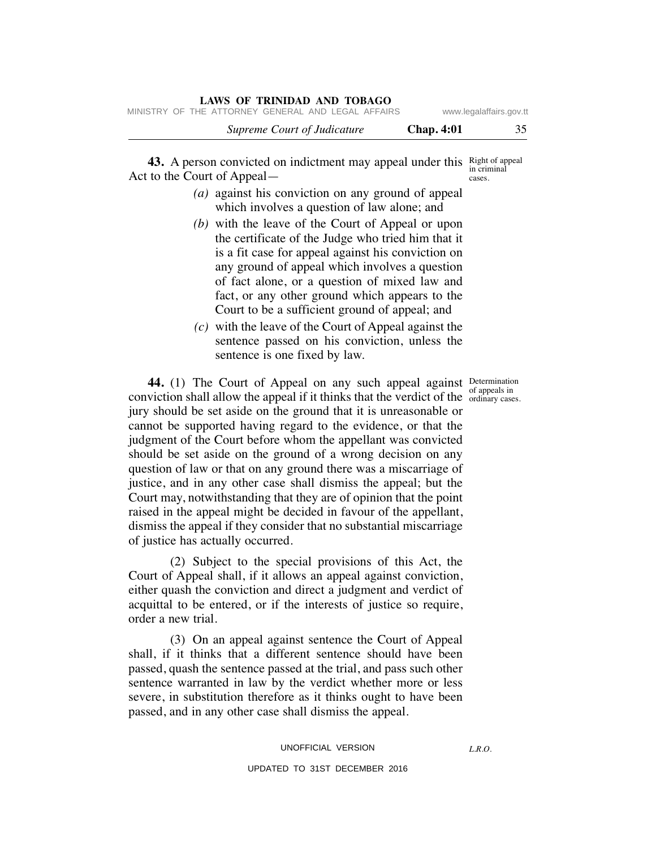| LAWS OF IRINIDAD AND TOBAGO<br>MINISTRY OF THE ATTORNEY GENERAL AND LEGAL AFFAIRS |                   | www.legalaffairs.gov.tt |
|-----------------------------------------------------------------------------------|-------------------|-------------------------|
| Supreme Court of Judicature                                                       | <b>Chap.</b> 4:01 | 35                      |

**43.** A person convicted on indictment may appeal under this Right of appeal in criminal cases. Act to the Court of Appeal—

**LAWS OF TRINIDAD AND TOBAGO**

| (a) against his conviction on any ground of appeal |  |
|----------------------------------------------------|--|
| which involves a question of law alone; and        |  |

- *(b)* with the leave of the Court of Appeal or upon the certificate of the Judge who tried him that it is a fit case for appeal against his conviction on any ground of appeal which involves a question of fact alone, or a question of mixed law and fact, or any other ground which appears to the Court to be a sufficient ground of appeal; and
- *(c)* with the leave of the Court of Appeal against the sentence passed on his conviction, unless the sentence is one fixed by law.

**44.** (1) The Court of Appeal on any such appeal against Determination conviction shall allow the appeal if it thinks that the verdict of the  $\frac{G}{\text{ordinary cases}}$ . jury should be set aside on the ground that it is unreasonable or cannot be supported having regard to the evidence, or that the judgment of the Court before whom the appellant was convicted should be set aside on the ground of a wrong decision on any question of law or that on any ground there was a miscarriage of justice, and in any other case shall dismiss the appeal; but the Court may, notwithstanding that they are of opinion that the point raised in the appeal might be decided in favour of the appellant, dismiss the appeal if they consider that no substantial miscarriage of justice has actually occurred.

 (2) Subject to the special provisions of this Act, the Court of Appeal shall, if it allows an appeal against conviction, either quash the conviction and direct a judgment and verdict of acquittal to be entered, or if the interests of justice so require, order a new trial.

 (3) On an appeal against sentence the Court of Appeal shall, if it thinks that a different sentence should have been passed, quash the sentence passed at the trial, and pass such other sentence warranted in law by the verdict whether more or less severe, in substitution therefore as it thinks ought to have been passed, and in any other case shall dismiss the appeal.

of appeals in

 $LRO$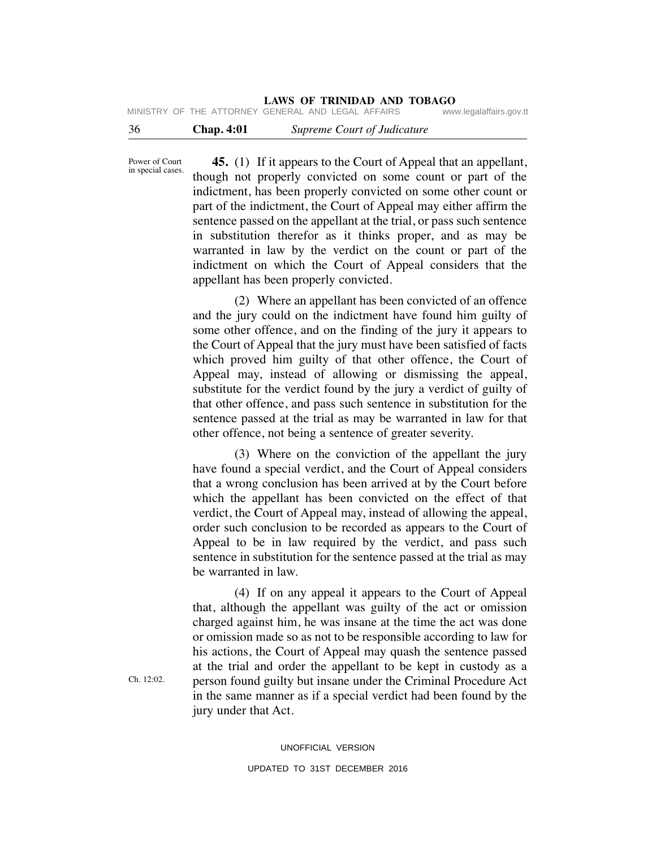MINISTRY OF THE ATTORNEY GENERAL AND LEGAL AFFAIRS

Power of Court in special cases.

 **45.** (1) If it appears to the Court of Appeal that an appellant, though not properly convicted on some count or part of the indictment, has been properly convicted on some other count or part of the indictment, the Court of Appeal may either affirm the sentence passed on the appellant at the trial, or pass such sentence in substitution therefor as it thinks proper, and as may be warranted in law by the verdict on the count or part of the indictment on which the Court of Appeal considers that the appellant has been properly convicted.

 (2) Where an appellant has been convicted of an offence and the jury could on the indictment have found him guilty of some other offence, and on the finding of the jury it appears to the Court of Appeal that the jury must have been satisfied of facts which proved him guilty of that other offence, the Court of Appeal may, instead of allowing or dismissing the appeal, substitute for the verdict found by the jury a verdict of guilty of that other offence, and pass such sentence in substitution for the sentence passed at the trial as may be warranted in law for that other offence, not being a sentence of greater severity.

 (3) Where on the conviction of the appellant the jury have found a special verdict, and the Court of Appeal considers that a wrong conclusion has been arrived at by the Court before which the appellant has been convicted on the effect of that verdict, the Court of Appeal may, instead of allowing the appeal, order such conclusion to be recorded as appears to the Court of Appeal to be in law required by the verdict, and pass such sentence in substitution for the sentence passed at the trial as may be warranted in law.

 (4) If on any appeal it appears to the Court of Appeal that, although the appellant was guilty of the act or omission charged against him, he was insane at the time the act was done or omission made so as not to be responsible according to law for his actions, the Court of Appeal may quash the sentence passed at the trial and order the appellant to be kept in custody as a person found guilty but insane under the Criminal Procedure Act in the same manner as if a special verdict had been found by the jury under that Act.

Ch. 12:02.

UNOFFICIAL VERSION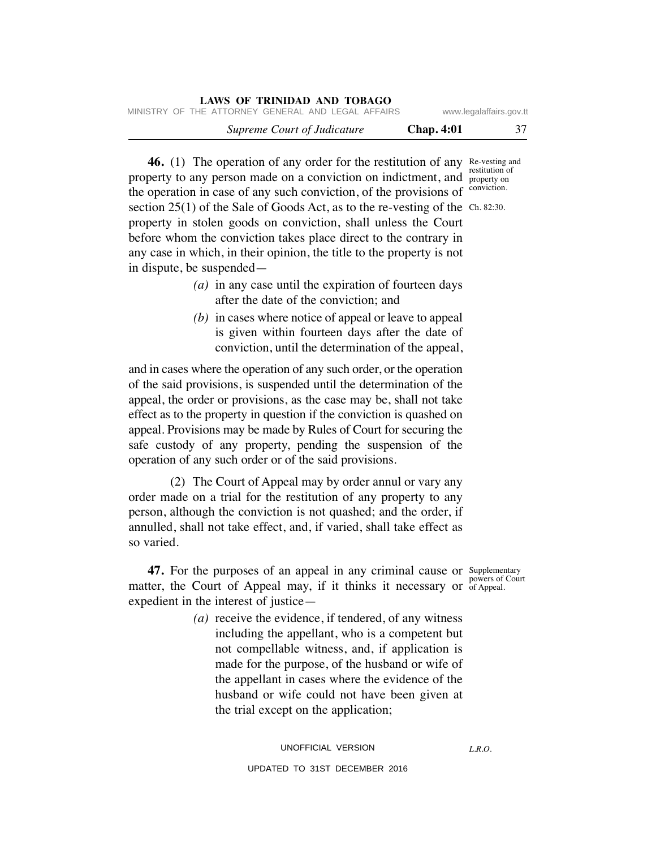| LAWS OF TRINIDAD AND TOBAGO                        |                   |                         |
|----------------------------------------------------|-------------------|-------------------------|
| MINISTRY OF THE ATTORNEY GENERAL AND LEGAL AFFAIRS |                   | www.legalaffairs.gov.tt |
| Supreme Court of Judicature                        | <b>Chap.</b> 4:01 | 37                      |

**46.** (1) The operation of any order for the restitution of any Re-vesting and restitution of property to any person made on a conviction on indictment, and property on section  $25(1)$  of the Sale of Goods Act, as to the re-vesting of the  $\,$  Ch. 82:30. the operation in case of any such conviction, of the provisions of property in stolen goods on conviction, shall unless the Court before whom the conviction takes place direct to the contrary in any case in which, in their opinion, the title to the property is not in dispute, be suspended—

- *(a)* in any case until the expiration of fourteen days after the date of the conviction; and
- *(b)* in cases where notice of appeal or leave to appeal is given within fourteen days after the date of conviction, until the determination of the appeal,

and in cases where the operation of any such order, or the operation of the said provisions, is suspended until the determination of the appeal, the order or provisions, as the case may be, shall not take effect as to the property in question if the conviction is quashed on appeal. Provisions may be made by Rules of Court for securing the safe custody of any property, pending the suspension of the operation of any such order or of the said provisions.

 (2) The Court of Appeal may by order annul or vary any order made on a trial for the restitution of any property to any person, although the conviction is not quashed; and the order, if annulled, shall not take effect, and, if varied, shall take effect as so varied.

**47.** For the purposes of an appeal in any criminal cause or Supplementary matter, the Court of Appeal may, if it thinks it necessary or **of Appeal**. expedient in the interest of justice—

> *(a)* receive the evidence, if tendered, of any witness including the appellant, who is a competent but not compellable witness, and, if application is made for the purpose, of the husband or wife of the appellant in cases where the evidence of the husband or wife could not have been given at the trial except on the application;

 $LRO$ 

powers of Court

conviction.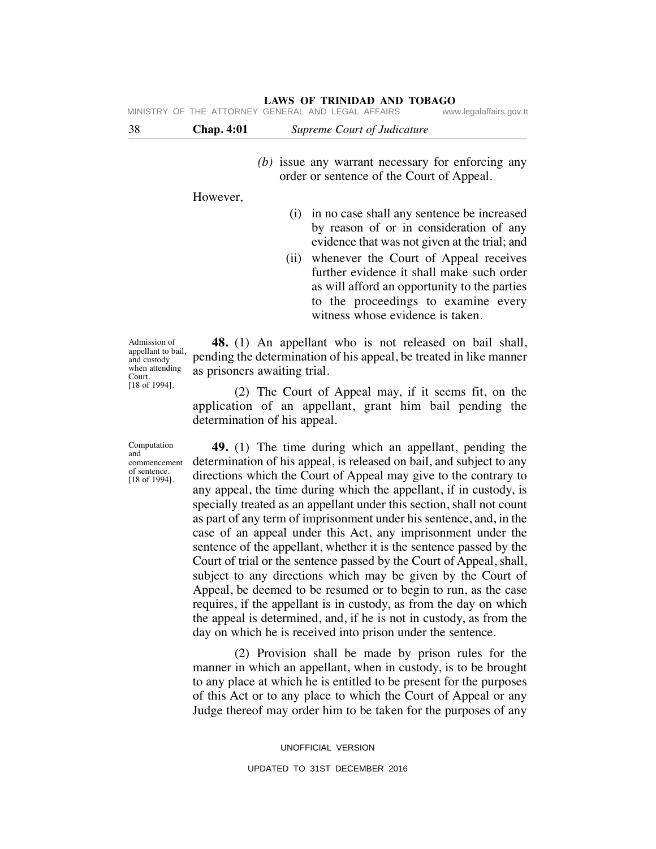|    |                   | MINISTRY OF THE ATTORNEY GENERAL AND LEGAL AFFAIRS                                             | www.legalaffairs.gov.tt |
|----|-------------------|------------------------------------------------------------------------------------------------|-------------------------|
| 38 | <b>Chap.</b> 4:01 | Supreme Court of Judicature                                                                    |                         |
|    |                   | (b) issue any warrant necessary for enforcing any<br>order or sentence of the Court of Appeal. |                         |
|    | However,          |                                                                                                |                         |

- (i) in no case shall any sentence be increased by reason of or in consideration of any evidence that was not given at the trial; and
- (ii) whenever the Court of Appeal receives further evidence it shall make such order as will afford an opportunity to the parties to the proceedings to examine every witness whose evidence is taken.

Admission of

 **48.** (1) An appellant who is not released on bail shall, pending the determination of his appeal, be treated in like manner as prisoners awaiting trial.

 (2) The Court of Appeal may, if it seems fit, on the application of an appellant, grant him bail pending the determination of his appeal.

 **49.** (1) The time during which an appellant, pending the determination of his appeal, is released on bail, and subject to any directions which the Court of Appeal may give to the contrary to any appeal, the time during which the appellant, if in custody, is specially treated as an appellant under this section, shall not count as part of any term of imprisonment under his sentence, and, in the case of an appeal under this Act, any imprisonment under the sentence of the appellant, whether it is the sentence passed by the Court of trial or the sentence passed by the Court of Appeal, shall, subject to any directions which may be given by the Court of Appeal, be deemed to be resumed or to begin to run, as the case requires, if the appellant is in custody, as from the day on which the appeal is determined, and, if he is not in custody, as from the day on which he is received into prison under the sentence.

 (2) Provision shall be made by prison rules for the manner in which an appellant, when in custody, is to be brought to any place at which he is entitled to be present for the purposes of this Act or to any place to which the Court of Appeal or any Judge thereof may order him to be taken for the purposes of any

> UNOFFICIAL VERSION UPDATED TO 31ST DECEMBER 2016

appellant to bail, and custody when attending Court. [18 of 1994].

Computation and commencement of sentence. [18 of 1994].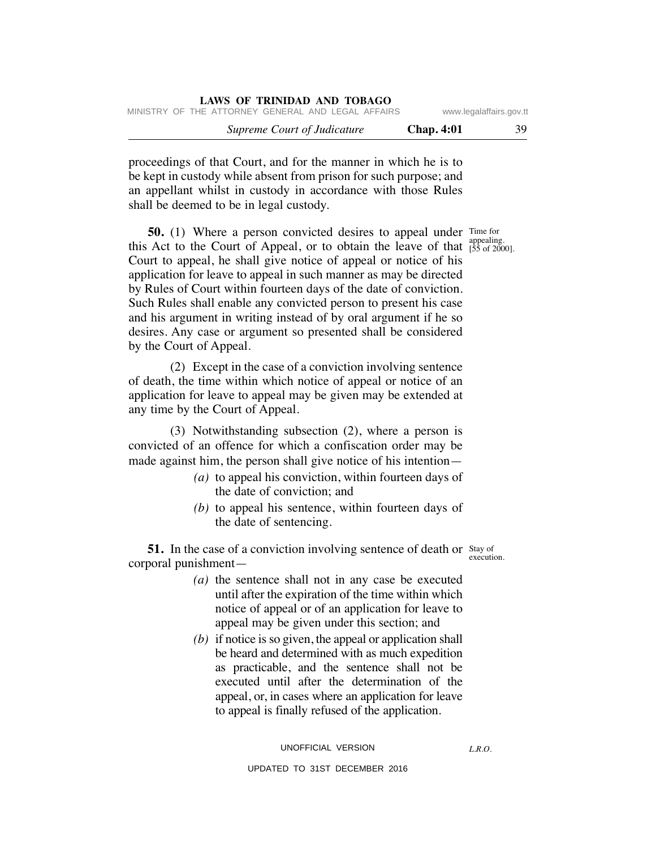| LAWS OF TRINIDAD AND TOBAGO                        |                   |                         |
|----------------------------------------------------|-------------------|-------------------------|
| MINISTRY OF THE ATTORNEY GENERAL AND LEGAL AFFAIRS |                   | www.legalaffairs.gov.tt |
| Supreme Court of Judicature                        | <b>Chap.</b> 4:01 | 39                      |

proceedings of that Court, and for the manner in which he is to be kept in custody while absent from prison for such purpose; and an appellant whilst in custody in accordance with those Rules shall be deemed to be in legal custody.

**50.** (1) Where a person convicted desires to appeal under Time for this Act to the Court of Appeal, or to obtain the leave of that  $\frac{apparallel}{[55 \text{ of } 2000]}$ . Court to appeal, he shall give notice of appeal or notice of his application for leave to appeal in such manner as may be directed by Rules of Court within fourteen days of the date of conviction. Such Rules shall enable any convicted person to present his case and his argument in writing instead of by oral argument if he so desires. Any case or argument so presented shall be considered by the Court of Appeal.

 (2) Except in the case of a conviction involving sentence of death, the time within which notice of appeal or notice of an application for leave to appeal may be given may be extended at any time by the Court of Appeal.

 (3) Notwithstanding subsection (2), where a person is convicted of an offence for which a confiscation order may be made against him, the person shall give notice of his intention—

- *(a)* to appeal his conviction, within fourteen days of the date of conviction; and
- *(b)* to appeal his sentence, within fourteen days of the date of sentencing.

**51.** In the case of a conviction involving sentence of death or stay of execution. corporal punishment—

- 
- *(a)* the sentence shall not in any case be executed until after the expiration of the time within which notice of appeal or of an application for leave to appeal may be given under this section; and
- *(b)* if notice is so given, the appeal or application shall be heard and determined with as much expedition as practicable, and the sentence shall not be executed until after the determination of the appeal, or, in cases where an application for leave to appeal is finally refused of the application.

appealing.

 $LRO$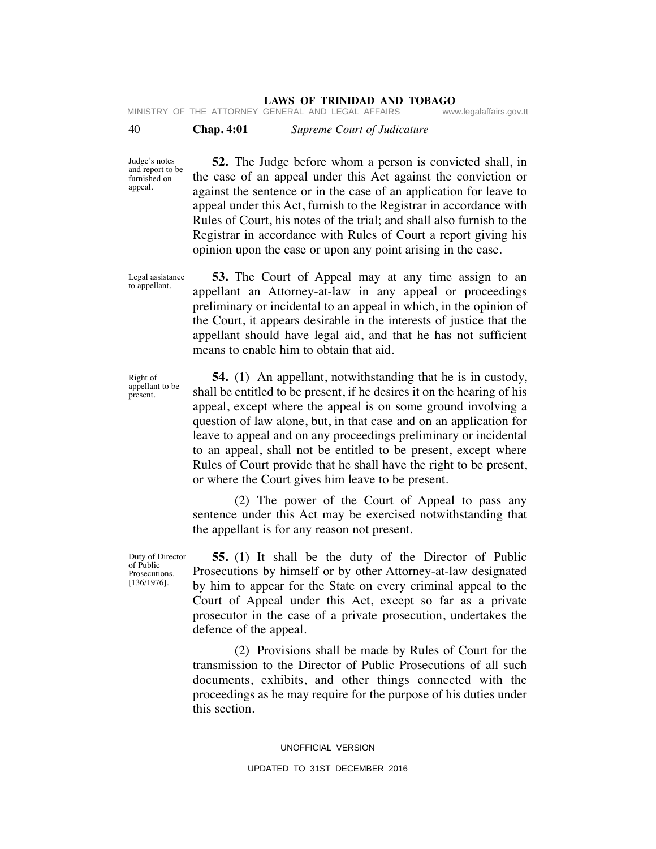MINISTRY OF THE ATTORNEY GENERAL AND LEGAL AFFAIRS

| 40<br><b>Chap.</b> 4:01 | Supreme Court of Judicature |
|-------------------------|-----------------------------|
|-------------------------|-----------------------------|

Judge's notes and report to be furnished on appeal.

 **52.** The Judge before whom a person is convicted shall, in the case of an appeal under this Act against the conviction or against the sentence or in the case of an application for leave to appeal under this Act, furnish to the Registrar in accordance with Rules of Court, his notes of the trial; and shall also furnish to the Registrar in accordance with Rules of Court a report giving his opinion upon the case or upon any point arising in the case.

Legal assistance to appellant.

 **53.** The Court of Appeal may at any time assign to an appellant an Attorney-at-law in any appeal or proceedings preliminary or incidental to an appeal in which, in the opinion of the Court, it appears desirable in the interests of justice that the appellant should have legal aid, and that he has not sufficient means to enable him to obtain that aid.

Right of appellant to be present.

 **54.** (1) An appellant, notwithstanding that he is in custody, shall be entitled to be present, if he desires it on the hearing of his appeal, except where the appeal is on some ground involving a question of law alone, but, in that case and on an application for leave to appeal and on any proceedings preliminary or incidental to an appeal, shall not be entitled to be present, except where Rules of Court provide that he shall have the right to be present, or where the Court gives him leave to be present.

 (2) The power of the Court of Appeal to pass any sentence under this Act may be exercised notwithstanding that the appellant is for any reason not present.

Duty of Director of Public Prosecutions. [136/1976].

 **55.** (1) It shall be the duty of the Director of Public Prosecutions by himself or by other Attorney-at-law designated by him to appear for the State on every criminal appeal to the Court of Appeal under this Act, except so far as a private prosecutor in the case of a private prosecution, undertakes the defence of the appeal.

 (2) Provisions shall be made by Rules of Court for the transmission to the Director of Public Prosecutions of all such documents, exhibits, and other things connected with the proceedings as he may require for the purpose of his duties under this section.

> UNOFFICIAL VERSION UPDATED TO 31ST DECEMBER 2016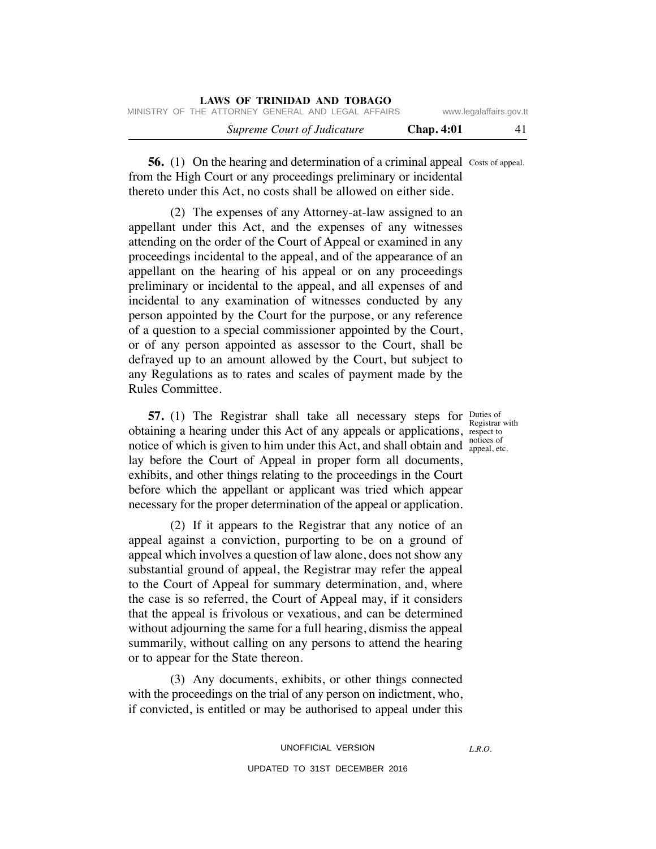| LAWS OF TRINIDAD AND TOBAGO                        |                   |                         |
|----------------------------------------------------|-------------------|-------------------------|
| MINISTRY OF THE ATTORNEY GENERAL AND LEGAL AFFAIRS |                   | www.legalaffairs.gov.tt |
| Supreme Court of Judicature                        | <b>Chap.</b> 4:01 | 41                      |

**56.** (1) On the hearing and determination of a criminal appeal Costs of appeal. from the High Court or any proceedings preliminary or incidental thereto under this Act, no costs shall be allowed on either side.

 (2) The expenses of any Attorney-at-law assigned to an appellant under this Act, and the expenses of any witnesses attending on the order of the Court of Appeal or examined in any proceedings incidental to the appeal, and of the appearance of an appellant on the hearing of his appeal or on any proceedings preliminary or incidental to the appeal, and all expenses of and incidental to any examination of witnesses conducted by any person appointed by the Court for the purpose, or any reference of a question to a special commissioner appointed by the Court, or of any person appointed as assessor to the Court, shall be defrayed up to an amount allowed by the Court, but subject to any Regulations as to rates and scales of payment made by the Rules Committee.

**57.** (1) The Registrar shall take all necessary steps for  $\frac{\text{Duties of}}{\text{Pcoistrar}}$ obtaining a hearing under this Act of any appeals or applications, respect to notice of which is given to him under this Act, and shall obtain and  $\frac{1}{\text{appeak, etc.}}$ lay before the Court of Appeal in proper form all documents, exhibits, and other things relating to the proceedings in the Court before which the appellant or applicant was tried which appear necessary for the proper determination of the appeal or application.

 (2) If it appears to the Registrar that any notice of an appeal against a conviction, purporting to be on a ground of appeal which involves a question of law alone, does not show any substantial ground of appeal, the Registrar may refer the appeal to the Court of Appeal for summary determination, and, where the case is so referred, the Court of Appeal may, if it considers that the appeal is frivolous or vexatious, and can be determined without adjourning the same for a full hearing, dismiss the appeal summarily, without calling on any persons to attend the hearing or to appear for the State thereon.

 (3) Any documents, exhibits, or other things connected with the proceedings on the trial of any person on indictment, who, if convicted, is entitled or may be authorised to appeal under this

Registrar with notices of

 $LRO$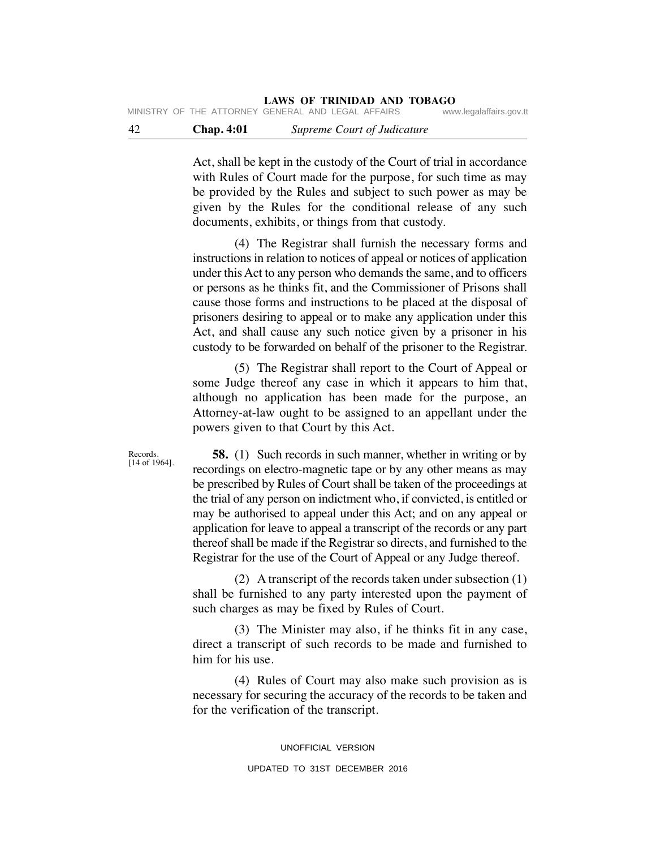42 **Chap. 4:01** *Supreme Court of Judicature* MINISTRY OF THE ATTORNEY GENERAL AND LEGAL AFFAIRS

> Act, shall be kept in the custody of the Court of trial in accordance with Rules of Court made for the purpose, for such time as may be provided by the Rules and subject to such power as may be given by the Rules for the conditional release of any such documents, exhibits, or things from that custody.

> (4) The Registrar shall furnish the necessary forms and instructions in relation to notices of appeal or notices of application under this Act to any person who demands the same, and to officers or persons as he thinks fit, and the Commissioner of Prisons shall cause those forms and instructions to be placed at the disposal of prisoners desiring to appeal or to make any application under this Act, and shall cause any such notice given by a prisoner in his custody to be forwarded on behalf of the prisoner to the Registrar.

> (5) The Registrar shall report to the Court of Appeal or some Judge thereof any case in which it appears to him that, although no application has been made for the purpose, an Attorney-at-law ought to be assigned to an appellant under the powers given to that Court by this Act.

 **58.** (1) Such records in such manner, whether in writing or by recordings on electro-magnetic tape or by any other means as may be prescribed by Rules of Court shall be taken of the proceedings at the trial of any person on indictment who, if convicted, is entitled or may be authorised to appeal under this Act; and on any appeal or application for leave to appeal a transcript of the records or any part thereof shall be made if the Registrar so directs, and furnished to the Registrar for the use of the Court of Appeal or any Judge thereof. [14 of 1964].

Records.

 (2) A transcript of the records taken under subsection (1) shall be furnished to any party interested upon the payment of such charges as may be fixed by Rules of Court.

 (3) The Minister may also, if he thinks fit in any case, direct a transcript of such records to be made and furnished to him for his use.

 (4) Rules of Court may also make such provision as is necessary for securing the accuracy of the records to be taken and for the verification of the transcript.

UNOFFICIAL VERSION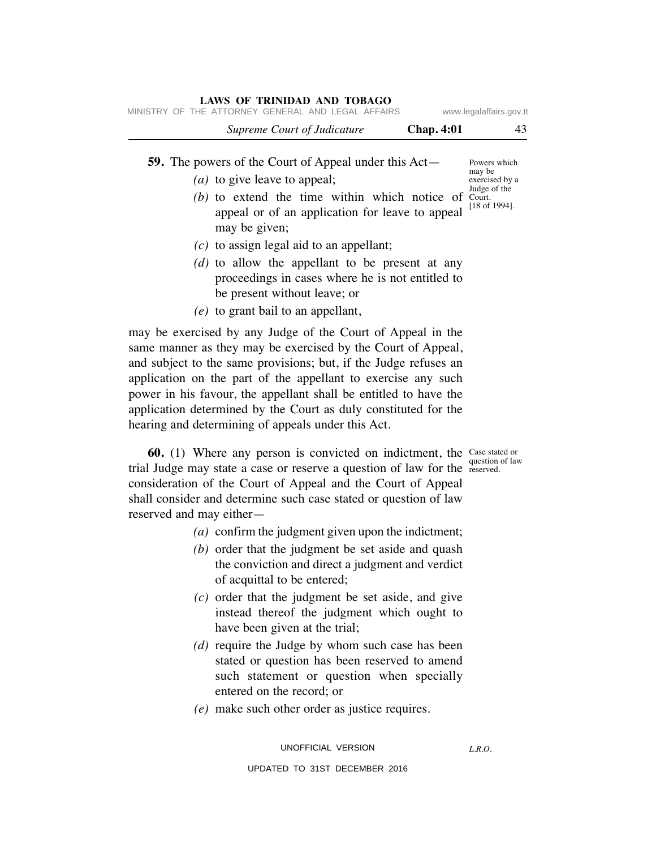# *Supreme Court of Judicature* **Chap. 4:01** 43 **LAWS OF TRINIDAD AND TOBAGO** Powers which may be exercised by a Judge of the (b) to extend the time within which notice of  $\frac{C_{\text{out}}}{C_{\text{out}}}$ [18 of 1994].  **59.** The powers of the Court of Appeal under this Act—  *(a)* to give leave to appeal; appeal or of an application for leave to appeal may be given;  *(c)* to assign legal aid to an appellant;  *(d)* to allow the appellant to be present at any MINISTRY OF THE ATTORNEY GENERAL AND LEGAL AFFAIRS www.legalaffairs.gov.tt

- proceedings in cases where he is not entitled to be present without leave; or
- *(e)* to grant bail to an appellant,

may be exercised by any Judge of the Court of Appeal in the same manner as they may be exercised by the Court of Appeal, and subject to the same provisions; but, if the Judge refuses an application on the part of the appellant to exercise any such power in his favour, the appellant shall be entitled to have the application determined by the Court as duly constituted for the hearing and determining of appeals under this Act.

**60.** (1) Where any person is convicted on indictment, the Case stated or trial Judge may state a case or reserve a question of law for the reserved. consideration of the Court of Appeal and the Court of Appeal shall consider and determine such case stated or question of law reserved and may either—

- *(a)* confirm the judgment given upon the indictment;
- *(b)* order that the judgment be set aside and quash the conviction and direct a judgment and verdict of acquittal to be entered;
- *(c)* order that the judgment be set aside, and give instead thereof the judgment which ought to have been given at the trial;
- *(d)* require the Judge by whom such case has been stated or question has been reserved to amend such statement or question when specially entered on the record; or
- *(e)* make such other order as justice requires.

 $LRO$ 

question of law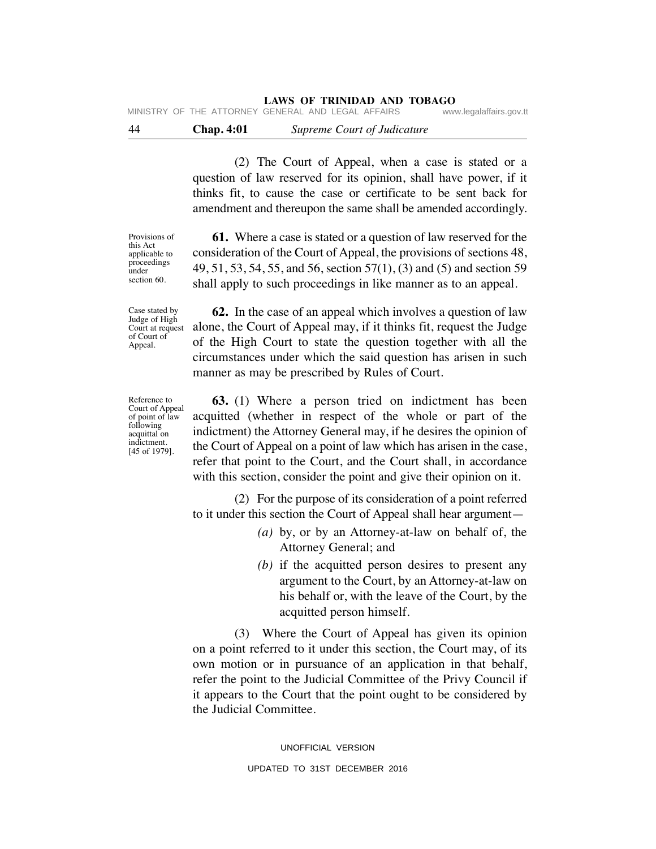**LAWS OF TRINIDAD AND TOBAGO** 44 **Chap. 4:01** *Supreme Court of Judicature* MINISTRY OF THE ATTORNEY GENERAL AND LEGAL AFFAIRS

> (2) The Court of Appeal, when a case is stated or a question of law reserved for its opinion, shall have power, if it thinks fit, to cause the case or certificate to be sent back for amendment and thereupon the same shall be amended accordingly.

Provisions of this Act applicable to proceedings under section 60.

 **61.** Where a case is stated or a question of law reserved for the consideration of the Court of Appeal, the provisions of sections 48, 49, 51, 53, 54, 55, and 56, section 57(1), (3) and (5) and section 59 shall apply to such proceedings in like manner as to an appeal.

Case stated by Judge of High Court at request of Court of Appeal.

 **62.** In the case of an appeal which involves a question of law alone, the Court of Appeal may, if it thinks fit, request the Judge of the High Court to state the question together with all the circumstances under which the said question has arisen in such manner as may be prescribed by Rules of Court.

Reference to Court of Appeal of point of law following acquittal on indictment. [45 of 1979].

 **63.** (1) Where a person tried on indictment has been acquitted (whether in respect of the whole or part of the indictment) the Attorney General may, if he desires the opinion of the Court of Appeal on a point of law which has arisen in the case, refer that point to the Court, and the Court shall, in accordance with this section, consider the point and give their opinion on it.

 (2) For the purpose of its consideration of a point referred to it under this section the Court of Appeal shall hear argument—

- *(a)* by, or by an Attorney-at-law on behalf of, the Attorney General; and
- *(b)* if the acquitted person desires to present any argument to the Court, by an Attorney-at-law on his behalf or, with the leave of the Court, by the acquitted person himself.

 (3) Where the Court of Appeal has given its opinion on a point referred to it under this section, the Court may, of its own motion or in pursuance of an application in that behalf, refer the point to the Judicial Committee of the Privy Council if it appears to the Court that the point ought to be considered by the Judicial Committee.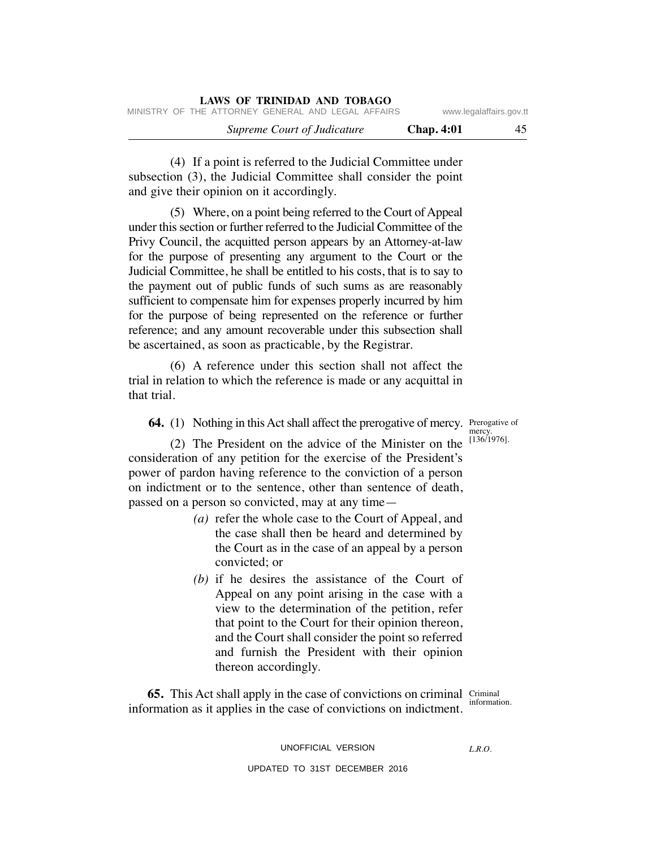| <b>LAWS OF TRINIDAD AND TOBAGO</b>                 |                   |                         |
|----------------------------------------------------|-------------------|-------------------------|
| MINISTRY OF THE ATTORNEY GENERAL AND LEGAL AFFAIRS |                   | www.legalaffairs.gov.tt |
| Supreme Court of Judicature                        | <b>Chap.</b> 4:01 | 45                      |

 (4) If a point is referred to the Judicial Committee under subsection (3), the Judicial Committee shall consider the point and give their opinion on it accordingly.

 (5) Where, on a point being referred to the Court of Appeal under this section or further referred to the Judicial Committee of the Privy Council, the acquitted person appears by an Attorney-at-law for the purpose of presenting any argument to the Court or the Judicial Committee, he shall be entitled to his costs, that is to say to the payment out of public funds of such sums as are reasonably sufficient to compensate him for expenses properly incurred by him for the purpose of being represented on the reference or further reference; and any amount recoverable under this subsection shall be ascertained, as soon as practicable, by the Registrar.

 (6) A reference under this section shall not affect the trial in relation to which the reference is made or any acquittal in that trial.

**64.** (1) Nothing in this Act shall affect the prerogative of mercy. Prerogative of

mercy. [136/1976].

 (2) The President on the advice of the Minister on the consideration of any petition for the exercise of the President's power of pardon having reference to the conviction of a person on indictment or to the sentence, other than sentence of death, passed on a person so convicted, may at any time—

- *(a)* refer the whole case to the Court of Appeal, and the case shall then be heard and determined by the Court as in the case of an appeal by a person convicted; or
- *(b)* if he desires the assistance of the Court of Appeal on any point arising in the case with a view to the determination of the petition, refer that point to the Court for their opinion thereon, and the Court shall consider the point so referred and furnish the President with their opinion thereon accordingly.

**65.** This Act shall apply in the case of convictions on criminal Criminal information as it applies in the case of convictions on indictment.

information.

UNOFFICIAL VERSION

 $LRO$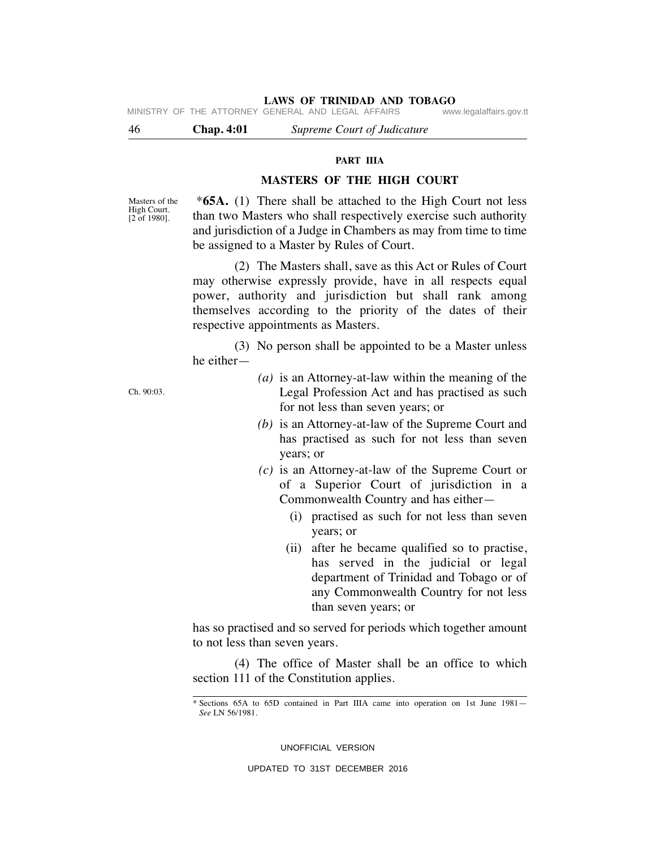MINISTRY OF THE ATTORNEY GENERAL AND LEGAL AFFAIRS

46 **Chap. 4:01** *Supreme Court of Judicature*

# **PART IIIA**

# **MASTERS OF THE HIGH COURT**

Masters of the High Court. [2 of 1980].

\***65A.** (1) There shall be attached to the High Court not less than two Masters who shall respectively exercise such authority and jurisdiction of a Judge in Chambers as may from time to time be assigned to a Master by Rules of Court.

 (2) The Masters shall, save as this Act or Rules of Court may otherwise expressly provide, have in all respects equal power, authority and jurisdiction but shall rank among themselves according to the priority of the dates of their respective appointments as Masters.

 (3) No person shall be appointed to be a Master unless he either—

- *(a)* is an Attorney-at-law within the meaning of the Legal Profession Act and has practised as such for not less than seven years; or
- *(b)* is an Attorney-at-law of the Supreme Court and has practised as such for not less than seven years; or
- *(c)* is an Attorney-at-law of the Supreme Court or of a Superior Court of jurisdiction in a Commonwealth Country and has either—
	- (i) practised as such for not less than seven years; or
	- (ii) after he became qualified so to practise, has served in the judicial or legal department of Trinidad and Tobago or of any Commonwealth Country for not less than seven years; or

has so practised and so served for periods which together amount to not less than seven years.

 (4) The office of Master shall be an office to which section 111 of the Constitution applies.

UNOFFICIAL VERSION

Ch. 90:03.

<sup>\*</sup> Sections 65A to 65D contained in Part IIIA came into operation on 1st June 1981— *See* LN 56/1981.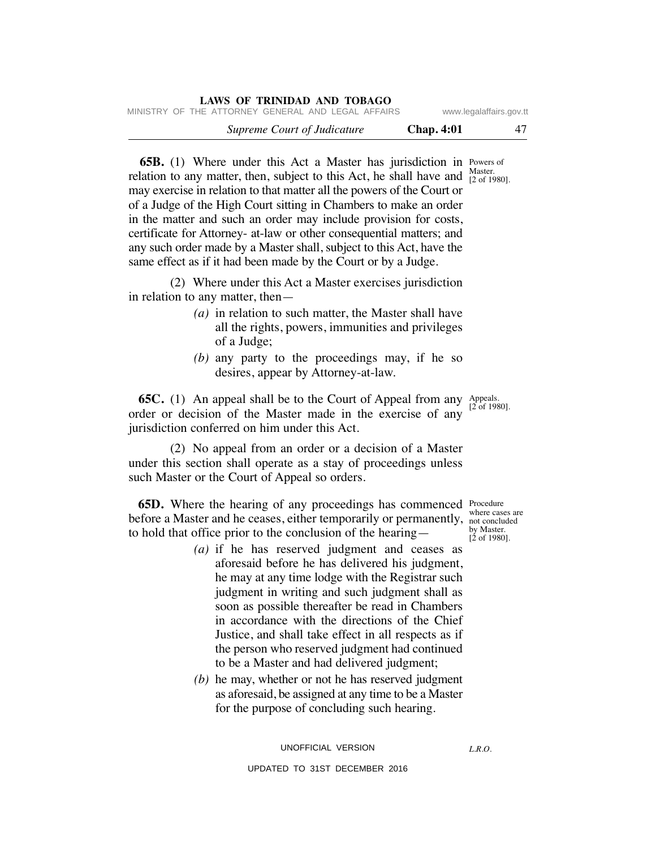| LAWS OF IRINIDAD AND TOBAGO                        |                         |    |
|----------------------------------------------------|-------------------------|----|
| MINISTRY OF THE ATTORNEY GENERAL AND LEGAL AFFAIRS | www.legalaffairs.gov.tt |    |
| Supreme Court of Judicature                        | <b>Chap.</b> 4:01       | 47 |

**65B.** (1) Where under this Act a Master has jurisdiction in Powers of Master. relation to any matter, then, subject to this Act, he shall have and  $\frac{M\text{a}^2}{[2 \text{ of } 1980]}$ . may exercise in relation to that matter all the powers of the Court or of a Judge of the High Court sitting in Chambers to make an order in the matter and such an order may include provision for costs, certificate for Attorney- at-law or other consequential matters; and any such order made by a Master shall, subject to this Act, have the same effect as if it had been made by the Court or by a Judge.

**LAWS OF TRINIDAD AND TOBAGO**

 (2) Where under this Act a Master exercises jurisdiction in relation to any matter, then—

- *(a)* in relation to such matter, the Master shall have all the rights, powers, immunities and privileges of a Judge;
- *(b)* any party to the proceedings may, if he so desires, appear by Attorney-at-law.

**65C.** (1) An appeal shall be to the Court of Appeal from any Appeals. order or decision of the Master made in the exercise of any jurisdiction conferred on him under this Act.

 (2) No appeal from an order or a decision of a Master under this section shall operate as a stay of proceedings unless such Master or the Court of Appeal so orders.

**65D.** Where the hearing of any proceedings has commenced Procedure before a Master and he ceases, either temporarily or permanently, not concluded to hold that office prior to the conclusion of the hearing—

- *(a)* if he has reserved judgment and ceases as aforesaid before he has delivered his judgment, he may at any time lodge with the Registrar such judgment in writing and such judgment shall as soon as possible thereafter be read in Chambers in accordance with the directions of the Chief Justice, and shall take effect in all respects as if the person who reserved judgment had continued to be a Master and had delivered judgment;
- *(b)* he may, whether or not he has reserved judgment as aforesaid, be assigned at any time to be a Master for the purpose of concluding such hearing.

where cases are by Master.  $[2 \text{ of } 1980].$ 

 $LRO$ 

 $[2]$  of 1980].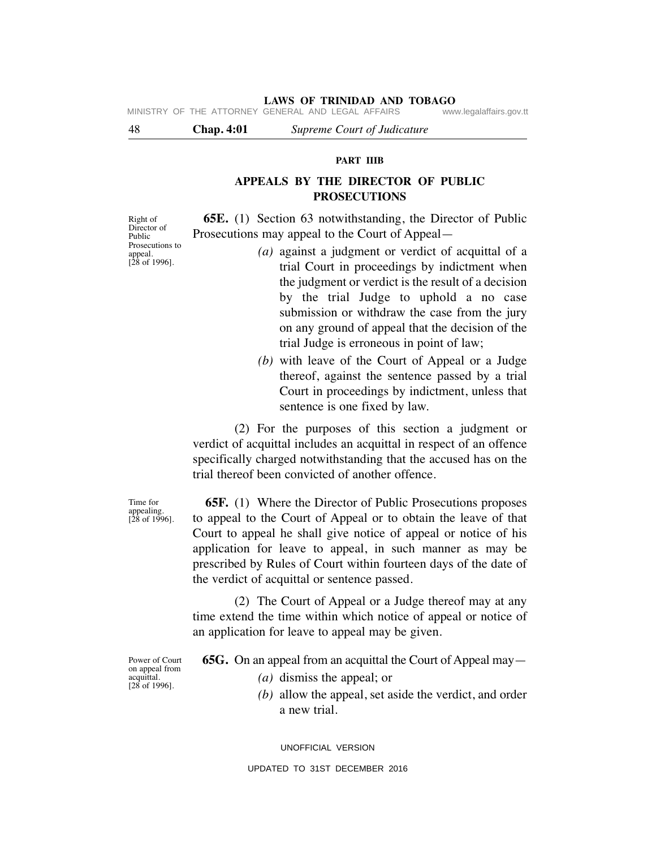MINISTRY OF THE ATTORNEY GENERAL AND LEGAL AFFAIRS

48 **Chap. 4:01** *Supreme Court of Judicature*

## **PART IIIB**

# **APPEALS BY THE DIRECTOR OF PUBLIC PROSECUTIONS**

 **65E.** (1) Section 63 notwithstanding, the Director of Public Prosecutions may appeal to the Court of Appeal—

- *(a)* against a judgment or verdict of acquittal of a trial Court in proceedings by indictment when the judgment or verdict is the result of a decision by the trial Judge to uphold a no case submission or withdraw the case from the jury on any ground of appeal that the decision of the trial Judge is erroneous in point of law;
- *(b)* with leave of the Court of Appeal or a Judge thereof, against the sentence passed by a trial Court in proceedings by indictment, unless that sentence is one fixed by law.

 (2) For the purposes of this section a judgment or verdict of acquittal includes an acquittal in respect of an offence specifically charged notwithstanding that the accused has on the trial thereof been convicted of another offence.

 **65F.** (1) Where the Director of Public Prosecutions proposes to appeal to the Court of Appeal or to obtain the leave of that Court to appeal he shall give notice of appeal or notice of his application for leave to appeal, in such manner as may be prescribed by Rules of Court within fourteen days of the date of the verdict of acquittal or sentence passed.

 (2) The Court of Appeal or a Judge thereof may at any time extend the time within which notice of appeal or notice of an application for leave to appeal may be given.

Power of Court on appeal from acquittal. [28 of 1996].

- **65G.** On an appeal from an acquittal the Court of Appeal may—
	- *(a)* dismiss the appeal; or
	- *(b)* allow the appeal, set aside the verdict, and order a new trial.

UNOFFICIAL VERSION

UPDATED TO 31ST DECEMBER 2016

Right of Director of Public Prosecutions to appeal. [28 of 1996].

Time for appealing.  $[28 \text{ of } 1996]$ .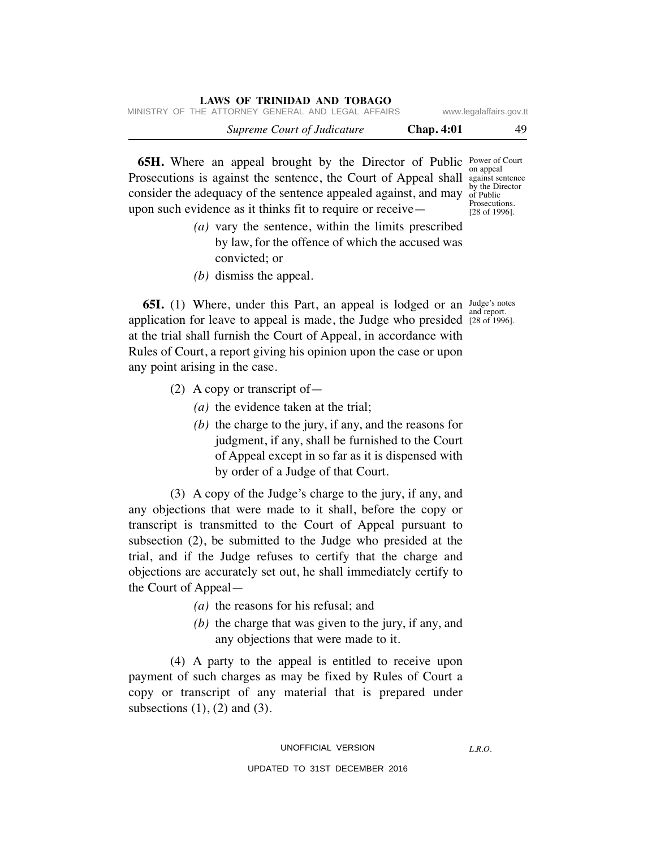|                         |                   | LAWS OF TRINIDAD AND TOBAGO                        |
|-------------------------|-------------------|----------------------------------------------------|
| www.legalaffairs.gov.tt |                   | MINISTRY OF THE ATTORNEY GENERAL AND LEGAL AFFAIRS |
| 49.                     | <b>Chap.</b> 4:01 | Supreme Court of Judicature                        |

**65H.** Where an appeal brought by the Director of Public Power of Court Prosecutions is against the sentence, the Court of Appeal shall against sentence consider the adequacy of the sentence appealed against, and may of Public upon such evidence as it thinks fit to require or receive—

on appeal by the Director Prosecutions. [28 of 1996].

- *(a)* vary the sentence, within the limits prescribed by law, for the offence of which the accused was convicted; or
- *(b)* dismiss the appeal.

**65I.** (1) Where, under this Part, an appeal is lodged or an Judge's notes and report. application for leave to appeal is made, the Judge who presided  $\frac{1}{28}$  of 1996]. at the trial shall furnish the Court of Appeal, in accordance with Rules of Court, a report giving his opinion upon the case or upon any point arising in the case.

- (2) A copy or transcript of—
	- *(a)* the evidence taken at the trial;
	- *(b)* the charge to the jury, if any, and the reasons for judgment, if any, shall be furnished to the Court of Appeal except in so far as it is dispensed with by order of a Judge of that Court.

 (3) A copy of the Judge's charge to the jury, if any, and any objections that were made to it shall, before the copy or transcript is transmitted to the Court of Appeal pursuant to subsection (2), be submitted to the Judge who presided at the trial, and if the Judge refuses to certify that the charge and objections are accurately set out, he shall immediately certify to the Court of Appeal—

- *(a)* the reasons for his refusal; and
- *(b)* the charge that was given to the jury, if any, and any objections that were made to it.

 (4) A party to the appeal is entitled to receive upon payment of such charges as may be fixed by Rules of Court a copy or transcript of any material that is prepared under subsections  $(1)$ ,  $(2)$  and  $(3)$ .

 $LRO$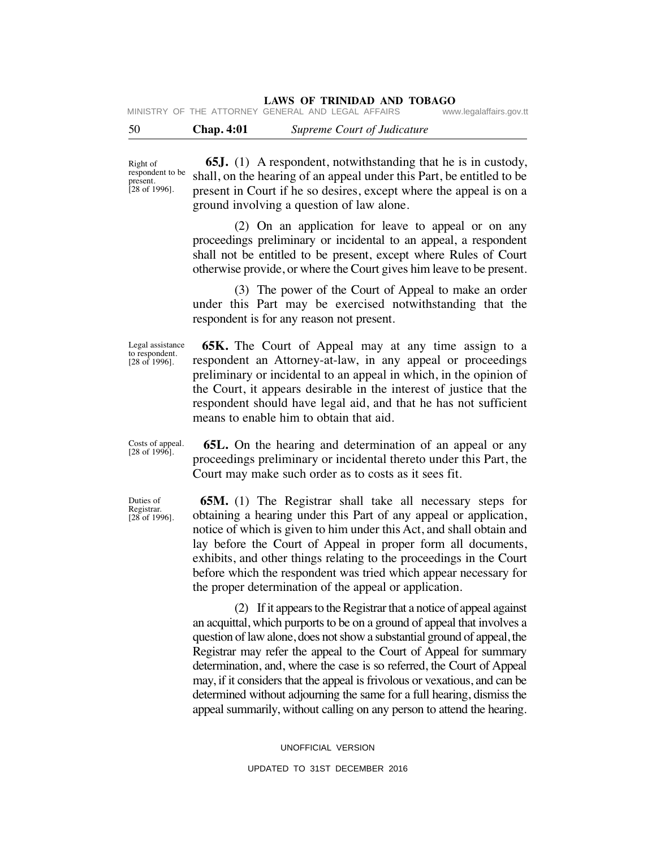MINISTRY OF THE ATTORNEY GENERAL AND LEGAL AFFAIRS

| 50<br><b>Chap.</b> 4:01 | Supreme Court of Judicature |
|-------------------------|-----------------------------|
|-------------------------|-----------------------------|

Right of respondent to be present. [28 of 1996].

 **65J.** (1) A respondent, notwithstanding that he is in custody, shall, on the hearing of an appeal under this Part, be entitled to be present in Court if he so desires, except where the appeal is on a ground involving a question of law alone.

 (2) On an application for leave to appeal or on any proceedings preliminary or incidental to an appeal, a respondent shall not be entitled to be present, except where Rules of Court otherwise provide, or where the Court gives him leave to be present.

 (3) The power of the Court of Appeal to make an order under this Part may be exercised notwithstanding that the respondent is for any reason not present.

Legal assistance to respondent. [28 of 1996].

 **65K.** The Court of Appeal may at any time assign to a respondent an Attorney-at-law, in any appeal or proceedings preliminary or incidental to an appeal in which, in the opinion of the Court, it appears desirable in the interest of justice that the respondent should have legal aid, and that he has not sufficient means to enable him to obtain that aid.

Costs of appeal.  $[28$  of  $1996]$ .

Duties of Registrar. [28 of 1996].

 **65L.** On the hearing and determination of an appeal or any proceedings preliminary or incidental thereto under this Part, the Court may make such order as to costs as it sees fit.

 **65M.** (1) The Registrar shall take all necessary steps for obtaining a hearing under this Part of any appeal or application, notice of which is given to him under this Act, and shall obtain and lay before the Court of Appeal in proper form all documents, exhibits, and other things relating to the proceedings in the Court before which the respondent was tried which appear necessary for the proper determination of the appeal or application.

 (2) If it appears to the Registrar that a notice of appeal against an acquittal, which purports to be on a ground of appeal that involves a question of law alone, does not show a substantial ground of appeal, the Registrar may refer the appeal to the Court of Appeal for summary determination, and, where the case is so referred, the Court of Appeal may, if it considers that the appeal is frivolous or vexatious, and can be determined without adjourning the same for a full hearing, dismiss the appeal summarily, without calling on any person to attend the hearing.

> UNOFFICIAL VERSION UPDATED TO 31ST DECEMBER 2016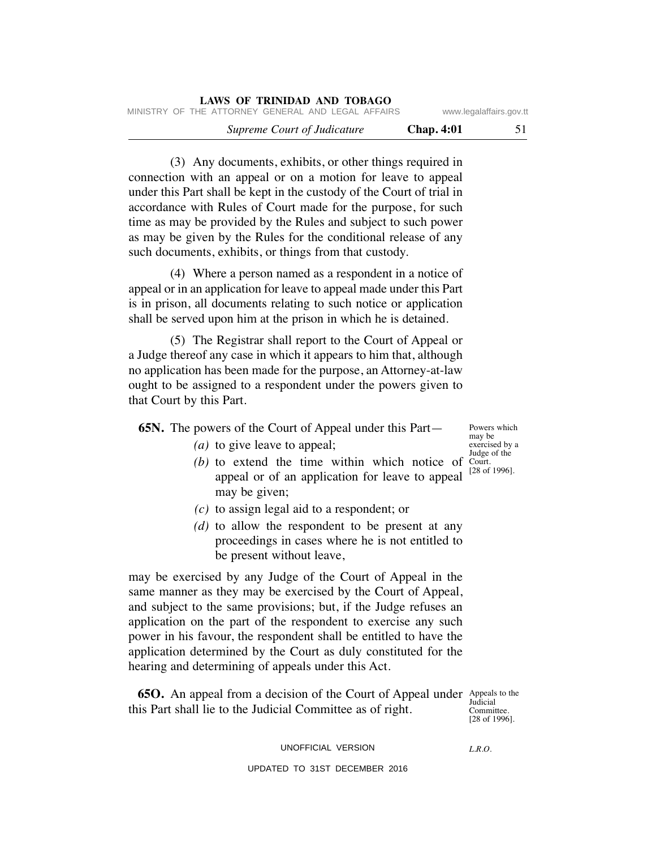| <b>LAWS OF TRINIDAD AND TOBAGO</b>                 |                   |                         |
|----------------------------------------------------|-------------------|-------------------------|
| MINISTRY OF THE ATTORNEY GENERAL AND LEGAL AFFAIRS |                   | www.legalaffairs.gov.tt |
| Supreme Court of Judicature                        | <b>Chap.</b> 4:01 |                         |

 (3) Any documents, exhibits, or other things required in connection with an appeal or on a motion for leave to appeal under this Part shall be kept in the custody of the Court of trial in accordance with Rules of Court made for the purpose, for such time as may be provided by the Rules and subject to such power as may be given by the Rules for the conditional release of any such documents, exhibits, or things from that custody.

 (4) Where a person named as a respondent in a notice of appeal or in an application for leave to appeal made under this Part is in prison, all documents relating to such notice or application shall be served upon him at the prison in which he is detained.

 (5) The Registrar shall report to the Court of Appeal or a Judge thereof any case in which it appears to him that, although no application has been made for the purpose, an Attorney-at-law ought to be assigned to a respondent under the powers given to that Court by this Part.

# **65N.** The powers of the Court of Appeal under this Part—

 *(a)* to give leave to appeal;

- *(b)* to extend the time within which notice of appeal or of an application for leave to appeal may be given;
- *(c)* to assign legal aid to a respondent; or
- *(d)* to allow the respondent to be present at any proceedings in cases where he is not entitled to be present without leave,

may be exercised by any Judge of the Court of Appeal in the same manner as they may be exercised by the Court of Appeal, and subject to the same provisions; but, if the Judge refuses an application on the part of the respondent to exercise any such power in his favour, the respondent shall be entitled to have the application determined by the Court as duly constituted for the hearing and determining of appeals under this Act.

**65O.** An appeal from a decision of the Court of Appeal under Appeals to the this Part shall lie to the Judicial Committee as of right.

Judicial Committee. [28 of 1996].

UNOFFICIAL VERSION

 $LRO$ 

UPDATED TO 31ST DECEMBER 2016

Powers which may be exercised by a Judge of the Court. [28 of 1996].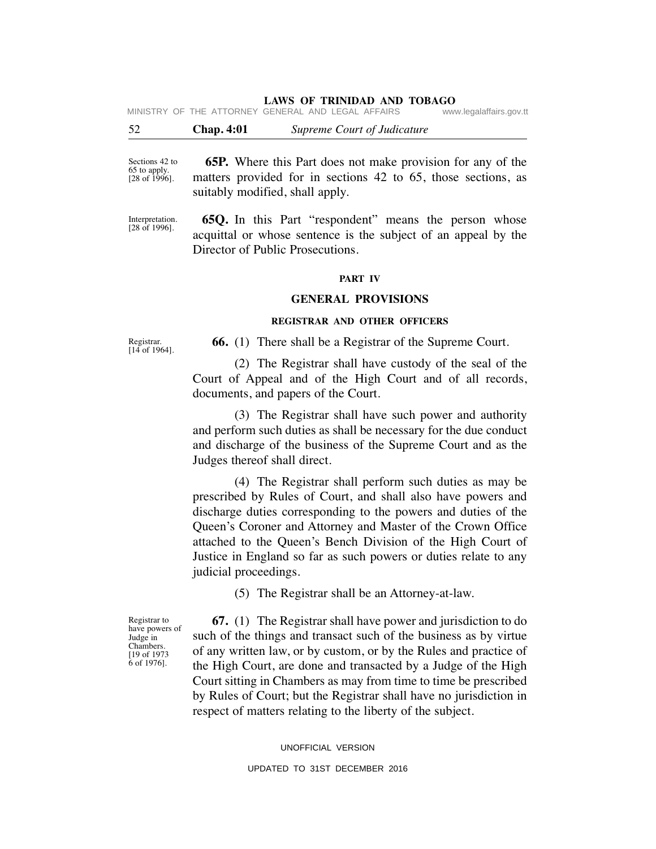| 52 | <b>Chap.</b> 4:01 | Supreme Court of Judicature                        |                         |
|----|-------------------|----------------------------------------------------|-------------------------|
|    |                   | MINISTRY OF THE ATTORNEY GENERAL AND LEGAL AFFAIRS | www.legalaffairs.gov.tt |

Sections 42 to 65 to apply. [28 of 1996].

 **65P.** Where this Part does not make provision for any of the matters provided for in sections 42 to 65, those sections, as suitably modified, shall apply.

Interpretation. [28 of 1996].

 **65Q.** In this Part "respondent" means the person whose acquittal or whose sentence is the subject of an appeal by the Director of Public Prosecutions.

#### **PART IV**

### **GENERAL PROVISIONS**

# **REGISTRAR AND OTHER OFFICERS**

Registrar. [14 of 1964].  **66.** (1) There shall be a Registrar of the Supreme Court.

 (2) The Registrar shall have custody of the seal of the Court of Appeal and of the High Court and of all records, documents, and papers of the Court.

 (3) The Registrar shall have such power and authority and perform such duties as shall be necessary for the due conduct and discharge of the business of the Supreme Court and as the Judges thereof shall direct.

 (4) The Registrar shall perform such duties as may be prescribed by Rules of Court, and shall also have powers and discharge duties corresponding to the powers and duties of the Queen's Coroner and Attorney and Master of the Crown Office attached to the Queen's Bench Division of the High Court of Justice in England so far as such powers or duties relate to any judicial proceedings.

(5) The Registrar shall be an Attorney-at-law.

Registrar to have powers of Judge in Chambers. [19 of 1973  $6$  of 1976].

 **67.** (1) The Registrar shall have power and jurisdiction to do such of the things and transact such of the business as by virtue of any written law, or by custom, or by the Rules and practice of the High Court, are done and transacted by a Judge of the High Court sitting in Chambers as may from time to time be prescribed by Rules of Court; but the Registrar shall have no jurisdiction in respect of matters relating to the liberty of the subject.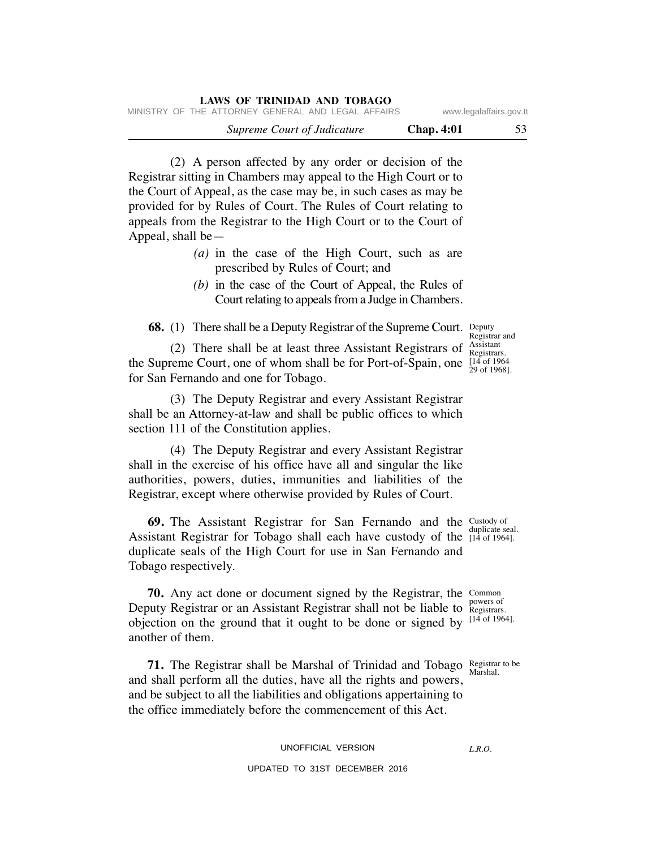| LAWS OF TRINIDAD AND TOBAGO<br>MINISTRY OF THE ATTORNEY GENERAL AND LEGAL AFFAIRS |                   | www.legalaffairs.gov.tt |
|-----------------------------------------------------------------------------------|-------------------|-------------------------|
| Supreme Court of Judicature                                                       | <b>Chap.</b> 4:01 | 53                      |

 (2) A person affected by any order or decision of the Registrar sitting in Chambers may appeal to the High Court or to the Court of Appeal, as the case may be, in such cases as may be provided for by Rules of Court. The Rules of Court relating to appeals from the Registrar to the High Court or to the Court of Appeal, shall be—

- *(a)* in the case of the High Court, such as are prescribed by Rules of Court; and
- *(b)* in the case of the Court of Appeal, the Rules of Court relating to appeals from a Judge in Chambers.

**68.** (1) There shall be a Deputy Registrar of the Supreme Court. Deputy Registrar and

(2) There shall be at least three Assistant Registrars of  $\frac{\text{Assistant}}{\text{Registrars}}$ the Supreme Court, one of whom shall be for Port-of-Spain, one  $\frac{114 \text{ of } 1964}{29 \text{ of } 1968}}$ for San Fernando and one for Tobago.

 (3) The Deputy Registrar and every Assistant Registrar shall be an Attorney-at-law and shall be public offices to which section 111 of the Constitution applies.

 (4) The Deputy Registrar and every Assistant Registrar shall in the exercise of his office have all and singular the like authorities, powers, duties, immunities and liabilities of the Registrar, except where otherwise provided by Rules of Court.

**69.** The Assistant Registrar for San Fernando and the Custody of Assistant Registrar for Tobago shall each have custody of the  $\frac{14}{14}$  of 1964]. duplicate seals of the High Court for use in San Fernando and Tobago respectively.

**70.** Any act done or document signed by the Registrar, the Common Deputy Registrar or an Assistant Registrar shall not be liable to  $\frac{p_{\text{c}}}{p_{\text{c}}}}$ objection on the ground that it ought to be done or signed by  $[14 \text{ of } 1964]$ . another of them.

**71.** The Registrar shall be Marshal of Trinidad and Tobago Registrar to be and shall perform all the duties, have all the rights and powers, and be subject to all the liabilities and obligations appertaining to the office immediately before the commencement of this Act.

UPDATED TO 31ST DECEMBER 2016

Assistant [14 of 1964

duplicate seal.

powers of

Marshal.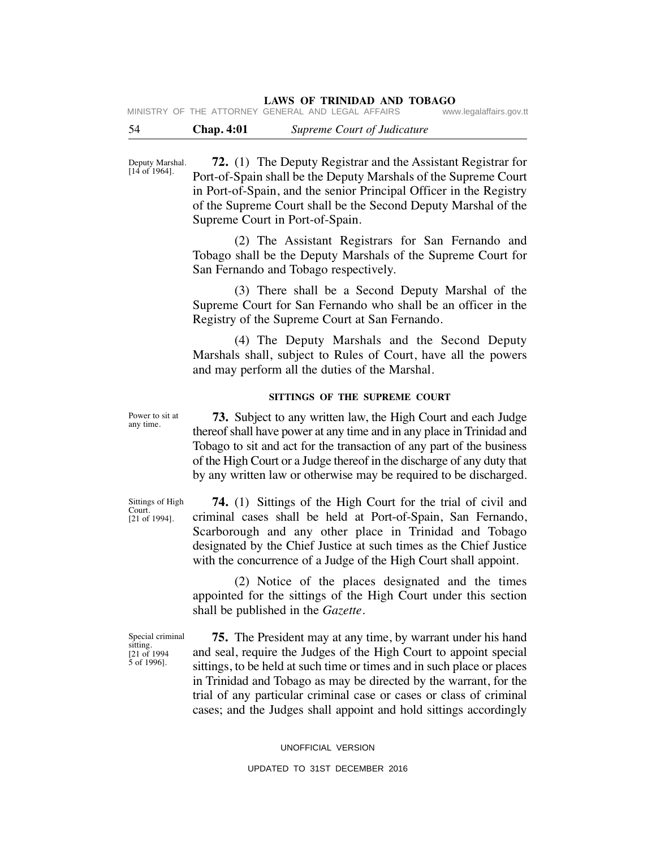| MINISTRY OF THE ATTORNEY GENERAL AND LEGAL AFFAIRS<br>www.legalaffairs.gov.tt |
|-------------------------------------------------------------------------------|
|-------------------------------------------------------------------------------|

| -54<br><b>Chap.</b> 4:01 | Supreme Court of Judicature |
|--------------------------|-----------------------------|
|--------------------------|-----------------------------|

 **72.** (1) The Deputy Registrar and the Assistant Registrar for Port-of-Spain shall be the Deputy Marshals of the Supreme Court in Port-of-Spain, and the senior Principal Officer in the Registry of the Supreme Court shall be the Second Deputy Marshal of the Supreme Court in Port-of-Spain. Deputy Marshal. [14 of 1964].

> (2) The Assistant Registrars for San Fernando and Tobago shall be the Deputy Marshals of the Supreme Court for San Fernando and Tobago respectively.

> (3) There shall be a Second Deputy Marshal of the Supreme Court for San Fernando who shall be an officer in the Registry of the Supreme Court at San Fernando.

> (4) The Deputy Marshals and the Second Deputy Marshals shall, subject to Rules of Court, have all the powers and may perform all the duties of the Marshal.

## **SITTINGS OF THE SUPREME COURT**

Power to sit at any time.

 **73.** Subject to any written law, the High Court and each Judge thereof shall have power at any time and in any place in Trinidad and Tobago to sit and act for the transaction of any part of the business of the High Court or a Judge thereof in the discharge of any duty that by any written law or otherwise may be required to be discharged.

Sittings of High Court. [21 of 1994].

 **74.** (1) Sittings of the High Court for the trial of civil and criminal cases shall be held at Port-of-Spain, San Fernando, Scarborough and any other place in Trinidad and Tobago designated by the Chief Justice at such times as the Chief Justice with the concurrence of a Judge of the High Court shall appoint.

 (2) Notice of the places designated and the times appointed for the sittings of the High Court under this section shall be published in the *Gazette.*

Special criminal sitting. [21 of 1994 5 of 1996].

 **75.** The President may at any time, by warrant under his hand and seal, require the Judges of the High Court to appoint special sittings, to be held at such time or times and in such place or places in Trinidad and Tobago as may be directed by the warrant, for the trial of any particular criminal case or cases or class of criminal cases; and the Judges shall appoint and hold sittings accordingly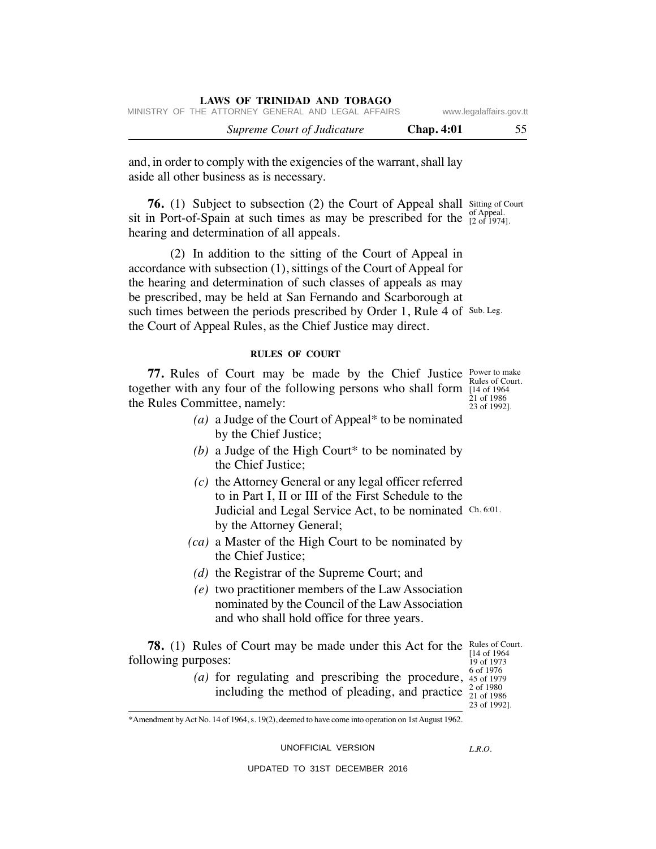| LAWS OF IKINIDAD AND TODAGO<br>MINISTRY OF THE ATTORNEY GENERAL AND LEGAL AFFAIRS |                   | www.legalaffairs.gov.tt |
|-----------------------------------------------------------------------------------|-------------------|-------------------------|
| Supreme Court of Judicature                                                       | <b>Chap.</b> 4:01 | 55                      |

and, in order to comply with the exigencies of the warrant, shall lay aside all other business as is necessary.

**LAWS OF TRINIDAD AND TOBAGO**

**76.** (1) Subject to subsection (2) the Court of Appeal shall sitting of Court of Appeal. sit in Port-of-Spain at such times as may be prescribed for the  $\frac{01}{2}$  of 1974]. hearing and determination of all appeals.

such times between the periods prescribed by Order 1, Rule 4 of Sub. Leg. (2) In addition to the sitting of the Court of Appeal in accordance with subsection (1), sittings of the Court of Appeal for the hearing and determination of such classes of appeals as may be prescribed, may be held at San Fernando and Scarborough at the Court of Appeal Rules, as the Chief Justice may direct.

# **RULES OF COURT**

**77.** Rules of Court may be made by the Chief Justice Power to make together with any four of the following persons who shall form  $[14 \text{ of } 1964]$ the Rules Committee, namely:

- *(a)* a Judge of the Court of Appeal\* to be nominated by the Chief Justice;
- *(b)* a Judge of the High Court\* to be nominated by the Chief Justice;
- Judicial and Legal Service Act, to be nominated Ch. 6:01. *(c)* the Attorney General or any legal officer referred to in Part I, II or III of the First Schedule to the by the Attorney General;
- *(ca)* a Master of the High Court to be nominated by the Chief Justice;
- *(d)* the Registrar of the Supreme Court; and
- *(e)* two practitioner members of the Law Association nominated by the Council of the Law Association and who shall hold office for three years.

**78.** (1) Rules of Court may be made under this Act for the Rules of Court. following purposes:

[14 of 1964 19 of 1973 6 of 1976 2 of 1980 23 of 1992].

(a) for regulating and prescribing the procedure,  $\frac{65}{45}$  of 1979 including the method of pleading, and practice  $^{2}_{21}$  of 1986

\*Amendment by Act No. 14 of 1964, s. 19(2), deemed to have come into operation on 1st August 1962.

#### UNOFFICIAL VERSION

 $LRO$ 

UPDATED TO 31ST DECEMBER 2016

Rules of Court. 21 of 1986 23 of 1992].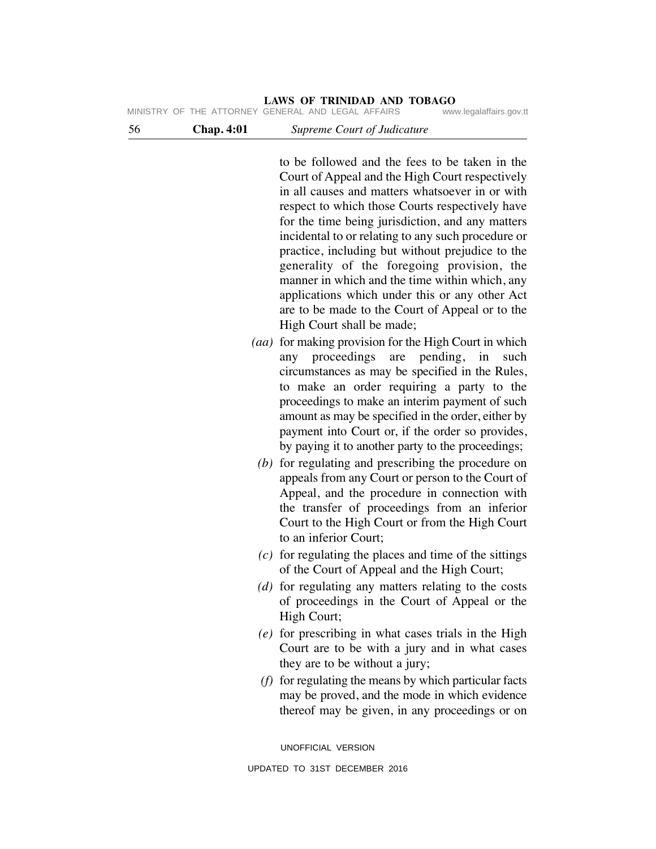MINISTRY OF THE ATTORNEY GENERAL AND LEGAL AFFAIRS

to be followed and the fees to be taken in the Court of Appeal and the High Court respectively in all causes and matters whatsoever in or with respect to which those Courts respectively have for the time being jurisdiction, and any matters incidental to or relating to any such procedure or practice, including but without prejudice to the generality of the foregoing provision, the manner in which and the time within which, any applications which under this or any other Act are to be made to the Court of Appeal or to the High Court shall be made;

- *(aa)* for making provision for the High Court in which any proceedings are pending, in such circumstances as may be specified in the Rules, to make an order requiring a party to the proceedings to make an interim payment of such amount as may be specified in the order, either by payment into Court or, if the order so provides, by paying it to another party to the proceedings;
- *(b)* for regulating and prescribing the procedure on appeals from any Court or person to the Court of Appeal, and the procedure in connection with the transfer of proceedings from an inferior Court to the High Court or from the High Court to an inferior Court;
- *(c)* for regulating the places and time of the sittings of the Court of Appeal and the High Court;
- *(d)* for regulating any matters relating to the costs of proceedings in the Court of Appeal or the High Court;
- *(e)* for prescribing in what cases trials in the High Court are to be with a jury and in what cases they are to be without a jury;
- *(f)* for regulating the means by which particular facts may be proved, and the mode in which evidence thereof may be given, in any proceedings or on

UNOFFICIAL VERSION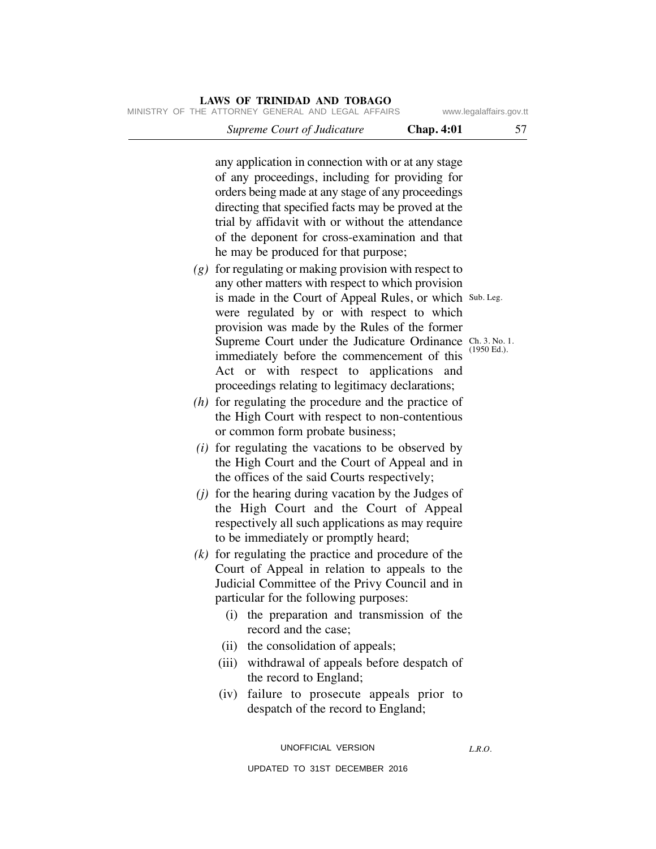| www.legalaffairs.gov.tt |                   | MINISTRY OF THE ATTORNEY GENERAL AND LEGAL AFFAIRS                                                                                                                                                                                                                                                                                                                                                                                                                                 |       |
|-------------------------|-------------------|------------------------------------------------------------------------------------------------------------------------------------------------------------------------------------------------------------------------------------------------------------------------------------------------------------------------------------------------------------------------------------------------------------------------------------------------------------------------------------|-------|
| 57                      | <b>Chap. 4:01</b> | Supreme Court of Judicature                                                                                                                                                                                                                                                                                                                                                                                                                                                        |       |
|                         |                   | any application in connection with or at any stage<br>of any proceedings, including for providing for<br>orders being made at any stage of any proceedings<br>directing that specified facts may be proved at the<br>trial by affidavit with or without the attendance<br>of the deponent for cross-examination and that<br>he may be produced for that purpose;                                                                                                                   |       |
| (1950 Ed.).             | and               | $(g)$ for regulating or making provision with respect to<br>any other matters with respect to which provision<br>is made in the Court of Appeal Rules, or which Sub. Leg.<br>were regulated by or with respect to which<br>provision was made by the Rules of the former<br>Supreme Court under the Judicature Ordinance $Ch. 3. No. 1.$<br>immediately before the commencement of this<br>Act or with respect to applications<br>proceedings relating to legitimacy declarations; |       |
|                         |                   | $(h)$ for regulating the procedure and the practice of<br>the High Court with respect to non-contentious<br>or common form probate business;                                                                                                                                                                                                                                                                                                                                       |       |
|                         |                   | ( <i>i</i> ) for regulating the vacations to be observed by<br>the High Court and the Court of Appeal and in<br>the offices of the said Courts respectively;                                                                                                                                                                                                                                                                                                                       |       |
|                         |                   | $(j)$ for the hearing during vacation by the Judges of<br>the High Court and the Court of Appeal<br>respectively all such applications as may require<br>to be immediately or promptly heard;                                                                                                                                                                                                                                                                                      |       |
|                         |                   | for regulating the practice and procedure of the<br>Court of Appeal in relation to appeals to the<br>Judicial Committee of the Privy Council and in<br>particular for the following purposes:<br>(i) the preparation and transmission of the<br>record and the case;                                                                                                                                                                                                               | (k)   |
|                         |                   | (ii) the consolidation of appeals;<br>withdrawal of appeals before despatch of<br>the record to England;                                                                                                                                                                                                                                                                                                                                                                           | (iii) |
|                         |                   | (iv) failure to prosecute appeals prior to<br>despatch of the record to England;                                                                                                                                                                                                                                                                                                                                                                                                   |       |
| L.R.O.                  |                   | UNOFFICIAL VERSION                                                                                                                                                                                                                                                                                                                                                                                                                                                                 |       |

UPDATED TO 31ST DECEMBER 2016

**LAWS OF TRINIDAD AND TOBAGO**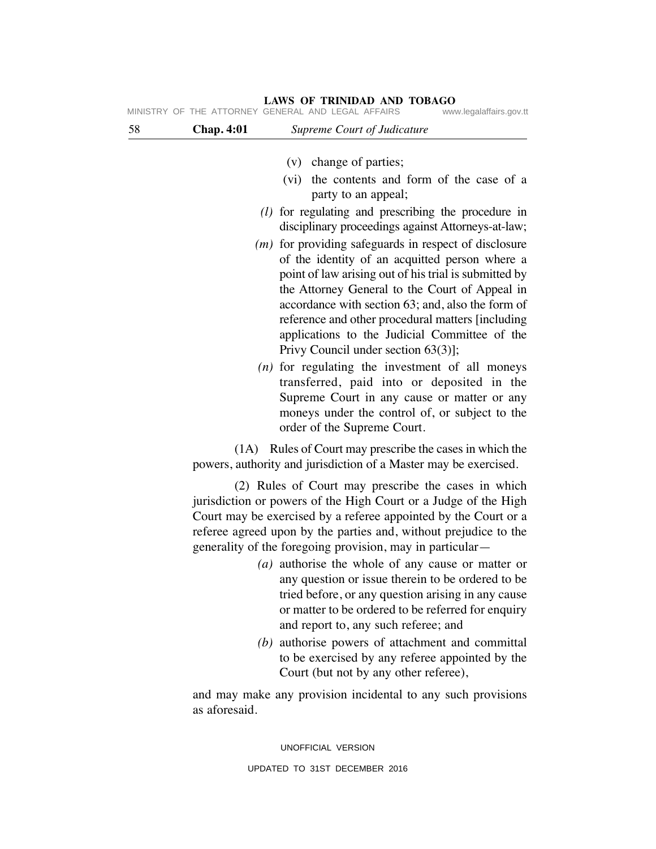|    |                   | MINISTRY OF THE ATTORNEY GENERAL AND LEGAL AFFAIRS<br>www.legalaffairs.gov.tt                                                                                                                                                                                                                                                                                                                                                                                                                                                                                                                                                                              |
|----|-------------------|------------------------------------------------------------------------------------------------------------------------------------------------------------------------------------------------------------------------------------------------------------------------------------------------------------------------------------------------------------------------------------------------------------------------------------------------------------------------------------------------------------------------------------------------------------------------------------------------------------------------------------------------------------|
| 58 | <b>Chap. 4:01</b> | Supreme Court of Judicature                                                                                                                                                                                                                                                                                                                                                                                                                                                                                                                                                                                                                                |
|    |                   | change of parties;<br>(v)<br>the contents and form of the case of a<br>(vi)                                                                                                                                                                                                                                                                                                                                                                                                                                                                                                                                                                                |
|    |                   | party to an appeal;                                                                                                                                                                                                                                                                                                                                                                                                                                                                                                                                                                                                                                        |
|    |                   | $(l)$ for regulating and prescribing the procedure in<br>disciplinary proceedings against Attorneys-at-law;                                                                                                                                                                                                                                                                                                                                                                                                                                                                                                                                                |
|    |                   | $(m)$ for providing safeguards in respect of disclosure<br>of the identity of an acquitted person where a<br>point of law arising out of his trial is submitted by<br>the Attorney General to the Court of Appeal in<br>accordance with section 63; and, also the form of<br>reference and other procedural matters [including]<br>applications to the Judicial Committee of the<br>Privy Council under section 63(3)];<br>$(n)$ for regulating the investment of all moneys<br>transferred, paid into or deposited in the<br>Supreme Court in any cause or matter or any<br>moneys under the control of, or subject to the<br>order of the Supreme Court. |
|    |                   | (1A) Rules of Court may prescribe the cases in which the<br>powers, authority and jurisdiction of a Master may be exercised.                                                                                                                                                                                                                                                                                                                                                                                                                                                                                                                               |
|    |                   | (2) Rules of Court may prescribe the cases in which<br>jurisdiction or powers of the High Court or a Judge of the High<br>Court may be exercised by a referee appointed by the Court or a<br>referee agreed upon by the parties and, without prejudice to the<br>generality of the foregoing provision, may in particular—                                                                                                                                                                                                                                                                                                                                 |
|    |                   | ( $a$ ) authorise the whole of any cause or matter or<br>any question or issue therein to be ordered to be<br>tried before, or any question arising in any cause<br>or matter to be ordered to be referred for enquiry<br>and report to, any such referee; and                                                                                                                                                                                                                                                                                                                                                                                             |
|    |                   | $(b)$ authorise powers of attachment and committal<br>to be exercised by any referee appointed by the                                                                                                                                                                                                                                                                                                                                                                                                                                                                                                                                                      |

and may make any provision incidental to any such provisions as aforesaid.

Court (but not by any other referee),

UNOFFICIAL VERSION UPDATED TO 31ST DECEMBER 2016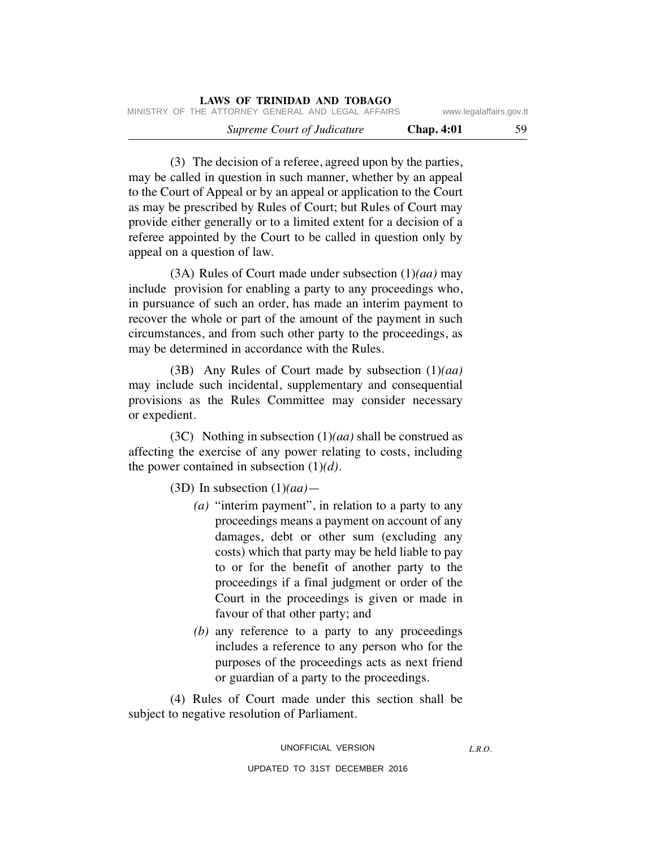| LAWS OF TRINIDAD AND TOBAGO                        |                   |                         |
|----------------------------------------------------|-------------------|-------------------------|
| MINISTRY OF THE ATTORNEY GENERAL AND LEGAL AFFAIRS |                   | www.legalaffairs.gov.tt |
| Supreme Court of Judicature                        | <b>Chap.</b> 4:01 | 59                      |

 (3) The decision of a referee, agreed upon by the parties, may be called in question in such manner, whether by an appeal to the Court of Appeal or by an appeal or application to the Court as may be prescribed by Rules of Court; but Rules of Court may provide either generally or to a limited extent for a decision of a referee appointed by the Court to be called in question only by appeal on a question of law.

 (3A) Rules of Court made under subsection (1)*(aa)* may include provision for enabling a party to any proceedings who, in pursuance of such an order, has made an interim payment to recover the whole or part of the amount of the payment in such circumstances, and from such other party to the proceedings, as may be determined in accordance with the Rules.

 (3B) Any Rules of Court made by subsection (1)*(aa)* may include such incidental, supplementary and consequential provisions as the Rules Committee may consider necessary or expedient.

 (3C) Nothing in subsection (1)*(aa)* shall be construed as affecting the exercise of any power relating to costs, including the power contained in subsection (1)*(d)*.

(3D) In subsection (1)*(aa)*—

- *(a)* "interim payment", in relation to a party to any proceedings means a payment on account of any damages, debt or other sum (excluding any costs) which that party may be held liable to pay to or for the benefit of another party to the proceedings if a final judgment or order of the Court in the proceedings is given or made in favour of that other party; and
- *(b)* any reference to a party to any proceedings includes a reference to any person who for the purposes of the proceedings acts as next friend or guardian of a party to the proceedings.

 (4) Rules of Court made under this section shall be subject to negative resolution of Parliament.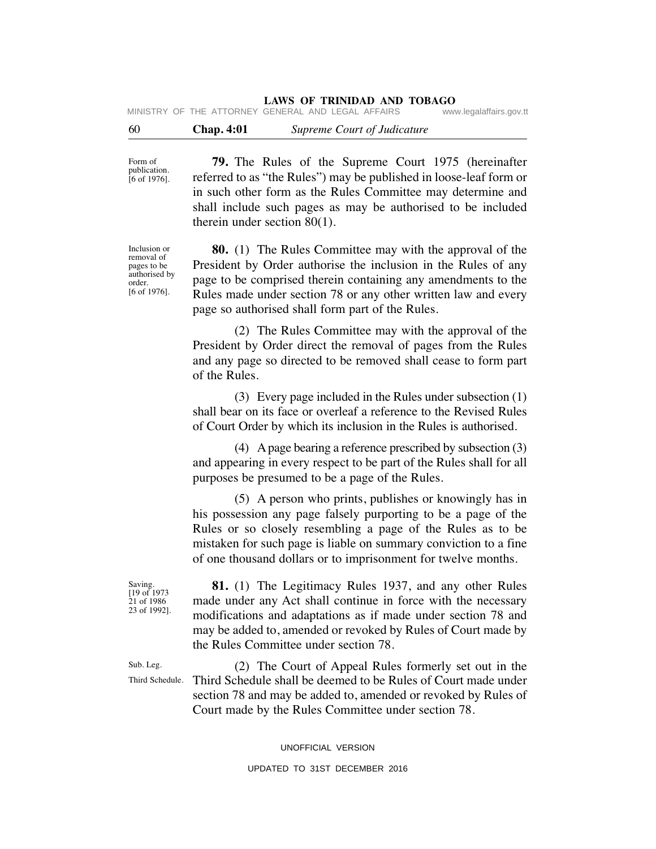| 60 | <b>Chap.</b> 4:01 |                                                    | Supreme Court of Judicature |                         |
|----|-------------------|----------------------------------------------------|-----------------------------|-------------------------|
|    |                   | MINISTRY OF THE ATTORNEY GENERAL AND LEGAL AFFAIRS |                             | www.legalaffairs.gov.tt |

Form of publication.  $[6$  of 1976].

 **79.** The Rules of the Supreme Court 1975 (hereinafter referred to as "the Rules") may be published in loose-leaf form or in such other form as the Rules Committee may determine and shall include such pages as may be authorised to be included therein under section 80(1).

Inclusion or removal of pages to be authorised by order. [6 of 1976].

 **80.** (1) The Rules Committee may with the approval of the President by Order authorise the inclusion in the Rules of any page to be comprised therein containing any amendments to the Rules made under section 78 or any other written law and every page so authorised shall form part of the Rules.

 (2) The Rules Committee may with the approval of the President by Order direct the removal of pages from the Rules and any page so directed to be removed shall cease to form part of the Rules.

 (3) Every page included in the Rules under subsection (1) shall bear on its face or overleaf a reference to the Revised Rules of Court Order by which its inclusion in the Rules is authorised.

 (4) A page bearing a reference prescribed by subsection (3) and appearing in every respect to be part of the Rules shall for all purposes be presumed to be a page of the Rules.

 (5) A person who prints, publishes or knowingly has in his possession any page falsely purporting to be a page of the Rules or so closely resembling a page of the Rules as to be mistaken for such page is liable on summary conviction to a fine of one thousand dollars or to imprisonment for twelve months.

Saving. [19 of 1973 21 of 1986 23 of 1992].

 **81.** (1) The Legitimacy Rules 1937, and any other Rules made under any Act shall continue in force with the necessary modifications and adaptations as if made under section 78 and may be added to, amended or revoked by Rules of Court made by the Rules Committee under section 78.

Sub. Leg.

Third Schedule.

 (2) The Court of Appeal Rules formerly set out in the Third Schedule shall be deemed to be Rules of Court made under section 78 and may be added to, amended or revoked by Rules of Court made by the Rules Committee under section 78.

UNOFFICIAL VERSION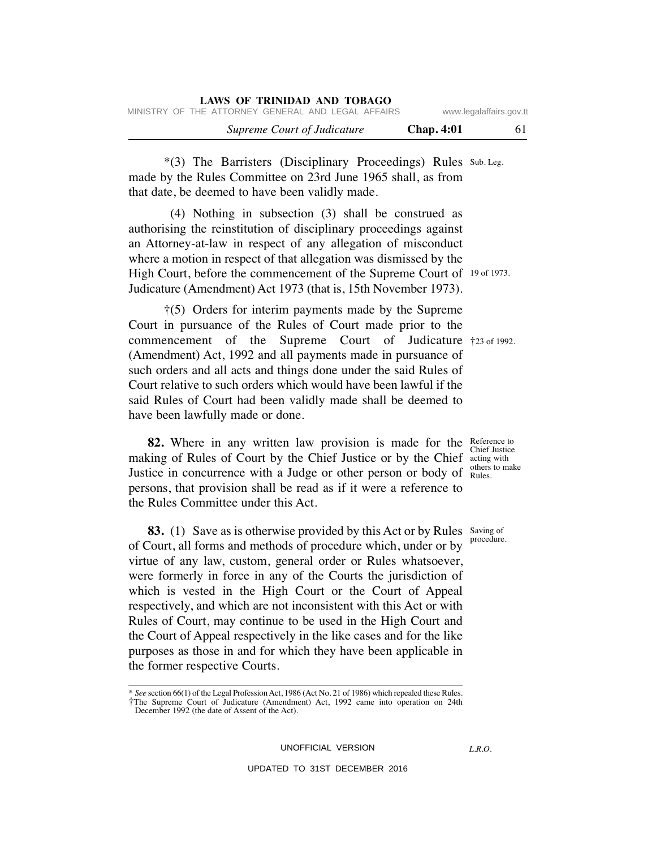| LAWS OF TRINIDAD AND TOBAGO                        |                   |                         |
|----------------------------------------------------|-------------------|-------------------------|
| MINISTRY OF THE ATTORNEY GENERAL AND LEGAL AFFAIRS |                   | www.legalaffairs.gov.tt |
| Supreme Court of Judicature                        | <b>Chap.</b> 4:01 | 61.                     |

 $*(3)$  The Barristers (Disciplinary Proceedings) Rules Sub. Leg. made by the Rules Committee on 23rd June 1965 shall, as from that date, be deemed to have been validly made.

High Court, before the commencement of the Supreme Court of 19 of 1973. (4) Nothing in subsection (3) shall be construed as authorising the reinstitution of disciplinary proceedings against an Attorney-at-law in respect of any allegation of misconduct where a motion in respect of that allegation was dismissed by the Judicature (Amendment) Act 1973 (that is, 15th November 1973).

commencement of the Supreme Court of Judicature  $\uparrow$  23 of 1992. †(5) Orders for interim payments made by the Supreme Court in pursuance of the Rules of Court made prior to the (Amendment) Act, 1992 and all payments made in pursuance of such orders and all acts and things done under the said Rules of Court relative to such orders which would have been lawful if the said Rules of Court had been validly made shall be deemed to have been lawfully made or done.

**82.** Where in any written law provision is made for the Reference to making of Rules of Court by the Chief Justice or by the Chief acting with Justice in concurrence with a Judge or other person or body of  $_{\text{Rules}}^{\text{oules}}$ persons, that provision shall be read as if it were a reference to the Rules Committee under this Act.

**83.** (1) Save as is otherwise provided by this Act or by Rules Saving of of Court, all forms and methods of procedure which, under or by virtue of any law, custom, general order or Rules whatsoever, were formerly in force in any of the Courts the jurisdiction of which is vested in the High Court or the Court of Appeal respectively, and which are not inconsistent with this Act or with Rules of Court, may continue to be used in the High Court and the Court of Appeal respectively in the like cases and for the like purposes as those in and for which they have been applicable in the former respective Courts.

UNOFFICIAL VERSION

Chief Justice others to make

procedure.

 $LRO$ 

<sup>\*</sup> *See* section 66(1) of the Legal Profession Act, 1986 (Act No. 21 of 1986) which repealed these Rules. †The Supreme Court of Judicature (Amendment) Act, 1992 came into operation on 24th

December 1992 (the date of Assent of the Act).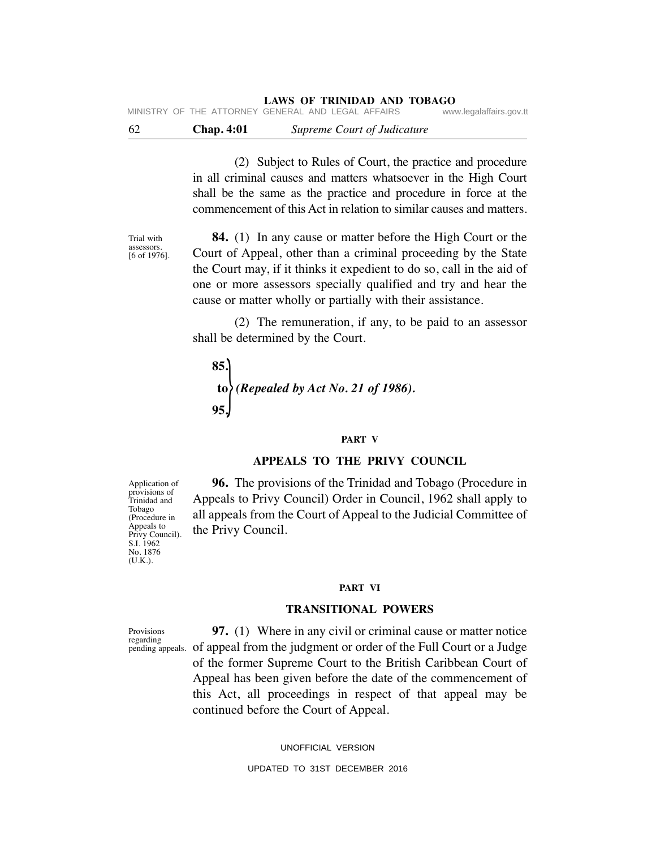| -62 | <b>Chap.</b> 4:01 | Supreme Court of Judicature                        |                         |
|-----|-------------------|----------------------------------------------------|-------------------------|
|     |                   | MINISTRY OF THE ATTORNEY GENERAL AND LEGAL AFFAIRS | www.legalaffairs.gov.tt |

 (2) Subject to Rules of Court, the practice and procedure in all criminal causes and matters whatsoever in the High Court shall be the same as the practice and procedure in force at the commencement of this Act in relation to similar causes and matters.

Trial with assessors. [6 of 1976].

 **84.** (1) In any cause or matter before the High Court or the Court of Appeal, other than a criminal proceeding by the State the Court may, if it thinks it expedient to do so, call in the aid of one or more assessors specially qualified and try and hear the cause or matter wholly or partially with their assistance.

 (2) The remuneration, if any, to be paid to an assessor shall be determined by the Court.

 **85.** to (Repealed by Act No. 21 of 1986).<br>05  **95.**

#### **PART V**

# **APPEALS TO THE PRIVY COUNCIL**

 **96.** The provisions of the Trinidad and Tobago (Procedure in Appeals to Privy Council) Order in Council, 1962 shall apply to all appeals from the Court of Appeal to the Judicial Committee of the Privy Council.

#### **PART VI**

# **TRANSITIONAL POWERS**

Provisions regarding

 **97.** (1) Where in any civil or criminal cause or matter notice pending appeals. of appeal from the judgment or order of the Full Court or a Judge of the former Supreme Court to the British Caribbean Court of Appeal has been given before the date of the commencement of this Act, all proceedings in respect of that appeal may be continued before the Court of Appeal.

UNOFFICIAL VERSION

UPDATED TO 31ST DECEMBER 2016

Application of provisions of Trinidad and Tobago (Procedure in Appeals to Privy Council). S.I. 1962 No. 1876 (U.K.).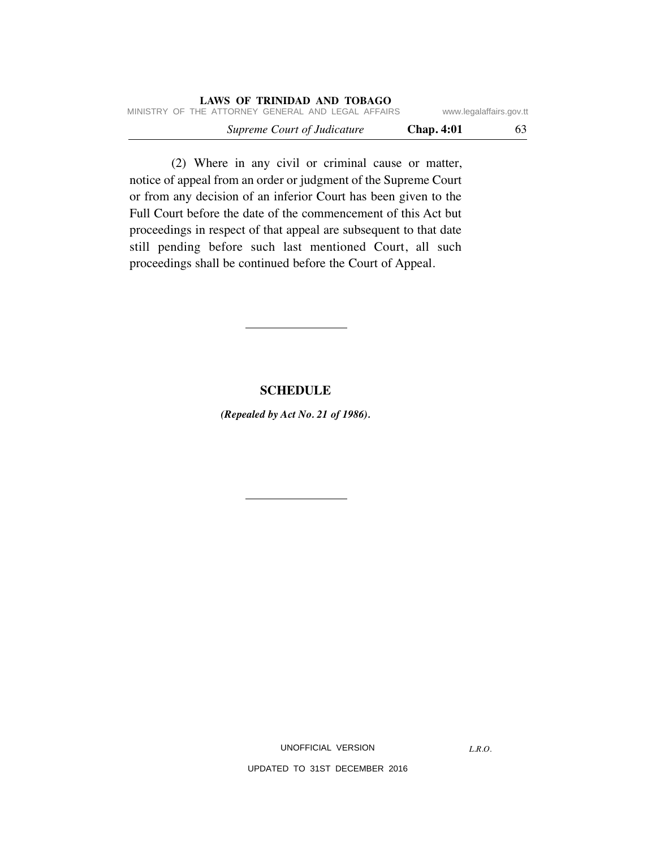| LAWS OF TRINIDAD AND TOBAGO                        |                   |                         |
|----------------------------------------------------|-------------------|-------------------------|
| MINISTRY OF THE ATTORNEY GENERAL AND LEGAL AFFAIRS |                   | www.legalaffairs.gov.tt |
| Supreme Court of Judicature                        | <b>Chap.</b> 4:01 | 63                      |

 (2) Where in any civil or criminal cause or matter, notice of appeal from an order or judgment of the Supreme Court or from any decision of an inferior Court has been given to the Full Court before the date of the commencement of this Act but proceedings in respect of that appeal are subsequent to that date still pending before such last mentioned Court, all such proceedings shall be continued before the Court of Appeal.

# **SCHEDULE**

*(Repealed by Act No. 21 of 1986).*

UNOFFICIAL VERSION

*L.R.O.*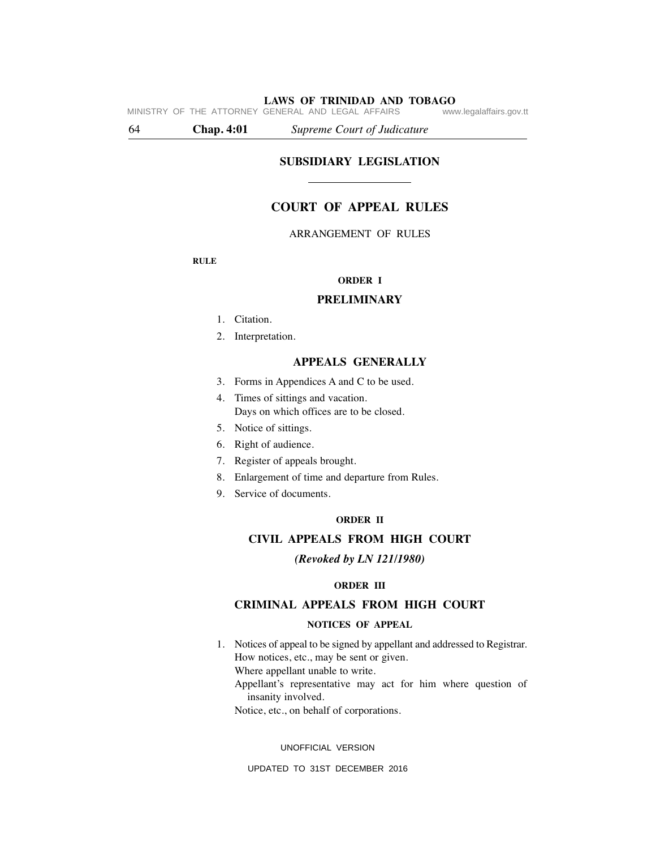# **LAWS OF TRINIDAD AND TOBAGO**<br>GENERAL AND LEGAL AFFAIRS www.legalaffairs.gov.tt

MINISTRY OF THE ATTORNEY GENERAL AND LEGAL AFFAIRS

64 **Chap. 4:01** *Supreme Court of Judicature*

### **SUBSIDIARY LEGISLATION**

# **COURT OF APPEAL RULES**

#### ARRANGEMENT OF RULES

**RULE**

#### **ORDER I**

#### **PRELIMINARY**

- 1. Citation.
- 2. Interpretation.

### **APPEALS GENERALLY**

- 3. Forms in Appendices A and C to be used.
- 4. Times of sittings and vacation. Days on which offices are to be closed.
- 5. Notice of sittings.
- 6. Right of audience.
- 7. Register of appeals brought.
- 8. Enlargement of time and departure from Rules.
- 9. Service of documents.

#### **ORDER II**

# **CIVIL APPEALS FROM HIGH COURT**

#### *(Revoked by LN 121/1980)*

#### **ORDER III**

# **CRIMINAL APPEALS FROM HIGH COURT**

#### **NOTICES OF APPEAL**

 1. Notices of appeal to be signed by appellant and addressed to Registrar. How notices, etc., may be sent or given. Where appellant unable to write. Appellant's representative may act for him where question of insanity involved. Notice, etc., on behalf of corporations.

#### UNOFFICIAL VERSION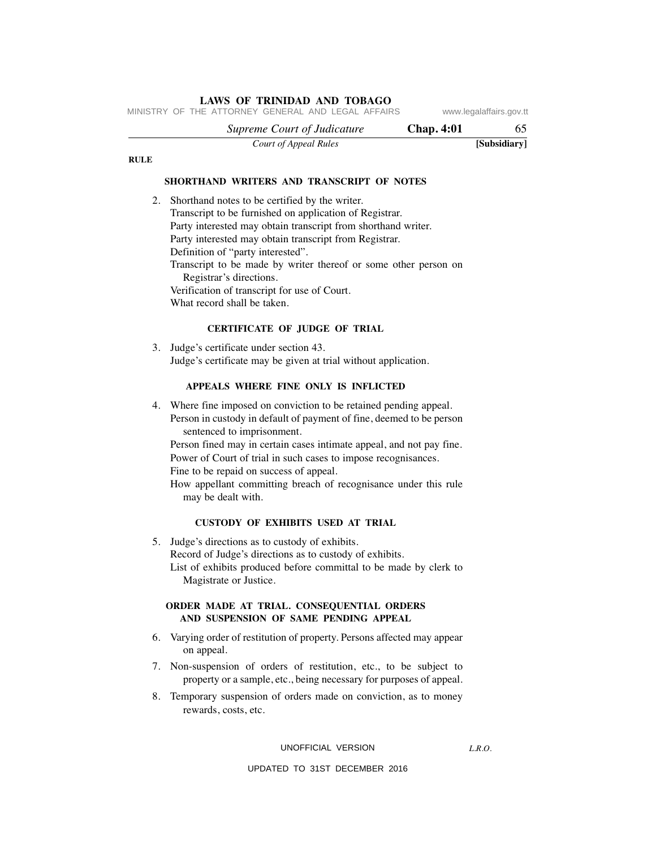MINISTRY OF THE ATTORNEY GENERAL AND LEGAL AFFAIRS www.legalaffairs.gov.tt

| Supreme Court of Judicature  | <b>Chap.</b> 4:01 | 65           |
|------------------------------|-------------------|--------------|
| <b>Court of Appeal Rules</b> |                   | [Subsidiary] |

#### **RULE**

#### **SHORTHAND WRITERS AND TRANSCRIPT OF NOTES**

|  | 2. Shorthand notes to be certified by the writer.               |  |  |  |  |
|--|-----------------------------------------------------------------|--|--|--|--|
|  | Transcript to be furnished on application of Registrar.         |  |  |  |  |
|  | Party interested may obtain transcript from shorthand writer.   |  |  |  |  |
|  | Party interested may obtain transcript from Registrar.          |  |  |  |  |
|  | Definition of "party interested".                               |  |  |  |  |
|  | Transcript to be made by writer thereof or some other person on |  |  |  |  |
|  | Registrar's directions.                                         |  |  |  |  |
|  | Verification of transcript for use of Court.                    |  |  |  |  |
|  | What record shall be taken.                                     |  |  |  |  |
|  |                                                                 |  |  |  |  |

#### **CERTIFICATE OF JUDGE OF TRIAL**

 3. Judge's certificate under section 43. Judge's certificate may be given at trial without application.

# **APPEALS WHERE FINE ONLY IS INFLICTED**

 4. Where fine imposed on conviction to be retained pending appeal. Person in custody in default of payment of fine, deemed to be person sentenced to imprisonment.

 Person fined may in certain cases intimate appeal, and not pay fine. Power of Court of trial in such cases to impose recognisances. Fine to be repaid on success of appeal.

 How appellant committing breach of recognisance under this rule may be dealt with.

# **CUSTODY OF EXHIBITS USED AT TRIAL**

 5. Judge's directions as to custody of exhibits. Record of Judge's directions as to custody of exhibits. List of exhibits produced before committal to be made by clerk to Magistrate or Justice.

#### **ORDER MADE AT TRIAL. CONSEQUENTIAL ORDERS AND SUSPENSION OF SAME PENDING APPEAL**

- 6. Varying order of restitution of property. Persons affected may appear on appeal.
- 7. Non-suspension of orders of restitution, etc., to be subject to property or a sample, etc., being necessary for purposes of appeal.
- 8. Temporary suspension of orders made on conviction, as to money rewards, costs, etc.

#### UNOFFICIAL VERSION

*L.R.O.*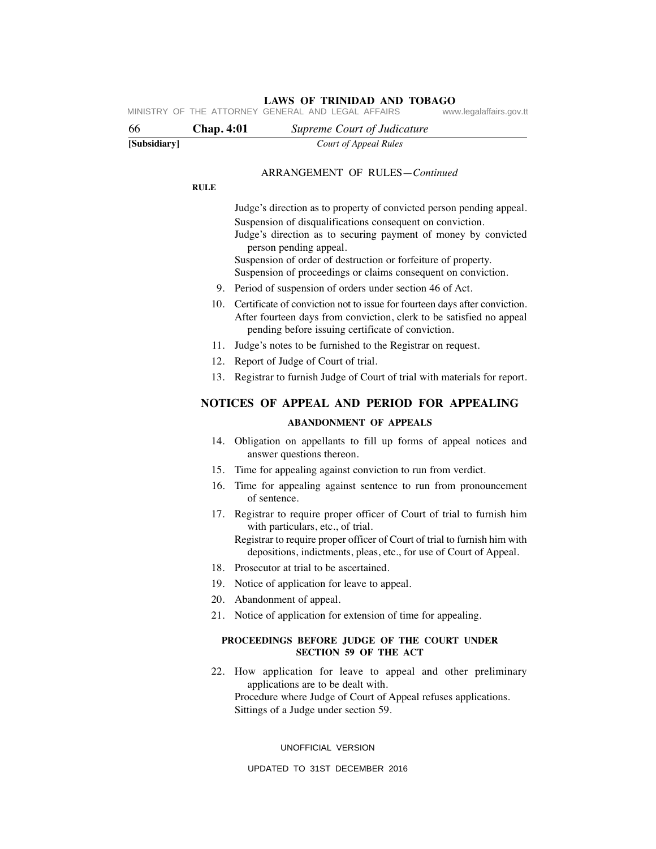**LAWS OF TRINIDAD AND TOBAGO**<br>GENERAL AND LEGAL AFFAIRS www.legalaffairs.gov.tt MINISTRY OF THE ATTORNEY GENERAL AND LEGAL AFFAIRS

| 66           | <b>Chap.</b> 4:01 | Supreme Court of Judicature  |
|--------------|-------------------|------------------------------|
| [Subsidiary] |                   | <b>Court of Appeal Rules</b> |
|              |                   |                              |

#### ARRANGEMENT OF RULES—*Continued*

**RULE**

| RULE                                                                                                                                                      |                                                                                                                                                                                                         |  |  |  |  |
|-----------------------------------------------------------------------------------------------------------------------------------------------------------|---------------------------------------------------------------------------------------------------------------------------------------------------------------------------------------------------------|--|--|--|--|
|                                                                                                                                                           | Judge's direction as to property of convicted person pending appeal.<br>Suspension of disqualifications consequent on conviction.                                                                       |  |  |  |  |
| Judge's direction as to securing payment of money by convicted<br>person pending appeal.<br>Suspension of order of destruction or forfeiture of property. |                                                                                                                                                                                                         |  |  |  |  |
|                                                                                                                                                           | Suspension of proceedings or claims consequent on conviction.                                                                                                                                           |  |  |  |  |
| 9.                                                                                                                                                        | Period of suspension of orders under section 46 of Act.                                                                                                                                                 |  |  |  |  |
| 10.                                                                                                                                                       | Certificate of conviction not to issue for fourteen days after conviction.<br>After fourteen days from conviction, clerk to be satisfied no appeal<br>pending before issuing certificate of conviction. |  |  |  |  |
| 11.                                                                                                                                                       | Judge's notes to be furnished to the Registrar on request.                                                                                                                                              |  |  |  |  |
| 12.                                                                                                                                                       | Report of Judge of Court of trial.                                                                                                                                                                      |  |  |  |  |
| 13.                                                                                                                                                       | Registrar to furnish Judge of Court of trial with materials for report.                                                                                                                                 |  |  |  |  |
|                                                                                                                                                           | NOTICES OF APPEAL AND PERIOD FOR APPEALING                                                                                                                                                              |  |  |  |  |
|                                                                                                                                                           | <b>ABANDONMENT OF APPEALS</b>                                                                                                                                                                           |  |  |  |  |
| 14.                                                                                                                                                       | Obligation on appellants to fill up forms of appeal notices and<br>answer questions thereon.                                                                                                            |  |  |  |  |
| 15.                                                                                                                                                       | Time for appealing against conviction to run from verdict.                                                                                                                                              |  |  |  |  |
| 16.                                                                                                                                                       | Time for appealing against sentence to run from pronouncement<br>of sentence.                                                                                                                           |  |  |  |  |
| 17.                                                                                                                                                       | Registrar to require proper officer of Court of trial to furnish him<br>with particulars, etc., of trial.                                                                                               |  |  |  |  |
|                                                                                                                                                           | Registrar to require proper officer of Court of trial to furnish him with                                                                                                                               |  |  |  |  |

depositions, indictments, pleas, etc., for use of Court of Appeal.

- 18. Prosecutor at trial to be ascertained.
- 19. Notice of application for leave to appeal.
- 20. Abandonment of appeal.
- 21. Notice of application for extension of time for appealing.

#### **PROCEEDINGS BEFORE JUDGE OF THE COURT UNDER SECTION 59 OF THE ACT**

 22. How application for leave to appeal and other preliminary applications are to be dealt with. Procedure where Judge of Court of Appeal refuses applications. Sittings of a Judge under section 59.

UNOFFICIAL VERSION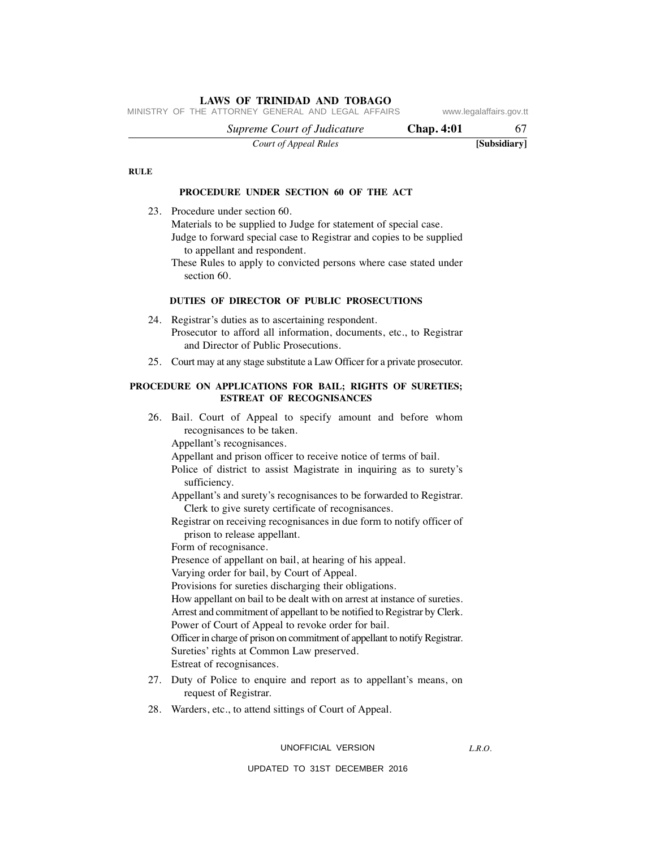MINISTRY OF THE ATTORNEY GENERAL AND LEGAL AFFAIRS www.legalaffairs.gov.tt

| Supreme Court of Judicature  | <b>Chap.</b> 4:01 |              |
|------------------------------|-------------------|--------------|
| <b>Court of Appeal Rules</b> |                   | [Subsidiary] |

#### **RULE**

#### **PROCEDURE UNDER SECTION 60 OF THE ACT**

- 23. Procedure under section 60. Materials to be supplied to Judge for statement of special case. Judge to forward special case to Registrar and copies to be supplied to appellant and respondent.
	- These Rules to apply to convicted persons where case stated under section 60.

### **DUTIES OF DIRECTOR OF PUBLIC PROSECUTIONS**

- 24. Registrar's duties as to ascertaining respondent. Prosecutor to afford all information, documents, etc., to Registrar and Director of Public Prosecutions.
- 25. Court may at any stage substitute a Law Officer for a private prosecutor.

#### **PROCEDURE ON APPLICATIONS FOR BAIL; RIGHTS OF SURETIES; ESTREAT OF RECOGNISANCES**

 26. Bail. Court of Appeal to specify amount and before whom recognisances to be taken.

Appellant's recognisances.

Appellant and prison officer to receive notice of terms of bail.

- Police of district to assist Magistrate in inquiring as to surety's sufficiency.
- Appellant's and surety's recognisances to be forwarded to Registrar. Clerk to give surety certificate of recognisances.
- Registrar on receiving recognisances in due form to notify officer of prison to release appellant.

Form of recognisance.

Presence of appellant on bail, at hearing of his appeal.

Varying order for bail, by Court of Appeal.

Provisions for sureties discharging their obligations.

 How appellant on bail to be dealt with on arrest at instance of sureties. Arrest and commitment of appellant to be notified to Registrar by Clerk.

Power of Court of Appeal to revoke order for bail.

 Officer in charge of prison on commitment of appellant to notify Registrar. Sureties' rights at Common Law preserved.

Estreat of recognisances.

- 27. Duty of Police to enquire and report as to appellant's means, on request of Registrar.
- 28. Warders, etc., to attend sittings of Court of Appeal.

#### UNOFFICIAL VERSION

*L.R.O.*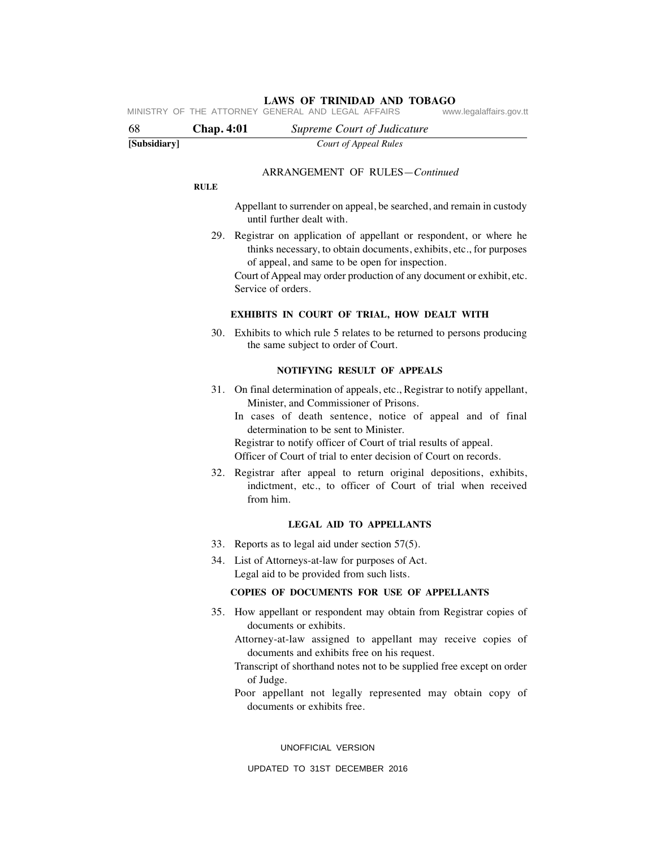# **LAWS OF TRINIDAD AND TOBAGO** MINISTRY OF THE ATTORNEY GENERAL AND LEGAL AFFAIRS

| 68           | <b>Chap.</b> 4:01 | Supreme Court of Judicature    |  |
|--------------|-------------------|--------------------------------|--|
| [Subsidiarv] |                   | <b>Court of Appeal Rules</b>   |  |
|              | RULE              | ARRANGEMENT OF RULES-Continued |  |

 Appellant to surrender on appeal, be searched, and remain in custody until further dealt with.

 29. Registrar on application of appellant or respondent, or where he thinks necessary, to obtain documents, exhibits, etc., for purposes of appeal, and same to be open for inspection.

 Court of Appeal may order production of any document or exhibit, etc. Service of orders.

## **EXHIBITS IN COURT OF TRIAL, HOW DEALT WITH**

 30. Exhibits to which rule 5 relates to be returned to persons producing the same subject to order of Court.

## **NOTIFYING RESULT OF APPEALS**

- 31. On final determination of appeals, etc., Registrar to notify appellant, Minister, and Commissioner of Prisons.
	- In cases of death sentence, notice of appeal and of final determination to be sent to Minister.

 Registrar to notify officer of Court of trial results of appeal. Officer of Court of trial to enter decision of Court on records.

 32. Registrar after appeal to return original depositions, exhibits, indictment, etc., to officer of Court of trial when received from him.

#### **LEGAL AID TO APPELLANTS**

- 33. Reports as to legal aid under section 57(5).
- 34. List of Attorneys-at-law for purposes of Act. Legal aid to be provided from such lists.

#### **COPIES OF DOCUMENTS FOR USE OF APPELLANTS**

- 35. How appellant or respondent may obtain from Registrar copies of documents or exhibits.
	- Attorney-at-law assigned to appellant may receive copies of documents and exhibits free on his request.
	- Transcript of shorthand notes not to be supplied free except on order of Judge.
	- Poor appellant not legally represented may obtain copy of documents or exhibits free.

UNOFFICIAL VERSION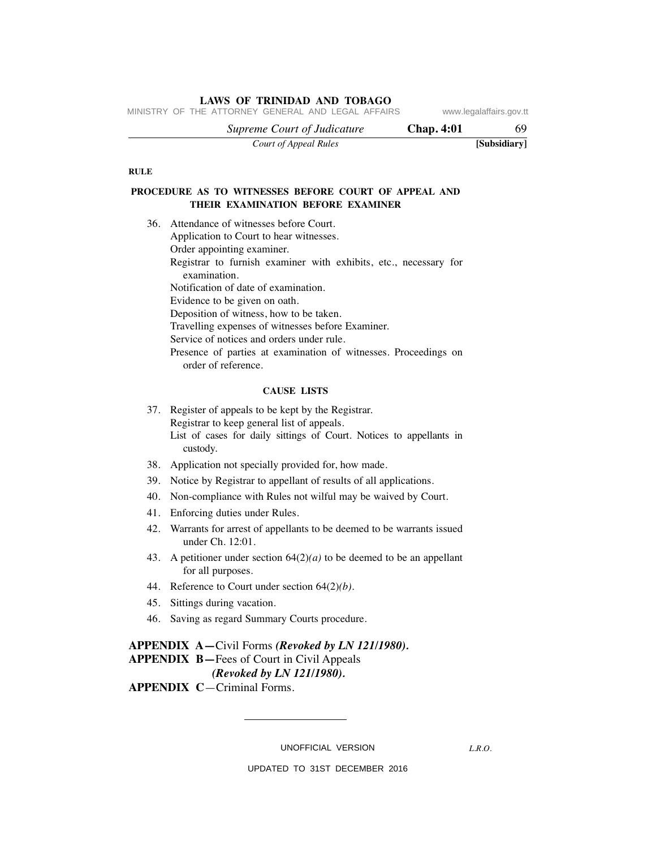MINISTRY OF THE ATTORNEY GENERAL AND LEGAL AFFAIRS www.legalaffairs.gov.tt

| <b>Chap.</b> 4:01<br>Supreme Court of Judicature | 69           |
|--------------------------------------------------|--------------|
| <b>Court of Appeal Rules</b>                     | [Subsidiary] |

# **RULE**

#### **PROCEDURE AS TO WITNESSES BEFORE COURT OF APPEAL AND THEIR EXAMINATION BEFORE EXAMINER**

 36. Attendance of witnesses before Court. Application to Court to hear witnesses. Order appointing examiner. Registrar to furnish examiner with exhibits, etc., necessary for examination. Notification of date of examination. Evidence to be given on oath. Deposition of witness, how to be taken. Travelling expenses of witnesses before Examiner. Service of notices and orders under rule. Presence of parties at examination of witnesses. Proceedings on order of reference.

#### **CAUSE LISTS**

- 37. Register of appeals to be kept by the Registrar. Registrar to keep general list of appeals. List of cases for daily sittings of Court. Notices to appellants in custody.
- 38. Application not specially provided for, how made.
- 39. Notice by Registrar to appellant of results of all applications.
- 40. Non-compliance with Rules not wilful may be waived by Court.
- 41. Enforcing duties under Rules.
- 42. Warrants for arrest of appellants to be deemed to be warrants issued under Ch. 12:01.
- 43. A petitioner under section 64(2)*(a)* to be deemed to be an appellant for all purposes.
- 44. Reference to Court under section 64(2)*(b)*.
- 45. Sittings during vacation.
- 46. Saving as regard Summary Courts procedure.

# **APPENDIX A—**Civil Forms *(Revoked by LN 121/1980).* **APPENDIX B—**Fees of Court in Civil Appeals *(Revoked by LN 121/1980).*

**APPENDIX C**—Criminal Forms.

UNOFFICIAL VERSION

*L.R.O.*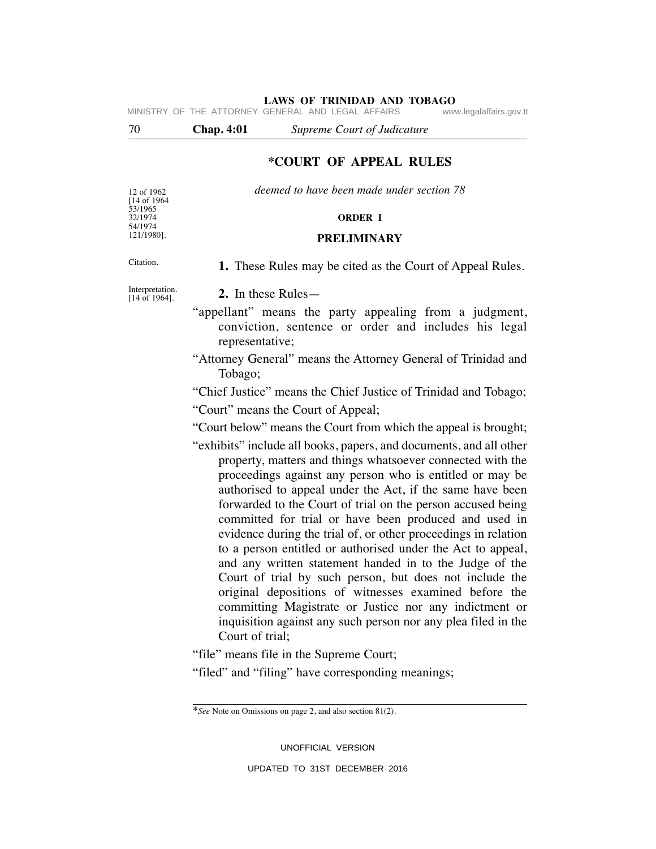MINISTRY OF THE ATTORNEY GENERAL AND LEGAL AFFAIRS

70 **Chap. 4:01** *Supreme Court of Judicature*

# **\*COURT OF APPEAL RULES**

*deemed to have been made under section 78*

**ORDER I**

### **PRELIMINARY**

Citation.

12 of 1962 [14 of 1964 53/1965 32/1974 54/1974 121/1980].

**1.** These Rules may be cited as the Court of Appeal Rules.

Interpretation. [14 of 1964].

**2.** In these Rules—

- "appellant" means the party appealing from a judgment, conviction, sentence or order and includes his legal representative;
- "Attorney General" means the Attorney General of Trinidad and Tobago;

"Chief Justice" means the Chief Justice of Trinidad and Tobago;

"Court" means the Court of Appeal;

"Court below" means the Court from which the appeal is brought;

- "exhibits" include all books, papers, and documents, and all other property, matters and things whatsoever connected with the proceedings against any person who is entitled or may be authorised to appeal under the Act, if the same have been forwarded to the Court of trial on the person accused being committed for trial or have been produced and used in evidence during the trial of, or other proceedings in relation to a person entitled or authorised under the Act to appeal, and any written statement handed in to the Judge of the Court of trial by such person, but does not include the original depositions of witnesses examined before the committing Magistrate or Justice nor any indictment or inquisition against any such person nor any plea filed in the Court of trial;
- "file" means file in the Supreme Court;

"filed" and "filing" have corresponding meanings;

\**See* Note on Omissions on page 2, and also section 81(2).

UNOFFICIAL VERSION UPDATED TO 31ST DECEMBER 2016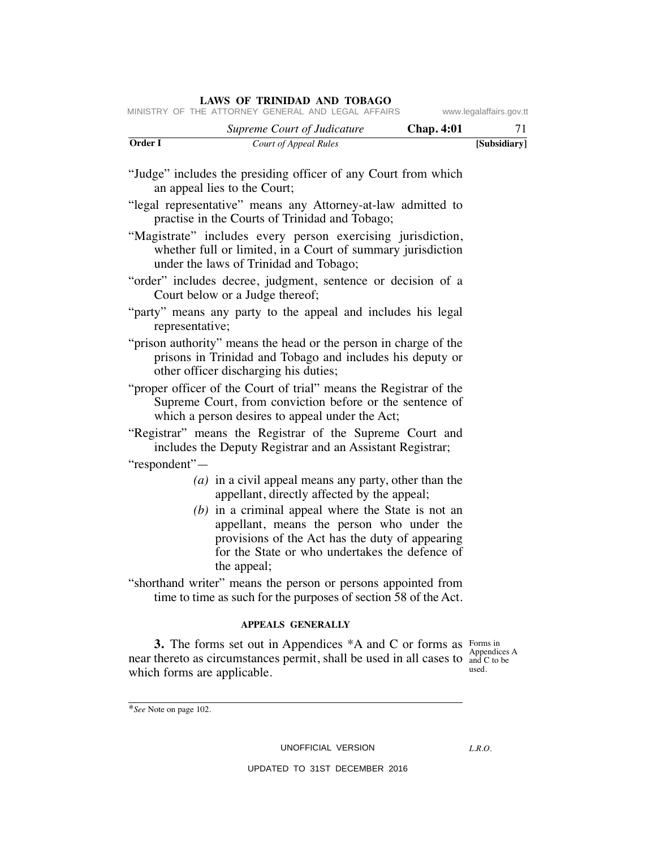|                 | LAWS OF IKINIDAD AND TOBAGO<br>MINISTRY OF THE ATTORNEY GENERAL AND LEGAL AFFAIRS                                                                                                                                     |                   | www.legalaffairs.gov.tt |
|-----------------|-----------------------------------------------------------------------------------------------------------------------------------------------------------------------------------------------------------------------|-------------------|-------------------------|
|                 | Supreme Court of Judicature                                                                                                                                                                                           | <b>Chap.</b> 4:01 | 71                      |
| Order I         | <b>Court of Appeal Rules</b>                                                                                                                                                                                          |                   | [Subsidiary]            |
|                 | "Judge" includes the presiding officer of any Court from which<br>an appeal lies to the Court;                                                                                                                        |                   |                         |
|                 | "legal representative" means any Attorney-at-law admitted to<br>practise in the Courts of Trinidad and Tobago;                                                                                                        |                   |                         |
|                 | "Magistrate" includes every person exercising jurisdiction,<br>whether full or limited, in a Court of summary jurisdiction<br>under the laws of Trinidad and Tobago;                                                  |                   |                         |
|                 | "order" includes decree, judgment, sentence or decision of a<br>Court below or a Judge thereof;                                                                                                                       |                   |                         |
| representative; | "party" means any party to the appeal and includes his legal                                                                                                                                                          |                   |                         |
|                 | "prison authority" means the head or the person in charge of the<br>prisons in Trinidad and Tobago and includes his deputy or<br>other officer discharging his duties;                                                |                   |                         |
|                 | "proper officer of the Court of trial" means the Registrar of the<br>Supreme Court, from conviction before or the sentence of<br>which a person desires to appeal under the Act;                                      |                   |                         |
|                 | "Registrar" means the Registrar of the Supreme Court and<br>includes the Deputy Registrar and an Assistant Registrar;                                                                                                 |                   |                         |
| "respondent"-   |                                                                                                                                                                                                                       |                   |                         |
|                 | (a) in a civil appeal means any party, other than the<br>appellant, directly affected by the appeal;                                                                                                                  |                   |                         |
|                 | $(b)$ in a criminal appeal where the State is not an<br>appellant, means the person who under the<br>provisions of the Act has the duty of appearing<br>for the State or who undertakes the defence of<br>the appeal; |                   |                         |
|                 | "shorthand writer" means the person or persons appointed from<br>time to time as such for the purposes of section 58 of the Act.                                                                                      |                   |                         |

# **APPEALS GENERALLY**

used.  **3.** The forms set out in Appendices \*A and C or forms as near thereto as circumstances permit, shall be used in all cases to which forms are applicable.

Forms in Appendices A and C to be

UNOFFICIAL VERSION

*L.R.O.* 

<sup>\*</sup>*See* Note on page 102.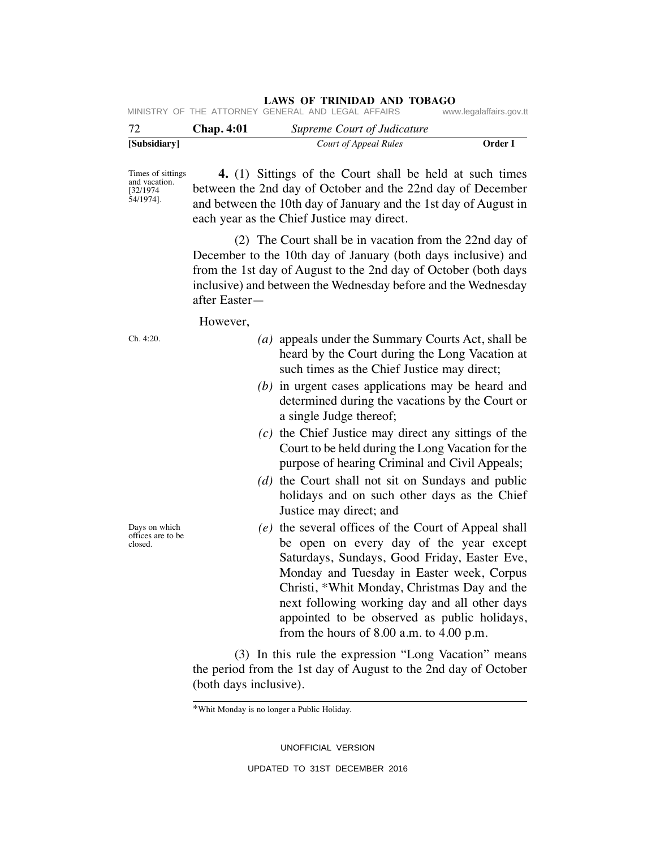|  |  |  | <b>LAWS OF TRINIDAD AND TOBAGO</b> |
|--|--|--|------------------------------------|
|  |  |  |                                    |

| [Subsidiary] |                   | <b>Court of Appeal Rules</b>                       | Order I                 |
|--------------|-------------------|----------------------------------------------------|-------------------------|
| 72           | <b>Chap.</b> 4:01 | Supreme Court of Judicature                        |                         |
|              |                   | MINISTRY OF THE ATTORNEY GENERAL AND LEGAL AFFAIRS | www.legalaffairs.gov.tt |

Times of sittings and vacation. [32/1974 54/1974].

 **4.** (1) Sittings of the Court shall be held at such times between the 2nd day of October and the 22nd day of December and between the 10th day of January and the 1st day of August in each year as the Chief Justice may direct.

 (2) The Court shall be in vacation from the 22nd day of December to the 10th day of January (both days inclusive) and from the 1st day of August to the 2nd day of October (both days inclusive) and between the Wednesday before and the Wednesday after Easter—

However,

Ch. 4:20.

- *(a)* appeals under the Summary Courts Act, shall be heard by the Court during the Long Vacation at such times as the Chief Justice may direct;
- *(b)* in urgent cases applications may be heard and determined during the vacations by the Court or a single Judge thereof;
- *(c)* the Chief Justice may direct any sittings of the Court to be held during the Long Vacation for the purpose of hearing Criminal and Civil Appeals;
- *(d)* the Court shall not sit on Sundays and public holidays and on such other days as the Chief Justice may direct; and
- *(e)* the several offices of the Court of Appeal shall be open on every day of the year except Saturdays, Sundays, Good Friday, Easter Eve, Monday and Tuesday in Easter week, Corpus Christi, \*Whit Monday, Christmas Day and the next following working day and all other days appointed to be observed as public holidays, from the hours of 8.00 a.m. to 4.00 p.m.

 (3) In this rule the expression "Long Vacation" means the period from the 1st day of August to the 2nd day of October (both days inclusive).

UNOFFICIAL VERSION

Days on which offices are to be closed.

<sup>\*</sup>Whit Monday is no longer a Public Holiday.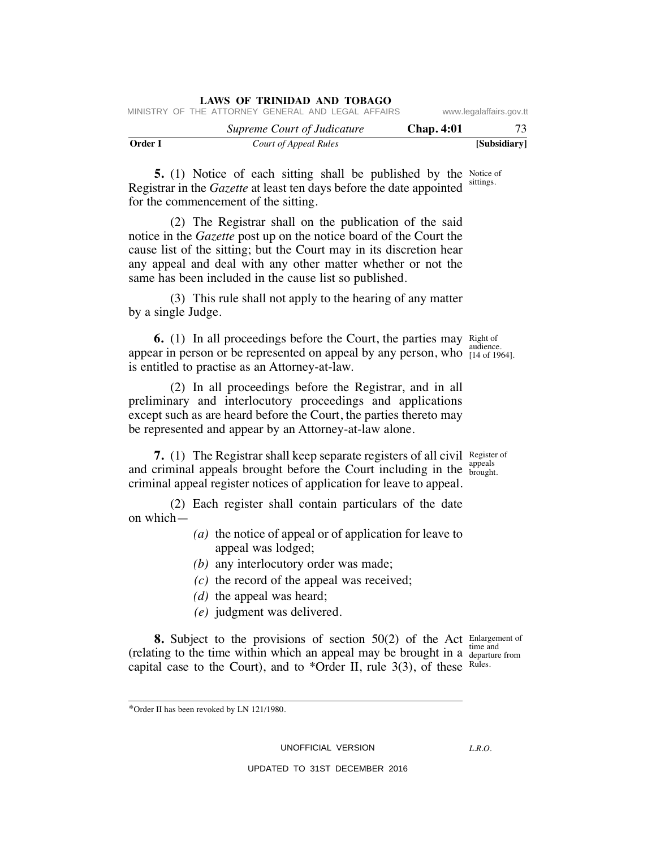| <b>Chap.</b> 4:01<br>Supreme Court of Judicature                              | 73 |
|-------------------------------------------------------------------------------|----|
|                                                                               |    |
| MINISTRY OF THE ATTORNEY GENERAL AND LEGAL AFFAIRS<br>www.legalaffairs.gov.tt |    |

**5.** (1) Notice of each sitting shall be published by the Notice of sittings. Registrar in the *Gazette* at least ten days before the date appointed for the commencement of the sitting.

**LAWS OF TRINIDAD AND TOBAGO**

 (2) The Registrar shall on the publication of the said notice in the *Gazette* post up on the notice board of the Court the cause list of the sitting; but the Court may in its discretion hear any appeal and deal with any other matter whether or not the same has been included in the cause list so published.

 (3) This rule shall not apply to the hearing of any matter by a single Judge.

**6.** (1) In all proceedings before the Court, the parties may Right of appear in person or be represented on appeal by any person, who  $\frac{a_{\text{dustel}}}{[14 \text{ of } 1964]}.$ is entitled to practise as an Attorney-at-law.

 (2) In all proceedings before the Registrar, and in all preliminary and interlocutory proceedings and applications except such as are heard before the Court, the parties thereto may be represented and appear by an Attorney-at-law alone.

**7.** (1) The Registrar shall keep separate registers of all civil Register of appeals and criminal appeals brought before the Court including in the  $_{\text{brought.}}^{appeans}$ criminal appeal register notices of application for leave to appeal.

 (2) Each register shall contain particulars of the date on which—

- *(a)* the notice of appeal or of application for leave to appeal was lodged;
- *(b)* any interlocutory order was made;
- *(c)* the record of the appeal was received;
- *(d)* the appeal was heard;
- *(e)* judgment was delivered.

**8.** Subject to the provisions of section 50(2) of the Act Enlargement of time and (relating to the time within which an appeal may be brought in a  $\frac{d}{d}$  departure from capital case to the Court), and to \*Order II, rule  $3(3)$ , of these Rules.

UNOFFICIAL VERSION

*L.R.O.* 

UPDATED TO 31ST DECEMBER 2016

audience.

<sup>\*</sup>Order II has been revoked by LN 121/1980.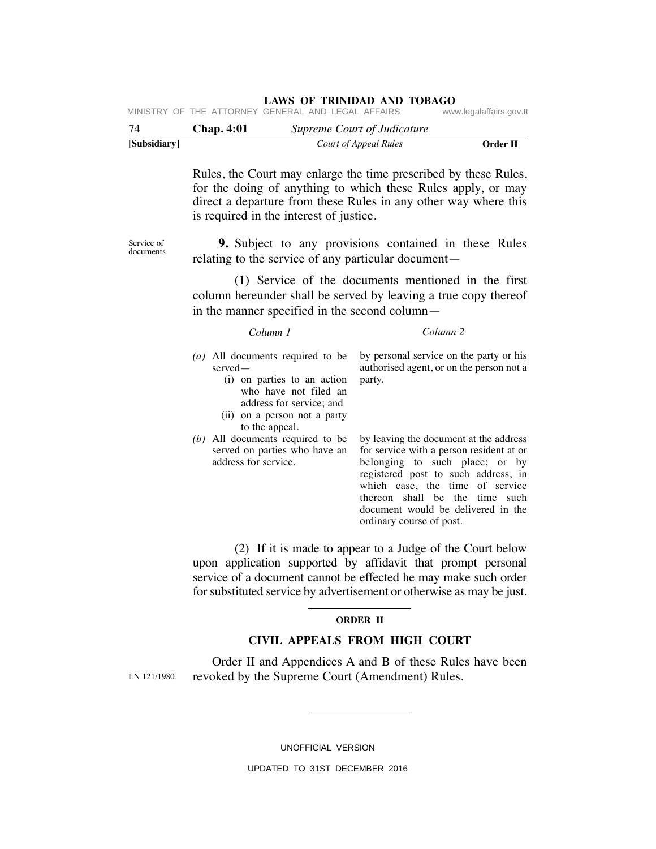| [Subsidiary] |                   | <b>Court of Appeal Rules</b>                       | Order II                |
|--------------|-------------------|----------------------------------------------------|-------------------------|
| 74           | <b>Chap.</b> 4:01 | Supreme Court of Judicature                        |                         |
|              |                   | MINISTRY OF THE ATTORNEY GENERAL AND LEGAL AFFAIRS | www.legalaffairs.gov.tt |

Rules, the Court may enlarge the time prescribed by these Rules, for the doing of anything to which these Rules apply, or may direct a departure from these Rules in any other way where this is required in the interest of justice.

 **9.** Subject to any provisions contained in these Rules relating to the service of any particular document—

 (1) Service of the documents mentioned in the first column hereunder shall be served by leaving a true copy thereof in the manner specified in the second column—

|     | Column 1                                                                                                                                                                          | Column 2                                                                                                                                                                                                                                                               |
|-----|-----------------------------------------------------------------------------------------------------------------------------------------------------------------------------------|------------------------------------------------------------------------------------------------------------------------------------------------------------------------------------------------------------------------------------------------------------------------|
|     | (a) All documents required to be<br>served—<br>(i) on parties to an action<br>who have not filed an<br>address for service; and<br>(ii) on a person not a party<br>to the appeal. | by personal service on the party or his<br>authorised agent, or on the person not a<br>party.                                                                                                                                                                          |
| (b) | All documents required to be<br>served on parties who have an<br>address for service.                                                                                             | by leaving the document at the address<br>for service with a person resident at or<br>belonging to such place; or by<br>registered post to such address, in<br>which case, the time of service<br>thereon shall be the time such<br>document would be delivered in the |

 (2) If it is made to appear to a Judge of the Court below upon application supported by affidavit that prompt personal service of a document cannot be effected he may make such order for substituted service by advertisement or otherwise as may be just.

ordinary course of post.

## **ORDER II**

## **CIVIL APPEALS FROM HIGH COURT**

 Order II and Appendices A and B of these Rules have been revoked by the Supreme Court (Amendment) Rules.

LN 121/1980.

Service of documents.

UNOFFICIAL VERSION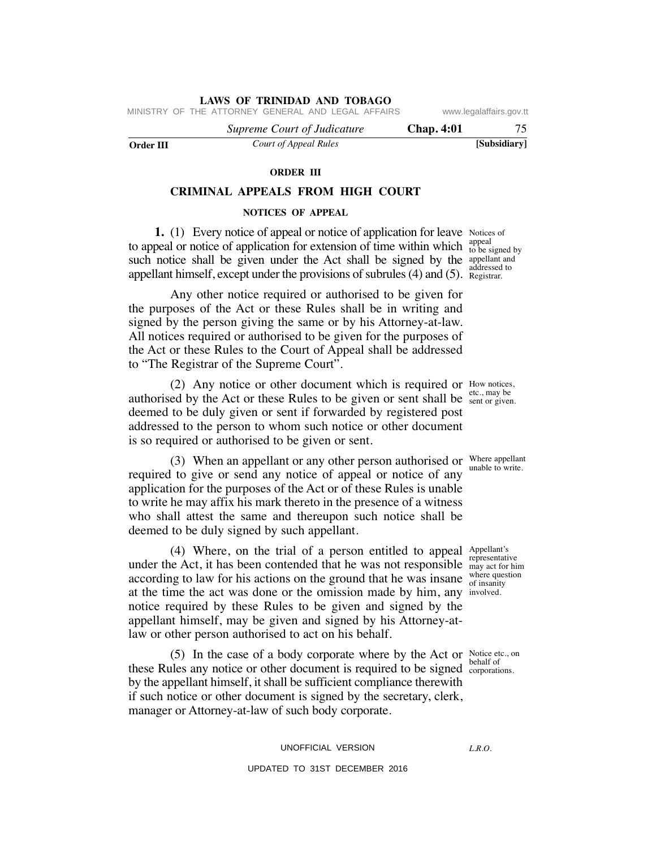MINISTRY OF THE ATTORNEY GENERAL AND LEGAL AFFAIRS www.legalaffairs.gov.tt

*Court of Appeal Rules* **[Subsidiary]**  *Supreme Court of Judicature* **Chap. 4:01** 75 **Order III**

#### **ORDER III**

#### **CRIMINAL APPEALS FROM HIGH COURT**

## **NOTICES OF APPEAL**

**1.** (1) Every notice of appeal or notice of application for leave Notices of to appeal or notice of application for extension of time within which  $_{\text{to be signed by}}^{\text{append}}$ such notice shall be given under the Act shall be signed by the appellant and appellant himself, except under the provisions of subrules  $(4)$  and  $(5)$ . Registrar.

 Any other notice required or authorised to be given for the purposes of the Act or these Rules shall be in writing and signed by the person giving the same or by his Attorney-at-law. All notices required or authorised to be given for the purposes of the Act or these Rules to the Court of Appeal shall be addressed to "The Registrar of the Supreme Court".

 $(2)$  Any notice or other document which is required or How notices, authorised by the Act or these Rules to be given or sent shall be  $\frac{\text{etc.}}{\text{sent of given}}$ deemed to be duly given or sent if forwarded by registered post addressed to the person to whom such notice or other document is so required or authorised to be given or sent.

(3) When an appellant or any other person authorised or  $\frac{W \text{here}}{W \text{neph} \cdot R}$ required to give or send any notice of appeal or notice of any application for the purposes of the Act or of these Rules is unable to write he may affix his mark thereto in the presence of a witness who shall attest the same and thereupon such notice shall be deemed to be duly signed by such appellant.

 $(4)$  Where, on the trial of a person entitled to appeal Appellant's under the Act, it has been contended that he was not responsible  $\frac{L_{\text{p}}}{\text{may act for him}}$ according to law for his actions on the ground that he was insane  $\frac{where\,que}{of\,insality}$ at the time the act was done or the omission made by him, any involved. notice required by these Rules to be given and signed by the appellant himself, may be given and signed by his Attorney-atlaw or other person authorised to act on his behalf.

(5) In the case of a body corporate where by the Act or Notice etc., on these Rules any notice or other document is required to be signed corporations. by the appellant himself, it shall be sufficient compliance therewith if such notice or other document is signed by the secretary, clerk, manager or Attorney-at-law of such body corporate.

# UNOFFICIAL VERSION

## UPDATED TO 31ST DECEMBER 2016

appeal addressed to

etc., may be

unable to write.

representative where question

behalf of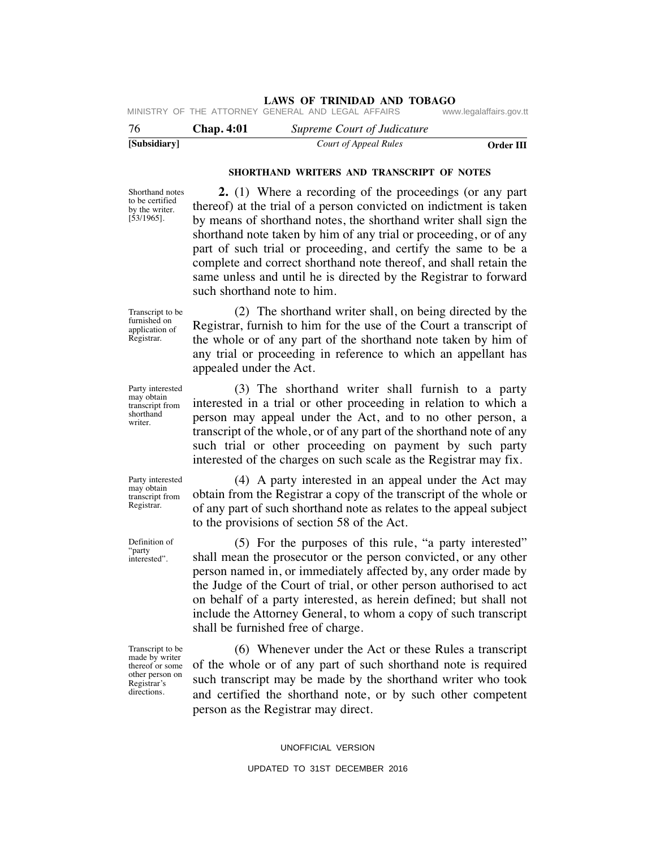| [Subsidiary] |                   | <b>Court of Appeal Rules</b>                       | Order III               |
|--------------|-------------------|----------------------------------------------------|-------------------------|
| -76          | <b>Chap.</b> 4:01 | Supreme Court of Judicature                        |                         |
|              |                   | MINISTRY OF THE ATTORNEY GENERAL AND LEGAL AFFAIRS | www.legalaffairs.gov.tt |

### **SHORTHAND WRITERS AND TRANSCRIPT OF NOTES**

Shorthand notes to be certified by the writer.  $[53/1965]$ .

 **2.** (1) Where a recording of the proceedings (or any part thereof) at the trial of a person convicted on indictment is taken by means of shorthand notes, the shorthand writer shall sign the shorthand note taken by him of any trial or proceeding, or of any part of such trial or proceeding, and certify the same to be a complete and correct shorthand note thereof, and shall retain the same unless and until he is directed by the Registrar to forward such shorthand note to him.

Transcript to be furnished on application of Registrar.

 (2) The shorthand writer shall, on being directed by the Registrar, furnish to him for the use of the Court a transcript of the whole or of any part of the shorthand note taken by him of any trial or proceeding in reference to which an appellant has appealed under the Act.

interested in a trial or other proceeding in relation to which a person may appeal under the Act, and to no other person, a transcript of the whole, or of any part of the shorthand note of any

(3) The shorthand writer shall furnish to a party

Party interested may obtain transcript from shorthand writer.

Party interested may obtain transcript from Registrar.

Definition of "party interested".

Transcript to be made by writer thereof or some other person on Registrar's directions.

such trial or other proceeding on payment by such party interested of the charges on such scale as the Registrar may fix. (4) A party interested in an appeal under the Act may obtain from the Registrar a copy of the transcript of the whole or of any part of such shorthand note as relates to the appeal subject

to the provisions of section 58 of the Act.

 (5) For the purposes of this rule, "a party interested" shall mean the prosecutor or the person convicted, or any other person named in, or immediately affected by, any order made by the Judge of the Court of trial, or other person authorised to act on behalf of a party interested, as herein defined; but shall not include the Attorney General, to whom a copy of such transcript shall be furnished free of charge.

 (6) Whenever under the Act or these Rules a transcript of the whole or of any part of such shorthand note is required such transcript may be made by the shorthand writer who took and certified the shorthand note, or by such other competent person as the Registrar may direct.

#### UNOFFICIAL VERSION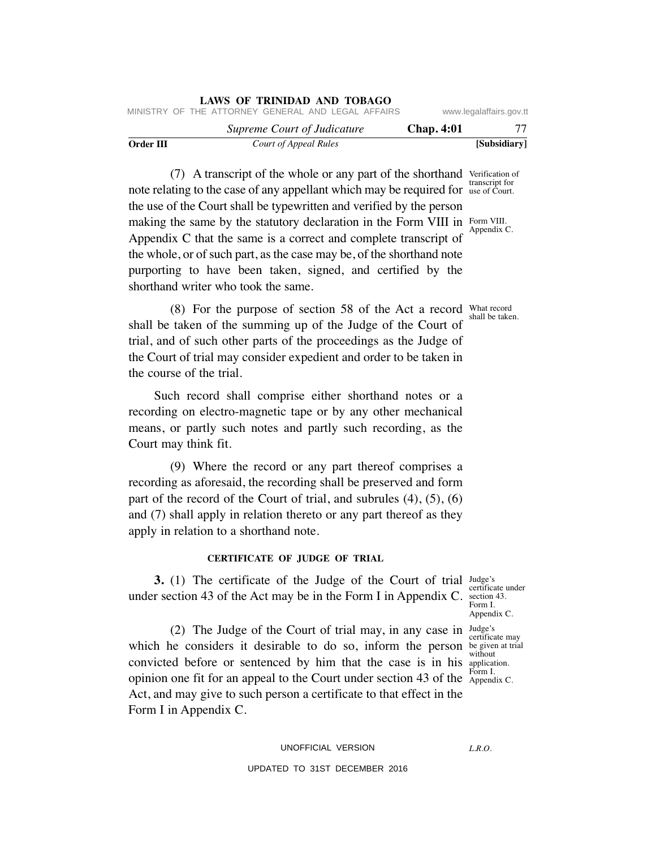| <b>Court of Appeal Rules</b><br>Order III          |                   | [Subsidiary]            |
|----------------------------------------------------|-------------------|-------------------------|
| Supreme Court of Judicature                        | <b>Chap.</b> 4:01 | 77                      |
| MINISTRY OF THE ATTORNEY GENERAL AND LEGAL AFFAIRS |                   | www.legalaffairs.gov.tt |

 (7) A transcript of the whole or any part of the shorthand Verification of note relating to the case of any appellant which may be required for use of Court. the use of the Court shall be typewritten and verified by the person making the same by the statutory declaration in the Form VIII in Form VIII. Appendix C that the same is a correct and complete transcript of the whole, or of such part, as the case may be, of the shorthand note purporting to have been taken, signed, and certified by the shorthand writer who took the same. use of Court.

**LAWS OF TRINIDAD AND TOBAGO**

 (8) For the purpose of section 58 of the Act a record What record shall be taken of the summing up of the Judge of the Court of trial, and of such other parts of the proceedings as the Judge of the Court of trial may consider expedient and order to be taken in the course of the trial.

 Such record shall comprise either shorthand notes or a recording on electro-magnetic tape or by any other mechanical means, or partly such notes and partly such recording, as the Court may think fit.

 (9) Where the record or any part thereof comprises a recording as aforesaid, the recording shall be preserved and form part of the record of the Court of trial, and subrules (4), (5), (6) and (7) shall apply in relation thereto or any part thereof as they apply in relation to a shorthand note.

## **CERTIFICATE OF JUDGE OF TRIAL**

**3.** (1) The certificate of the Judge of the Court of trial Judge's under section 43 of the Act may be in the Form I in Appendix C. section 43.

(2) The Judge of the Court of trial may, in any case in  $\frac{Judge}{\text{outif}}$ which he considers it desirable to do so, inform the person begiven at trial views. convicted before or sentenced by him that the case is in his application. opinion one fit for an appeal to the Court under section 43 of the Form I. Act, and may give to such person a certificate to that effect in the Form I in Appendix C. without

# UNOFFICIAL VERSION

## UPDATED TO 31ST DECEMBER 2016

certificate under Form I. Appendix C.

be given at trial Appendix C.

Appendix C.

shall be taken.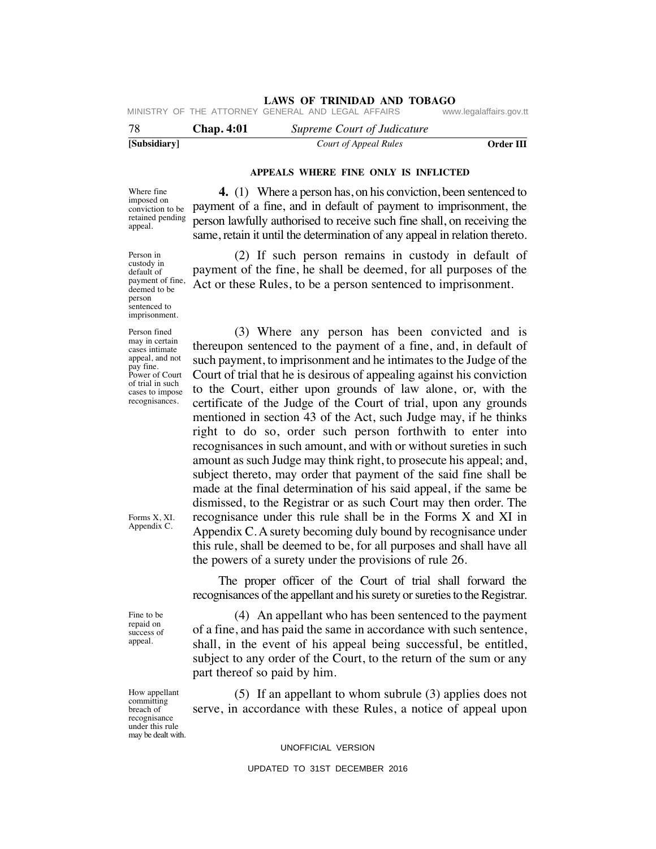| [Subsidiary] |                   | <b>Court of Appeal Rules</b>                       | Order III               |
|--------------|-------------------|----------------------------------------------------|-------------------------|
| -78          | <b>Chap.</b> 4:01 | Supreme Court of Judicature                        |                         |
|              |                   | MINISTRY OF THE ATTORNEY GENERAL AND LEGAL AFFAIRS | www.legalaffairs.gov.tt |

#### **APPEALS WHERE FINE ONLY IS INFLICTED**

Where fine imposed on conviction to be retained pending appeal.

Person in custody in default of payment of fine, deemed to be person sentenced to imprisonment.

 **4.** (1) Where a person has, on his conviction, been sentenced to payment of a fine, and in default of payment to imprisonment, the person lawfully authorised to receive such fine shall, on receiving the same, retain it until the determination of any appeal in relation thereto.

 (2) If such person remains in custody in default of payment of the fine, he shall be deemed, for all purposes of the Act or these Rules, to be a person sentenced to imprisonment.

thereupon sentenced to the payment of a fine, and, in default of such payment, to imprisonment and he intimates to the Judge of the Court of trial that he is desirous of appealing against his conviction to the Court, either upon grounds of law alone, or, with the certificate of the Judge of the Court of trial, upon any grounds mentioned in section 43 of the Act, such Judge may, if he thinks right to do so, order such person forthwith to enter into recognisances in such amount, and with or without sureties in such amount as such Judge may think right, to prosecute his appeal; and, subject thereto, may order that payment of the said fine shall be made at the final determination of his said appeal, if the same be dismissed, to the Registrar or as such Court may then order. The recognisance under this rule shall be in the Forms X and XI in Appendix C. A surety becoming duly bound by recognisance under this rule, shall be deemed to be, for all purposes and shall have all

(3) Where any person has been convicted and is

Person fined may in certain cases intimate appeal, and not pay fine. Power of Court of trial in such cases to impose recognisances.

Forms X, XI. Appendix C.

> The proper officer of the Court of trial shall forward the recognisances of the appellant and his surety or sureties to the Registrar.

the powers of a surety under the provisions of rule 26.

Fine to be repaid on success of appeal.

How appellant committing breach of recognisance under this rule may be dealt with.

 (4) An appellant who has been sentenced to the payment of a fine, and has paid the same in accordance with such sentence, shall, in the event of his appeal being successful, be entitled, subject to any order of the Court, to the return of the sum or any part thereof so paid by him.

 (5) If an appellant to whom subrule (3) applies does not serve, in accordance with these Rules, a notice of appeal upon

UNOFFICIAL VERSION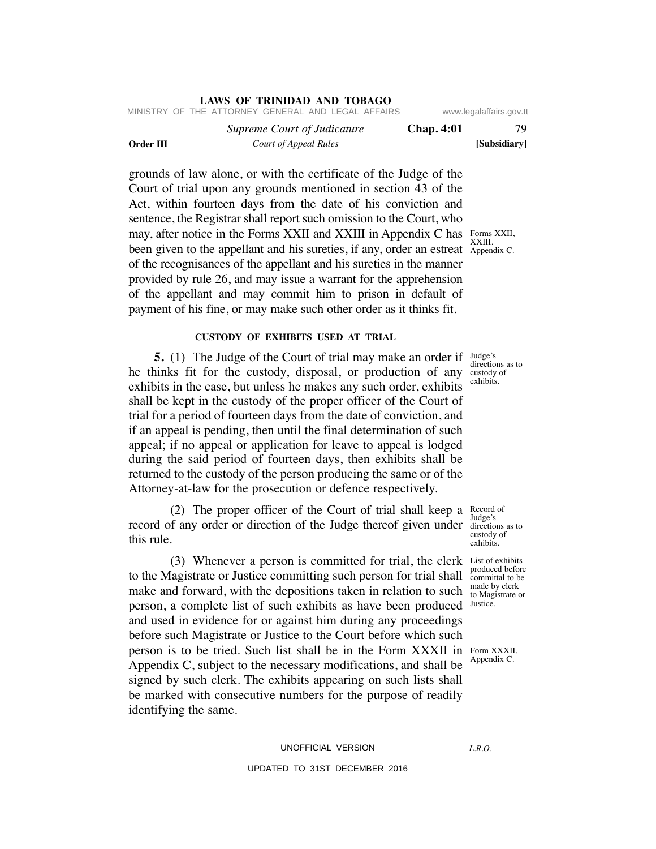| Order III |                                                    | <b>Court of Appeal Rules</b> |  |                   | [Subsidiary]            |
|-----------|----------------------------------------------------|------------------------------|--|-------------------|-------------------------|
|           |                                                    | Supreme Court of Judicature  |  | <b>Chap.</b> 4:01 | 79                      |
|           | MINISTRY OF THE ATTORNEY GENERAL AND LEGAL AFFAIRS |                              |  |                   | www.legalaffairs.gov.tt |

grounds of law alone, or with the certificate of the Judge of the Court of trial upon any grounds mentioned in section 43 of the Act, within fourteen days from the date of his conviction and sentence, the Registrar shall report such omission to the Court, who may, after notice in the Forms XXII and XXIII in Appendix C has Forms XXII, been given to the appellant and his sureties, if any, order an estreat Append of the recognisances of the appellant and his sureties in the manner provided by rule 26, and may issue a warrant for the apprehension of the appellant and may commit him to prison in default of payment of his fine, or may make such other order as it thinks fit.

## **CUSTODY OF EXHIBITS USED AT TRIAL**

**5.** (1) The Judge of the Court of trial may make an order if Judge's he thinks fit for the custody, disposal, or production of any eustody of exhibits in the case, but unless he makes any such order, exhibits shall be kept in the custody of the proper officer of the Court of trial for a period of fourteen days from the date of conviction, and if an appeal is pending, then until the final determination of such appeal; if no appeal or application for leave to appeal is lodged during the said period of fourteen days, then exhibits shall be returned to the custody of the person producing the same or of the Attorney-at-law for the prosecution or defence respectively.

(2) The proper officer of the Court of trial shall keep a  $\frac{\text{Record of}}{\text{Total of } 2}$ record of any order or direction of the Judge thereof given under directions as to this rule.

(3) Whenever a person is committed for trial, the clerk List of exhibits to the Magistrate or Justice committing such person for trial shall make and forward, with the depositions taken in relation to such person, a complete list of such exhibits as have been produced and used in evidence for or against him during any proceedings before such Magistrate or Justice to the Court before which such person is to be tried. Such list shall be in the Form XXXII in Form XXXII. Appendix C, subject to the necessary modifications, and shall be signed by such clerk. The exhibits appearing on such lists shall be marked with consecutive numbers for the purpose of readily identifying the same.

directions as to exhibits.

Judge's custody of exhibits.

produced before committal to be made by clerk to Magistrate or Justice.

Appendix C.

*L.R.O.* 

## **LAWS OF TRINIDAD AND TOBAGO**

Appendix C.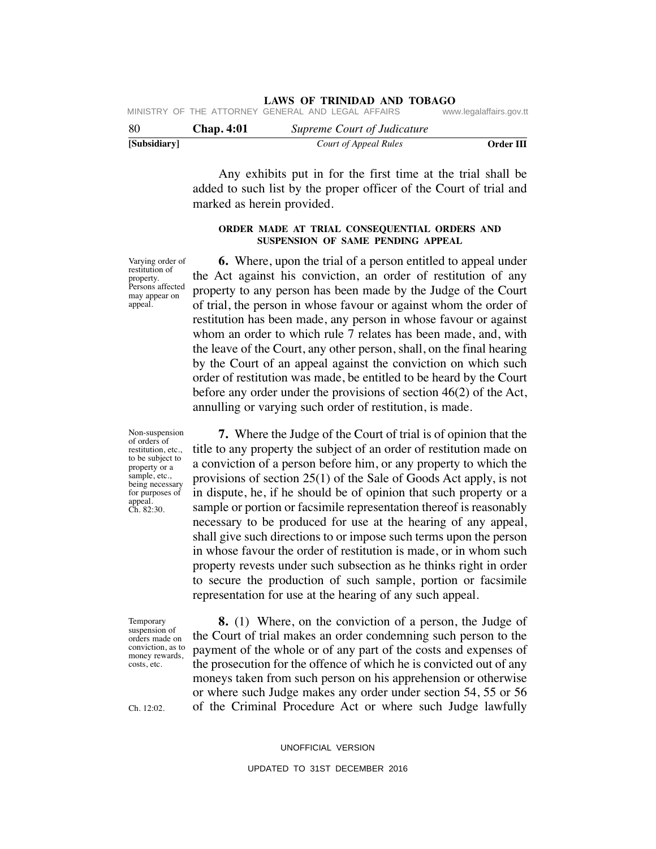| [Subsidiary] |                   | <b>Court of Appeal Rules</b>                       | Order III               |
|--------------|-------------------|----------------------------------------------------|-------------------------|
| 80           | <b>Chap.</b> 4:01 | Supreme Court of Judicature                        |                         |
|              |                   | MINISTRY OF THE ATTORNEY GENERAL AND LEGAL AFFAIRS | www.legalaffairs.gov.tt |

 Any exhibits put in for the first time at the trial shall be added to such list by the proper officer of the Court of trial and marked as herein provided.

## **ORDER MADE AT TRIAL CONSEQUENTIAL ORDERS AND SUSPENSION OF SAME PENDING APPEAL**

Varying order of restitution of property. Persons affected may appear on appeal.

 **6.** Where, upon the trial of a person entitled to appeal under the Act against his conviction, an order of restitution of any property to any person has been made by the Judge of the Court of trial, the person in whose favour or against whom the order of restitution has been made, any person in whose favour or against whom an order to which rule 7 relates has been made, and, with the leave of the Court, any other person, shall, on the final hearing by the Court of an appeal against the conviction on which such order of restitution was made, be entitled to be heard by the Court before any order under the provisions of section 46(2) of the Act, annulling or varying such order of restitution, is made.

 **7.** Where the Judge of the Court of trial is of opinion that the title to any property the subject of an order of restitution made on a conviction of a person before him, or any property to which the provisions of section 25(1) of the Sale of Goods Act apply, is not in dispute, he, if he should be of opinion that such property or a sample or portion or facsimile representation thereof is reasonably necessary to be produced for use at the hearing of any appeal, shall give such directions to or impose such terms upon the person in whose favour the order of restitution is made, or in whom such property revests under such subsection as he thinks right in order to secure the production of such sample, portion or facsimile representation for use at the hearing of any such appeal.

Temporary suspension of orders made on conviction, as to money rewards, costs, etc.

 **8.** (1) Where, on the conviction of a person, the Judge of the Court of trial makes an order condemning such person to the payment of the whole or of any part of the costs and expenses of the prosecution for the offence of which he is convicted out of any moneys taken from such person on his apprehension or otherwise or where such Judge makes any order under section 54, 55 or 56 of the Criminal Procedure Act or where such Judge lawfully

Non-suspension of orders of restitution, etc., to be subject to property or a sample, etc., being necessary for purposes of appeal. Ch. 82:30.

Ch. 12:02.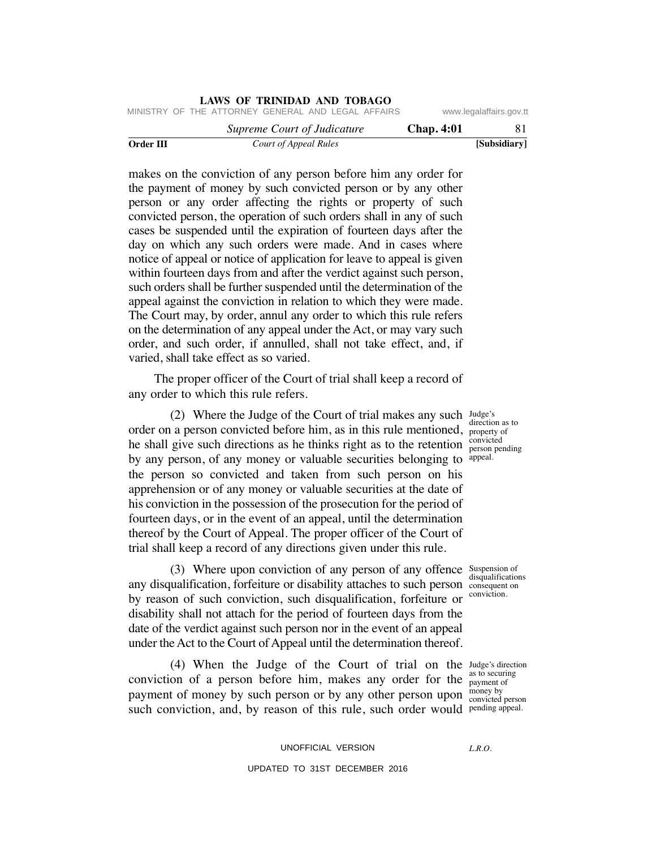| Order III                                          |  | <b>Court of Appeal Rules</b> |  |                   | [Subsidiary]            |
|----------------------------------------------------|--|------------------------------|--|-------------------|-------------------------|
|                                                    |  | Supreme Court of Judicature  |  | <b>Chap.</b> 4:01 | 81                      |
| MINISTRY OF THE ATTORNEY GENERAL AND LEGAL AFFAIRS |  |                              |  |                   | www.legalaffairs.gov.tt |

makes on the conviction of any person before him any order for the payment of money by such convicted person or by any other person or any order affecting the rights or property of such convicted person, the operation of such orders shall in any of such cases be suspended until the expiration of fourteen days after the day on which any such orders were made. And in cases where notice of appeal or notice of application for leave to appeal is given within fourteen days from and after the verdict against such person, such orders shall be further suspended until the determination of the appeal against the conviction in relation to which they were made. The Court may, by order, annul any order to which this rule refers on the determination of any appeal under the Act, or may vary such order, and such order, if annulled, shall not take effect, and, if varied, shall take effect as so varied.

**LAWS OF TRINIDAD AND TOBAGO**

 The proper officer of the Court of trial shall keep a record of any order to which this rule refers.

 (2) Where the Judge of the Court of trial makes any such Judge's order on a person convicted before him, as in this rule mentioned, property of he shall give such directions as he thinks right as to the retention  $\frac{\text{converted}}{\text{person pe}}$ by any person, of any money or valuable securities belonging to the person so convicted and taken from such person on his apprehension or of any money or valuable securities at the date of his conviction in the possession of the prosecution for the period of fourteen days, or in the event of an appeal, until the determination thereof by the Court of Appeal. The proper officer of the Court of trial shall keep a record of any directions given under this rule.

(3) Where upon conviction of any person of any offence Suspension of any disqualification, forfeiture or disability attaches to such person consequent on by reason of such conviction, such disqualification, forfeiture or disability shall not attach for the period of fourteen days from the date of the verdict against such person nor in the event of an appeal under the Act to the Court of Appeal until the determination thereof.

 (4) When the Judge of the Court of trial on the Judge's direction conviction of a person before him, makes any order for the  $\frac{as\ to\ securing}{payment\ of}$ payment of money by such person or by any other person upon  $\frac{m\text{oney by}}{\text{convicted}}$ such conviction, and, by reason of this rule, such order would pending appeal.

> UNOFFICIAL VERSION UPDATED TO 31ST DECEMBER 2016

direction as to person pending appeal.

disqualifications conviction.

payment of convicted person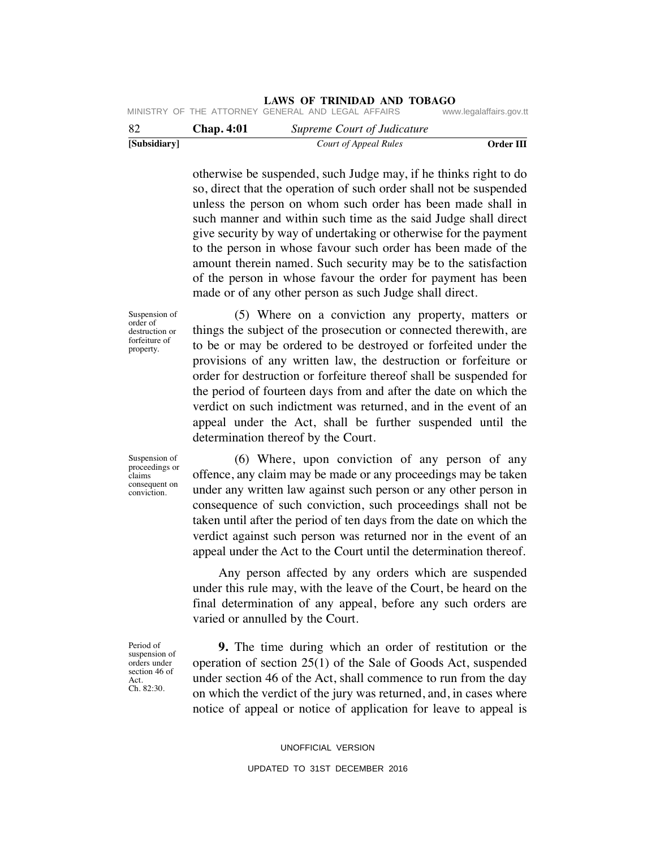|  | <b>LAWS OF TRINIDAD AND TOBAGO</b> |  |  |
|--|------------------------------------|--|--|
|--|------------------------------------|--|--|

| MINISTRY OF THE ATTORNEY GENERAL AND LEGAL AFFAIRS |  |  |  |  |  |  |  | www.legalaffairs.gov.tt |
|----------------------------------------------------|--|--|--|--|--|--|--|-------------------------|
|----------------------------------------------------|--|--|--|--|--|--|--|-------------------------|

| -82          | <b>Chap.</b> 4:01 | Supreme Court of Judicature  |           |
|--------------|-------------------|------------------------------|-----------|
| [Subsidiary] |                   | <b>Court of Appeal Rules</b> | Order III |

otherwise be suspended, such Judge may, if he thinks right to do so, direct that the operation of such order shall not be suspended unless the person on whom such order has been made shall in such manner and within such time as the said Judge shall direct give security by way of undertaking or otherwise for the payment to the person in whose favour such order has been made of the amount therein named. Such security may be to the satisfaction of the person in whose favour the order for payment has been made or of any other person as such Judge shall direct.

Suspension of order of destruction or forfeiture of property.

 (5) Where on a conviction any property, matters or things the subject of the prosecution or connected therewith, are to be or may be ordered to be destroyed or forfeited under the provisions of any written law, the destruction or forfeiture or order for destruction or forfeiture thereof shall be suspended for the period of fourteen days from and after the date on which the verdict on such indictment was returned, and in the event of an appeal under the Act, shall be further suspended until the determination thereof by the Court.

Suspension of proceedings or claims consequent on conviction.

 (6) Where, upon conviction of any person of any offence, any claim may be made or any proceedings may be taken under any written law against such person or any other person in consequence of such conviction, such proceedings shall not be taken until after the period of ten days from the date on which the verdict against such person was returned nor in the event of an appeal under the Act to the Court until the determination thereof.

 Any person affected by any orders which are suspended under this rule may, with the leave of the Court, be heard on the final determination of any appeal, before any such orders are varied or annulled by the Court.

Period of suspension of orders under section 46 of Act. Ch. 82:30.

 **9.** The time during which an order of restitution or the operation of section 25(1) of the Sale of Goods Act, suspended under section 46 of the Act, shall commence to run from the day on which the verdict of the jury was returned, and, in cases where notice of appeal or notice of application for leave to appeal is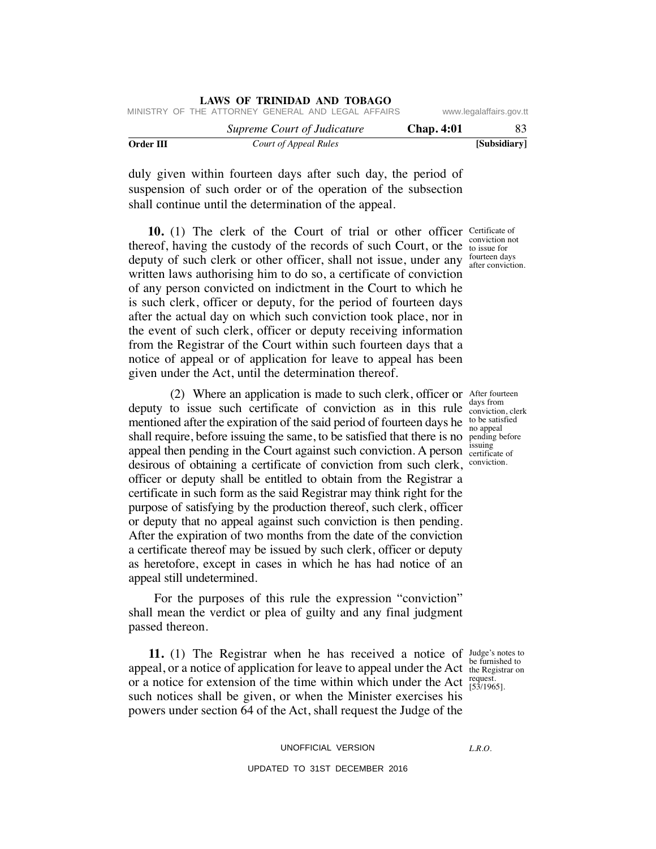| Order III | <b>Court of Appeal Rules</b>                       |                   | [Subsidiary]            |
|-----------|----------------------------------------------------|-------------------|-------------------------|
|           | Supreme Court of Judicature                        | <b>Chap.</b> 4:01 | -83                     |
|           | MINISTRY OF THE ATTORNEY GENERAL AND LEGAL AFFAIRS |                   | www.legalaffairs.gov.tt |

duly given within fourteen days after such day, the period of suspension of such order or of the operation of the subsection shall continue until the determination of the appeal.

**LAWS OF TRINIDAD AND TOBAGO**

**10.** (1) The clerk of the Court of trial or other officer Certificate of thereof, having the custody of the records of such Court, or the to issue for deputy of such clerk or other officer, shall not issue, under any  $\frac{\text{fourteen days}}{\text{after convicti}}$ written laws authorising him to do so, a certificate of conviction of any person convicted on indictment in the Court to which he is such clerk, officer or deputy, for the period of fourteen days after the actual day on which such conviction took place, nor in the event of such clerk, officer or deputy receiving information from the Registrar of the Court within such fourteen days that a notice of appeal or of application for leave to appeal has been given under the Act, until the determination thereof.

 (2) Where an application is made to such clerk, officer or After fourteen deputy to issue such certificate of conviction as in this rule  $\frac{u_{\text{dys}}}{\text{conviction, clerk}}$ mentioned after the expiration of the said period of fourteen days he to be satisfied shall require, before issuing the same, to be satisfied that there is no pending before appeal then pending in the Court against such conviction. A person stratific desirous of obtaining a certificate of conviction from such clerk, conviction. officer or deputy shall be entitled to obtain from the Registrar a certificate in such form as the said Registrar may think right for the purpose of satisfying by the production thereof, such clerk, officer or deputy that no appeal against such conviction is then pending. After the expiration of two months from the date of the conviction a certificate thereof may be issued by such clerk, officer or deputy as heretofore, except in cases in which he has had notice of an appeal still undetermined.

 For the purposes of this rule the expression "conviction" shall mean the verdict or plea of guilty and any final judgment passed thereon.

**11.** (1) The Registrar when he has received a notice of Judge's notes to appeal, or a notice of application for leave to appeal under the Act  $\frac{1}{10}$  the Registrar on or a notice for extension of the time within which under the Act  $\frac{request}{153/196}$ such notices shall be given, or when the Minister exercises his powers under section 64 of the Act, shall request the Judge of the

be furnished to [53/1965].

conviction not after conviction.

days from no appeal certificate of

UNOFFICIAL VERSION

UPDATED TO 31ST DECEMBER 2016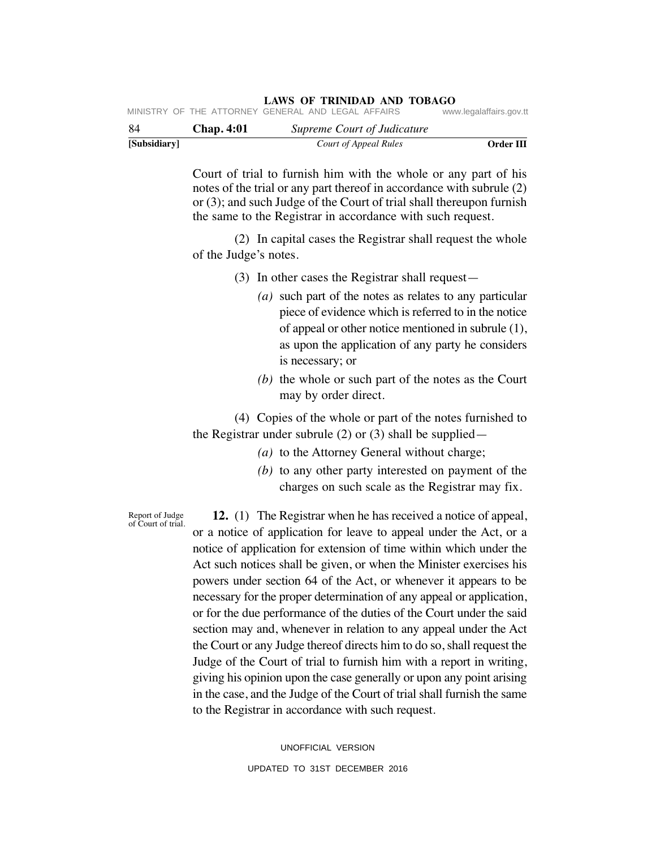| [Subsidiary] |                   | <b>Court of Appeal Rules</b>                       | Order III               |
|--------------|-------------------|----------------------------------------------------|-------------------------|
| -84          | <b>Chap.</b> 4:01 | Supreme Court of Judicature                        |                         |
|              |                   | MINISTRY OF THE ATTORNEY GENERAL AND LEGAL AFFAIRS | www.legalaffairs.gov.tt |

Court of trial to furnish him with the whole or any part of his notes of the trial or any part thereof in accordance with subrule (2) or (3); and such Judge of the Court of trial shall thereupon furnish the same to the Registrar in accordance with such request.

**LAWS OF TRINIDAD AND TOBAGO**

 (2) In capital cases the Registrar shall request the whole of the Judge's notes.

- (3) In other cases the Registrar shall request—
	- *(a)* such part of the notes as relates to any particular piece of evidence which is referred to in the notice of appeal or other notice mentioned in subrule (1), as upon the application of any party he considers is necessary; or
	- *(b)* the whole or such part of the notes as the Court may by order direct.

 (4) Copies of the whole or part of the notes furnished to the Registrar under subrule  $(2)$  or  $(3)$  shall be supplied—

- *(a)* to the Attorney General without charge;
- *(b)* to any other party interested on payment of the charges on such scale as the Registrar may fix.

Report of Judge of Court of trial.

 **12.** (1) The Registrar when he has received a notice of appeal, or a notice of application for leave to appeal under the Act, or a notice of application for extension of time within which under the Act such notices shall be given, or when the Minister exercises his powers under section 64 of the Act, or whenever it appears to be necessary for the proper determination of any appeal or application, or for the due performance of the duties of the Court under the said section may and, whenever in relation to any appeal under the Act the Court or any Judge thereof directs him to do so, shall request the Judge of the Court of trial to furnish him with a report in writing, giving his opinion upon the case generally or upon any point arising in the case, and the Judge of the Court of trial shall furnish the same to the Registrar in accordance with such request.

> UNOFFICIAL VERSION UPDATED TO 31ST DECEMBER 2016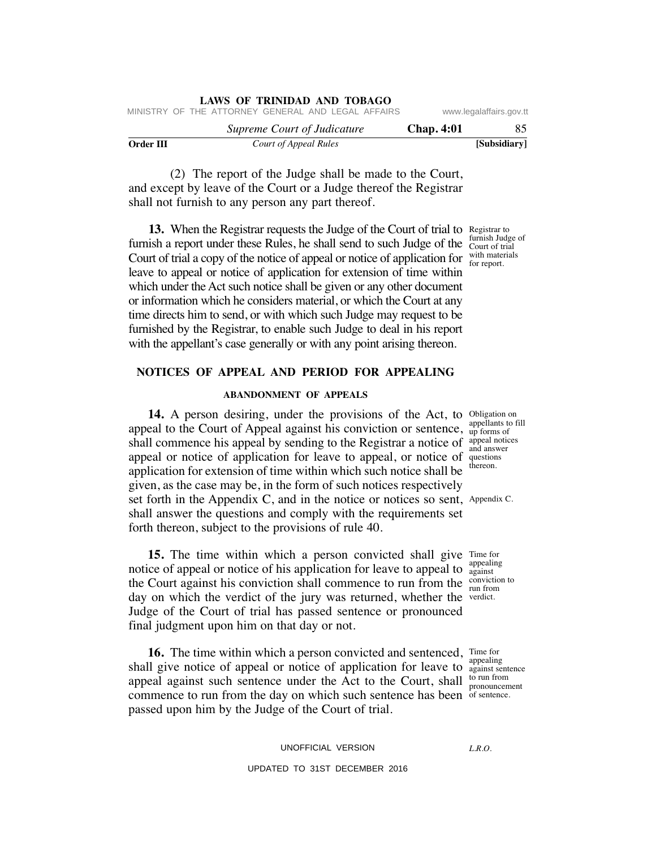|           | LAWS OF TRINIDAD AND TOBAGO                        |                   |                         |
|-----------|----------------------------------------------------|-------------------|-------------------------|
|           | MINISTRY OF THE ATTORNEY GENERAL AND LEGAL AFFAIRS |                   | www.legalaffairs.gov.tt |
|           | Supreme Court of Judicature                        | <b>Chap.</b> 4:01 | -85                     |
| Order III | <b>Court of Appeal Rules</b>                       |                   | [Subsidiary]            |

 (2) The report of the Judge shall be made to the Court, and except by leave of the Court or a Judge thereof the Registrar shall not furnish to any person any part thereof.

**13.** When the Registrar requests the Judge of the Court of trial to Registrar to furnish a report under these Rules, he shall send to such Judge of the  $\frac{t}{\text{Count of trial}}$ Court of trial a copy of the notice of appeal or notice of application for  $\frac{with\ materials}{for\;renort}$ leave to appeal or notice of application for extension of time within which under the Act such notice shall be given or any other document or information which he considers material, or which the Court at any time directs him to send, or with which such Judge may request to be furnished by the Registrar, to enable such Judge to deal in his report with the appellant's case generally or with any point arising thereon.

## **NOTICES OF APPEAL AND PERIOD FOR APPEALING**

## **ABANDONMENT OF APPEALS**

14. A person desiring, under the provisions of the Act, to Obligation on appeal to the Court of Appeal against his conviction or sentence,  $_{\text{up forms of}}^{\text{appending}}$ shall commence his appeal by sending to the Registrar a notice of  $\frac{appeal \; notices}{and answer}$ appeal or notice of application for leave to appeal, or notice of questions application for extension of time within which such notice shall be given, as the case may be, in the form of such notices respectively set forth in the Appendix C, and in the notice or notices so sent, Appendix C. shall answer the questions and comply with the requirements set forth thereon, subject to the provisions of rule 40.

**15.** The time within which a person convicted shall give Time for notice of appeal or notice of his application for leave to appeal to against the Court against his conviction shall commence to run from the  $\frac{\text{conviction to}}{\text{run from}}$ day on which the verdict of the jury was returned, whether the verdict. Judge of the Court of trial has passed sentence or pronounced final judgment upon him on that day or not.

**16.** The time within which a person convicted and sentenced, Time for shall give notice of appeal or notice of application for leave to  $\frac{ap$ appeal against such sentence under the Act to the Court, shall  $_{\text{proonance}}^{\text{to run from}}$ commence to run from the day on which such sentence has been of sentence. passed upon him by the Judge of the Court of trial.

## UNOFFICIAL VERSION

### UPDATED TO 31ST DECEMBER 2016

furnish Judge of for report.

appellants to fill and answer thereon.

against run from

appealing pronouncement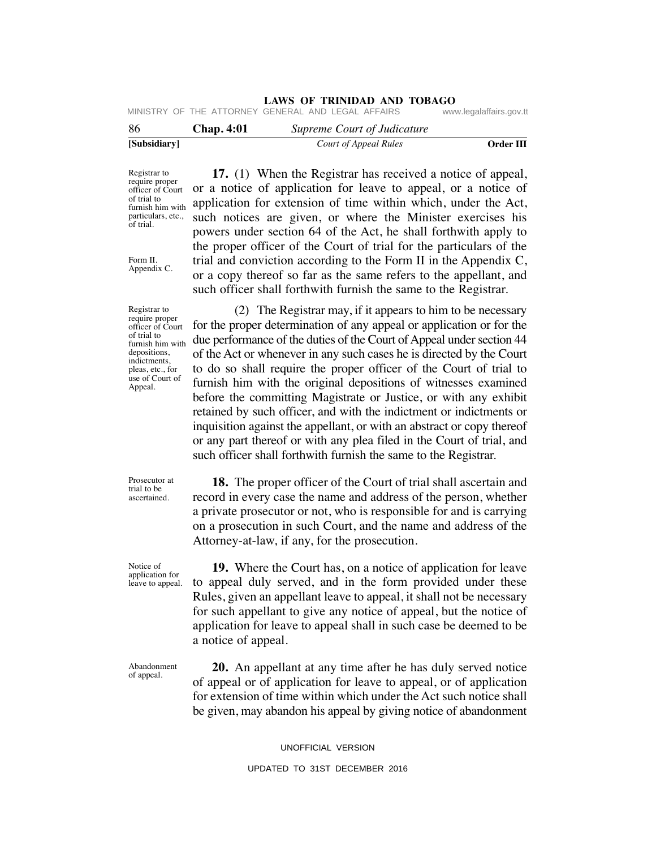| 86 | <b>Chap.</b> 4:01                                  |  | Supreme Court of Judicature |                         |
|----|----------------------------------------------------|--|-----------------------------|-------------------------|
|    | MINISTRY OF THE ATTORNEY GENERAL AND LEGAL AFFAIRS |  |                             | www.legalaffairs.gov.tt |

| -80          | Unap. 4:01 | Supreme Court of Judicature  |           |
|--------------|------------|------------------------------|-----------|
| [Subsidiary] |            | <b>Court of Appeal Rules</b> | Order III |

Registrar to require proper officer of Court of trial to furnish him with particulars, etc., of trial.

Form II. Appendix C.

 **17.** (1) When the Registrar has received a notice of appeal, or a notice of application for leave to appeal, or a notice of application for extension of time within which, under the Act, such notices are given, or where the Minister exercises his powers under section 64 of the Act, he shall forthwith apply to the proper officer of the Court of trial for the particulars of the trial and conviction according to the Form II in the Appendix C, or a copy thereof so far as the same refers to the appellant, and such officer shall forthwith furnish the same to the Registrar.

**LAWS OF TRINIDAD AND TOBAGO**

Registrar to require proper officer of Court of trial to furnish him with depositions, indictments, pleas, etc., for use of Court of Appeal.

 (2) The Registrar may, if it appears to him to be necessary for the proper determination of any appeal or application or for the due performance of the duties of the Court of Appeal under section 44 of the Act or whenever in any such cases he is directed by the Court to do so shall require the proper officer of the Court of trial to furnish him with the original depositions of witnesses examined before the committing Magistrate or Justice, or with any exhibit retained by such officer, and with the indictment or indictments or inquisition against the appellant, or with an abstract or copy thereof or any part thereof or with any plea filed in the Court of trial, and such officer shall forthwith furnish the same to the Registrar.

Prosecutor at trial to be ascertained.

Notice of application for leave to appeal.

 **18.** The proper officer of the Court of trial shall ascertain and record in every case the name and address of the person, whether a private prosecutor or not, who is responsible for and is carrying on a prosecution in such Court, and the name and address of the Attorney-at-law, if any, for the prosecution.

 **19.** Where the Court has, on a notice of application for leave to appeal duly served, and in the form provided under these Rules, given an appellant leave to appeal, it shall not be necessary for such appellant to give any notice of appeal, but the notice of application for leave to appeal shall in such case be deemed to be a notice of appeal.

Abandonment of appeal.

 **20.** An appellant at any time after he has duly served notice of appeal or of application for leave to appeal, or of application for extension of time within which under the Act such notice shall be given, may abandon his appeal by giving notice of abandonment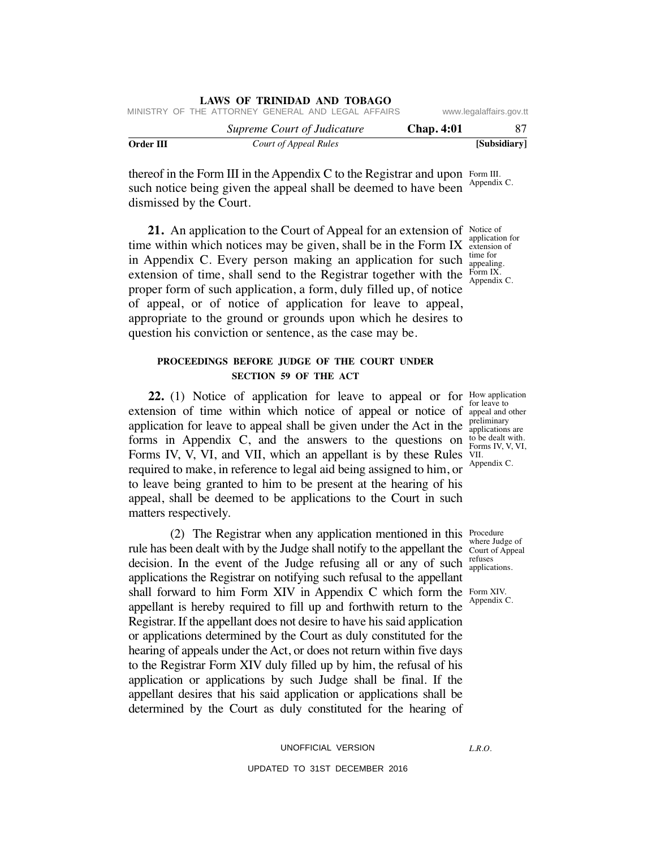|           | MINISTRY OF THE ATTORNEY GENERAL AND LEGAL AFFAIRS |                              |  |                   |                         |
|-----------|----------------------------------------------------|------------------------------|--|-------------------|-------------------------|
|           |                                                    |                              |  |                   | www.legalaffairs.gov.tt |
|           |                                                    | Supreme Court of Judicature  |  | <b>Chap.</b> 4:01 | 87.                     |
| Order III |                                                    | <b>Court of Appeal Rules</b> |  |                   | [Subsidiary]            |

thereof in the Form III in the Appendix C to the Registrar and upon Form III. such notice being given the appeal shall be deemed to have been  $\frac{A_{\text{ppendix C}}}{A_{\text{ppendix C}}}$ dismissed by the Court.

**21.** An application to the Court of Appeal for an extension of Notice of in Appendix C. Every person making an application for such  $\frac{um}{appending}$ . extension of time, shall send to the Registrar together with the  $\frac{Form IX}{Appendi}$ time within which notices may be given, shall be in the Form IX proper form of such application, a form, duly filled up, of notice of appeal, or of notice of application for leave to appeal, appropriate to the ground or grounds upon which he desires to question his conviction or sentence, as the case may be.

## **PROCEEDINGS BEFORE JUDGE OF THE COURT UNDER SECTION 59 OF THE ACT**

**22.** (1) Notice of application for leave to appeal or for  $\frac{How}{for length}$ extension of time within which notice of appeal or notice of appeal and other application for leave to appeal shall be given under the Act in the  $\frac{\text{preliminary}}{\text{applications}}$ Forms IV, V, VI, and VII, which an appellant is by these Rules vII. forms in Appendix C, and the answers to the questions on required to make, in reference to legal aid being assigned to him, or to leave being granted to him to be present at the hearing of his appeal, shall be deemed to be applications to the Court in such matters respectively.

(2) The Registrar when any application mentioned in this  $\frac{Proceedure}{there}$ rule has been dealt with by the Judge shall notify to the appellant the  $\frac{C_{\text{cutoff}}}{C_{\text{out}} + C_{\text{p}}}$ decision. In the event of the Judge refusing all or any of such  $_{\text{applications}}^{reuses}$ shall forward to him Form XIV in Appendix  $C$  which form the Form XIV. applications the Registrar on notifying such refusal to the appellant appellant is hereby required to fill up and forthwith return to the Registrar. If the appellant does not desire to have his said application or applications determined by the Court as duly constituted for the hearing of appeals under the Act, or does not return within five days to the Registrar Form XIV duly filled up by him, the refusal of his application or applications by such Judge shall be final. If the appellant desires that his said application or applications shall be determined by the Court as duly constituted for the hearing of

UNOFFICIAL VERSION

UPDATED TO 31ST DECEMBER 2016

application for extension of time for Appendix C.

for leave to applications are to be dealt with. Forms IV, V, VI, Appendix C.

where Judge of refuses

Appendix C.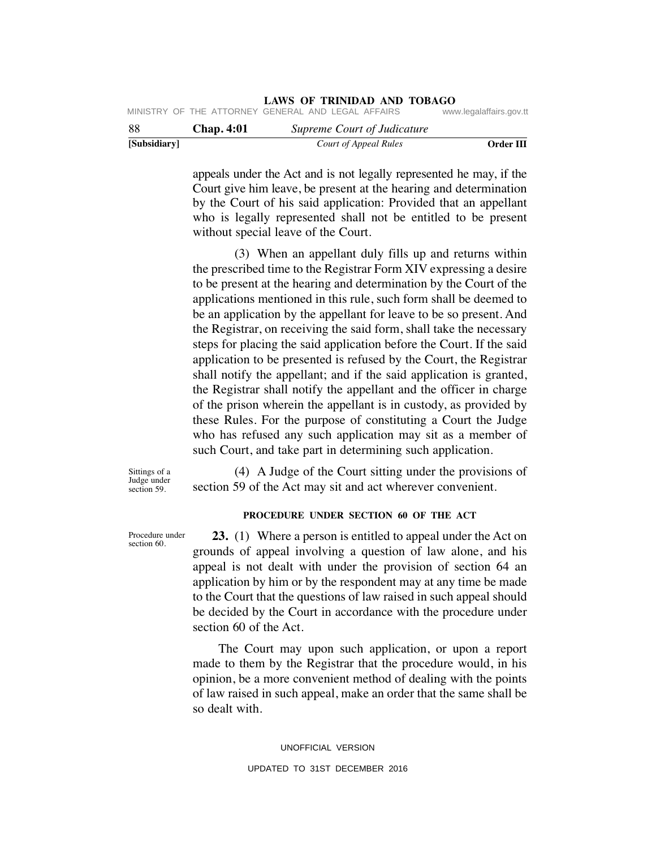| [Subsidiary] |                   | <b>Court of Appeal Rules</b>                       | Order III               |
|--------------|-------------------|----------------------------------------------------|-------------------------|
| 88           | <b>Chap.</b> 4:01 | Supreme Court of Judicature                        |                         |
|              |                   | MINISTRY OF THE ATTORNEY GENERAL AND LEGAL AFFAIRS | www.legalaffairs.gov.tt |

appeals under the Act and is not legally represented he may, if the Court give him leave, be present at the hearing and determination by the Court of his said application: Provided that an appellant who is legally represented shall not be entitled to be present without special leave of the Court.

**LAWS OF TRINIDAD AND TOBAGO**

 (3) When an appellant duly fills up and returns within the prescribed time to the Registrar Form XIV expressing a desire to be present at the hearing and determination by the Court of the applications mentioned in this rule, such form shall be deemed to be an application by the appellant for leave to be so present. And the Registrar, on receiving the said form, shall take the necessary steps for placing the said application before the Court. If the said application to be presented is refused by the Court, the Registrar shall notify the appellant; and if the said application is granted, the Registrar shall notify the appellant and the officer in charge of the prison wherein the appellant is in custody, as provided by these Rules. For the purpose of constituting a Court the Judge who has refused any such application may sit as a member of such Court, and take part in determining such application.

Sittings of a Judge under section 59.

 (4) A Judge of the Court sitting under the provisions of section 59 of the Act may sit and act wherever convenient.

## **PROCEDURE UNDER SECTION 60 OF THE ACT**

 **23.** (1) Where a person is entitled to appeal under the Act on grounds of appeal involving a question of law alone, and his appeal is not dealt with under the provision of section 64 an application by him or by the respondent may at any time be made to the Court that the questions of law raised in such appeal should be decided by the Court in accordance with the procedure under section 60 of the Act.

 The Court may upon such application, or upon a report made to them by the Registrar that the procedure would, in his opinion, be a more convenient method of dealing with the points of law raised in such appeal, make an order that the same shall be so dealt with.

> UNOFFICIAL VERSION UPDATED TO 31ST DECEMBER 2016

Procedure under

section 60.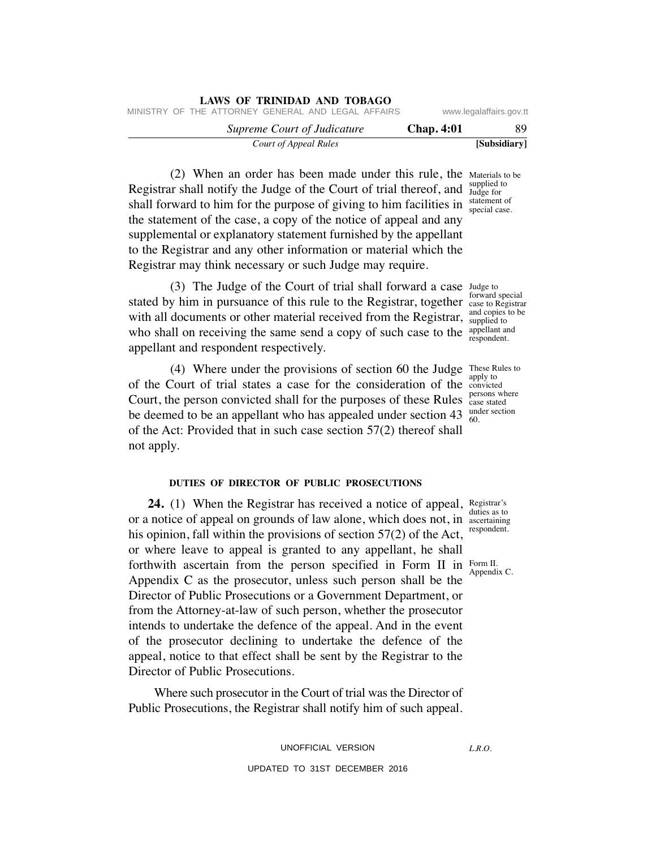| <b>Court of Appeal Rules</b>                       |                   | [Subsidiary]            |
|----------------------------------------------------|-------------------|-------------------------|
| Supreme Court of Judicature                        | <b>Chap.</b> 4:01 | 89                      |
| MINISTRY OF THE ATTORNEY GENERAL AND LEGAL AFFAIRS |                   | www.legalaffairs.gov.tt |

(2) When an order has been made under this rule, the Materials to be Registrar shall notify the Judge of the Court of trial thereof, and  $\frac{\text{supplied}}{\text{Judge for}}$ shall forward to him for the purpose of giving to him facilities in  $\frac{\text{statement of}}{\text{special case}}$ . the statement of the case, a copy of the notice of appeal and any supplemental or explanatory statement furnished by the appellant to the Registrar and any other information or material which the Registrar may think necessary or such Judge may require.

**LAWS OF TRINIDAD AND TOBAGO**

(3) The Judge of the Court of trial shall forward a case Judge to stated by him in pursuance of this rule to the Registrar, together case to Registrar with all documents or other material received from the Registrar,  $\frac{d}{d}$  and copies who shall on receiving the same send a copy of such case to the  $\frac{appellant}{respondent}$ appellant and respondent respectively.

(4) Where under the provisions of section 60 the Judge These Rules to of the Court of trial states a case for the consideration of the convicted Court, the person convicted shall for the purposes of these Rules  $\frac{\text{pensions will}}{\text{case stated}}$ be deemed to be an appellant who has appealed under section 43  $\frac{\text{um}}{60}$ of the Act: Provided that in such case section 57(2) thereof shall not apply.

## **DUTIES OF DIRECTOR OF PUBLIC PROSECUTIONS**

**24.** (1) When the Registrar has received a notice of appeal, Registrar's or a notice of appeal on grounds of law alone, which does not, in ascertaining forthwith ascertain from the person specified in Form II in  $_{\triangle{normal}}^{\text{Form II}}$ his opinion, fall within the provisions of section 57(2) of the Act, or where leave to appeal is granted to any appellant, he shall Appendix C as the prosecutor, unless such person shall be the Director of Public Prosecutions or a Government Department, or from the Attorney-at-law of such person, whether the prosecutor intends to undertake the defence of the appeal. And in the event of the prosecutor declining to undertake the defence of the appeal, notice to that effect shall be sent by the Registrar to the Director of Public Prosecutions.

 Where such prosecutor in the Court of trial was the Director of Public Prosecutions, the Registrar shall notify him of such appeal.

> UNOFFICIAL VERSION UPDATED TO 31ST DECEMBER 2016

supplied to statement of

forward special and copies to be respondent.

apply to persons where under section

duties as to respondent.

Appendix C.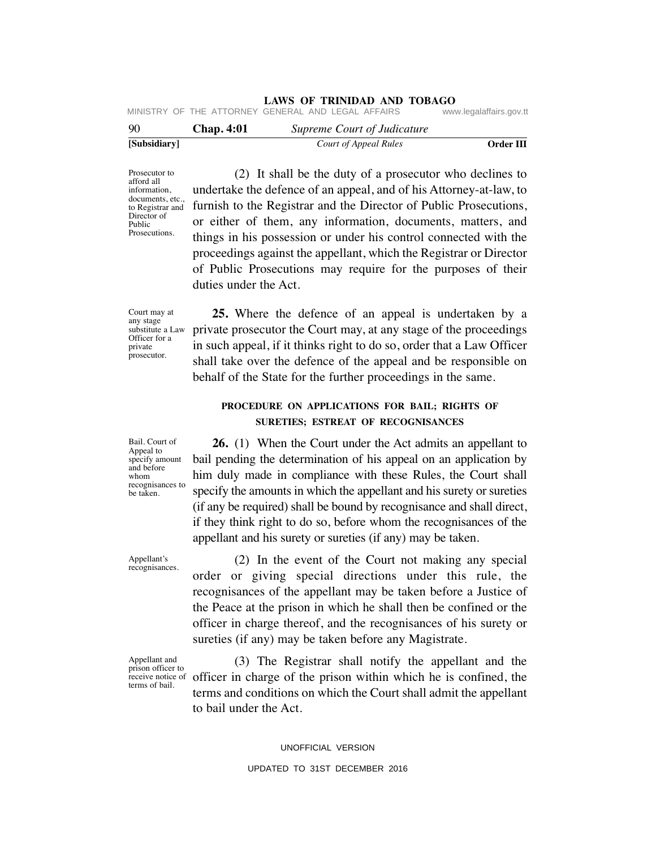|  | <b>LAWS OF TRINIDAD AND TOBAGO</b> |  |  |
|--|------------------------------------|--|--|
|--|------------------------------------|--|--|

|  | MINISTRY OF THE ATTORNEY GENERAL AND LEGAL AFFAIRS |  |  | www.legalaffairs.gov.tt |  |
|--|----------------------------------------------------|--|--|-------------------------|--|
|  |                                                    |  |  |                         |  |

| -90          | <b>Chap.</b> 4:01 | Supreme Court of Judicature  |           |
|--------------|-------------------|------------------------------|-----------|
| [Subsidiary] |                   | <b>Court of Appeal Rules</b> | Order III |

Prosecutor to afford all information, documents, etc. to Registrar and Director of Public Prosecutions.

 (2) It shall be the duty of a prosecutor who declines to undertake the defence of an appeal, and of his Attorney-at-law, to furnish to the Registrar and the Director of Public Prosecutions, or either of them, any information, documents, matters, and things in his possession or under his control connected with the proceedings against the appellant, which the Registrar or Director of Public Prosecutions may require for the purposes of their duties under the Act.

Court may at any stage substitute a Law Officer for a private prosecutor.

 **25.** Where the defence of an appeal is undertaken by a private prosecutor the Court may, at any stage of the proceedings in such appeal, if it thinks right to do so, order that a Law Officer shall take over the defence of the appeal and be responsible on behalf of the State for the further proceedings in the same.

## **PROCEDURE ON APPLICATIONS FOR BAIL; RIGHTS OF SURETIES; ESTREAT OF RECOGNISANCES**

 **26.** (1) When the Court under the Act admits an appellant to bail pending the determination of his appeal on an application by him duly made in compliance with these Rules, the Court shall specify the amounts in which the appellant and his surety or sureties (if any be required) shall be bound by recognisance and shall direct, if they think right to do so, before whom the recognisances of the appellant and his surety or sureties (if any) may be taken.

 (2) In the event of the Court not making any special order or giving special directions under this rule, the recognisances of the appellant may be taken before a Justice of the Peace at the prison in which he shall then be confined or the officer in charge thereof, and the recognisances of his surety or sureties (if any) may be taken before any Magistrate.

 (3) The Registrar shall notify the appellant and the officer in charge of the prison within which he is confined, the terms and conditions on which the Court shall admit the appellant to bail under the Act.

> UNOFFICIAL VERSION UPDATED TO 31ST DECEMBER 2016

Bail. Court of Appeal to specify amount and before whom recognisances to be taken.

Appellant's recognisances.

Appellant and prison officer to receive notice of terms of bail.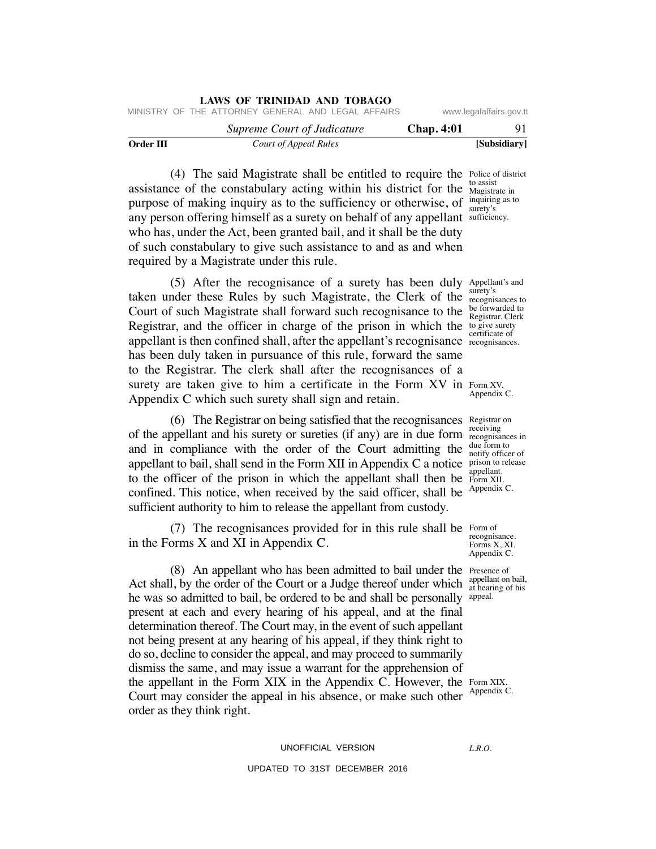|           | Laws of themself and toping                        |                   |                         |
|-----------|----------------------------------------------------|-------------------|-------------------------|
|           | MINISTRY OF THE ATTORNEY GENERAL AND LEGAL AFFAIRS |                   | www.legalaffairs.gov.tt |
|           | Supreme Court of Judicature                        | <b>Chap.</b> 4:01 | -91                     |
| Order III | <b>Court of Appeal Rules</b>                       |                   | [Subsidiary]            |

(4) The said Magistrate shall be entitled to require the Police of district assistance of the constabulary acting within his district for the  $\frac{10 \text{ absolute}}{M \text{ against}}$  in purpose of making inquiry as to the sufficiency or otherwise, of  $\frac{input}{|sqrt|}$  as to any person offering himself as a surety on behalf of any appellant sufficiency. who has, under the Act, been granted bail, and it shall be the duty of such constabulary to give such assistance to and as and when required by a Magistrate under this rule.

**LAWS OF TRINIDAD AND TOBAGO**

(5) After the recognisance of a surety has been duly Appellant's and taken under these Rules by such Magistrate, the Clerk of the **recognisances** to Court of such Magistrate shall forward such recognisance to the  $\frac{\text{be forward to}}{\text{Registrar.} \text{Clerk}}$ Registrar, and the officer in charge of the prison in which the togive surety appellant is then confined shall, after the appellant's recognisance recognisances. surety are taken give to him a certificate in the Form  $XV$  in Form  $XY$ . has been duly taken in pursuance of this rule, forward the same to the Registrar. The clerk shall after the recognisances of a Appendix C which such surety shall sign and retain.

appellant to bail, shall send in the Form XII in Appendix C a notice  $\frac{1}{2}$  prison to release to the officer of the prison in which the appellant shall then be  $\frac{dP}{dP}$  form XII. confined. This notice, when received by the said officer, shall be  $A$ ppendix C. (6) The Registrar on being satisfied that the recognisances of the appellant and his surety or sureties (if any) are in due form and in compliance with the order of the Court admitting the sufficient authority to him to release the appellant from custody.

(7) The recognisances provided for in this rule shall be Form of in the Forms X and XI in Appendix C.

(8) An appellant who has been admitted to bail under the Presence of Act shall, by the order of the Court or a Judge thereof under which  $\frac{appelant on ball}{at hearing of his}$ he was so admitted to bail, be ordered to be and shall be personally appeal. the appellant in the Form XIX in the Appendix C. However, the Form XIX. present at each and every hearing of his appeal, and at the final determination thereof. The Court may, in the event of such appellant not being present at any hearing of his appeal, if they think right to do so, decline to consider the appeal, and may proceed to summarily dismiss the same, and may issue a warrant for the apprehension of Court may consider the appeal in his absence, or make such other order as they think right.

to assist surety's

surety's be forwarded to certificate of

Appendix C.

Registrar on receiving recognisances in due form to notify officer of appellant.

recognisance. Forms X, XI. Appendix C.

appellant on bail,

Appendix C.

#### UNOFFICIAL VERSION

#### UPDATED TO 31ST DECEMBER 2016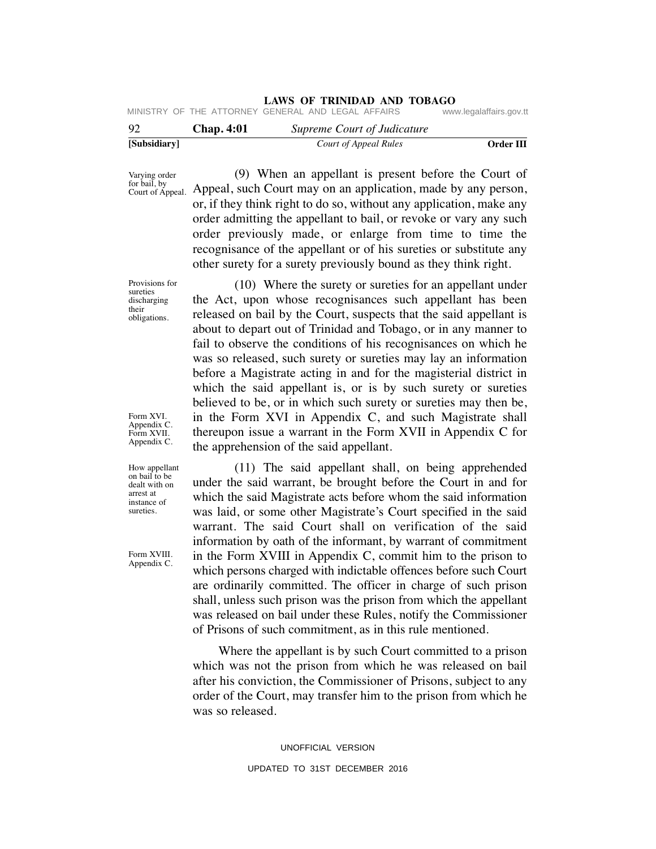|  |  | LAWS OF TRINIDAD AND TOBAGO |  |  |
|--|--|-----------------------------|--|--|
|--|--|-----------------------------|--|--|

| $\Omega$ | $Chan 4\cdot01$ | Supreme Court of Indicature                        |                         |
|----------|-----------------|----------------------------------------------------|-------------------------|
|          |                 | MINISTRY OF THE ATTORNEY GENERAL AND LEGAL AFFAIRS | www.legalaffairs.gov.tt |

| 92           | <b>Chap.</b> 4:01 | Supreme Court of Judicature  |           |
|--------------|-------------------|------------------------------|-----------|
| [Subsidiary] |                   | <b>Court of Appeal Rules</b> | Order III |

Varying order<br>for bail, by for bail, by

Provisions for sureties discharging their obligations.

<sup>tor ban, by</sup> and by appeal, such Court may on an application, made by any person, (9) When an appellant is present before the Court of or, if they think right to do so, without any application, make any order admitting the appellant to bail, or revoke or vary any such order previously made, or enlarge from time to time the recognisance of the appellant or of his sureties or substitute any other surety for a surety previously bound as they think right.

> (10) Where the surety or sureties for an appellant under the Act, upon whose recognisances such appellant has been released on bail by the Court, suspects that the said appellant is about to depart out of Trinidad and Tobago, or in any manner to fail to observe the conditions of his recognisances on which he was so released, such surety or sureties may lay an information before a Magistrate acting in and for the magisterial district in which the said appellant is, or is by such surety or sureties believed to be, or in which such surety or sureties may then be, in the Form XVI in Appendix C, and such Magistrate shall thereupon issue a warrant in the Form XVII in Appendix C for the apprehension of the said appellant.

Form XVII. Appendix C. How appellant on bail to be

Form XVI. Appendix C.

dealt with on arrest at instance of sureties.

Form XVIII. Appendix C.

 (11) The said appellant shall, on being apprehended under the said warrant, be brought before the Court in and for which the said Magistrate acts before whom the said information was laid, or some other Magistrate's Court specified in the said warrant. The said Court shall on verification of the said information by oath of the informant, by warrant of commitment in the Form XVIII in Appendix C, commit him to the prison to which persons charged with indictable offences before such Court are ordinarily committed. The officer in charge of such prison shall, unless such prison was the prison from which the appellant was released on bail under these Rules, notify the Commissioner of Prisons of such commitment, as in this rule mentioned.

 Where the appellant is by such Court committed to a prison which was not the prison from which he was released on bail after his conviction, the Commissioner of Prisons, subject to any order of the Court, may transfer him to the prison from which he was so released.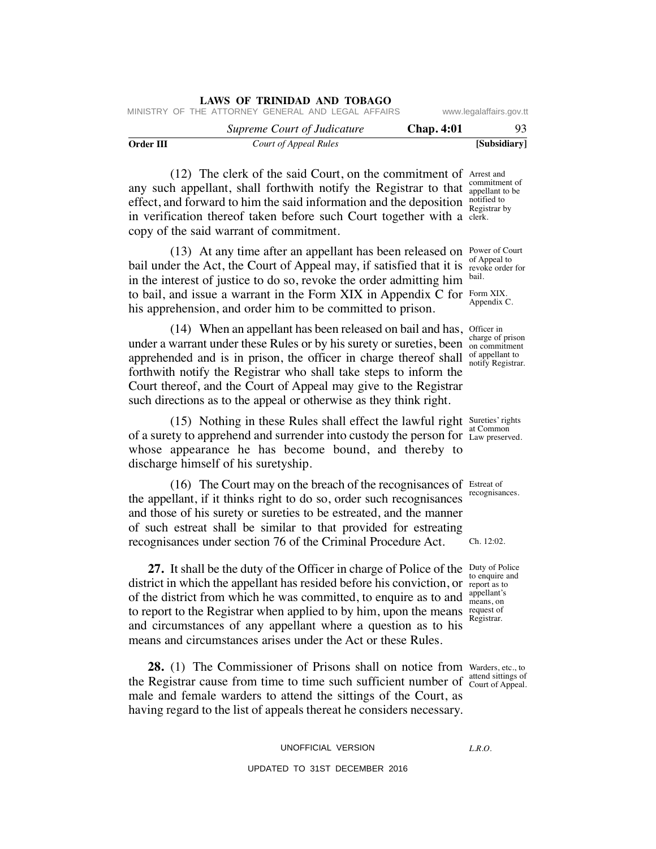|           | LAWS OF INFRIGHT AND TODAUO<br>MINISTRY OF THE ATTORNEY GENERAL AND LEGAL AFFAIRS |                   | www.legalaffairs.gov.tt |
|-----------|-----------------------------------------------------------------------------------|-------------------|-------------------------|
|           | Supreme Court of Judicature                                                       | <b>Chap.</b> 4:01 | 93.                     |
| Order III | <b>Court of Appeal Rules</b>                                                      |                   | [Subsidiary]            |

(12) The clerk of the said Court, on the commitment of Arrest and commitment of any such appellant, shall forthwith notify the Registrar to that  $\frac{\text{commuence}}{\text{appellant to be}}$ notified to effect, and forward to him the said information and the deposition  $\frac{\text{noified to}}{\text{Registrar by}}$ in verification thereof taken before such Court together with a clerk. copy of the said warrant of commitment.

**LAWS OF TRINIDAD AND TOBAGO**

(13) At any time after an appellant has been released on Power of Court of Appeal to bail under the Act, the Court of Appeal may, if satisfied that it is  $\frac{0.6 \text{ Pepear}}{1.6 \text{ eV}}$ bail. to bail, and issue a warrant in the Form XIX in Appendix C for Form XIX. Appendix C. in the interest of justice to do so, revoke the order admitting him his apprehension, and order him to be committed to prison.

 $(14)$  When an appellant has been released on bail and has, officer in charge of prison under a warrant under these Rules or by his surety or sureties, been  $\frac{G_{\text{target}}}{G_{\text{on}}}$  commitment of appellant to apprehended and is in prison, the officer in charge thereof shall  $\frac{d}{dt}$  of appellant to notify Registrar. forthwith notify the Registrar who shall take steps to inform the Court thereof, and the Court of Appeal may give to the Registrar such directions as to the appeal or otherwise as they think right.

(15) Nothing in these Rules shall effect the lawful right  $\frac{S}{S}$  sureties' rights of a surety to apprehend and surrender into custody the person for Law preserved. whose appearance he has become bound, and thereby to discharge himself of his suretyship.

 $(16)$  The Court may on the breach of the recognisances of Estreat of the appellant, if it thinks right to do so, order such recognisances and those of his surety or sureties to be estreated, and the manner of such estreat shall be similar to that provided for estreating recognisances under section 76 of the Criminal Procedure Act.

**27.** It shall be the duty of the Officer in charge of Police of the Duty of Police district in which the appellant has resided before his conviction, or report as to of the district from which he was committed, to enquire as to and  $\frac{ap}{means, on}$ to report to the Registrar when applied to by him, upon the means request of and circumstances of any appellant where a question as to his means and circumstances arises under the Act or these Rules.

**28.** (1) The Commissioner of Prisons shall on notice from Warders, etc., to the Registrar cause from time to time such sufficient number of  $\frac{a_{\text{total}}}{c_{\text{out of Appendix}}}$ male and female warders to attend the sittings of the Court, as having regard to the list of appeals thereat he considers necessary.

## UNOFFICIAL VERSION UPDATED TO 31ST DECEMBER 2016

*L.R.O.* 

attend sittings of

at Common

recognisances.

Ch. 12:02.

to enquire and appellant's Registrar.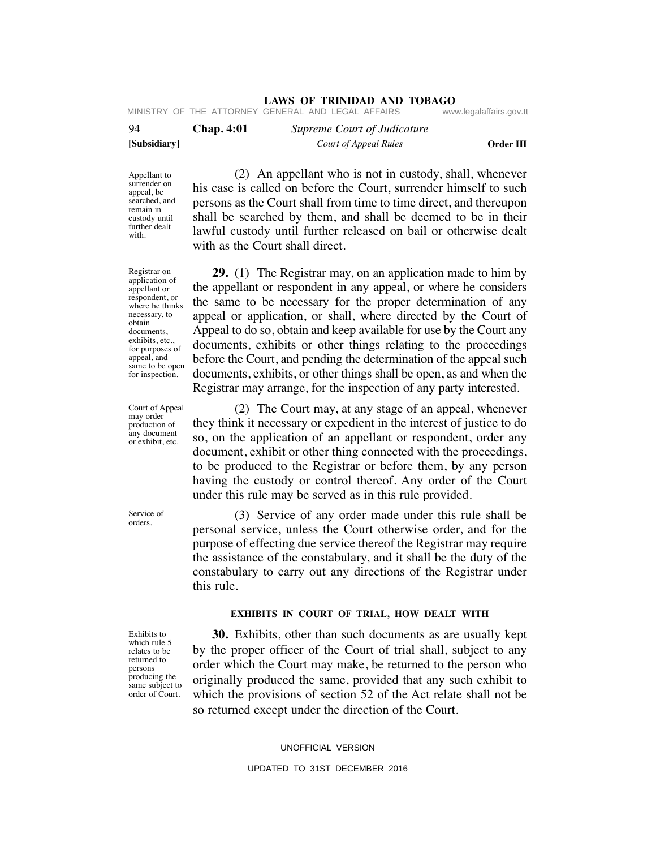| <b>LAWS OF TRINIDAD AND TOBAGO</b> |  |  |  |  |
|------------------------------------|--|--|--|--|
|------------------------------------|--|--|--|--|

|  | MINISTRY OF THE ATTORNEY GENERAL AND LEGAL AFFAIRS |  |  | www.legalaffairs.gov.tt |  |
|--|----------------------------------------------------|--|--|-------------------------|--|
|  |                                                    |  |  |                         |  |

| -94          | <b>Chap.</b> 4:01 | Supreme Court of Judicature  |           |
|--------------|-------------------|------------------------------|-----------|
| [Subsidiary] |                   | <b>Court of Appeal Rules</b> | Order III |

Appellant to surrender on appeal, be searched, and remain in custody until further dealt with.

 (2) An appellant who is not in custody, shall, whenever his case is called on before the Court, surrender himself to such persons as the Court shall from time to time direct, and thereupon shall be searched by them, and shall be deemed to be in their lawful custody until further released on bail or otherwise dealt with as the Court shall direct.

Registrar on application of appellant or respondent, or where he thinks necessary, to obtain documents, exhibits, etc., for purposes of appeal, and same to be open for inspection.

Court of Appeal may order production of any document or exhibit, etc.

Service of orders.

Exhibits to which rule 5 relates to be returned to persons producing the same subject to order of Court.

 **29.** (1) The Registrar may, on an application made to him by the appellant or respondent in any appeal, or where he considers the same to be necessary for the proper determination of any appeal or application, or shall, where directed by the Court of Appeal to do so, obtain and keep available for use by the Court any documents, exhibits or other things relating to the proceedings before the Court, and pending the determination of the appeal such documents, exhibits, or other things shall be open, as and when the Registrar may arrange, for the inspection of any party interested.

 (2) The Court may, at any stage of an appeal, whenever they think it necessary or expedient in the interest of justice to do so, on the application of an appellant or respondent, order any document, exhibit or other thing connected with the proceedings, to be produced to the Registrar or before them, by any person having the custody or control thereof. Any order of the Court under this rule may be served as in this rule provided.

 (3) Service of any order made under this rule shall be personal service, unless the Court otherwise order, and for the purpose of effecting due service thereof the Registrar may require the assistance of the constabulary, and it shall be the duty of the constabulary to carry out any directions of the Registrar under this rule.

## **EXHIBITS IN COURT OF TRIAL, HOW DEALT WITH**

 **30.** Exhibits, other than such documents as are usually kept by the proper officer of the Court of trial shall, subject to any order which the Court may make, be returned to the person who originally produced the same, provided that any such exhibit to which the provisions of section 52 of the Act relate shall not be so returned except under the direction of the Court.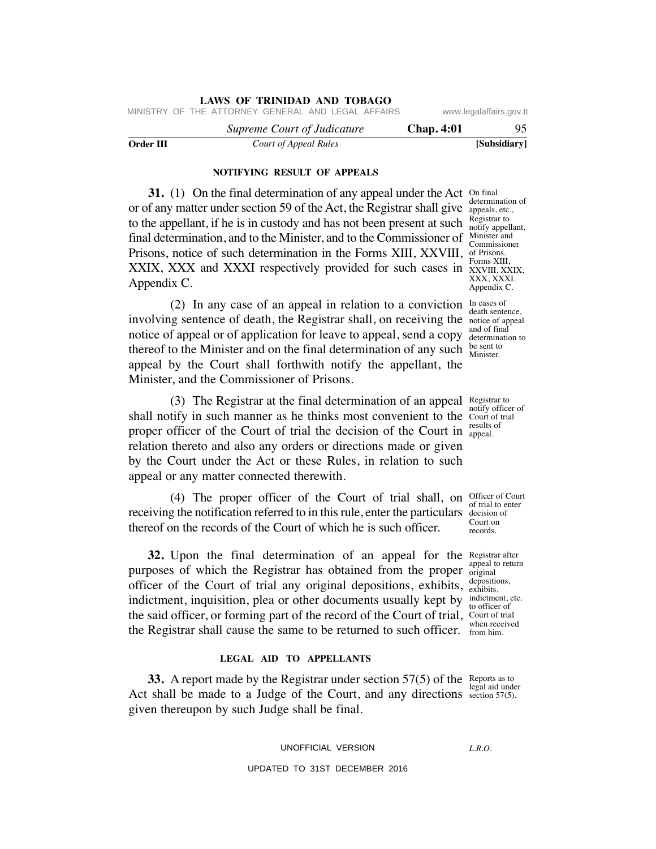| Order III |                                                    | <b>Court of Appeal Rules</b> |  |                   | [Subsidiary]            |
|-----------|----------------------------------------------------|------------------------------|--|-------------------|-------------------------|
|           |                                                    | Supreme Court of Judicature  |  | <b>Chap.</b> 4:01 | 95                      |
|           | MINISTRY OF THE ATTORNEY GENERAL AND LEGAL AFFAIRS |                              |  |                   | www.legalaffairs.gov.tt |

#### **NOTIFYING RESULT OF APPEALS**

**LAWS OF TRINIDAD AND TOBAGO**

**31.** (1) On the final determination of any appeal under the Act On final Prisons, notice of such determination in the Forms XIII, XXVIII, of Prisons. XXIX, XXX and XXXI respectively provided for such cases in XXVIII, XXIX, or of any matter under section 59 of the Act, the Registrar shall give to the appellant, if he is in custody and has not been present at such final determination, and to the Minister, and to the Commissioner of Appendix C.

(2) In any case of an appeal in relation to a conviction  $\frac{In \text{ cases of}}{den \text{test}}$ involving sentence of death, the Registrar shall, on receiving the notice of appeal notice of appeal or of application for leave to appeal, send a copy  $\frac{d}{d}$  determination to thereof to the Minister and on the final determination of any such  $\frac{be\, sent\, to}{Minister.}$ appeal by the Court shall forthwith notify the appellant, the Minister, and the Commissioner of Prisons.

(3) The Registrar at the final determination of an appeal Registrar to shall notify in such manner as he thinks most convenient to the  $\frac{1000}{2000}$  of trial proper officer of the Court of trial the decision of the Court in  $\frac{\text{resus}}{\text{append}}$ relation thereto and also any orders or directions made or given by the Court under the Act or these Rules, in relation to such appeal or any matter connected therewith.

(4) The proper officer of the Court of trial shall, on officer of Court receiving the notification referred to in this rule, enter the particulars decision of thereof on the records of the Court of which he is such officer.

**32.** Upon the final determination of an appeal for the Registrar after the said officer, or forming part of the record of the Court of trial, Court of trial the Registrar shall cause the same to be returned to such officer.  $\frac{m_{\text{ion}}}{r_{\text{from him}}}$ purposes of which the Registrar has obtained from the proper officer of the Court of trial any original depositions, exhibits, indictment, inquisition, plea or other documents usually kept by

### **LEGAL AID TO APPELLANTS**

**33.** A report made by the Registrar under section  $57(5)$  of the Reports as to Act shall be made to a Judge of the Court, and any directions section  $57(5)$ . given thereupon by such Judge shall be final.

## UNOFFICIAL VERSION

## UPDATED TO 31ST DECEMBER 2016

determination of appeals, etc., Registrar to notify appellant, Minister and Commissioner Forms XIII, XXX, XXXI. Appendix C.

death sentence, and of final be sent to

notify officer of results of

of trial to enter Court on records.

appeal to return original depositions, exhibits, indictment, etc. to officer of when received

legal aid under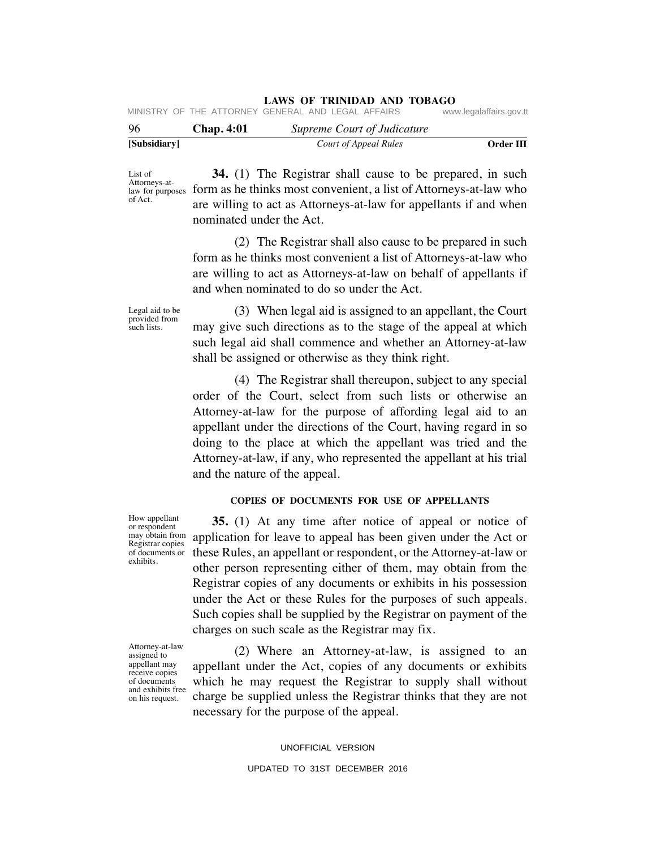|  | <b>LAWS OF TRINIDAD AND TOBAGO</b> |  |  |
|--|------------------------------------|--|--|
|--|------------------------------------|--|--|

| [Subsidiary] |                   | <b>Court of Appeal Rules</b>                       | Order III               |
|--------------|-------------------|----------------------------------------------------|-------------------------|
| 96           | <b>Chap.</b> 4:01 | Supreme Court of Judicature                        |                         |
|              |                   | MINISTRY OF THE ATTORNEY GENERAL AND LEGAL AFFAIRS | www.legalaffairs.gov.tt |

List of Attorneys-atlaw for purposes of Act.

 **34.** (1) The Registrar shall cause to be prepared, in such form as he thinks most convenient, a list of Attorneys-at-law who are willing to act as Attorneys-at-law for appellants if and when nominated under the Act.

 (2) The Registrar shall also cause to be prepared in such form as he thinks most convenient a list of Attorneys-at-law who are willing to act as Attorneys-at-law on behalf of appellants if and when nominated to do so under the Act.

Legal aid to be provided from such lists.

 (3) When legal aid is assigned to an appellant, the Court may give such directions as to the stage of the appeal at which such legal aid shall commence and whether an Attorney-at-law shall be assigned or otherwise as they think right.

 (4) The Registrar shall thereupon, subject to any special order of the Court, select from such lists or otherwise an Attorney-at-law for the purpose of affording legal aid to an appellant under the directions of the Court, having regard in so doing to the place at which the appellant was tried and the Attorney-at-law, if any, who represented the appellant at his trial and the nature of the appeal.

## **COPIES OF DOCUMENTS FOR USE OF APPELLANTS**

 **35.** (1) At any time after notice of appeal or notice of application for leave to appeal has been given under the Act or these Rules, an appellant or respondent, or the Attorney-at-law or other person representing either of them, may obtain from the Registrar copies of any documents or exhibits in his possession under the Act or these Rules for the purposes of such appeals. Such copies shall be supplied by the Registrar on payment of the charges on such scale as the Registrar may fix.

Attorney-at-law assigned to appellant may receive copies of documents and exhibits free on his request.

How appellant or respondent may obtain from Registrar copies of documents or exhibits.

> (2) Where an Attorney-at-law, is assigned to an appellant under the Act, copies of any documents or exhibits which he may request the Registrar to supply shall without charge be supplied unless the Registrar thinks that they are not necessary for the purpose of the appeal.

> > UNOFFICIAL VERSION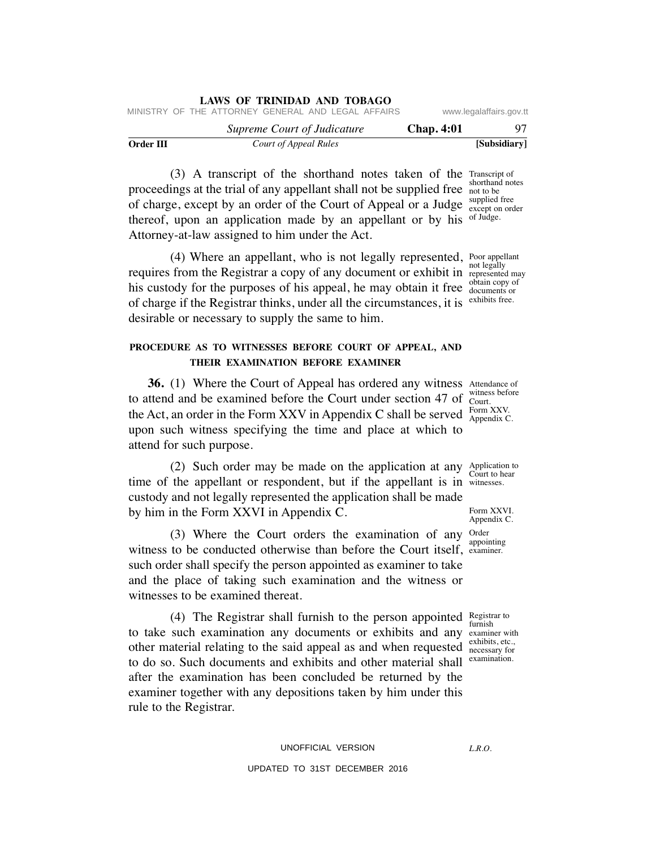|           | MINISTRY OF THE ATTORNEY GENERAL AND LEGAL AFFAIRS |                              |  |                   | www.legalaffairs.gov.tt |
|-----------|----------------------------------------------------|------------------------------|--|-------------------|-------------------------|
|           |                                                    | Supreme Court of Judicature  |  | <b>Chap.</b> 4:01 | 97                      |
| Order III |                                                    | <b>Court of Appeal Rules</b> |  |                   | [Subsidiary]            |

(3) A transcript of the shorthand notes taken of the Transcript of proceedings at the trial of any appellant shall not be supplied free not to be of charge, except by an order of the Court of Appeal or a Judge supplied free thereof, upon an application made by an appellant or by his Attorney-at-law assigned to him under the Act.

**LAWS OF TRINIDAD AND TOBAGO**

 $(4)$  Where an appellant, who is not legally represented, Poor appellant requires from the Registrar a copy of any document or exhibit in represented may his custody for the purposes of his appeal, he may obtain it free  $\frac{\text{column copy of}}{\text{documents or}}$ of charge if the Registrar thinks, under all the circumstances, it is exhibits free. desirable or necessary to supply the same to him.

## **PROCEDURE AS TO WITNESSES BEFORE COURT OF APPEAL, AND THEIR EXAMINATION BEFORE EXAMINER**

**36.** (1) Where the Court of Appeal has ordered any witness Attendance of to attend and be examined before the Court under section 47 of  $\frac{\text{wines}}{\text{Count}}$ the Act, an order in the Form XXV in Appendix C shall be served  $\frac{\text{Form XXV}}{\text{Appendix C}}$ . upon such witness specifying the time and place at which to attend for such purpose.

(2) Such order may be made on the application at any Application to time of the appellant or respondent, but if the appellant is in witnesses. custody and not legally represented the application shall be made by him in the Form XXVI in Appendix C.

(3) Where the Court orders the examination of any  $O<sub>order</sub>$ witness to be conducted otherwise than before the Court itself, examiner. such order shall specify the person appointed as examiner to take and the place of taking such examination and the witness or witnesses to be examined thereat.

(4) The Registrar shall furnish to the person appointed Registrar to to take such examination any documents or exhibits and any examiner with other material relating to the said appeal as and when requested  $\frac{\text{exmons, etc.}}{\text{necessary for}}$ to do so. Such documents and exhibits and other material shall examination. after the examination has been concluded be returned by the examiner together with any depositions taken by him under this rule to the Registrar.

shorthand notes supplied free of Judge.

not legally obtain copy of

witness before Form XXV.

Court to hear

Form XXVI. Appendix C.

appointing

furnish exhibits, etc.,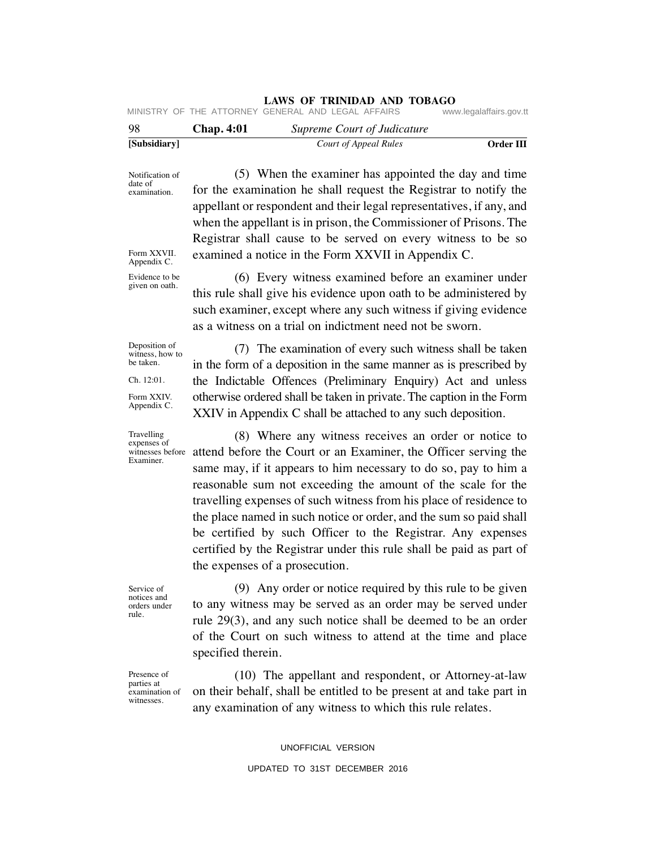| <b>LAWS OF TRINIDAD AND TOBAGO</b> |  |  |  |  |
|------------------------------------|--|--|--|--|
|------------------------------------|--|--|--|--|

| MINISTRY OF THE ATTORNEY GENERAL AND LEGAL AFFAIRS |  |  | www.legalaffairs.gov.tt |
|----------------------------------------------------|--|--|-------------------------|
|                                                    |  |  |                         |

| -98          | <b>Chap.</b> 4:01 | Supreme Court of Judicature  |           |
|--------------|-------------------|------------------------------|-----------|
| [Subsidiary] |                   | <b>Court of Appeal Rules</b> | Order III |

Notification of date of examination.

 (5) When the examiner has appointed the day and time for the examination he shall request the Registrar to notify the appellant or respondent and their legal representatives, if any, and when the appellant is in prison, the Commissioner of Prisons. The Registrar shall cause to be served on every witness to be so examined a notice in the Form XXVII in Appendix C.

Form XXVII. Appendix C. Evidence to be given on oath.

 (6) Every witness examined before an examiner under this rule shall give his evidence upon oath to be administered by such examiner, except where any such witness if giving evidence as a witness on a trial on indictment need not be sworn.

in the form of a deposition in the same manner as is prescribed by the Indictable Offences (Preliminary Enquiry) Act and unless otherwise ordered shall be taken in private. The caption in the Form XXIV in Appendix C shall be attached to any such deposition.

attend before the Court or an Examiner, the Officer serving the same may, if it appears to him necessary to do so, pay to him a reasonable sum not exceeding the amount of the scale for the travelling expenses of such witness from his place of residence to the place named in such notice or order, and the sum so paid shall be certified by such Officer to the Registrar. Any expenses certified by the Registrar under this rule shall be paid as part of

(7) The examination of every such witness shall be taken

(8) Where any witness receives an order or notice to

Deposition of witness, how to be taken. Ch. 12:01.

Form XXIV. Appendix C.

Travelling expenses of witnesses before Examiner.

Service of notices and orders under rule.

the expenses of a prosecution. (9) Any order or notice required by this rule to be given to any witness may be served as an order may be served under rule 29(3), and any such notice shall be deemed to be an order of the Court on such witness to attend at the time and place specified therein.

Presence of parties at examination of witnesses.

 (10) The appellant and respondent, or Attorney-at-law on their behalf, shall be entitled to be present at and take part in any examination of any witness to which this rule relates.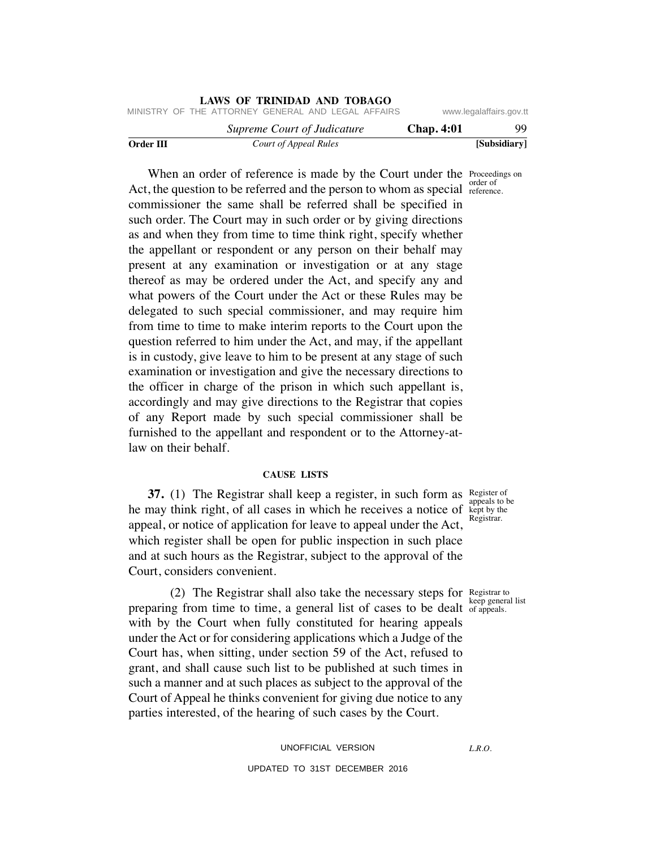|           | Supreme Court of Judicature  | <b>Chap.</b> 4:01 | 99           |
|-----------|------------------------------|-------------------|--------------|
| Order III | <b>Court of Appeal Rules</b> |                   | [Subsidiary] |

When an order of reference is made by the Court under the Proceedings on order of Act, the question to be referred and the person to whom as special  $\frac{r_{\text{other}}}{r_{\text{reference}}}.$ commissioner the same shall be referred shall be specified in such order. The Court may in such order or by giving directions as and when they from time to time think right, specify whether the appellant or respondent or any person on their behalf may present at any examination or investigation or at any stage thereof as may be ordered under the Act, and specify any and what powers of the Court under the Act or these Rules may be delegated to such special commissioner, and may require him from time to time to make interim reports to the Court upon the question referred to him under the Act, and may, if the appellant is in custody, give leave to him to be present at any stage of such examination or investigation and give the necessary directions to the officer in charge of the prison in which such appellant is, accordingly and may give directions to the Registrar that copies of any Report made by such special commissioner shall be furnished to the appellant and respondent or to the Attorney-at-

## **CAUSE LISTS**

law on their behalf.

**37.** (1) The Registrar shall keep a register, in such form as Register of he may think right, of all cases in which he receives a notice of  $\frac{1}{\text{Rep by th}}$ appeal, or notice of application for leave to appeal under the Act, which register shall be open for public inspection in such place and at such hours as the Registrar, subject to the approval of the Court, considers convenient.

(2) The Registrar shall also take the necessary steps for Registrar to preparing from time to time, a general list of cases to be dealt of appeals. with by the Court when fully constituted for hearing appeals under the Act or for considering applications which a Judge of the Court has, when sitting, under section 59 of the Act, refused to grant, and shall cause such list to be published at such times in such a manner and at such places as subject to the approval of the Court of Appeal he thinks convenient for giving due notice to any parties interested, of the hearing of such cases by the Court.

> UNOFFICIAL VERSION UPDATED TO 31ST DECEMBER 2016

appeals to be kept by the

keep general list

## **LAWS OF TRINIDAD AND TOBAGO**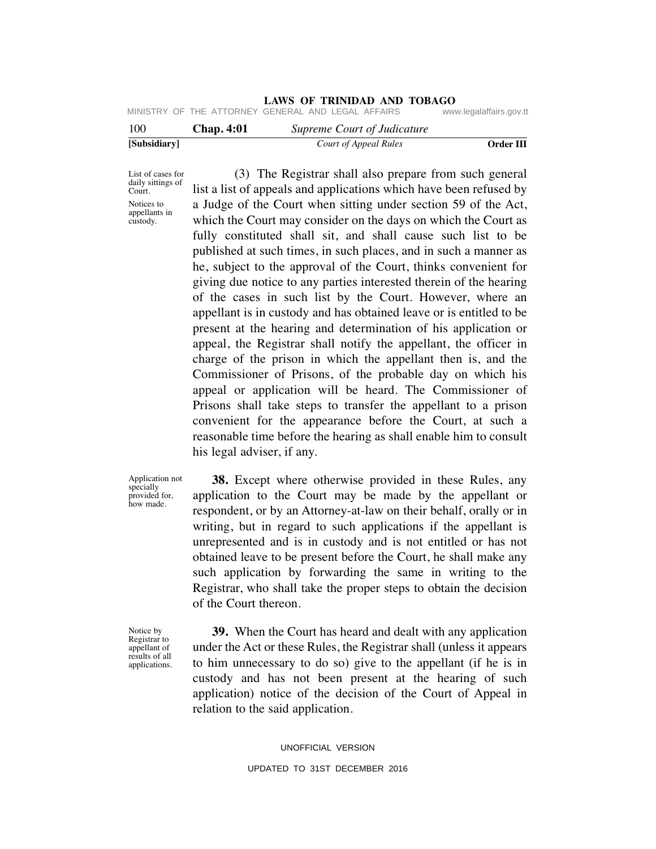#### **LAWS OF TRINIDAD AND TOBAGO** MINISTRY OF THE ATTORNEY GENERAL AND LEGAL AFFAIRS

| 100          | <b>Chap.</b> 4:01 | Supreme Court of Judicature  |           |
|--------------|-------------------|------------------------------|-----------|
| [Subsidiary] |                   | <b>Court of Appeal Rules</b> | Order III |

List of cases for daily sittings of Court. Notices to

appellants in custody.

 (3) The Registrar shall also prepare from such general list a list of appeals and applications which have been refused by a Judge of the Court when sitting under section 59 of the Act, which the Court may consider on the days on which the Court as fully constituted shall sit, and shall cause such list to be published at such times, in such places, and in such a manner as he, subject to the approval of the Court, thinks convenient for giving due notice to any parties interested therein of the hearing of the cases in such list by the Court. However, where an appellant is in custody and has obtained leave or is entitled to be present at the hearing and determination of his application or appeal, the Registrar shall notify the appellant, the officer in charge of the prison in which the appellant then is, and the Commissioner of Prisons, of the probable day on which his appeal or application will be heard. The Commissioner of Prisons shall take steps to transfer the appellant to a prison convenient for the appearance before the Court, at such a reasonable time before the hearing as shall enable him to consult his legal adviser, if any.

Application not specially provided for, how made.

 **38.** Except where otherwise provided in these Rules, any application to the Court may be made by the appellant or respondent, or by an Attorney-at-law on their behalf, orally or in writing, but in regard to such applications if the appellant is unrepresented and is in custody and is not entitled or has not obtained leave to be present before the Court, he shall make any such application by forwarding the same in writing to the Registrar, who shall take the proper steps to obtain the decision of the Court thereon.

Notice by Registrar to appellant of results of all applications.

 **39.** When the Court has heard and dealt with any application under the Act or these Rules, the Registrar shall (unless it appears to him unnecessary to do so) give to the appellant (if he is in custody and has not been present at the hearing of such application) notice of the decision of the Court of Appeal in relation to the said application.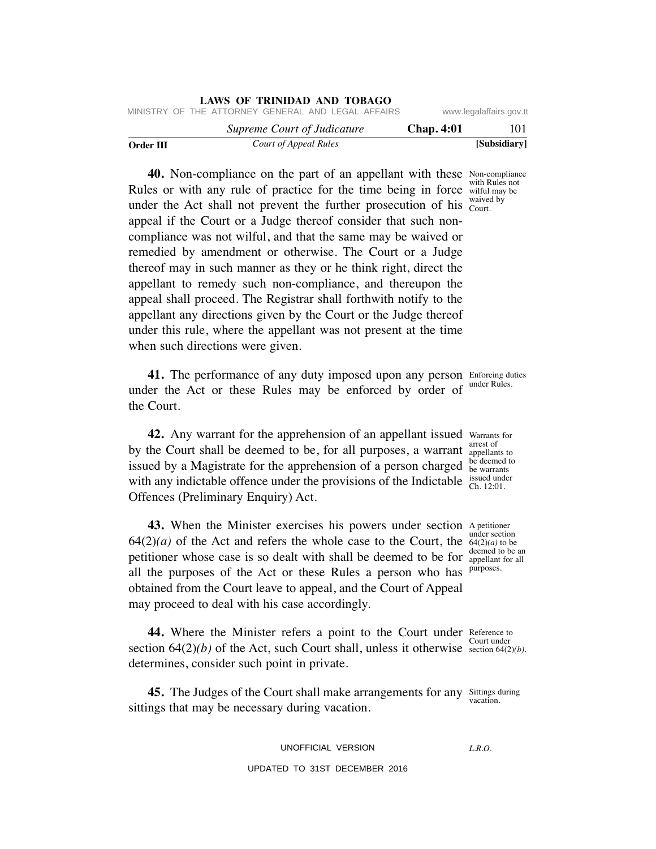|           |  | MINISTRY OF THE ATTORNEY GENERAL AND LEGAL AFFAIRS |                              |  |                   | www.legalaffairs.gov.tt |
|-----------|--|----------------------------------------------------|------------------------------|--|-------------------|-------------------------|
|           |  |                                                    | Supreme Court of Judicature  |  | <b>Chap.</b> 4:01 | 101                     |
| Order III |  |                                                    | <b>Court of Appeal Rules</b> |  |                   | [Subsidiary]            |

**40.** Non-compliance on the part of an appellant with these Non-compliance Rules or with any rule of practice for the time being in force  $\frac{m}{\text{width may be}}$ under the Act shall not prevent the further prosecution of his  $\frac{W}{C}$  court. appeal if the Court or a Judge thereof consider that such noncompliance was not wilful, and that the same may be waived or remedied by amendment or otherwise. The Court or a Judge thereof may in such manner as they or he think right, direct the appellant to remedy such non-compliance, and thereupon the appeal shall proceed. The Registrar shall forthwith notify to the appellant any directions given by the Court or the Judge thereof under this rule, where the appellant was not present at the time when such directions were given.

**LAWS OF TRINIDAD AND TOBAGO**

41. The performance of any duty imposed upon any person Enforcing duties under the Act or these Rules may be enforced by order of under Rules. the Court.

**42.** Any warrant for the apprehension of an appellant issued Warrants for by the Court shall be deemed to be, for all purposes, a warrant  $\frac{a}{appellants}$  to issued by a Magistrate for the apprehension of a person charged  $_{\text{be} \text{ we are}}^{\text{be} \text{ deemera}}$ with any indictable offence under the provisions of the Indictable  $\frac{\text{issue dual}}{\text{Ch. 12:01}}$ Offences (Preliminary Enquiry) Act.

**43.** When the Minister exercises his powers under section Apetitioner  $64(2)(a)$  of the Act and refers the whole case to the Court, the  $\frac{d^{(2)}(a)}{64(2)(a)}$  to be petitioner whose case is so dealt with shall be deemed to be for  $\frac{de{c}{ap}}{ap}$ all the purposes of the Act or these Rules a person who has obtained from the Court leave to appeal, and the Court of Appeal may proceed to deal with his case accordingly.

**44.** Where the Minister refers a point to the Court under Reference to Court under section  $64(2)(b)$  of the Act, such Court shall, unless it otherwise section  $64(2)(b)$ . determines, consider such point in private.

**45.** The Judges of the Court shall make arrangements for any Sittings during vacation. sittings that may be necessary during vacation.

## UNOFFICIAL VERSION

### UPDATED TO 31ST DECEMBER 2016

with Rules not waived by

arrest of be deemed to issued under

under section deemed to be an purposes.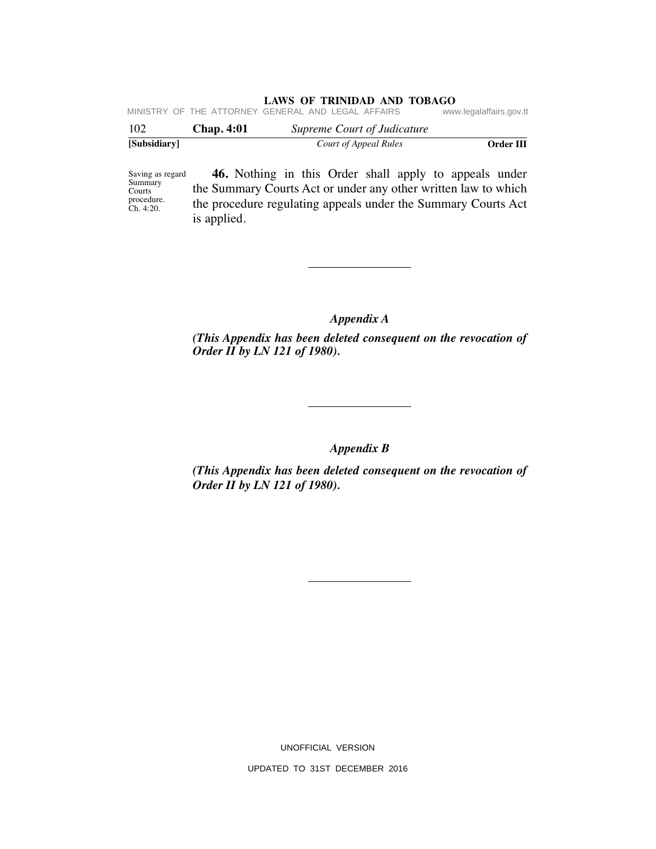| [Subsidiary] |                   | <b>Court of Appeal Rules</b>                       | Order III               |
|--------------|-------------------|----------------------------------------------------|-------------------------|
| 102          | <b>Chap.</b> 4:01 | Supreme Court of Judicature                        |                         |
|              |                   | MINISTRY OF THE ATTORNEY GENERAL AND LEGAL AFFAIRS | www.legalaffairs.gov.tt |

Summary Courts procedure. Ch. 4:20.

Saving as regard  **46.** Nothing in this Order shall apply to appeals under the Summary Courts Act or under any other written law to which the procedure regulating appeals under the Summary Courts Act is applied.

*Appendix A*

*(This Appendix has been deleted consequent on the revocation of Order II by LN 121 of 1980).*

*Appendix B*

*(This Appendix has been deleted consequent on the revocation of Order II by LN 121 of 1980).*

UNOFFICIAL VERSION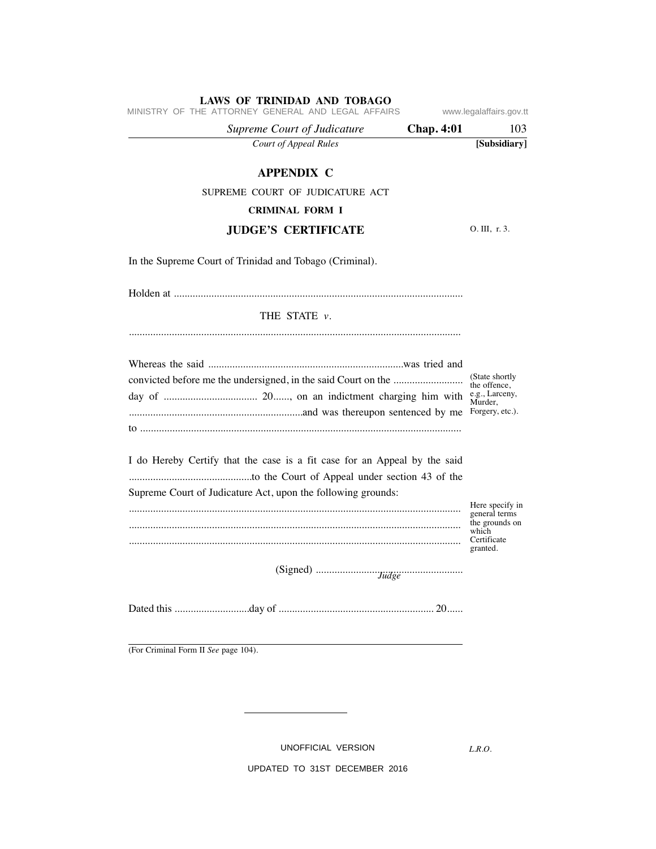| MINISTRY OF THE ATTORNEY GENERAL AND LEGAL AFFAIRS                        | www.legalaffairs.gov.tt         |
|---------------------------------------------------------------------------|---------------------------------|
| <b>Chap. 4:01</b><br>Supreme Court of Judicature                          | 103                             |
| <b>Court of Appeal Rules</b>                                              | [Subsidiary]                    |
| <b>APPENDIX C</b>                                                         |                                 |
| SUPREME COURT OF JUDICATURE ACT                                           |                                 |
| <b>CRIMINAL FORM I</b>                                                    |                                 |
| <b>JUDGE'S CERTIFICATE</b>                                                | O. III, r. 3.                   |
| In the Supreme Court of Trinidad and Tobago (Criminal).                   |                                 |
|                                                                           |                                 |
| THE STATE v.                                                              |                                 |
|                                                                           |                                 |
|                                                                           |                                 |
|                                                                           | (State shortly)<br>the offence, |
|                                                                           | e.g., Larceny,<br>Murder,       |
|                                                                           | Forgery, etc.).                 |
|                                                                           |                                 |
| I do Hereby Certify that the case is a fit case for an Appeal by the said |                                 |
|                                                                           |                                 |
| Supreme Court of Judicature Act, upon the following grounds:              | Here specify in                 |
|                                                                           | general terms<br>the grounds on |
|                                                                           | which<br>Certificate            |
|                                                                           | granted.                        |
|                                                                           |                                 |
|                                                                           |                                 |
|                                                                           |                                 |
| (For Criminal Form II See page 104).                                      |                                 |

UNOFFICIAL VERSION

*L.R.O.* 

UPDATED TO 31ST DECEMBER 2016

 $\overline{a}$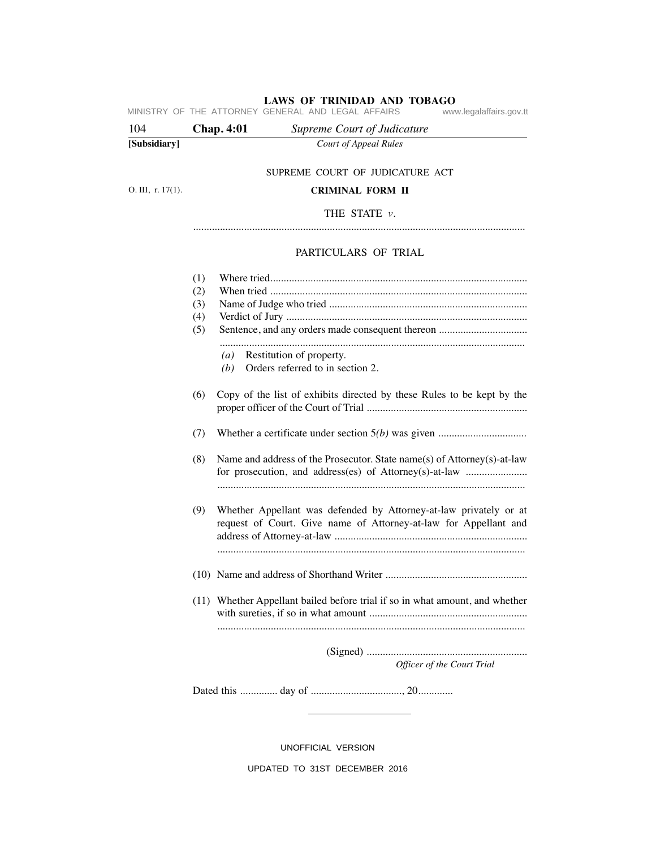MINISTRY OF THE ATTORNEY GENERAL AND LEGAL AFFAIRS www.legalaffairs.gov.tt

| 104                  | <b>Chap.</b> 4:01 | Supreme Court of Judicature     |  |
|----------------------|-------------------|---------------------------------|--|
| [Subsidiary]         |                   | <b>Court of Appeal Rules</b>    |  |
|                      |                   | SUPREME COURT OF JUDICATURE ACT |  |
| $O. III, r. 17(1)$ . |                   | <b>CRIMINAL FORM II</b>         |  |
|                      |                   | THE STATE v.                    |  |

### PARTICULARS OF TRIAL

............................................................................................................................

| (1) |                                                                                                                                       |
|-----|---------------------------------------------------------------------------------------------------------------------------------------|
| (2) |                                                                                                                                       |
| (3) |                                                                                                                                       |
| (4) |                                                                                                                                       |
| (5) | Sentence, and any orders made consequent thereon                                                                                      |
|     | Restitution of property.<br>(a)<br>Orders referred to in section 2.<br>(b)                                                            |
| (6) | Copy of the list of exhibits directed by these Rules to be kept by the                                                                |
| (7) |                                                                                                                                       |
| (8) | Name and address of the Prosecutor. State name(s) of Attorney(s)-at-law<br>for prosecution, and address(es) of Attorney(s)-at-law     |
| (9) | Whether Appellant was defended by Attorney-at-law privately or at<br>request of Court. Give name of Attorney-at-law for Appellant and |
|     |                                                                                                                                       |
|     | (11) Whether Appellant bailed before trial if so in what amount, and whether                                                          |
|     |                                                                                                                                       |
|     | Officer of the Court Trial                                                                                                            |
|     |                                                                                                                                       |

UNOFFICIAL VERSION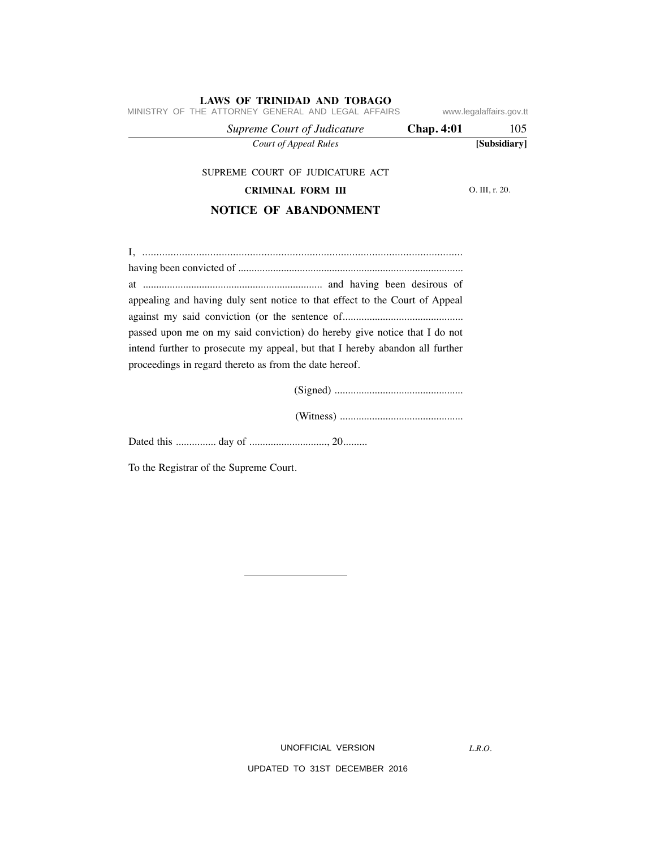| MINISTRY OF THE ATTORNEY GENERAL AND LEGAL AFFAIRS                           | www.legalaffairs.gov.tt |
|------------------------------------------------------------------------------|-------------------------|
| <b>Chap. 4:01</b><br>Supreme Court of Judicature                             | 105                     |
| Court of Appeal Rules                                                        | [Subsidiary]            |
| SUPREME COURT OF JUDICATURE ACT                                              |                         |
| <b>CRIMINAL FORM III</b>                                                     | O. III, r. 20.          |
| <b>NOTICE OF ABANDONMENT</b>                                                 |                         |
|                                                                              |                         |
|                                                                              |                         |
|                                                                              |                         |
|                                                                              |                         |
| appealing and having duly sent notice to that effect to the Court of Appeal  |                         |
|                                                                              |                         |
| passed upon me on my said conviction) do hereby give notice that I do not    |                         |
| intend further to prosecute my appeal, but that I hereby abandon all further |                         |
| proceedings in regard thereto as from the date hereof.                       |                         |
|                                                                              |                         |
|                                                                              |                         |

Dated this ............... day of ............................., 20.........

To the Registrar of the Supreme Court.

UNOFFICIAL VERSION

*L.R.O.*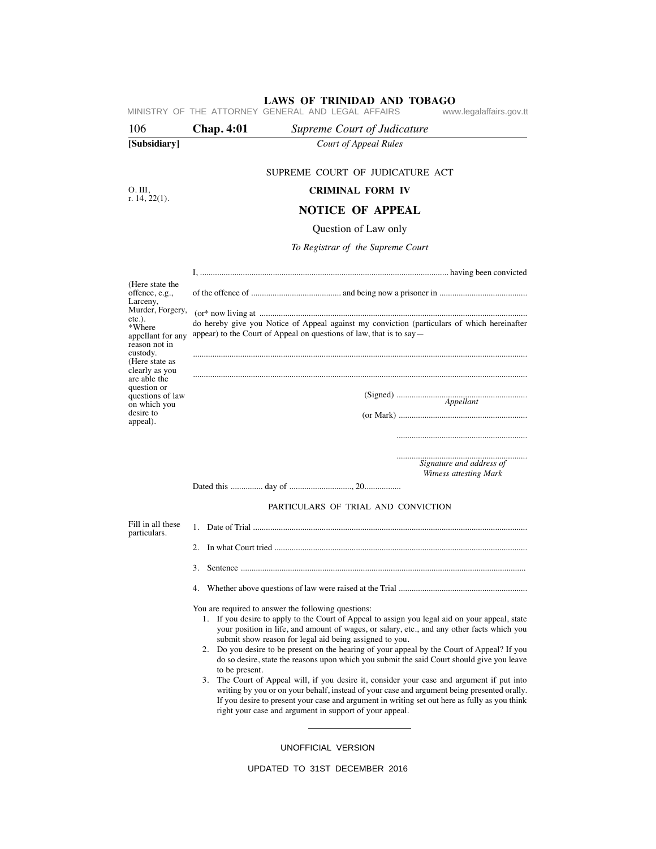|                                                                                                                                          |                      | <b>LAWS OF TRINIDAD AND TOBAGO</b><br>MINISTRY OF THE ATTORNEY GENERAL AND LEGAL AFFAIRS                                                                                                                                                                                                                                                                                                                                                                                                                                                                                                                                                                                                                                                                                                                                                                          | www.legalaffairs.gov.tt                                                                                                                                                                     |
|------------------------------------------------------------------------------------------------------------------------------------------|----------------------|-------------------------------------------------------------------------------------------------------------------------------------------------------------------------------------------------------------------------------------------------------------------------------------------------------------------------------------------------------------------------------------------------------------------------------------------------------------------------------------------------------------------------------------------------------------------------------------------------------------------------------------------------------------------------------------------------------------------------------------------------------------------------------------------------------------------------------------------------------------------|---------------------------------------------------------------------------------------------------------------------------------------------------------------------------------------------|
| 106                                                                                                                                      | <b>Chap.</b> 4:01    | Supreme Court of Judicature                                                                                                                                                                                                                                                                                                                                                                                                                                                                                                                                                                                                                                                                                                                                                                                                                                       |                                                                                                                                                                                             |
| [Subsidiary]                                                                                                                             |                      | Court of Appeal Rules                                                                                                                                                                                                                                                                                                                                                                                                                                                                                                                                                                                                                                                                                                                                                                                                                                             |                                                                                                                                                                                             |
|                                                                                                                                          |                      | SUPREME COURT OF JUDICATURE ACT                                                                                                                                                                                                                                                                                                                                                                                                                                                                                                                                                                                                                                                                                                                                                                                                                                   |                                                                                                                                                                                             |
| O. III.<br>r. 14, 22(1).                                                                                                                 |                      | <b>CRIMINAL FORM IV</b>                                                                                                                                                                                                                                                                                                                                                                                                                                                                                                                                                                                                                                                                                                                                                                                                                                           |                                                                                                                                                                                             |
|                                                                                                                                          |                      | <b>NOTICE OF APPEAL</b>                                                                                                                                                                                                                                                                                                                                                                                                                                                                                                                                                                                                                                                                                                                                                                                                                                           |                                                                                                                                                                                             |
|                                                                                                                                          |                      | Question of Law only                                                                                                                                                                                                                                                                                                                                                                                                                                                                                                                                                                                                                                                                                                                                                                                                                                              |                                                                                                                                                                                             |
|                                                                                                                                          |                      | To Registrar of the Supreme Court                                                                                                                                                                                                                                                                                                                                                                                                                                                                                                                                                                                                                                                                                                                                                                                                                                 |                                                                                                                                                                                             |
|                                                                                                                                          |                      |                                                                                                                                                                                                                                                                                                                                                                                                                                                                                                                                                                                                                                                                                                                                                                                                                                                                   |                                                                                                                                                                                             |
| (Here state the<br>offence, e.g.,<br>Larceny,                                                                                            |                      |                                                                                                                                                                                                                                                                                                                                                                                                                                                                                                                                                                                                                                                                                                                                                                                                                                                                   |                                                                                                                                                                                             |
| Murder, Forgery,<br>etc.).<br>*Where<br>appellant for any<br>reason not in                                                               |                      | do hereby give you Notice of Appeal against my conviction (particulars of which hereinafter<br>appear) to the Court of Appeal on questions of law, that is to say—                                                                                                                                                                                                                                                                                                                                                                                                                                                                                                                                                                                                                                                                                                |                                                                                                                                                                                             |
| custody.<br>(Here state as<br>clearly as you<br>are able the<br>question or<br>questions of law<br>on which you<br>desire to<br>appeal). |                      |                                                                                                                                                                                                                                                                                                                                                                                                                                                                                                                                                                                                                                                                                                                                                                                                                                                                   | $\begin{minipage}{.4\linewidth} (Signed) \hspace{0.03cm} {\small \begin{minipage}{.4cm} \includegraphics{0.03\linewidth} \end{minipage}} \hspace{0.03cm} \textit{Appendant} \end{minipage}$ |
|                                                                                                                                          |                      |                                                                                                                                                                                                                                                                                                                                                                                                                                                                                                                                                                                                                                                                                                                                                                                                                                                                   | Signature and address of<br>Witness attesting Mark                                                                                                                                          |
|                                                                                                                                          |                      | PARTICULARS OF TRIAL AND CONVICTION                                                                                                                                                                                                                                                                                                                                                                                                                                                                                                                                                                                                                                                                                                                                                                                                                               |                                                                                                                                                                                             |
| Fill in all these<br>particulars.                                                                                                        |                      |                                                                                                                                                                                                                                                                                                                                                                                                                                                                                                                                                                                                                                                                                                                                                                                                                                                                   |                                                                                                                                                                                             |
|                                                                                                                                          | 2.                   |                                                                                                                                                                                                                                                                                                                                                                                                                                                                                                                                                                                                                                                                                                                                                                                                                                                                   |                                                                                                                                                                                             |
|                                                                                                                                          |                      |                                                                                                                                                                                                                                                                                                                                                                                                                                                                                                                                                                                                                                                                                                                                                                                                                                                                   |                                                                                                                                                                                             |
|                                                                                                                                          | 4.                   |                                                                                                                                                                                                                                                                                                                                                                                                                                                                                                                                                                                                                                                                                                                                                                                                                                                                   |                                                                                                                                                                                             |
|                                                                                                                                          | 1.<br>to be present. | You are required to answer the following questions:<br>If you desire to apply to the Court of Appeal to assign you legal aid on your appeal, state<br>your position in life, and amount of wages, or salary, etc., and any other facts which you<br>submit show reason for legal aid being assigned to you.<br>2. Do you desire to be present on the hearing of your appeal by the Court of Appeal? If you<br>do so desire, state the reasons upon which you submit the said Court should give you leave<br>3. The Court of Appeal will, if you desire it, consider your case and argument if put into<br>writing by you or on your behalf, instead of your case and argument being presented orally.<br>If you desire to present your case and argument in writing set out here as fully as you think<br>right your case and argument in support of your appeal. |                                                                                                                                                                                             |

UNOFFICIAL VERSION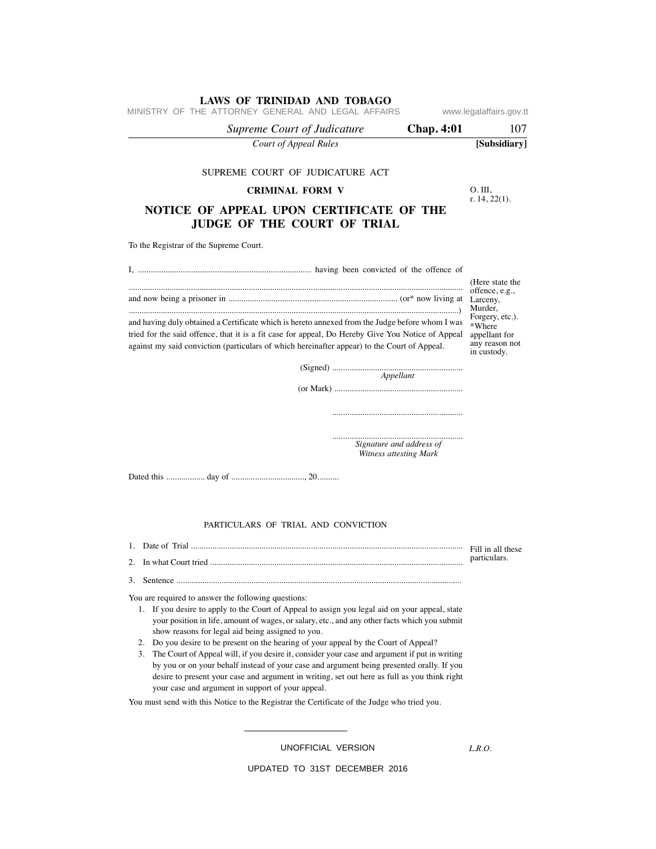| LAWS OF TRINIDAD AND TOBAGO<br>MINISTRY OF THE ATTORNEY GENERAL AND LEGAL AFFAIRS                                                                                                                                                                                                                    | www.legalaffairs.gov.tt                                                     |
|------------------------------------------------------------------------------------------------------------------------------------------------------------------------------------------------------------------------------------------------------------------------------------------------------|-----------------------------------------------------------------------------|
|                                                                                                                                                                                                                                                                                                      | 107                                                                         |
| Supreme Court of Judicature<br><b>Chap. 4:01</b><br><b>Court of Appeal Rules</b>                                                                                                                                                                                                                     | [Subsidiary]                                                                |
| SUPREME COURT OF JUDICATURE ACT                                                                                                                                                                                                                                                                      |                                                                             |
| <b>CRIMINAL FORM V</b>                                                                                                                                                                                                                                                                               | О. Ш.                                                                       |
| NOTICE OF APPEAL UPON CERTIFICATE OF THE<br><b>JUDGE OF THE COURT OF TRIAL</b>                                                                                                                                                                                                                       | r. $14, 22(1)$ .                                                            |
| To the Registrar of the Supreme Court.                                                                                                                                                                                                                                                               |                                                                             |
|                                                                                                                                                                                                                                                                                                      | (Here state the                                                             |
|                                                                                                                                                                                                                                                                                                      | offence, e.g.,<br>Larceny,<br>Murder,                                       |
| and having duly obtained a Certificate which is hereto annexed from the Judge before whom I was<br>tried for the said offence, that it is a fit case for appeal, Do Hereby Give You Notice of Appeal<br>against my said conviction (particulars of which hereinafter appear) to the Court of Appeal. | Forgery, etc.).<br>*Where<br>appellant for<br>any reason not<br>in custody. |
| Appellant                                                                                                                                                                                                                                                                                            |                                                                             |
|                                                                                                                                                                                                                                                                                                      |                                                                             |
| Signature and address of<br>Witness attesting Mark                                                                                                                                                                                                                                                   |                                                                             |
|                                                                                                                                                                                                                                                                                                      |                                                                             |
| PARTICULARS OF TRIAL AND CONVICTION                                                                                                                                                                                                                                                                  |                                                                             |
|                                                                                                                                                                                                                                                                                                      | Fill in all these                                                           |
|                                                                                                                                                                                                                                                                                                      | particulars.                                                                |

3. Sentence .....................................................................................................................................

You are required to answer the following questions:

- 1. If you desire to apply to the Court of Appeal to assign you legal aid on your appeal, state your position in life, amount of wages, or salary, etc., and any other facts which you submit show reasons for legal aid being assigned to you.
- 2. Do you desire to be present on the hearing of your appeal by the Court of Appeal?
- 3. The Court of Appeal will, if you desire it, consider your case and argument if put in writing by you or on your behalf instead of your case and argument being presented orally. If you desire to present your case and argument in writing, set out here as full as you think right your case and argument in support of your appeal.

You must send with this Notice to the Registrar the Certificate of the Judge who tried you.

UNOFFICIAL VERSION

*L.R.O.*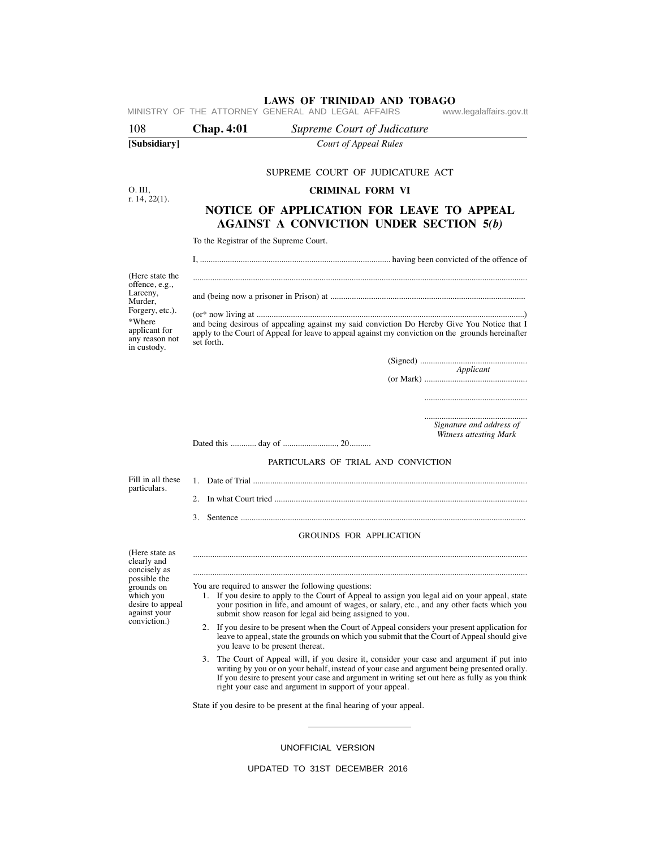**LAWS OF TRINIDAD AND TOBAGO** MINISTRY OF THE ATTORNEY GENERAL AND LEGAL AFFAIRS

| 108          | <b>Chap.</b> 4:01 | Supreme Court of Judicature  |  |
|--------------|-------------------|------------------------------|--|
| [Subsidiarv] |                   | <b>Court of Appeal Rules</b> |  |

#### SUPREME COURT OF JUDICATURE ACT

#### **CRIMINAL FORM VI**

## **NOTICE OF APPLICATION FOR LEAVE TO APPEAL AGAINST A CONVICTION UNDER SECTION 5***(b)*

To the Registrar of the Supreme Court.

I, ......................................................................................... having been convicted of the offence of ............................................................................................................................................................

(Here state the offence, e.g., Larceny, Murder, Forgery, etc.). \*Where applicant for any reason not in custody.

O. III, r. 14, 22(1).

> (or\* now living at .............................................................................................................................) and being desirous of appealing against my said conviction Do Hereby Give You Notice that I apply to the Court of Appeal for leave to appeal against my conviction on the grounds hereinafter set forth.

> and (being now a prisoner in Prison) at ...........................................................................................

(Signed) .................................................. *Applicant*

(or Mark) ................................................

................................................ *Signature and address of Witness attesting Mark*

................................................

Dated this ............ day of ........................., 20..........

#### PARTICULARS OF TRIAL AND CONVICTION

1. Date of Trial ................................................................................................................................

Fill in all these particulars.

2. In what Court tried ......................................................................................................................

3. Sentence .....................................................................................................................................

## GROUNDS FOR APPLICATION ............................................................................................................................................................

(Here state as clearly and concisely as possible the grounds on which you desire to appeal against your conviction.)

You are required to answer the following questions:

1. If you desire to apply to the Court of Appeal to assign you legal aid on your appeal, state your position in life, and amount of wages, or salary, etc., and any other facts which you submit show reason for legal aid being assigned to you.

............................................................................................................................................................

- 2. If you desire to be present when the Court of Appeal considers your present application for leave to appeal, state the grounds on which you submit that the Court of Appeal should give you leave to be present thereat.
- 3. The Court of Appeal will, if you desire it, consider your case and argument if put into writing by you or on your behalf, instead of your case and argument being presented orally. If you desire to present your case and argument in writing set out here as fully as you think right your case and argument in support of your appeal.

State if you desire to be present at the final hearing of your appeal.

#### UNOFFICIAL VERSION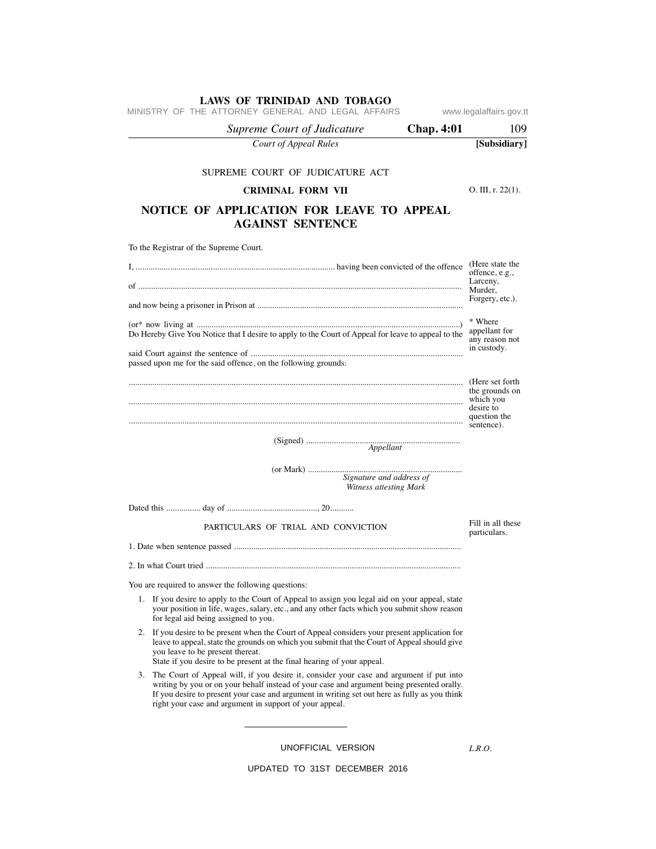| <b>LAWS OF TRINIDAD AND TOBAGO</b><br>MINISTRY OF THE ATTORNEY GENERAL AND LEGAL AFFAIRS                                                                                                                                                                                                                                                                                                                                | www.legalaffairs.gov.tt                                  |
|-------------------------------------------------------------------------------------------------------------------------------------------------------------------------------------------------------------------------------------------------------------------------------------------------------------------------------------------------------------------------------------------------------------------------|----------------------------------------------------------|
| <b>Chap. 4:01</b><br>Supreme Court of Judicature                                                                                                                                                                                                                                                                                                                                                                        | 109                                                      |
| Court of Appeal Rules                                                                                                                                                                                                                                                                                                                                                                                                   | [Subsidiary]                                             |
| SUPREME COURT OF JUDICATURE ACT                                                                                                                                                                                                                                                                                                                                                                                         |                                                          |
| <b>CRIMINAL FORM VII</b>                                                                                                                                                                                                                                                                                                                                                                                                | $O. III, r. 22(1)$ .                                     |
| NOTICE OF APPLICATION FOR LEAVE TO APPEAL<br><b>AGAINST SENTENCE</b>                                                                                                                                                                                                                                                                                                                                                    |                                                          |
| To the Registrar of the Supreme Court.                                                                                                                                                                                                                                                                                                                                                                                  |                                                          |
|                                                                                                                                                                                                                                                                                                                                                                                                                         | (Here state the<br>offence, e.g.,<br>Larceny,<br>Murder, |
|                                                                                                                                                                                                                                                                                                                                                                                                                         | Forgery, etc.).                                          |
|                                                                                                                                                                                                                                                                                                                                                                                                                         | * Where                                                  |
| Do Hereby Give You Notice that I desire to apply to the Court of Appeal for leave to appeal to the                                                                                                                                                                                                                                                                                                                      | appellant for<br>any reason not<br>in custody.           |
| passed upon me for the said offence, on the following grounds:                                                                                                                                                                                                                                                                                                                                                          |                                                          |
|                                                                                                                                                                                                                                                                                                                                                                                                                         |                                                          |
|                                                                                                                                                                                                                                                                                                                                                                                                                         | the grounds on<br>which you<br>desire to<br>question the |
|                                                                                                                                                                                                                                                                                                                                                                                                                         | sentence).                                               |
| $\hspace{2.5cm} \textbf{(Signed)}\; \ldots \hspace{2.5cm} \ldots \hspace{2.5cm} \ldots \hspace{2.5cm} \ldots \hspace{2.5cm} \ldots \hspace{2.5cm} \ldots \hspace{2.5cm} \ldots \hspace{2.5cm} \ldots \hspace{2.5cm} \ldots \hspace{2.5cm} \ldots \hspace{2.5cm} \ldots \hspace{2.5cm} \ldots \hspace{2.5cm} \ldots \hspace{2.5cm} \ldots \hspace{2.5cm} \ldots \hspace{2.5cm} \ldots \hspace{2.5cm} \ldots \hspace{2.5$ |                                                          |
| Signature and address of<br>Witness attesting Mark                                                                                                                                                                                                                                                                                                                                                                      |                                                          |
|                                                                                                                                                                                                                                                                                                                                                                                                                         |                                                          |
| PARTICULARS OF TRIAL AND CONVICTION                                                                                                                                                                                                                                                                                                                                                                                     | Fill in all these<br>particulars.                        |
|                                                                                                                                                                                                                                                                                                                                                                                                                         |                                                          |
|                                                                                                                                                                                                                                                                                                                                                                                                                         |                                                          |
| You are required to answer the following questions:                                                                                                                                                                                                                                                                                                                                                                     |                                                          |
| 1. If you desire to apply to the Court of Appeal to assign you legal aid on your appeal, state<br>your position in life, wages, salary, etc., and any other facts which you submit show reason<br>for legal aid being assigned to you.                                                                                                                                                                                  |                                                          |
| 2. If you desire to be present when the Court of Appeal considers your present application for<br>leave to appeal, state the grounds on which you submit that the Court of Appeal should give<br>you leave to be present thereat.<br>State if you desire to be present at the final hearing of your appeal.                                                                                                             |                                                          |
| 3. The Court of Appeal will, if you desire it, consider your case and argument if put into<br>writing by you or on your behalf instead of your case and argument being presented orally.<br>If you desire to present your case and argument in writing set out here as fully as you think<br>right your case and argument in support of your appeal.                                                                    |                                                          |
|                                                                                                                                                                                                                                                                                                                                                                                                                         |                                                          |

## UNOFFICIAL VERSION

*L.R.O.*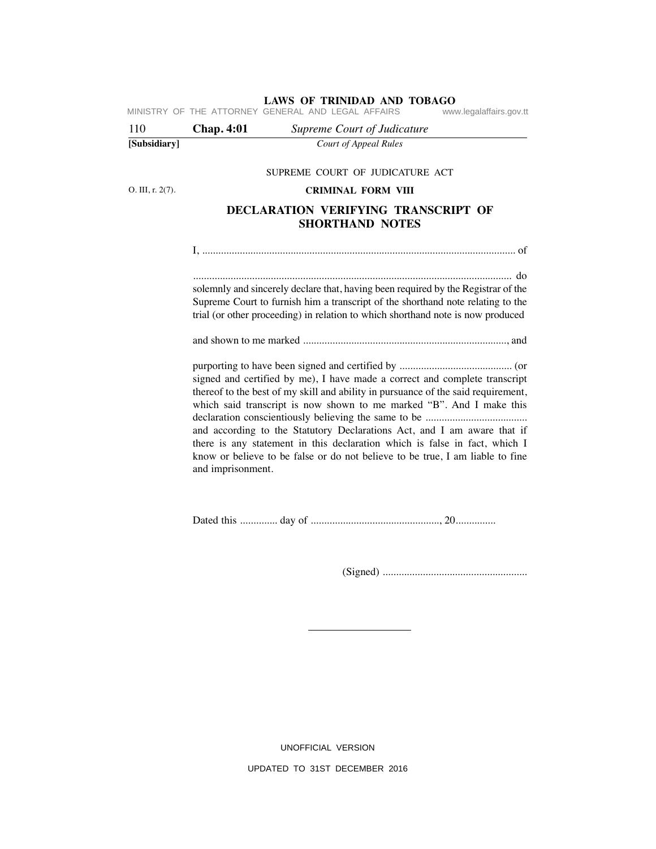|                  |                   | MINISTRY OF THE ATTORNEY GENERAL AND LEGAL AFFAIRS                                                                                                                                                                                                                                                                                                                                                                                                                                | www.legalaffairs.gov.tt |
|------------------|-------------------|-----------------------------------------------------------------------------------------------------------------------------------------------------------------------------------------------------------------------------------------------------------------------------------------------------------------------------------------------------------------------------------------------------------------------------------------------------------------------------------|-------------------------|
| 110              | <b>Chap. 4:01</b> | Supreme Court of Judicature                                                                                                                                                                                                                                                                                                                                                                                                                                                       |                         |
| [Subsidiary]     |                   | <b>Court of Appeal Rules</b>                                                                                                                                                                                                                                                                                                                                                                                                                                                      |                         |
|                  |                   | SUPREME COURT OF JUDICATURE ACT                                                                                                                                                                                                                                                                                                                                                                                                                                                   |                         |
| O. III, r. 2(7). |                   | <b>CRIMINAL FORM VIII</b>                                                                                                                                                                                                                                                                                                                                                                                                                                                         |                         |
|                  |                   | DECLARATION VERIFYING TRANSCRIPT OF<br><b>SHORTHAND NOTES</b>                                                                                                                                                                                                                                                                                                                                                                                                                     |                         |
|                  |                   |                                                                                                                                                                                                                                                                                                                                                                                                                                                                                   |                         |
|                  |                   | solemnly and sincerely declare that, having been required by the Registrar of the<br>Supreme Court to furnish him a transcript of the shorthand note relating to the<br>trial (or other proceeding) in relation to which shorthand note is now produced                                                                                                                                                                                                                           |                         |
|                  |                   |                                                                                                                                                                                                                                                                                                                                                                                                                                                                                   |                         |
|                  | and imprisonment. | signed and certified by me), I have made a correct and complete transcript<br>thereof to the best of my skill and ability in pursuance of the said requirement,<br>which said transcript is now shown to me marked "B". And I make this<br>and according to the Statutory Declarations Act, and I am aware that if<br>there is any statement in this declaration which is false in fact, which I<br>know or believe to be false or do not believe to be true, I am liable to fine |                         |

Dated this .............. day of ................................................, 20...............

(Signed) ......................................................

UNOFFICIAL VERSION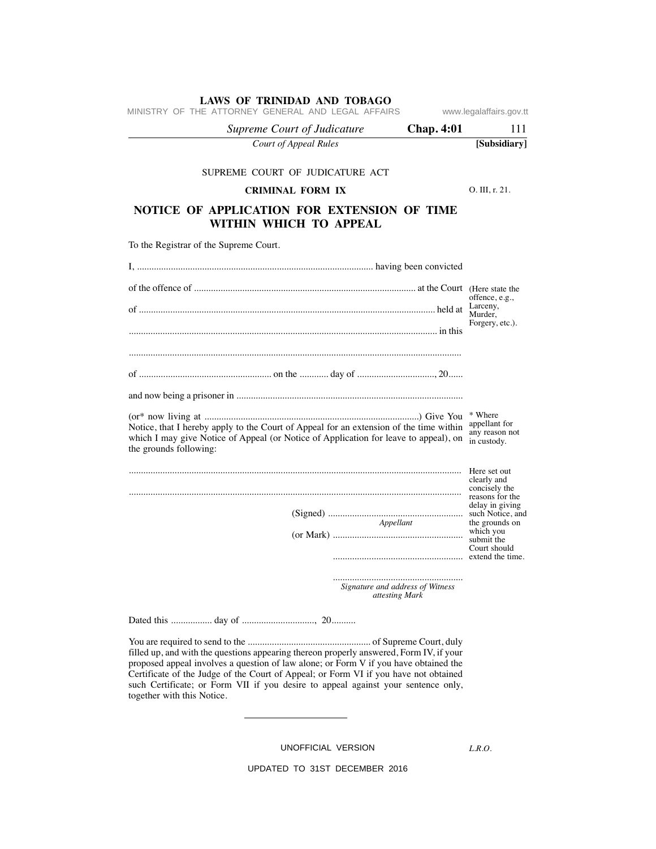| MINISTRY OF THE ATTORNEY GENERAL AND LEGAL AFFAIRS                                                                                                                                                       | www.legalaffairs.gov.tt                                      |  |
|----------------------------------------------------------------------------------------------------------------------------------------------------------------------------------------------------------|--------------------------------------------------------------|--|
| Supreme Court of Judicature<br><b>Chap. 4:01</b>                                                                                                                                                         | 111                                                          |  |
| <b>Court of Appeal Rules</b>                                                                                                                                                                             | [Subsidiary]                                                 |  |
| SUPREME COURT OF JUDICATURE ACT                                                                                                                                                                          |                                                              |  |
| <b>CRIMINAL FORM IX</b>                                                                                                                                                                                  | O. III, r. 21.                                               |  |
| NOTICE OF APPLICATION FOR EXTENSION OF TIME<br>WITHIN WHICH TO APPEAL                                                                                                                                    |                                                              |  |
| To the Registrar of the Supreme Court.                                                                                                                                                                   |                                                              |  |
|                                                                                                                                                                                                          |                                                              |  |
|                                                                                                                                                                                                          |                                                              |  |
|                                                                                                                                                                                                          | offence, e.g.,<br>Larceny,<br>Murder,                        |  |
|                                                                                                                                                                                                          | Forgery, etc.).                                              |  |
|                                                                                                                                                                                                          |                                                              |  |
|                                                                                                                                                                                                          |                                                              |  |
|                                                                                                                                                                                                          |                                                              |  |
| Notice, that I hereby apply to the Court of Appeal for an extension of the time within<br>which I may give Notice of Appeal (or Notice of Application for leave to appeal), on<br>the grounds following: | * Where<br>appellant for<br>any reason not<br>in custody.    |  |
|                                                                                                                                                                                                          | Here set out                                                 |  |
|                                                                                                                                                                                                          | clearly and<br>concisely the<br>reasons for the              |  |
| Appellant                                                                                                                                                                                                | delay in giving<br>the grounds on<br>which you<br>submit the |  |
|                                                                                                                                                                                                          | Court should                                                 |  |
| Signature and address of Witness<br>attesting Mark                                                                                                                                                       |                                                              |  |
|                                                                                                                                                                                                          |                                                              |  |
| filled up, and with the questions appearing thereon properly answered, Form IV, if your                                                                                                                  |                                                              |  |

UNOFFICIAL VERSION

UPDATED TO 31ST DECEMBER 2016

proposed appeal involves a question of law alone; or Form V if you have obtained the Certificate of the Judge of the Court of Appeal; or Form VI if you have not obtained such Certificate; or Form VII if you desire to appeal against your sentence only,

together with this Notice.

*L.R.O.*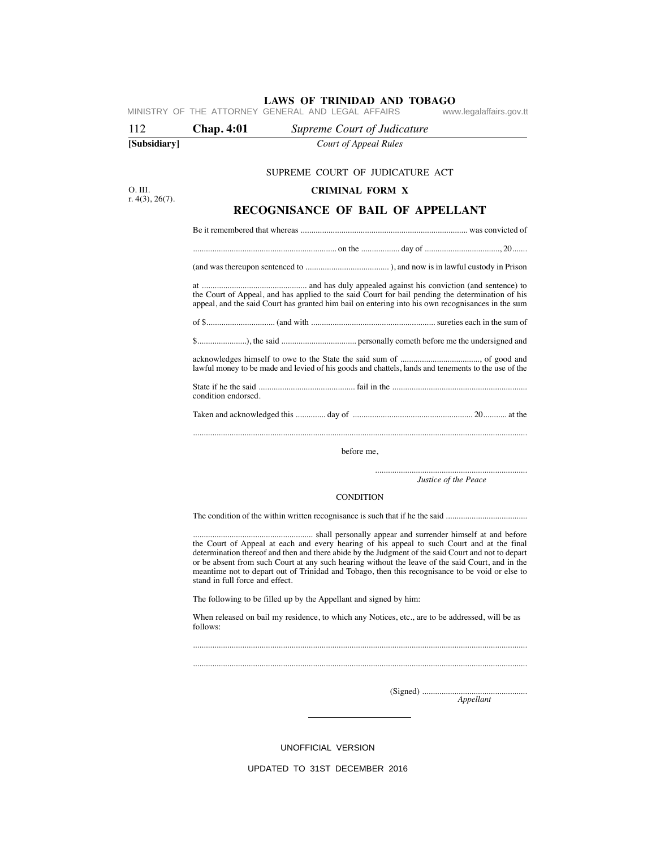| 112                              | <b>Chap. 4:01</b><br>Supreme Court of Judicature                                                                                                                                                      |                      |  |  |
|----------------------------------|-------------------------------------------------------------------------------------------------------------------------------------------------------------------------------------------------------|----------------------|--|--|
| [Subsidiary]                     | <b>Court of Appeal Rules</b>                                                                                                                                                                          |                      |  |  |
|                                  | SUPREME COURT OF JUDICATURE ACT                                                                                                                                                                       |                      |  |  |
| O. III.<br>r. $4(3)$ , $26(7)$ . | <b>CRIMINAL FORM X</b>                                                                                                                                                                                |                      |  |  |
|                                  | RECOGNISANCE OF BAIL OF APPELLANT                                                                                                                                                                     |                      |  |  |
|                                  |                                                                                                                                                                                                       |                      |  |  |
|                                  |                                                                                                                                                                                                       |                      |  |  |
|                                  |                                                                                                                                                                                                       |                      |  |  |
|                                  | the Court of Appeal, and has applied to the said Court for bail pending the determination of his<br>appeal, and the said Court has granted him bail on entering into his own recognisances in the sum |                      |  |  |
|                                  |                                                                                                                                                                                                       |                      |  |  |
|                                  |                                                                                                                                                                                                       |                      |  |  |
|                                  | lawful money to be made and levied of his goods and chattels, lands and tenements to the use of the                                                                                                   |                      |  |  |
|                                  | condition endorsed.                                                                                                                                                                                   |                      |  |  |
|                                  |                                                                                                                                                                                                       |                      |  |  |
|                                  | before me,                                                                                                                                                                                            |                      |  |  |
|                                  |                                                                                                                                                                                                       | Justice of the Peace |  |  |
|                                  | <b>CONDITION</b>                                                                                                                                                                                      |                      |  |  |
|                                  |                                                                                                                                                                                                       |                      |  |  |
|                                  | the Court of Appeal at each and every hearing of his appeal to such Court and at the final                                                                                                            |                      |  |  |

the Court of Appeal at each and every hearing of his appeal to such Court and at the final determination thereof and then and there abide by the Judgment of the said Court and not to depart or be absent from such Court at any such hearing without the leave of the said Court, and in the meantime not to depart out of Trinidad and Tobago, then this recognisance to be void or else to stand in full force and effect.

The following to be filled up by the Appellant and signed by him:

When released on bail my residence, to which any Notices, etc., are to be addressed, will be as follows:

............................................................................................................................................................

*Appellant* (Signed) .................................................

............................................................................................................................................................

UNOFFICIAL VERSION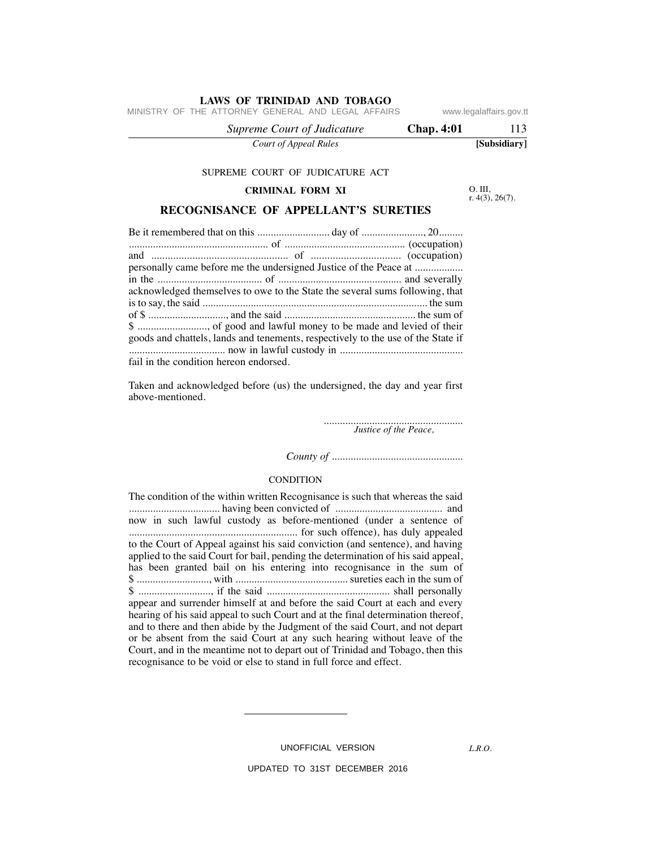MINISTRY OF THE ATTORNEY GENERAL AND LEGAL AFFAIRS www.legalaffairs.gov.tt

*Court of Appeal Rules* **[Subsidiary]**  *Supreme Court of Judicature* **Chap. 4:01** 113

#### SUPREME COURT OF JUDICATURE ACT

#### **CRIMINAL FORM XI**

O. III, r. 4(3), 26(7).

#### **RECOGNISANCE OF APPELLANT'S SURETIES**

| personally came before me the undersigned Justice of the Peace at                |  |
|----------------------------------------------------------------------------------|--|
|                                                                                  |  |
| acknowledged themselves to owe to the State the several sums following, that     |  |
|                                                                                  |  |
|                                                                                  |  |
|                                                                                  |  |
| goods and chattels, lands and tenements, respectively to the use of the State if |  |
|                                                                                  |  |
| fail in the condition hereon endorsed.                                           |  |

Taken and acknowledged before (us) the undersigned, the day and year first above-mentioned.

.................................................... *Justice of the Peace,*

## *County of* .................................................

#### **CONDITION**

The condition of the within written Recognisance is such that whereas the said .................................. having been convicted of ........................................ and now in such lawful custody as before-mentioned (under a sentence of ............................................................... for such offence), has duly appealed to the Court of Appeal against his said conviction (and sentence), and having applied to the said Court for bail, pending the determination of his said appeal, has been granted bail on his entering into recognisance in the sum of \$ ..........................., with .......................................... sureties each in the sum of \$ ..........................., if the said .............................................. shall personally appear and surrender himself at and before the said Court at each and every hearing of his said appeal to such Court and at the final determination thereof, and to there and then abide by the Judgment of the said Court, and not depart or be absent from the said Court at any such hearing without leave of the Court, and in the meantime not to depart out of Trinidad and Tobago, then this recognisance to be void or else to stand in full force and effect.

UNOFFICIAL VERSION

*L.R.O.*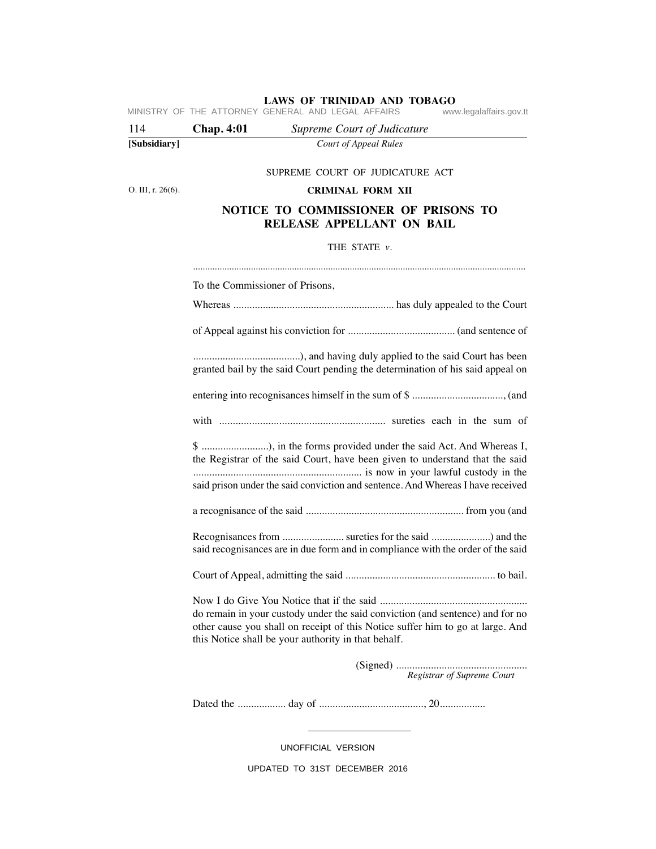| 114               | <b>Chap. 4:01</b>               | Supreme Court of Judicature                                                                                                                                                                                                       |
|-------------------|---------------------------------|-----------------------------------------------------------------------------------------------------------------------------------------------------------------------------------------------------------------------------------|
| [Subsidiary]      |                                 | <b>Court of Appeal Rules</b>                                                                                                                                                                                                      |
|                   |                                 | SUPREME COURT OF JUDICATURE ACT                                                                                                                                                                                                   |
| O. III, r. 26(6). |                                 | <b>CRIMINAL FORM XII</b>                                                                                                                                                                                                          |
|                   |                                 | NOTICE TO COMMISSIONER OF PRISONS TO<br>RELEASE APPELLANT ON BAIL                                                                                                                                                                 |
|                   |                                 | THE STATE v.                                                                                                                                                                                                                      |
|                   | To the Commissioner of Prisons, |                                                                                                                                                                                                                                   |
|                   |                                 |                                                                                                                                                                                                                                   |
|                   |                                 |                                                                                                                                                                                                                                   |
|                   |                                 | granted bail by the said Court pending the determination of his said appeal on                                                                                                                                                    |
|                   |                                 |                                                                                                                                                                                                                                   |
|                   |                                 |                                                                                                                                                                                                                                   |
|                   |                                 | \$ ), in the forms provided under the said Act. And Whereas I,<br>the Registrar of the said Court, have been given to understand that the said<br>said prison under the said conviction and sentence. And Whereas I have received |
|                   |                                 |                                                                                                                                                                                                                                   |
|                   |                                 | said recognisances are in due form and in compliance with the order of the said                                                                                                                                                   |
|                   |                                 |                                                                                                                                                                                                                                   |
|                   |                                 | do remain in your custody under the said conviction (and sentence) and for no<br>other cause you shall on receipt of this Notice suffer him to go at large. And<br>this Notice shall be your authority in that behalf.            |
|                   |                                 | $\begin{minipage}{.4\linewidth} (Signal) \hspace{0.03cm} {and} \hspace{0.03cm} \begin{minipage}{.4cm} \hspace{-0.03cm} {Registrar of Supreme Court} \end{minipage} \end{minipage}$                                                |
|                   |                                 |                                                                                                                                                                                                                                   |

UNOFFICIAL VERSION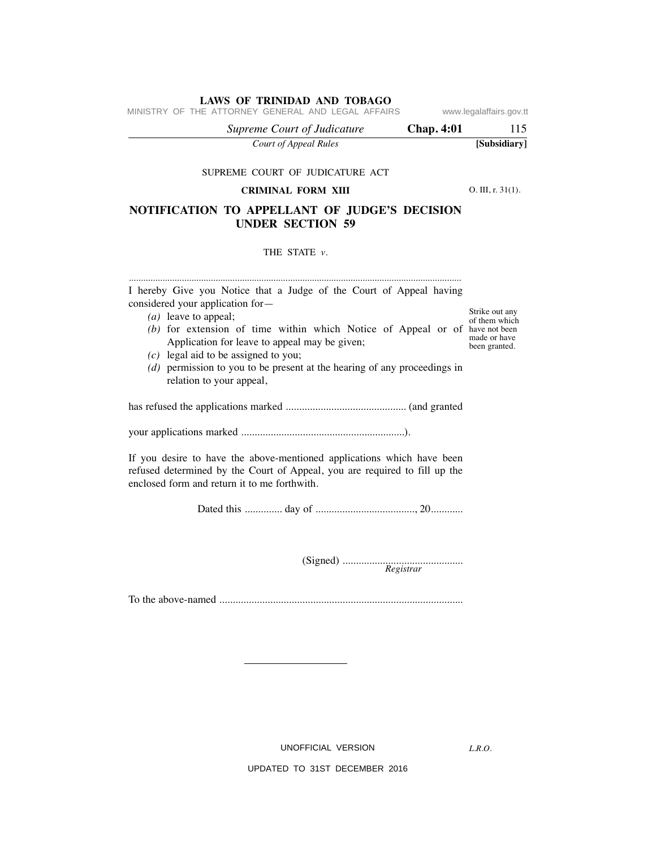| www.legalaffairs.gov.tt |                   | MINISTRY OF THE ATTORNEY GENERAL AND LEGAL AFFAIRS |
|-------------------------|-------------------|----------------------------------------------------|
| 115                     | <b>Chap.</b> 4:01 | Supreme Court of Judicature                        |
| [Subsidiary]            |                   | <b>Court of Appeal Rules</b>                       |
|                         |                   | SUPREME COURT OF JUDICATURE ACT                    |
| $O. III, r. 31(1)$ .    |                   | <b>CRIMINAL FORM XIII</b>                          |

# **NOTIFICATION TO APPELLANT OF JUDGE'S DECISION UNDER SECTION 59**

#### THE STATE *v*.

.......................................................................................................................................... I hereby Give you Notice that a Judge of the Court of Appeal having considered your application for—

- *(a)* leave to appeal;
- (b) for extension of time within which Notice of Appeal or of have not been Application for leave to appeal may be given;
- *(c)* legal aid to be assigned to you;
- *(d)* permission to you to be present at the hearing of any proceedings in relation to your appeal,

has refused the applications marked ............................................. (and granted

your applications marked .............................................................).

If you desire to have the above-mentioned applications which have been refused determined by the Court of Appeal, you are required to fill up the enclosed form and return it to me forthwith.

Dated this .............. day of ....................................., 20............

(Signed) ............................................. *Registrar*

To the above-named ...........................................................................................

UNOFFICIAL VERSION

*L.R.O.* 

UPDATED TO 31ST DECEMBER 2016

Strike out any of them which made or have been granted.

**LAWS OF TRINIDAD AND TOBAGO**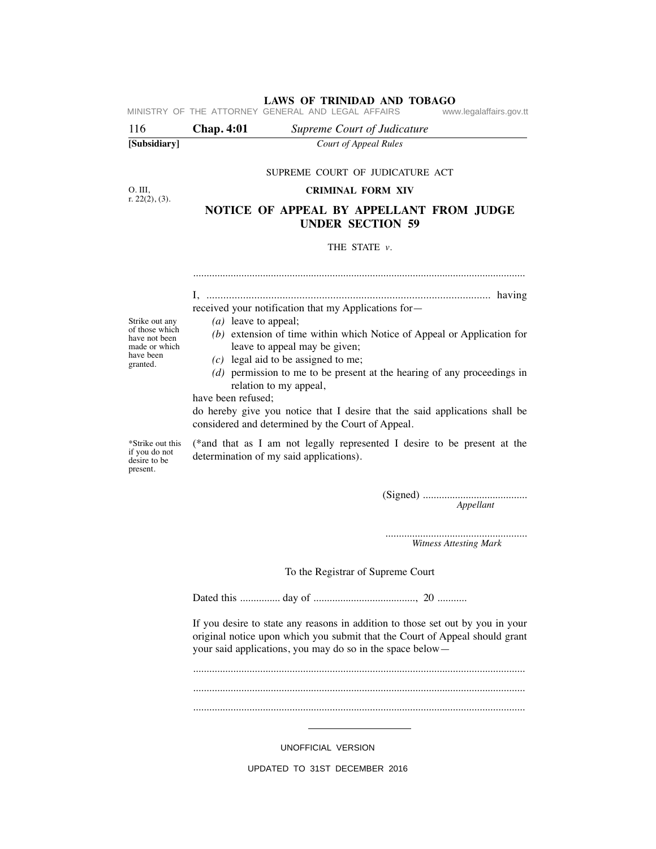**LAWS OF TRINIDAD AND TOBAGO** MINISTRY OF THE ATTORNEY GENERAL AND LEGAL AFFAIRS

**[Subsidiary]** *Court of Appeal Rules* 116 **Chap. 4:01** *Supreme Court of Judicature*

O. III, r.  $22(2)$ , (3).

#### SUPREME COURT OF JUDICATURE ACT

#### **CRIMINAL FORM XIV**

## **NOTICE OF APPEAL BY APPELLANT FROM JUDGE UNDER SECTION 59**

### THE STATE *v*.

............................................................................................................................

I, ..................................................................................................... having

received your notification that my Applications for—

- *(a)* leave to appeal;
- *(b)* extension of time within which Notice of Appeal or Application for leave to appeal may be given;
- *(c)* legal aid to be assigned to me;
- *(d)* permission to me to be present at the hearing of any proceedings in relation to my appeal,

have been refused;

do hereby give you notice that I desire that the said applications shall be considered and determined by the Court of Appeal.

\*Strike out this if you do not desire to be present.

(\*and that as I am not legally represented I desire to be present at the determination of my said applications).

> (Signed) ....................................... *Appellant*

> > ..................................................... *Witness Attesting Mark*

#### To the Registrar of Supreme Court

Dated this ............... day of ......................................, 20 ...........

If you desire to state any reasons in addition to those set out by you in your original notice upon which you submit that the Court of Appeal should grant your said applications, you may do so in the space below—

............................................................................................................................

............................................................................................................................

............................................................................................................................

UNOFFICIAL VERSION

UPDATED TO 31ST DECEMBER 2016

Strike out any of those which have not been made or which have been granted.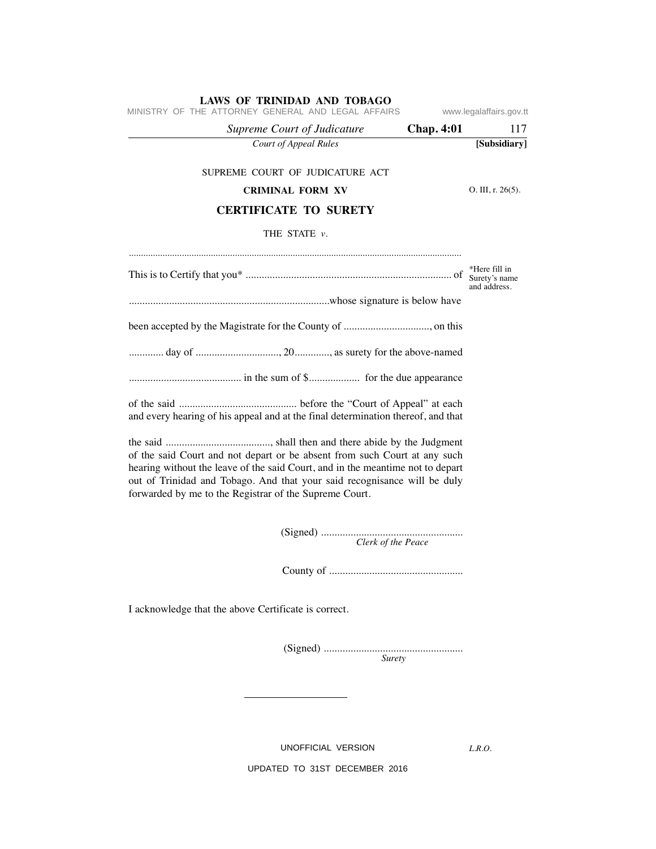| <b>LAWS OF TRINIDAD AND TOBAGO</b><br>MINISTRY OF THE ATTORNEY GENERAL AND LEGAL AFFAIRS                                                                                                                                                                                                          |                   | www.legalaffairs.gov.tt       |
|---------------------------------------------------------------------------------------------------------------------------------------------------------------------------------------------------------------------------------------------------------------------------------------------------|-------------------|-------------------------------|
| Supreme Court of Judicature                                                                                                                                                                                                                                                                       | <b>Chap. 4:01</b> | 117                           |
| <b>Court of Appeal Rules</b>                                                                                                                                                                                                                                                                      |                   | [Subsidiary]                  |
| SUPREME COURT OF JUDICATURE ACT                                                                                                                                                                                                                                                                   |                   |                               |
| <b>CRIMINAL FORM XV</b>                                                                                                                                                                                                                                                                           |                   | O. III, r. 26(5).             |
| <b>CERTIFICATE TO SURETY</b>                                                                                                                                                                                                                                                                      |                   |                               |
| THE STATE v.                                                                                                                                                                                                                                                                                      |                   |                               |
|                                                                                                                                                                                                                                                                                                   |                   | *Here fill in<br>and address. |
|                                                                                                                                                                                                                                                                                                   |                   |                               |
|                                                                                                                                                                                                                                                                                                   |                   |                               |
|                                                                                                                                                                                                                                                                                                   |                   |                               |
|                                                                                                                                                                                                                                                                                                   |                   |                               |
| and every hearing of his appeal and at the final determination thereof, and that                                                                                                                                                                                                                  |                   |                               |
| of the said Court and not depart or be absent from such Court at any such<br>hearing without the leave of the said Court, and in the meantime not to depart<br>out of Trinidad and Tobago. And that your said recognisance will be duly<br>forwarded by me to the Registrar of the Supreme Court. |                   |                               |
| Clerk of the Peace                                                                                                                                                                                                                                                                                |                   |                               |
|                                                                                                                                                                                                                                                                                                   |                   |                               |
| I acknowledge that the above Certificate is correct.                                                                                                                                                                                                                                              |                   |                               |
| Surety                                                                                                                                                                                                                                                                                            |                   |                               |
|                                                                                                                                                                                                                                                                                                   |                   |                               |
|                                                                                                                                                                                                                                                                                                   |                   |                               |
| UNOFFICIAL VERSION                                                                                                                                                                                                                                                                                |                   | L.R.O.                        |
| UPDATED TO 31ST DECEMBER 2016                                                                                                                                                                                                                                                                     |                   |                               |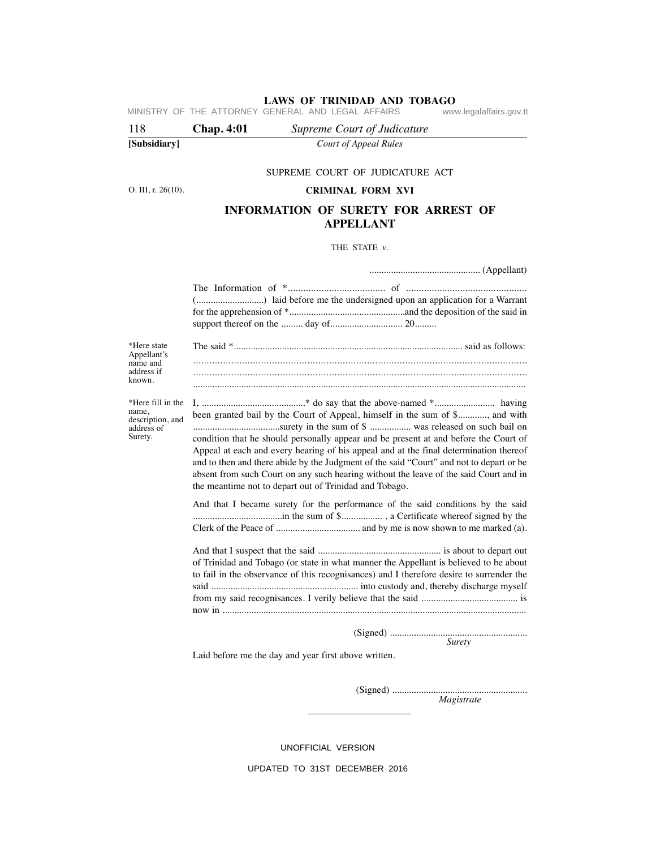**LAWS OF TRINIDAD AND TOBAGO**<br>GENERAL AND LEGAL AFFAIRS www.legalaffairs.gov.tt MINISTRY OF THE ATTORNEY GENERAL AND LEGAL AFFAIRS

**[Subsidiary]** *Court of Appeal Rules* 118 **Chap. 4:01** *Supreme Court of Judicature*

## SUPREME COURT OF JUDICATURE ACT

O. III, r. 26(10).

#### **CRIMINAL FORM XVI**

## **INFORMATION OF SURETY FOR ARREST OF APPELLANT**

THE STATE *v*.

| *Here state<br>Appellant's<br>name and<br>address if<br>known.          |                                                                                                                                                                                                                                                                                                                                                                                                                                                                                                             |
|-------------------------------------------------------------------------|-------------------------------------------------------------------------------------------------------------------------------------------------------------------------------------------------------------------------------------------------------------------------------------------------------------------------------------------------------------------------------------------------------------------------------------------------------------------------------------------------------------|
| *Here fill in the<br>name,<br>description, and<br>address of<br>Surety. | been granted bail by the Court of Appeal, himself in the sum of \$, and with<br>condition that he should personally appear and be present at and before the Court of<br>Appeal at each and every hearing of his appeal and at the final determination thereof<br>and to then and there abide by the Judgment of the said "Court" and not to depart or be<br>absent from such Court on any such hearing without the leave of the said Court and in<br>the meantime not to depart out of Trinidad and Tobago. |
|                                                                         | And that I became surety for the performance of the said conditions by the said                                                                                                                                                                                                                                                                                                                                                                                                                             |
|                                                                         | of Trinidad and Tobago (or state in what manner the Appellant is believed to be about<br>to fail in the observance of this recognisances) and I therefore desire to surrender the                                                                                                                                                                                                                                                                                                                           |
|                                                                         |                                                                                                                                                                                                                                                                                                                                                                                                                                                                                                             |
|                                                                         | Surety<br>Laid before me the day and year first above written.                                                                                                                                                                                                                                                                                                                                                                                                                                              |
|                                                                         | Magistrate                                                                                                                                                                                                                                                                                                                                                                                                                                                                                                  |

UNOFFICIAL VERSION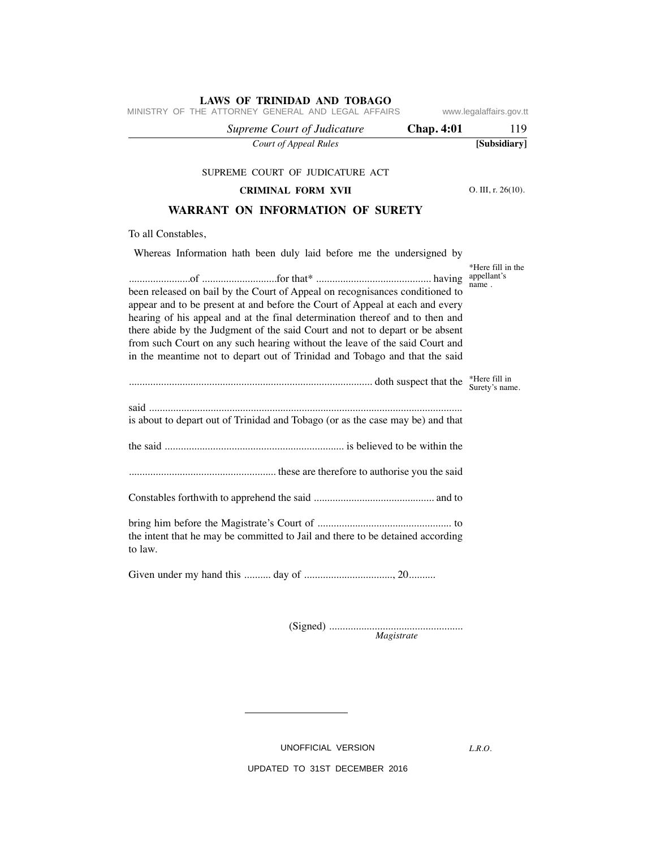| LAWS OF TRINIDAD AND TOBAGO<br>MINISTRY OF THE ATTORNEY GENERAL AND LEGAL AFFAIRS                                                                                                                                                                                                                                                                                                                                                                                                         | www.legalaffairs.gov.tt                   |
|-------------------------------------------------------------------------------------------------------------------------------------------------------------------------------------------------------------------------------------------------------------------------------------------------------------------------------------------------------------------------------------------------------------------------------------------------------------------------------------------|-------------------------------------------|
| <b>Chap. 4:01</b><br>Supreme Court of Judicature                                                                                                                                                                                                                                                                                                                                                                                                                                          | 119                                       |
| <b>Court of Appeal Rules</b>                                                                                                                                                                                                                                                                                                                                                                                                                                                              | [Subsidiary]                              |
| SUPREME COURT OF JUDICATURE ACT                                                                                                                                                                                                                                                                                                                                                                                                                                                           |                                           |
| <b>CRIMINAL FORM XVII</b>                                                                                                                                                                                                                                                                                                                                                                                                                                                                 | O. III, r. 26(10).                        |
| <b>WARRANT ON INFORMATION OF SURETY</b>                                                                                                                                                                                                                                                                                                                                                                                                                                                   |                                           |
| To all Constables,                                                                                                                                                                                                                                                                                                                                                                                                                                                                        |                                           |
| Whereas Information hath been duly laid before me the undersigned by                                                                                                                                                                                                                                                                                                                                                                                                                      |                                           |
| been released on bail by the Court of Appeal on recognisances conditioned to<br>appear and to be present at and before the Court of Appeal at each and every<br>hearing of his appeal and at the final determination thereof and to then and<br>there abide by the Judgment of the said Court and not to depart or be absent<br>from such Court on any such hearing without the leave of the said Court and<br>in the meantime not to depart out of Trinidad and Tobago and that the said | *Here fill in the<br>appellant's<br>name. |
|                                                                                                                                                                                                                                                                                                                                                                                                                                                                                           | *Here fill in<br>Surety's name.           |
| is about to depart out of Trinidad and Tobago (or as the case may be) and that                                                                                                                                                                                                                                                                                                                                                                                                            |                                           |
|                                                                                                                                                                                                                                                                                                                                                                                                                                                                                           |                                           |
|                                                                                                                                                                                                                                                                                                                                                                                                                                                                                           |                                           |
|                                                                                                                                                                                                                                                                                                                                                                                                                                                                                           |                                           |
| the intent that he may be committed to Jail and there to be detained according<br>to law.                                                                                                                                                                                                                                                                                                                                                                                                 |                                           |
|                                                                                                                                                                                                                                                                                                                                                                                                                                                                                           |                                           |
|                                                                                                                                                                                                                                                                                                                                                                                                                                                                                           |                                           |

(Signed) .................................................. *Magistrate*

UNOFFICIAL VERSION

*L.R.O.*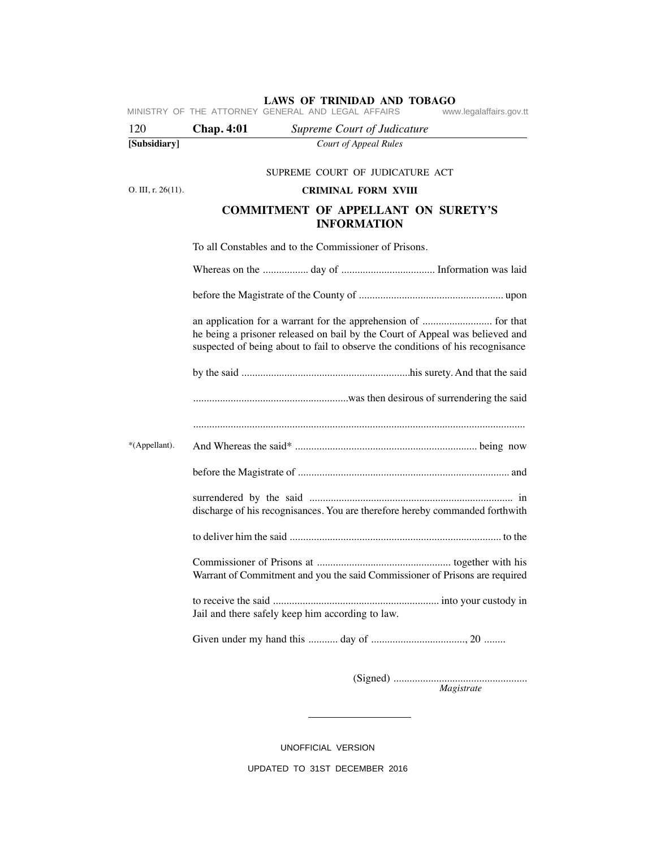|                    | <b>LAWS OF TRINIDAD AND TOBAGO</b><br>MINISTRY OF THE ATTORNEY GENERAL AND LEGAL AFFAIRS<br>www.legalaffairs.gov.tt                                            |  |
|--------------------|----------------------------------------------------------------------------------------------------------------------------------------------------------------|--|
| 120                | <b>Chap. 4:01</b><br>Supreme Court of Judicature                                                                                                               |  |
| [Subsidiary]       | <b>Court of Appeal Rules</b>                                                                                                                                   |  |
|                    | SUPREME COURT OF JUDICATURE ACT                                                                                                                                |  |
| O. III, r. 26(11). | <b>CRIMINAL FORM XVIII</b>                                                                                                                                     |  |
|                    | <b>COMMITMENT OF APPELLANT ON SURETY'S</b><br><b>INFORMATION</b>                                                                                               |  |
|                    | To all Constables and to the Commissioner of Prisons.                                                                                                          |  |
|                    |                                                                                                                                                                |  |
|                    |                                                                                                                                                                |  |
|                    | he being a prisoner released on bail by the Court of Appeal was believed and<br>suspected of being about to fail to observe the conditions of his recognisance |  |
|                    |                                                                                                                                                                |  |
|                    |                                                                                                                                                                |  |
|                    |                                                                                                                                                                |  |
| *(Appellant).      |                                                                                                                                                                |  |
|                    |                                                                                                                                                                |  |
|                    | discharge of his recognisances. You are therefore hereby commanded forthwith                                                                                   |  |
|                    |                                                                                                                                                                |  |
|                    | Warrant of Commitment and you the said Commissioner of Prisons are required                                                                                    |  |
|                    | Jail and there safely keep him according to law.                                                                                                               |  |
|                    |                                                                                                                                                                |  |
|                    | Magistrate                                                                                                                                                     |  |

UNOFFICIAL VERSION

 $\overline{\phantom{0}}$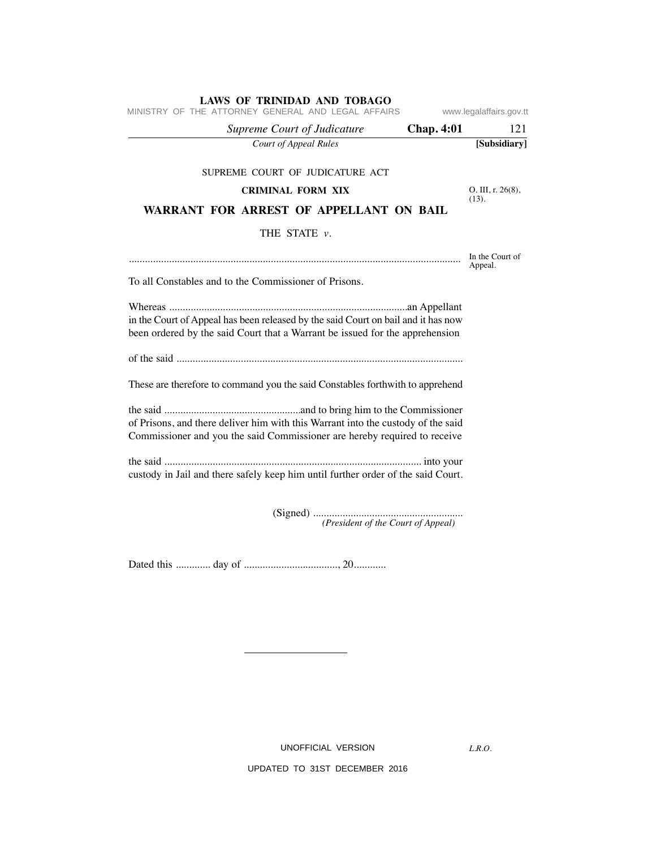| <b>LAWS OF TRINIDAD AND TOBAGO</b><br>MINISTRY OF THE ATTORNEY GENERAL AND LEGAL AFFAIRS                                                                          | www.legalaffairs.gov.tt    |
|-------------------------------------------------------------------------------------------------------------------------------------------------------------------|----------------------------|
| <b>Chap. 4:01</b><br>Supreme Court of Judicature                                                                                                                  | 121                        |
| Court of Appeal Rules                                                                                                                                             | [Subsidiary]               |
| SUPREME COURT OF JUDICATURE ACT                                                                                                                                   |                            |
| <b>CRIMINAL FORM XIX</b>                                                                                                                                          | O. III, r. 26(8),          |
| WARRANT FOR ARREST OF APPELLANT ON BAIL                                                                                                                           | $(13)$ .                   |
| THE STATE v.                                                                                                                                                      |                            |
|                                                                                                                                                                   | In the Court of<br>Appeal. |
| To all Constables and to the Commissioner of Prisons.                                                                                                             |                            |
| in the Court of Appeal has been released by the said Court on bail and it has now<br>been ordered by the said Court that a Warrant be issued for the apprehension |                            |
|                                                                                                                                                                   |                            |
| These are therefore to command you the said Constables forthwith to apprehend                                                                                     |                            |
| of Prisons, and there deliver him with this Warrant into the custody of the said<br>Commissioner and you the said Commissioner are hereby required to receive     |                            |
| custody in Jail and there safely keep him until further order of the said Court.                                                                                  |                            |
| (Signed) ( <i>President of the Court of Appeal</i> )                                                                                                              |                            |

Dated this ............. day of ..................................., 20............

UNOFFICIAL VERSION

*L.R.O.*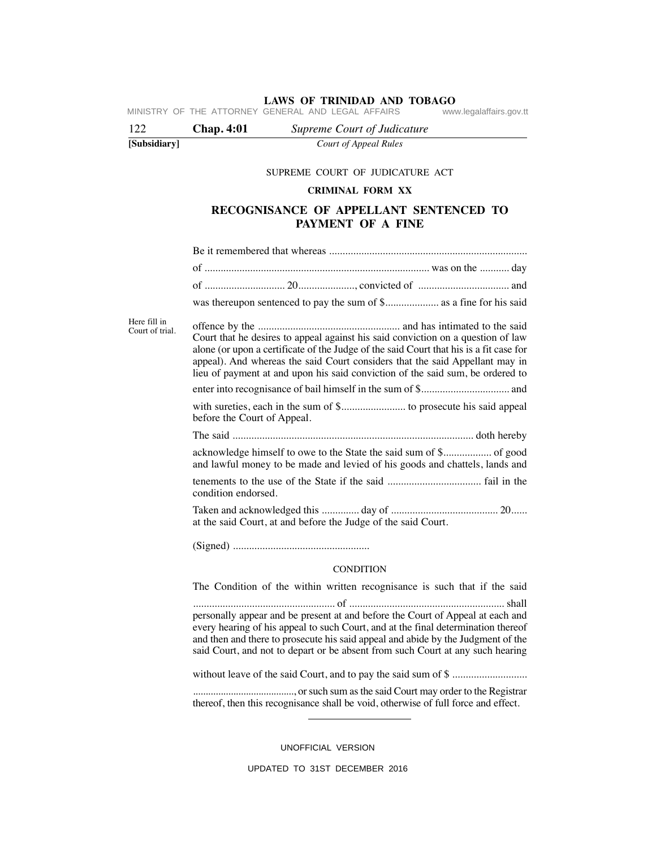**LAWS OF TRINIDAD AND TOBAGO**<br>GENERAL AND LEGAL AFFAIRS www.legalaffairs.gov.tt MINISTRY OF THE ATTORNEY GENERAL AND LEGAL AFFAIRS

**[Subsidiary]** *Court of Appeal Rules* 122 **Chap. 4:01** *Supreme Court of Judicature*

## SUPREME COURT OF JUDICATURE ACT

#### **CRIMINAL FORM XX**

## **RECOGNISANCE OF APPELLANT SENTENCED TO PAYMENT OF A FINE**

| Here fill in<br>Court of trial. | Court that he desires to appeal against his said conviction on a question of law<br>alone (or upon a certificate of the Judge of the said Court that his is a fit case for<br>appeal). And whereas the said Court considers that the said Appellant may in<br>lieu of payment at and upon his said conviction of the said sum, be ordered to |
|---------------------------------|----------------------------------------------------------------------------------------------------------------------------------------------------------------------------------------------------------------------------------------------------------------------------------------------------------------------------------------------|
|                                 |                                                                                                                                                                                                                                                                                                                                              |
|                                 | before the Court of Appeal.                                                                                                                                                                                                                                                                                                                  |
|                                 |                                                                                                                                                                                                                                                                                                                                              |
|                                 | and lawful money to be made and levied of his goods and chattels, lands and                                                                                                                                                                                                                                                                  |
|                                 | condition endorsed.                                                                                                                                                                                                                                                                                                                          |
|                                 | at the said Court, at and before the Judge of the said Court.                                                                                                                                                                                                                                                                                |
|                                 |                                                                                                                                                                                                                                                                                                                                              |
|                                 | <b>CONDITION</b>                                                                                                                                                                                                                                                                                                                             |
|                                 | The Condition of the within written recognisance is such that if the said                                                                                                                                                                                                                                                                    |
|                                 | personally appear and be present at and before the Court of Appeal at each and<br>every hearing of his appeal to such Court, and at the final determination thereof<br>and then and there to prosecute his said appeal and abide by the Judgment of the<br>said Court, and not to depart or be absent from such Court at any such hearing    |
|                                 |                                                                                                                                                                                                                                                                                                                                              |
|                                 | thereof, then this recognisance shall be void, otherwise of full force and effect.                                                                                                                                                                                                                                                           |
|                                 |                                                                                                                                                                                                                                                                                                                                              |

UNOFFICIAL VERSION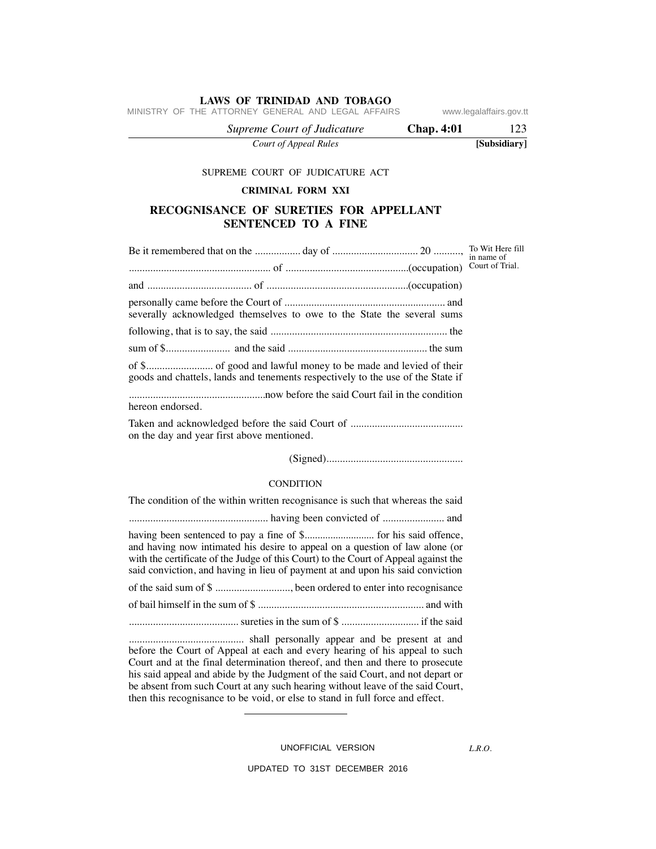MINISTRY OF THE ATTORNEY GENERAL AND LEGAL AFFAIRS www.legalaffairs.gov.tt

 *Supreme Court of Judicature* **Chap. 4:01** 123

*Court of Appeal Rules* **[Subsidiary]**

## SUPREME COURT OF JUDICATURE ACT

#### **CRIMINAL FORM XXI**

## **RECOGNISANCE OF SURETIES FOR APPELLANT SENTENCED TO A FINE**

|                                                                                 | To Wit Here fill |
|---------------------------------------------------------------------------------|------------------|
|                                                                                 | Court of Trial.  |
|                                                                                 |                  |
| severally acknowledged themselves to owe to the State the several sums          |                  |
|                                                                                 |                  |
|                                                                                 |                  |
| goods and chattels, lands and tenements respectively to the use of the State if |                  |
| hereon endorsed.                                                                |                  |
| on the day and year first above mentioned.                                      |                  |
|                                                                                 |                  |

#### **CONDITION**

| The condition of the within written recognisance is such that whereas the said                                                                                                                                                                        |
|-------------------------------------------------------------------------------------------------------------------------------------------------------------------------------------------------------------------------------------------------------|
|                                                                                                                                                                                                                                                       |
| and having now intimated his desire to appeal on a question of law alone (or<br>with the certificate of the Judge of this Court) to the Court of Appeal against the<br>said conviction, and having in lieu of payment at and upon his said conviction |
|                                                                                                                                                                                                                                                       |
|                                                                                                                                                                                                                                                       |
|                                                                                                                                                                                                                                                       |
| before the Court of Appeal at each and every hearing of his appeal to such<br>Court and at the final determination thereof, and then and there to prosecute<br>his said appeal and abide by the Judgment of the said Court, and not depart or         |
| be absent from such Court at any such hearing without leave of the said Court                                                                                                                                                                         |

be absent from such Court at any such hearing without leave of the said Court, then this recognisance to be void, or else to stand in full force and effect.

UNOFFICIAL VERSION

*L.R.O.*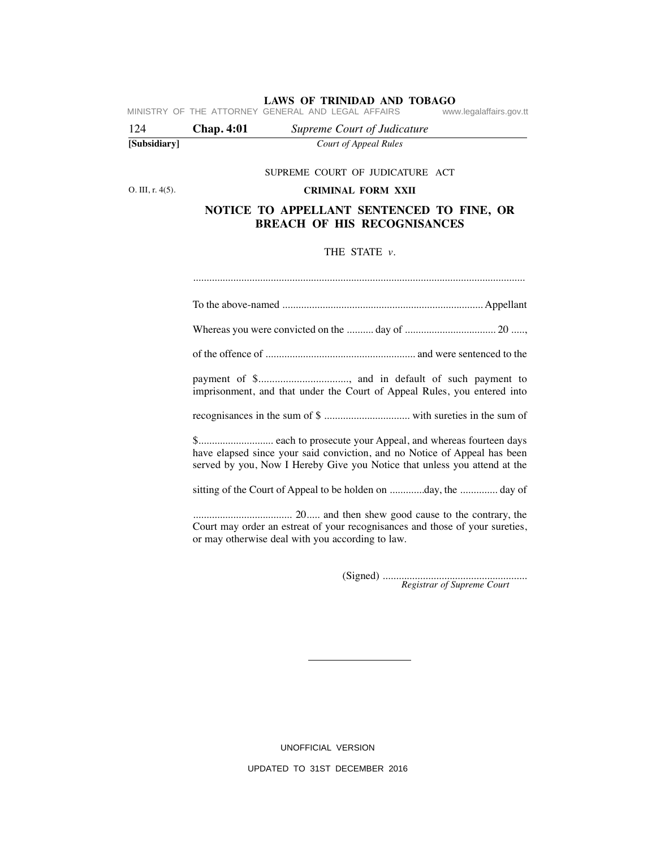**LAWS OF TRINIDAD AND TOBAGO** MINISTRY OF THE ATTORNEY GENERAL AND LEGAL AFFAIRS

| 124          | <b>Chap.</b> 4:01 | Supreme Court of Judicature  |
|--------------|-------------------|------------------------------|
| [Subsidiary] |                   | <b>Court of Appeal Rules</b> |

#### SUPREME COURT OF JUDICATURE ACT

O. III, r. 4(5).

#### **CRIMINAL FORM XXII**

## **NOTICE TO APPELLANT SENTENCED TO FINE, OR BREACH OF HIS RECOGNISANCES**

#### THE STATE *v*.

............................................................................................................................ To the above-named ........................................................................... Appellant Whereas you were convicted on the .......... day of .................................. 20 ....., of the offence of ........................................................ and were sentenced to the payment of \$................................., and in default of such payment to imprisonment, and that under the Court of Appeal Rules, you entered into recognisances in the sum of \$ ................................ with sureties in the sum of \$............................ each to prosecute your Appeal, and whereas fourteen days have elapsed since your said conviction, and no Notice of Appeal has been served by you, Now I Hereby Give you Notice that unless you attend at the sitting of the Court of Appeal to be holden on .............day, the .............. day of ..................................... 20..... and then shew good cause to the contrary, the Court may order an estreat of your recognisances and those of your sureties, or may otherwise deal with you according to law.

(Signed) ...................................................... *Registrar of Supreme Court*

UNOFFICIAL VERSION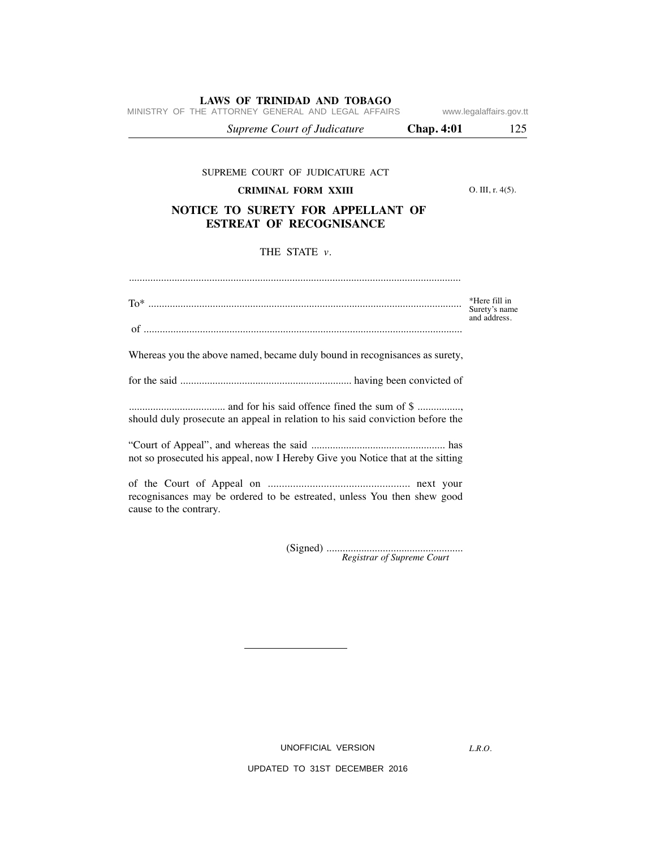MINISTRY OF THE ATTORNEY GENERAL AND LEGAL AFFAIRS www.legalaffairs.gov.tt

 *Supreme Court of Judicature* **Chap. 4:01** 125

## SUPREME COURT OF JUDICATURE ACT

#### **CRIMINAL FORM XXIII**

O. III, r. 4(5).

# **NOTICE TO SURETY FOR APPELLANT OF ESTREAT OF RECOGNISANCE**

### THE STATE *v*.

|                                                                                                   | *Here fill in<br>Surety's name<br>and address. |
|---------------------------------------------------------------------------------------------------|------------------------------------------------|
| Whereas you the above named, became duly bound in recognisances as surety,                        |                                                |
|                                                                                                   |                                                |
| should duly prosecute an appeal in relation to his said conviction before the                     |                                                |
| not so prosecuted his appeal, now I Hereby Give you Notice that at the sitting                    |                                                |
| recognisances may be ordered to be estreated, unless You then shew good<br>cause to the contrary. |                                                |

(Signed) ................................................... *Registrar of Supreme Court*

UNOFFICIAL VERSION

*L.R.O.*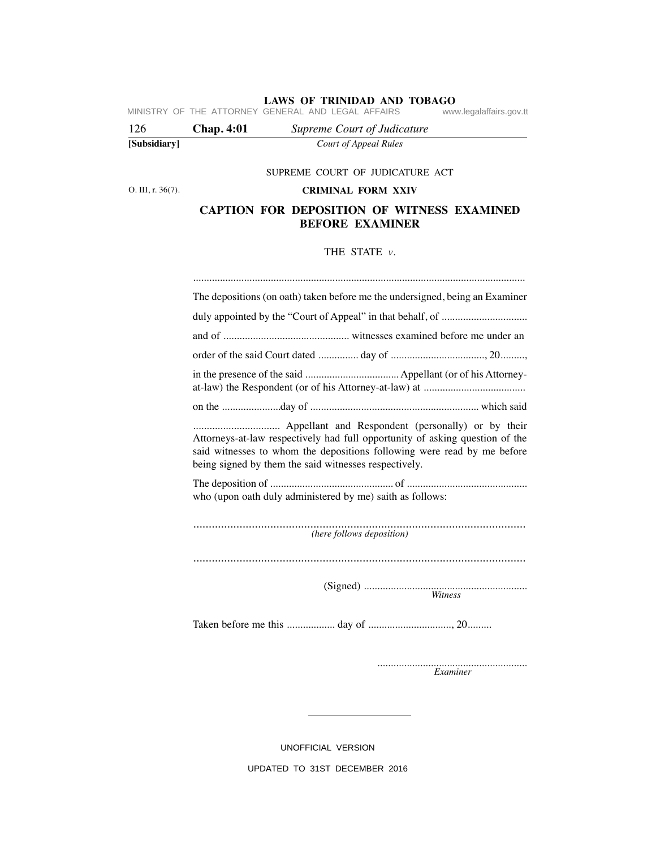MINISTRY OF THE ATTORNEY GENERAL AND LEGAL AFFAIRS www.legalaffairs.gov.tt

| 126          | <b>Chap.</b> 4:01 | Supreme Court of Judicature  |  |
|--------------|-------------------|------------------------------|--|
| [Subsidiary] |                   | <b>Court of Appeal Rules</b> |  |

### SUPREME COURT OF JUDICATURE ACT

O. III, r. 36(7).

#### **CRIMINAL FORM XXIV**

## **CAPTION FOR DEPOSITION OF WITNESS EXAMINED BEFORE EXAMINER**

#### THE STATE *v*.

| The depositions (on oath) taken before me the undersigned, being an Examiner                                                                                                                                     |
|------------------------------------------------------------------------------------------------------------------------------------------------------------------------------------------------------------------|
|                                                                                                                                                                                                                  |
|                                                                                                                                                                                                                  |
|                                                                                                                                                                                                                  |
|                                                                                                                                                                                                                  |
|                                                                                                                                                                                                                  |
| Attorneys-at-law respectively had full opportunity of asking question of the<br>said witnesses to whom the depositions following were read by me before<br>being signed by them the said witnesses respectively. |
| who (upon oath duly administered by me) saith as follows:                                                                                                                                                        |
| (here follows deposition)                                                                                                                                                                                        |
|                                                                                                                                                                                                                  |
|                                                                                                                                                                                                                  |
|                                                                                                                                                                                                                  |
| Examiner                                                                                                                                                                                                         |
|                                                                                                                                                                                                                  |
|                                                                                                                                                                                                                  |

UNOFFICIAL VERSION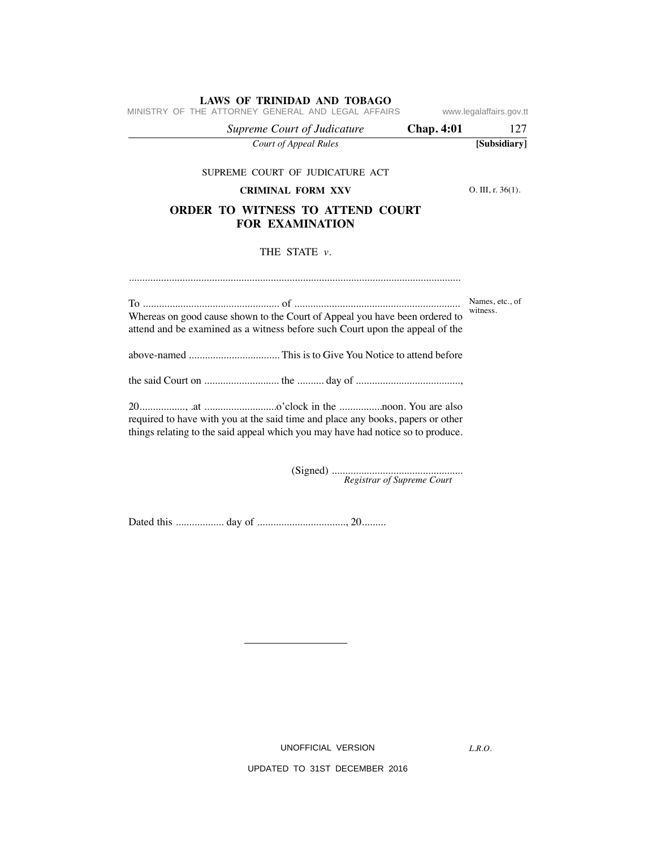| <b>LAWS OF TRINIDAD AND TOBAGO</b><br>MINISTRY OF THE ATTORNEY GENERAL AND LEGAL AFFAIRS                                                                           | www.legalaffairs.gov.tt     |
|--------------------------------------------------------------------------------------------------------------------------------------------------------------------|-----------------------------|
| Supreme Court of Judicature<br><b>Chap. 4:01</b>                                                                                                                   | 127                         |
| <b>Court of Appeal Rules</b>                                                                                                                                       | [Subsidiary]                |
| SUPREME COURT OF JUDICATURE ACT                                                                                                                                    |                             |
| <b>CRIMINAL FORM XXV</b>                                                                                                                                           | O. III, r. 36(1).           |
| ORDER TO WITNESS TO ATTEND COURT<br><b>FOR EXAMINATION</b>                                                                                                         |                             |
| THE STATE v.                                                                                                                                                       |                             |
|                                                                                                                                                                    |                             |
| Whereas on good cause shown to the Court of Appeal you have been ordered to<br>attend and be examined as a witness before such Court upon the appeal of the        | Names, etc., of<br>witness. |
|                                                                                                                                                                    |                             |
|                                                                                                                                                                    |                             |
| required to have with you at the said time and place any books, papers or other<br>things relating to the said appeal which you may have had notice so to produce. |                             |
|                                                                                                                                                                    |                             |
|                                                                                                                                                                    |                             |
|                                                                                                                                                                    |                             |

UNOFFICIAL VERSION

*L.R.O.*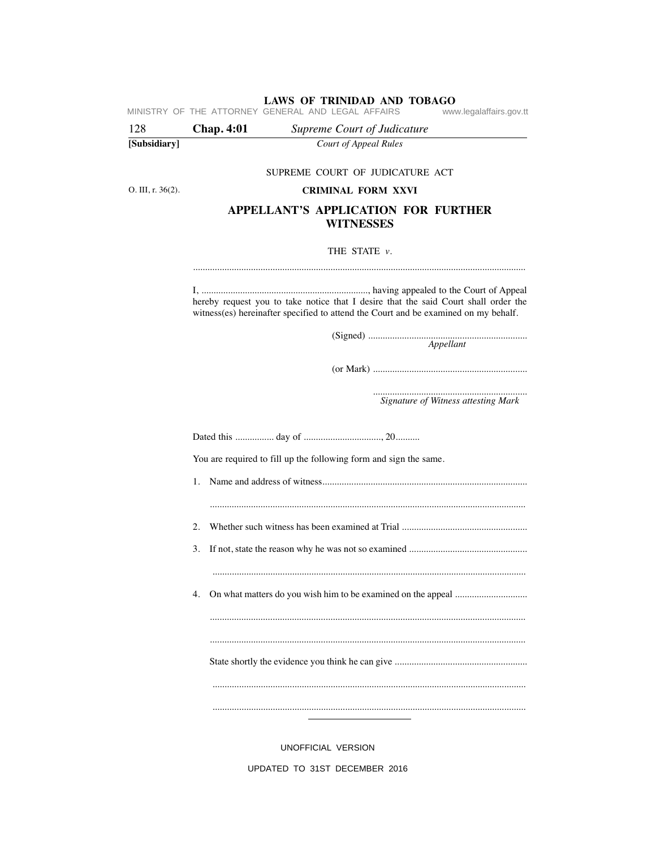|  |  | <b>LAWS OF TRINIDAD AND TOBAGO</b> |  |  |
|--|--|------------------------------------|--|--|
|--|--|------------------------------------|--|--|

| 128               | <b>Chap. 4:01</b>                                              | Supreme Court of Judicature                                                                                                                                                    |                                     |  |
|-------------------|----------------------------------------------------------------|--------------------------------------------------------------------------------------------------------------------------------------------------------------------------------|-------------------------------------|--|
| [Subsidiary]      |                                                                | Court of Appeal Rules                                                                                                                                                          |                                     |  |
|                   |                                                                | SUPREME COURT OF JUDICATURE ACT                                                                                                                                                |                                     |  |
| O. III, r. 36(2). |                                                                | <b>CRIMINAL FORM XXVI</b>                                                                                                                                                      |                                     |  |
|                   | <b>APPELLANT'S APPLICATION FOR FURTHER</b><br><b>WITNESSES</b> |                                                                                                                                                                                |                                     |  |
|                   |                                                                | THE STATE v.                                                                                                                                                                   |                                     |  |
|                   |                                                                | hereby request you to take notice that I desire that the said Court shall order the<br>witness(es) hereinafter specified to attend the Court and be examined on my behalf.     |                                     |  |
|                   |                                                                | $\begin{minipage}{.4\linewidth} (Signal) \hspace{0.03cm} {\small \begin{minipage}{.4cm} \textbf{\textit{N}} \end{minipage}} \hspace{0.03cm} \textit{Appendant} \end{minipage}$ |                                     |  |
|                   |                                                                |                                                                                                                                                                                |                                     |  |
|                   |                                                                |                                                                                                                                                                                | Signature of Witness attesting Mark |  |
|                   |                                                                |                                                                                                                                                                                |                                     |  |
|                   |                                                                | You are required to fill up the following form and sign the same.                                                                                                              |                                     |  |
|                   | 1.                                                             |                                                                                                                                                                                |                                     |  |
|                   |                                                                |                                                                                                                                                                                |                                     |  |
|                   | 2.                                                             |                                                                                                                                                                                |                                     |  |
|                   | 3.                                                             |                                                                                                                                                                                |                                     |  |
|                   | 4.                                                             |                                                                                                                                                                                |                                     |  |
|                   |                                                                |                                                                                                                                                                                |                                     |  |
|                   |                                                                |                                                                                                                                                                                |                                     |  |
|                   |                                                                |                                                                                                                                                                                |                                     |  |
|                   |                                                                |                                                                                                                                                                                |                                     |  |
|                   |                                                                |                                                                                                                                                                                |                                     |  |

UNOFFICIAL VERSION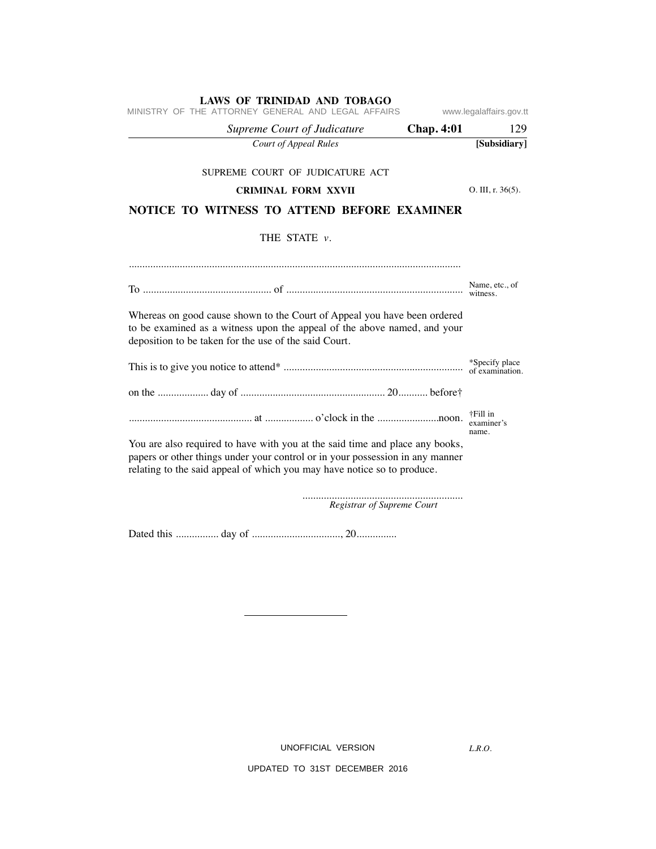| LAWS OF TRINIDAD AND TOBAGO<br>MINISTRY OF THE ATTORNEY GENERAL AND LEGAL AFFAIRS                                                                                                                                                        | www.legalaffairs.gov.tt           |
|------------------------------------------------------------------------------------------------------------------------------------------------------------------------------------------------------------------------------------------|-----------------------------------|
| <b>Chap. 4:01</b><br>Supreme Court of Judicature                                                                                                                                                                                         | 129                               |
| <b>Court of Appeal Rules</b>                                                                                                                                                                                                             | [Subsidiary]                      |
| SUPREME COURT OF JUDICATURE ACT                                                                                                                                                                                                          |                                   |
| <b>CRIMINAL FORM XXVII</b>                                                                                                                                                                                                               | O. III, r. 36(5).                 |
| NOTICE TO WITNESS TO ATTEND BEFORE EXAMINER                                                                                                                                                                                              |                                   |
| THE STATE v.                                                                                                                                                                                                                             |                                   |
|                                                                                                                                                                                                                                          |                                   |
|                                                                                                                                                                                                                                          | Name, etc., of                    |
| Whereas on good cause shown to the Court of Appeal you have been ordered<br>to be examined as a witness upon the appeal of the above named, and your<br>deposition to be taken for the use of the said Court.                            |                                   |
|                                                                                                                                                                                                                                          | *Specify place<br>of examination. |
|                                                                                                                                                                                                                                          |                                   |
|                                                                                                                                                                                                                                          | †Fill in<br>examiner's<br>name.   |
| You are also required to have with you at the said time and place any books,<br>papers or other things under your control or in your possession in any manner<br>relating to the said appeal of which you may have notice so to produce. |                                   |

............................................................ *Registrar of Supreme Court*

Dated this ................ day of ................................., 20...............

UNOFFICIAL VERSION

*L.R.O.*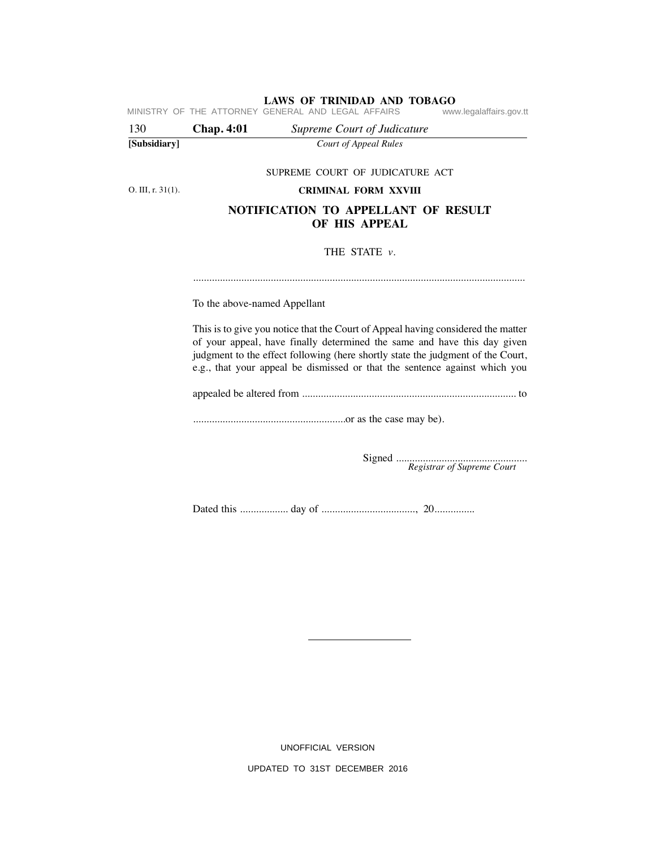|                   |                                                      | <b>LAWS OF TRINIDAD AND TOBAGO</b><br>MINISTRY OF THE ATTORNEY GENERAL AND LEGAL AFFAIRS                                                                                                                                                                                                                                      | www.legalaffairs.gov.tt |
|-------------------|------------------------------------------------------|-------------------------------------------------------------------------------------------------------------------------------------------------------------------------------------------------------------------------------------------------------------------------------------------------------------------------------|-------------------------|
| 130               | <b>Chap.</b> 4:01                                    | Supreme Court of Judicature                                                                                                                                                                                                                                                                                                   |                         |
| [Subsidiary]      |                                                      | <b>Court of Appeal Rules</b>                                                                                                                                                                                                                                                                                                  |                         |
|                   |                                                      | SUPREME COURT OF JUDICATURE ACT                                                                                                                                                                                                                                                                                               |                         |
| O. III, r. 31(1). |                                                      | <b>CRIMINAL FORM XXVIII</b>                                                                                                                                                                                                                                                                                                   |                         |
|                   | NOTIFICATION TO APPELLANT OF RESULT<br>OF HIS APPEAL |                                                                                                                                                                                                                                                                                                                               |                         |
|                   |                                                      | THE STATE v.                                                                                                                                                                                                                                                                                                                  |                         |
|                   |                                                      |                                                                                                                                                                                                                                                                                                                               |                         |
|                   |                                                      | To the above-named Appellant                                                                                                                                                                                                                                                                                                  |                         |
|                   |                                                      | This is to give you notice that the Court of Appeal having considered the matter<br>of your appeal, have finally determined the same and have this day given<br>judgment to the effect following (here shortly state the judgment of the Court,<br>e.g., that your appeal be dismissed or that the sentence against which you |                         |
|                   |                                                      |                                                                                                                                                                                                                                                                                                                               |                         |
|                   |                                                      |                                                                                                                                                                                                                                                                                                                               |                         |
|                   |                                                      |                                                                                                                                                                                                                                                                                                                               |                         |

Dated this .................. day of ..................................., 20...............

UNOFFICIAL VERSION UPDATED TO 31ST DECEMBER 2016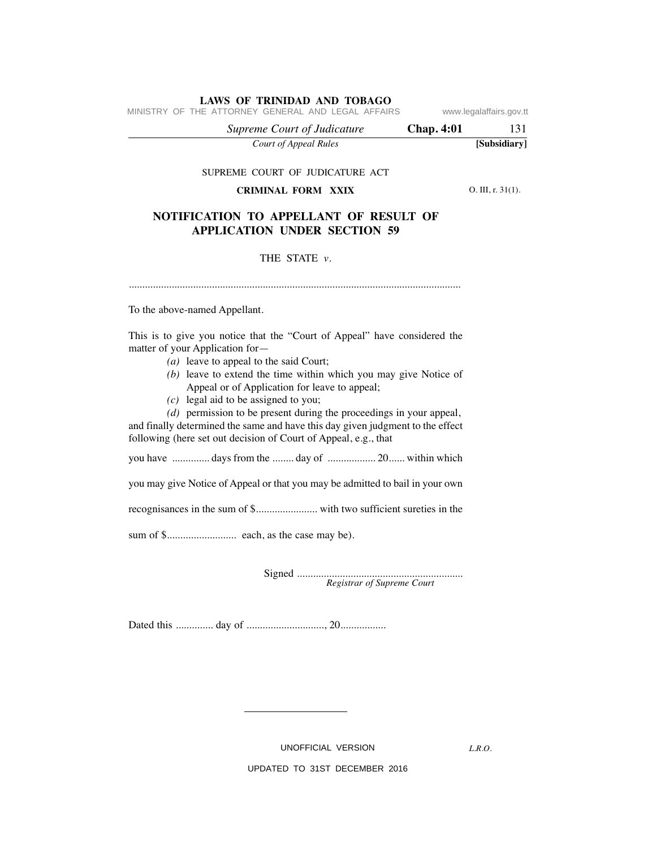|  |  | LAWS OF TRINIDAD AND TOBAGO |  |  |  |
|--|--|-----------------------------|--|--|--|
|--|--|-----------------------------|--|--|--|

MINISTRY OF THE ATTORNEY GENERAL AND LEGAL AFFAIRS www.legalaffairs.gov.tt

*Court of Appeal Rules* **[Subsidiary]**  *Supreme Court of Judicature* **Chap. 4:01** 131

#### SUPREME COURT OF JUDICATURE ACT

#### **CRIMINAL FORM XXIX**

O. III, r. 31(1).

## **NOTIFICATION TO APPELLANT OF RESULT OF APPLICATION UNDER SECTION 59**

### THE STATE *v*.

............................................................................................................................

To the above-named Appellant.

This is to give you notice that the "Court of Appeal" have considered the matter of your Application for—

- *(a)* leave to appeal to the said Court;
- *(b)* leave to extend the time within which you may give Notice of Appeal or of Application for leave to appeal;
- *(c)* legal aid to be assigned to you;
- *(d)* permission to be present during the proceedings in your appeal,

and finally determined the same and have this day given judgment to the effect following (here set out decision of Court of Appeal, e.g., that

you have ............... days from the ........ day of ................... 20...... within which

you may give Notice of Appeal or that you may be admitted to bail in your own

recognisances in the sum of \$....................... with two sufficient sureties in the

sum of \$.......................... each, as the case may be).

Signed .............................................................. *Registrar of Supreme Court*

Dated this .............. day of ............................., 20.................

UNOFFICIAL VERSION

*L.R.O.*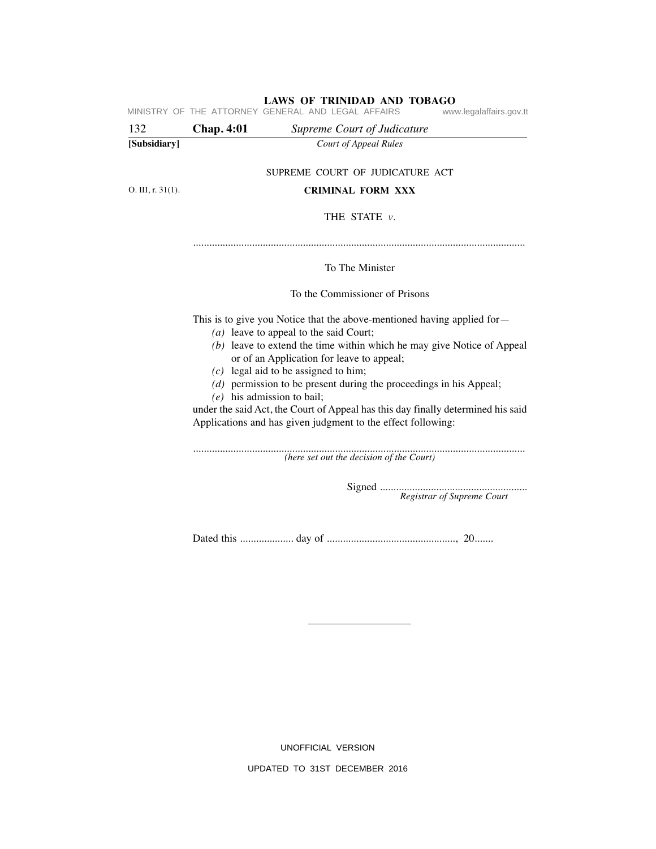|                   |                                | <b>LAWS OF TRINIDAD AND TOBAGO</b><br>MINISTRY OF THE ATTORNEY GENERAL AND LEGAL AFFAIRS                                                                                                                                                                                                                                                                                                                                                                                                                                                           | www.legalaffairs.gov.tt |  |
|-------------------|--------------------------------|----------------------------------------------------------------------------------------------------------------------------------------------------------------------------------------------------------------------------------------------------------------------------------------------------------------------------------------------------------------------------------------------------------------------------------------------------------------------------------------------------------------------------------------------------|-------------------------|--|
| 132               | <b>Chap. 4:01</b>              | Supreme Court of Judicature                                                                                                                                                                                                                                                                                                                                                                                                                                                                                                                        |                         |  |
| [Subsidiary]      |                                | <b>Court of Appeal Rules</b>                                                                                                                                                                                                                                                                                                                                                                                                                                                                                                                       |                         |  |
|                   |                                | SUPREME COURT OF JUDICATURE ACT                                                                                                                                                                                                                                                                                                                                                                                                                                                                                                                    |                         |  |
| O. III, r. 31(1). |                                | <b>CRIMINAL FORM XXX</b>                                                                                                                                                                                                                                                                                                                                                                                                                                                                                                                           |                         |  |
|                   |                                | THE STATE v.                                                                                                                                                                                                                                                                                                                                                                                                                                                                                                                                       |                         |  |
|                   |                                | To The Minister                                                                                                                                                                                                                                                                                                                                                                                                                                                                                                                                    |                         |  |
|                   | To the Commissioner of Prisons |                                                                                                                                                                                                                                                                                                                                                                                                                                                                                                                                                    |                         |  |
|                   |                                | This is to give you Notice that the above-mentioned having applied for-<br>( $a$ ) leave to appeal to the said Court;<br>(b) leave to extend the time within which he may give Notice of Appeal<br>or of an Application for leave to appeal;<br>$(c)$ legal aid to be assigned to him;<br>$(d)$ permission to be present during the proceedings in his Appeal;<br>$(e)$ his admission to bail;<br>under the said Act, the Court of Appeal has this day finally determined his said<br>Applications and has given judgment to the effect following: |                         |  |
|                   |                                | (here set out the decision of the Court)                                                                                                                                                                                                                                                                                                                                                                                                                                                                                                           |                         |  |
|                   |                                |                                                                                                                                                                                                                                                                                                                                                                                                                                                                                                                                                    |                         |  |

UNOFFICIAL VERSION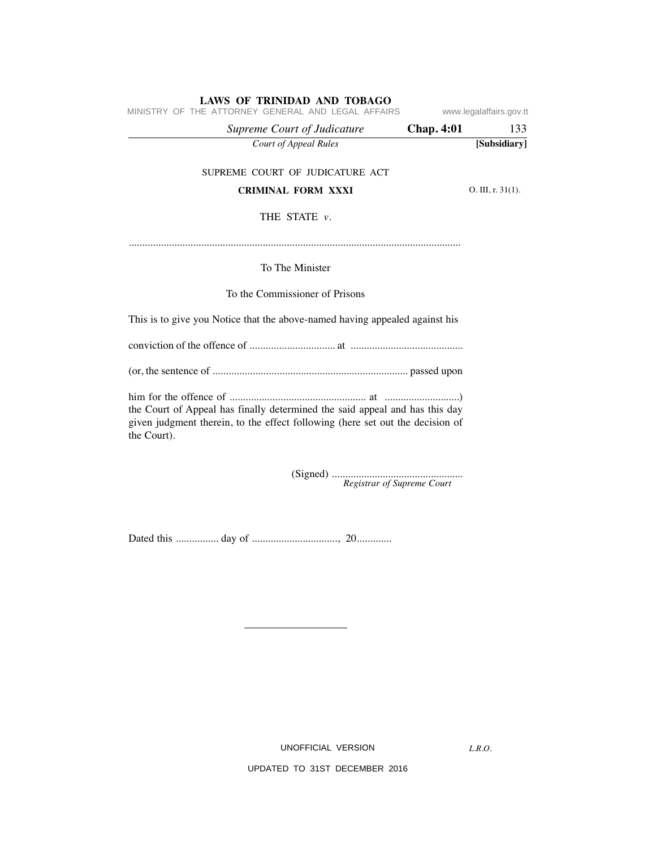| LAWS OF TRINIDAD AND TOBAGO<br>MINISTRY OF THE ATTORNEY GENERAL AND LEGAL AFFAIRS                                                                                           |                   | www.legalaffairs.gov.tt |
|-----------------------------------------------------------------------------------------------------------------------------------------------------------------------------|-------------------|-------------------------|
| Supreme Court of Judicature                                                                                                                                                 | <b>Chap. 4:01</b> | 133                     |
| <b>Court of Appeal Rules</b>                                                                                                                                                |                   | [Subsidiary]            |
| SUPREME COURT OF JUDICATURE ACT                                                                                                                                             |                   |                         |
| <b>CRIMINAL FORM XXXI</b>                                                                                                                                                   |                   | O. III, r. 31(1).       |
| THE STATE v.                                                                                                                                                                |                   |                         |
|                                                                                                                                                                             |                   |                         |
| To The Minister                                                                                                                                                             |                   |                         |
| To the Commissioner of Prisons                                                                                                                                              |                   |                         |
| This is to give you Notice that the above-named having appealed against his                                                                                                 |                   |                         |
|                                                                                                                                                                             |                   |                         |
|                                                                                                                                                                             |                   |                         |
| the Court of Appeal has finally determined the said appeal and has this day<br>given judgment therein, to the effect following (here set out the decision of<br>the Court). |                   |                         |
|                                                                                                                                                                             |                   |                         |

Dated this ................ day of ................................, 20.............

UNOFFICIAL VERSION

*L.R.O.*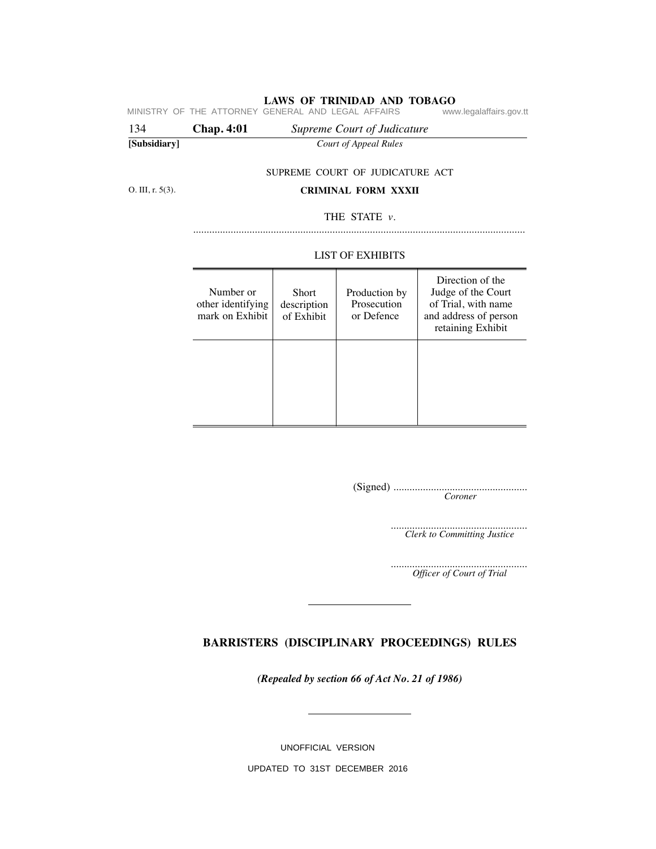**LAWS OF TRINIDAD AND TOBAGO**<br>GENERAL AND LEGAL AFFAIRS www.legalaffairs.gov.tt MINISTRY OF THE ATTORNEY GENERAL AND LEGAL AFFAIRS

134 **Chap. 4:01** *Supreme Court of Judicature*

**[Subsidiary]** *Court of Appeal Rules*

# SUPREME COURT OF JUDICATURE ACT **CRIMINAL FORM XXXII**

O. III, r. 5(3).

THE STATE *v*.

............................................................................................................................

### LIST OF EXHIBITS

| Number or<br>other identifying<br>mark on Exhibit | Short<br>description<br>of Exhibit | Production by<br>Prosecution<br>or Defence | Direction of the<br>Judge of the Court<br>of Trial, with name<br>and address of person<br>retaining Exhibit |
|---------------------------------------------------|------------------------------------|--------------------------------------------|-------------------------------------------------------------------------------------------------------------|
|                                                   |                                    |                                            |                                                                                                             |

(Signed) .................................................. *Coroner*

> ................................................... *Clerk to Committing Justice*

................................................... *Officer of Court of Trial*

## **BARRISTERS (DISCIPLINARY PROCEEDINGS) RULES**

*(Repealed by section 66 of Act No. 21 of 1986)*

UNOFFICIAL VERSION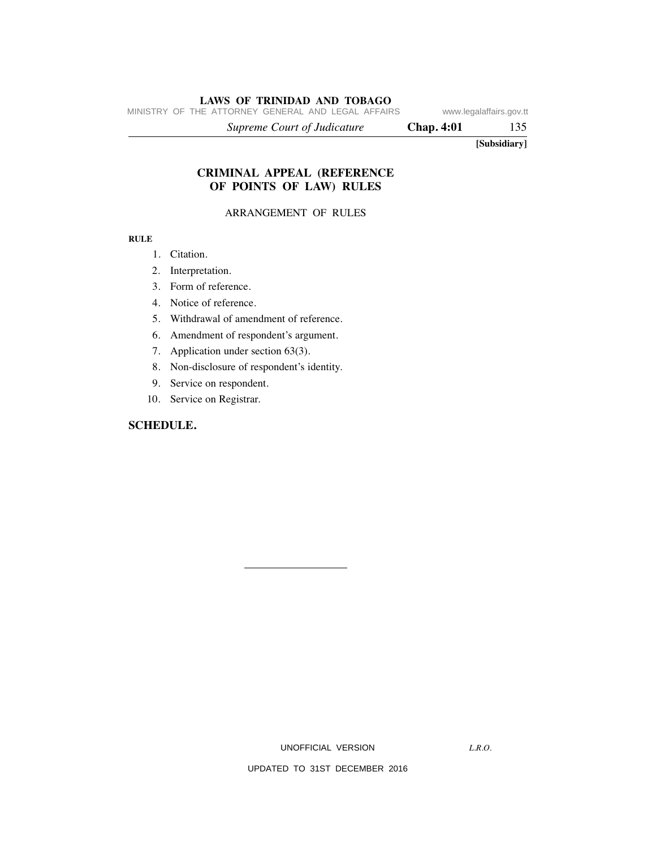MINISTRY OF THE ATTORNEY GENERAL AND LEGAL AFFAIRS www.legalaffairs.gov.tt

 *Supreme Court of Judicature* **Chap. 4:01** 135

**[Subsidiary]**

## **CRIMINAL APPEAL (REFERENCE OF POINTS OF LAW) RULES**

## ARRANGEMENT OF RULES

#### **RULE**

- 1. Citation.
- 2. Interpretation.
- 3. Form of reference.
- 4. Notice of reference.
- 5. Withdrawal of amendment of reference.
- 6. Amendment of respondent's argument.
- 7. Application under section 63(3).
- 8. Non-disclosure of respondent's identity.
- 9. Service on respondent.
- 10. Service on Registrar.

## **SCHEDULE.**

UNOFFICIAL VERSION

*L.R.O.*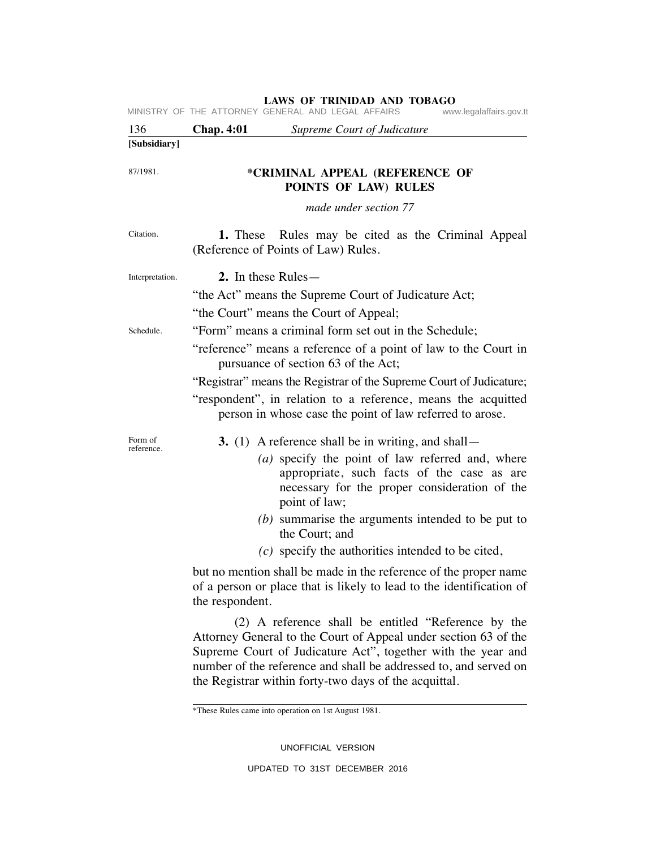# 87/1981. Citation. Interpretation. Schedule. Form of reference. **\*CRIMINAL APPEAL (REFERENCE OF POINTS OF LAW) RULES** *made under section 77*  **1.** These Rules may be cited as the Criminal Appeal (Reference of Points of Law) Rules.  **2.** In these Rules— "the Act" means the Supreme Court of Judicature Act; "the Court" means the Court of Appeal; "Form" means a criminal form set out in the Schedule; "reference" means a reference of a point of law to the Court in pursuance of section 63 of the Act; "Registrar" means the Registrar of the Supreme Court of Judicature; "respondent", in relation to a reference, means the acquitted person in whose case the point of law referred to arose.  **3.** (1) A reference shall be in writing, and shall—  *(a)* specify the point of law referred and, where appropriate, such facts of the case as are necessary for the proper consideration of the point of law;  *(b)* summarise the arguments intended to be put to the Court; and  *(c)* specify the authorities intended to be cited, but no mention shall be made in the reference of the proper name of a person or place that is likely to lead to the identification of the respondent. (2) A reference shall be entitled "Reference by the Attorney General to the Court of Appeal under section 63 of the Supreme Court of Judicature Act", together with the year and number of the reference and shall be addressed to, and served on the Registrar within forty-two days of the acquittal. **[Subsidiary] LAWS OF TRINIDAD AND TOBAGO** 136 **Chap. 4:01** *Supreme Court of Judicature* MINISTRY OF THE ATTORNEY GENERAL AND LEGAL AFFAIRS

\*These Rules came into operation on 1st August 1981.

UNOFFICIAL VERSION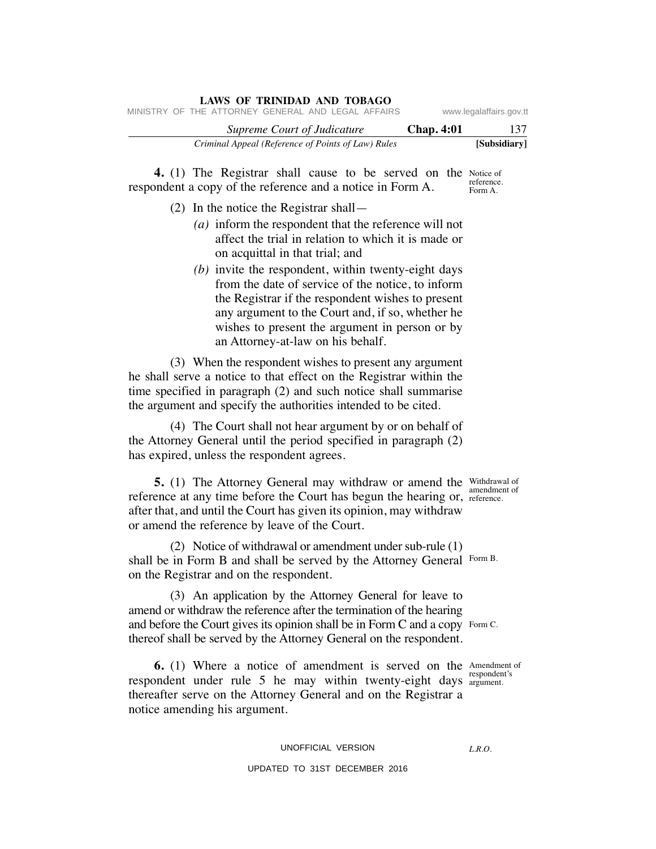| LAWS OF TRINIDAD AND TOBAGO<br>MINISTRY OF THE ATTORNEY GENERAL AND LEGAL AFFAIRS |                   | www.legalaffairs.gov.tt |
|-----------------------------------------------------------------------------------|-------------------|-------------------------|
| Supreme Court of Judicature                                                       | <b>Chap.</b> 4:01 | 137                     |
| Criminal Appeal (Reference of Points of Law) Rules                                |                   | [Subsidiary]            |

**4.** (1) The Registrar shall cause to be served on the Notice of reference. Form A. respondent a copy of the reference and a notice in Form A.

- (2) In the notice the Registrar shall—
	- *(a)* inform the respondent that the reference will not affect the trial in relation to which it is made or on acquittal in that trial; and
	- *(b)* invite the respondent, within twenty-eight days from the date of service of the notice, to inform the Registrar if the respondent wishes to present any argument to the Court and, if so, whether he wishes to present the argument in person or by an Attorney-at-law on his behalf.

 (3) When the respondent wishes to present any argument he shall serve a notice to that effect on the Registrar within the time specified in paragraph (2) and such notice shall summarise the argument and specify the authorities intended to be cited.

 (4) The Court shall not hear argument by or on behalf of the Attorney General until the period specified in paragraph (2) has expired, unless the respondent agrees.

**5.** (1) The Attorney General may withdraw or amend the Withdrawal of reference at any time before the Court has begun the hearing or, reference. after that, and until the Court has given its opinion, may withdraw or amend the reference by leave of the Court.

shall be in Form B and shall be served by the Attorney General Form B. (2) Notice of withdrawal or amendment under sub-rule (1) on the Registrar and on the respondent.

and before the Court gives its opinion shall be in Form C and a copy Form C. (3) An application by the Attorney General for leave to amend or withdraw the reference after the termination of the hearing thereof shall be served by the Attorney General on the respondent.

**6.** (1) Where a notice of amendment is served on the Amendment of respondent under rule  $5$  he may within twenty-eight days  $\frac{1 \text{c}}{2}$  argument. thereafter serve on the Attorney General and on the Registrar a notice amending his argument.

### UNOFFICIAL VERSION

### UPDATED TO 31ST DECEMBER 2016

amendment of

respondent's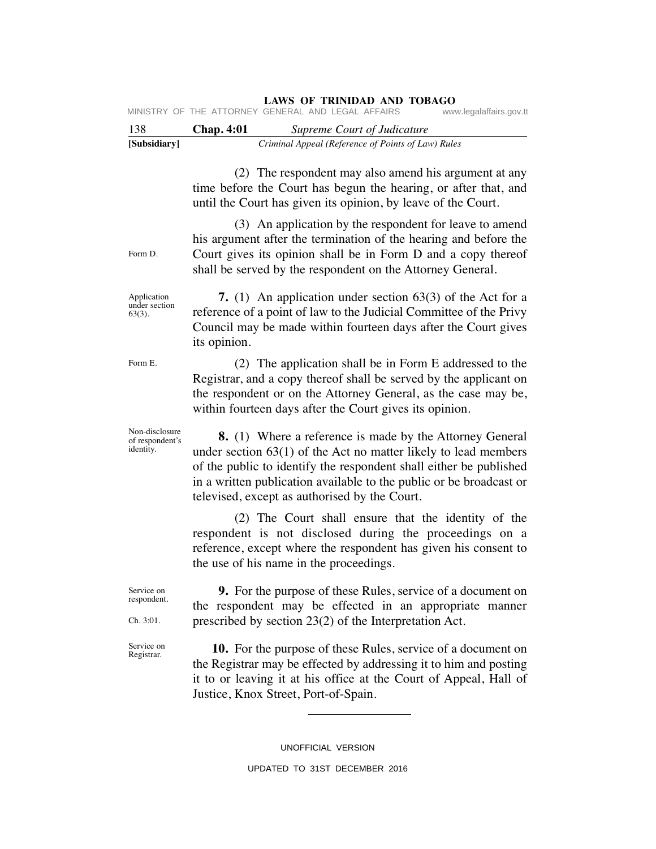**LAWS OF TRINIDAD AND TOBAGO** MINISTRY OF THE ATTORNEY GENERAL AND LEGAL AFFAIRS

| 138          | <b>Chap.</b> 4:01 | Supreme Court of Judicature                        |
|--------------|-------------------|----------------------------------------------------|
| [Subsidiary] |                   | Criminal Appeal (Reference of Points of Law) Rules |

 (2) The respondent may also amend his argument at any time before the Court has begun the hearing, or after that, and until the Court has given its opinion, by leave of the Court.

 (3) An application by the respondent for leave to amend his argument after the termination of the hearing and before the Court gives its opinion shall be in Form D and a copy thereof shall be served by the respondent on the Attorney General.

Application under section  **7.** (1)An application under section 63(3) of the Act for a reference of a point of law to the Judicial Committee of the Privy Council may be made within fourteen days after the Court gives its opinion.

> (2) The application shall be in Form E addressed to the Registrar, and a copy thereof shall be served by the applicant on the respondent or on the Attorney General, as the case may be, within fourteen days after the Court gives its opinion.

> **8.** (1) Where a reference is made by the Attorney General under section 63(1) of the Act no matter likely to lead members of the public to identify the respondent shall either be published in a written publication available to the public or be broadcast or televised, except as authorised by the Court.

> (2) The Court shall ensure that the identity of the respondent is not disclosed during the proceedings on a reference, except where the respondent has given his consent to the use of his name in the proceedings.

Service on respondent.

Ch. 3:01.

Form D.

63(3).

Form E.

Non-disclosure of respondent's identity.

Service on Registrar.

 **9.** For the purpose of these Rules, service of a document on the respondent may be effected in an appropriate manner prescribed by section 23(2) of the Interpretation Act.

 **10.** For the purpose of these Rules, service of a document on the Registrar may be effected by addressing it to him and posting it to or leaving it at his office at the Court of Appeal, Hall of Justice, Knox Street, Port-of-Spain.

> UNOFFICIAL VERSION UPDATED TO 31ST DECEMBER 2016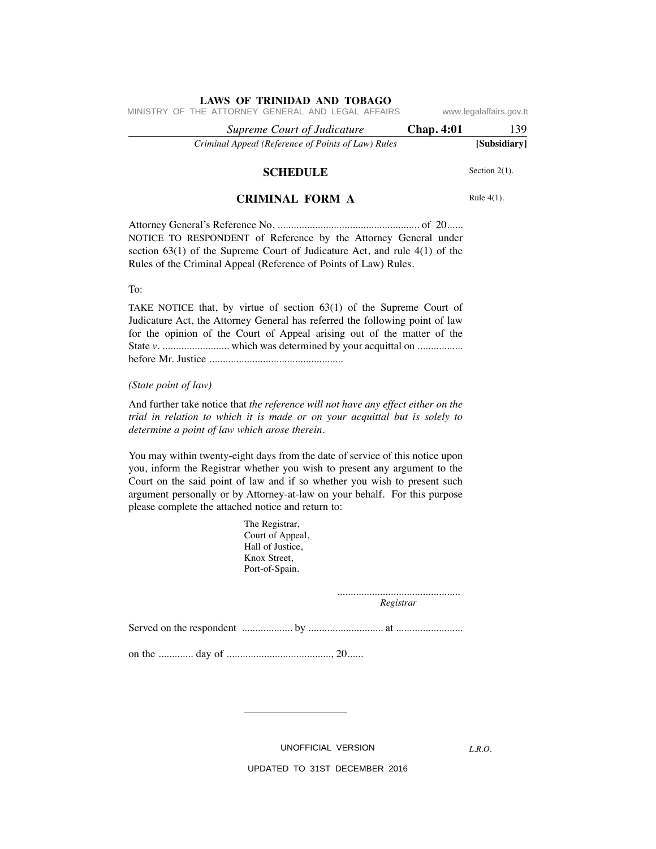| MINISTRY OF THE ATTORNEY GENERAL AND LEGAL AFFAIRS                                                                                                                                                                                                                                                                                                                          | www.legalaffairs.gov.tt |
|-----------------------------------------------------------------------------------------------------------------------------------------------------------------------------------------------------------------------------------------------------------------------------------------------------------------------------------------------------------------------------|-------------------------|
| <b>Chap. 4:01</b><br>Supreme Court of Judicature                                                                                                                                                                                                                                                                                                                            | 139                     |
| Criminal Appeal (Reference of Points of Law) Rules                                                                                                                                                                                                                                                                                                                          | [Subsidiary]            |
| <b>SCHEDULE</b>                                                                                                                                                                                                                                                                                                                                                             | Section $2(1)$ .        |
| <b>CRIMINAL FORM A</b>                                                                                                                                                                                                                                                                                                                                                      | Rule $4(1)$ .           |
| NOTICE TO RESPONDENT of Reference by the Attorney General under<br>section $63(1)$ of the Supreme Court of Judicature Act, and rule $4(1)$ of the<br>Rules of the Criminal Appeal (Reference of Points of Law) Rules.                                                                                                                                                       |                         |
| To:                                                                                                                                                                                                                                                                                                                                                                         |                         |
| TAKE NOTICE that, by virtue of section $63(1)$ of the Supreme Court of<br>Judicature Act, the Attorney General has referred the following point of law<br>for the opinion of the Court of Appeal arising out of the matter of the                                                                                                                                           |                         |
| (State point of law)                                                                                                                                                                                                                                                                                                                                                        |                         |
| And further take notice that the reference will not have any effect either on the<br>trial in relation to which it is made or on your acquittal but is solely to<br>determine a point of law which arose therein.                                                                                                                                                           |                         |
| You may within twenty-eight days from the date of service of this notice upon<br>you, inform the Registrar whether you wish to present any argument to the<br>Court on the said point of law and if so whether you wish to present such<br>argument personally or by Attorney-at-law on your behalf. For this purpose<br>please complete the attached notice and return to: |                         |
| The Registrar,                                                                                                                                                                                                                                                                                                                                                              |                         |

| The Registrar,<br>Court of Appeal,<br>Hall of Justice, |
|--------------------------------------------------------|
| Knox Street.<br>Port-of-Spain.                         |
| Registrar                                              |
|                                                        |
|                                                        |

UNOFFICIAL VERSION

 $\overline{a}$ 

*L.R.O.*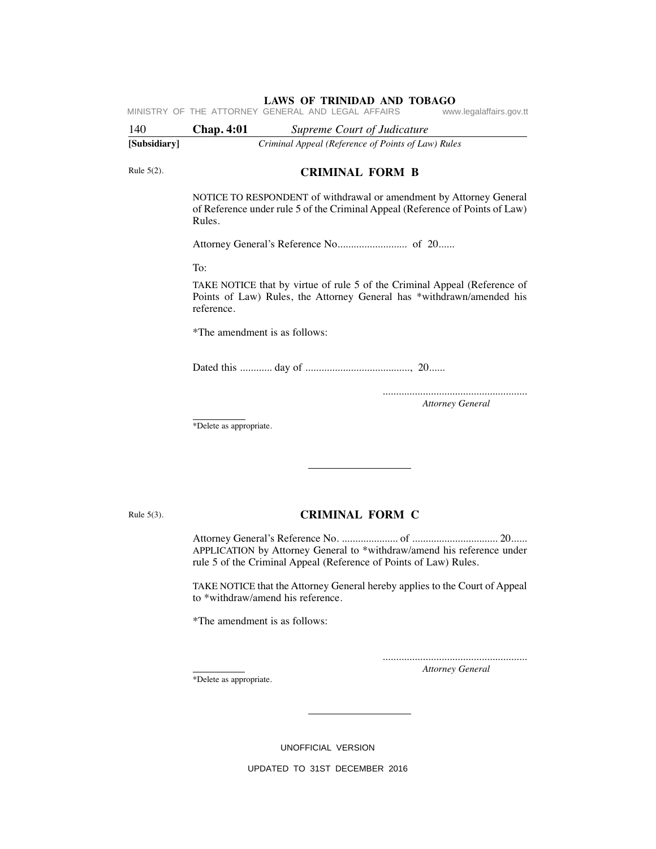|               | MINISTRY OF THE ATTORNEY GENERAL AND LEGAL AFFAIRS<br>www.legalaffairs.gov.tt                                                                                    |  |  |  |
|---------------|------------------------------------------------------------------------------------------------------------------------------------------------------------------|--|--|--|
| 140           | <b>Chap. 4:01</b><br>Supreme Court of Judicature                                                                                                                 |  |  |  |
| [Subsidiary]  | Criminal Appeal (Reference of Points of Law) Rules                                                                                                               |  |  |  |
| Rule $5(2)$ . | <b>CRIMINAL FORM B</b>                                                                                                                                           |  |  |  |
|               | NOTICE TO RESPONDENT of withdrawal or amendment by Attorney General<br>of Reference under rule 5 of the Criminal Appeal (Reference of Points of Law)<br>Rules.   |  |  |  |
|               |                                                                                                                                                                  |  |  |  |
|               | To:                                                                                                                                                              |  |  |  |
|               | TAKE NOTICE that by virtue of rule 5 of the Criminal Appeal (Reference of<br>Points of Law) Rules, the Attorney General has *withdrawn/amended his<br>reference. |  |  |  |
|               | *The amendment is as follows:                                                                                                                                    |  |  |  |
|               |                                                                                                                                                                  |  |  |  |
|               | <b>Attorney General</b>                                                                                                                                          |  |  |  |
|               | *Delete as appropriate.                                                                                                                                          |  |  |  |
|               |                                                                                                                                                                  |  |  |  |
|               |                                                                                                                                                                  |  |  |  |
| Rule $5(3)$ . | <b>CRIMINAL FORM C</b>                                                                                                                                           |  |  |  |
|               | APPLICATION by Attorney General to *withdraw/amend his reference under<br>rule 5 of the Criminal Appeal (Reference of Points of Law) Rules.                      |  |  |  |

TAKE NOTICE that the Attorney General hereby applies to the Court of Appeal to \*withdraw/amend his reference.

\*The amendment is as follows:

\*Delete as appropriate.

 *Attorney General*

......................................................

UNOFFICIAL VERSION

 $\overline{\phantom{a}}$